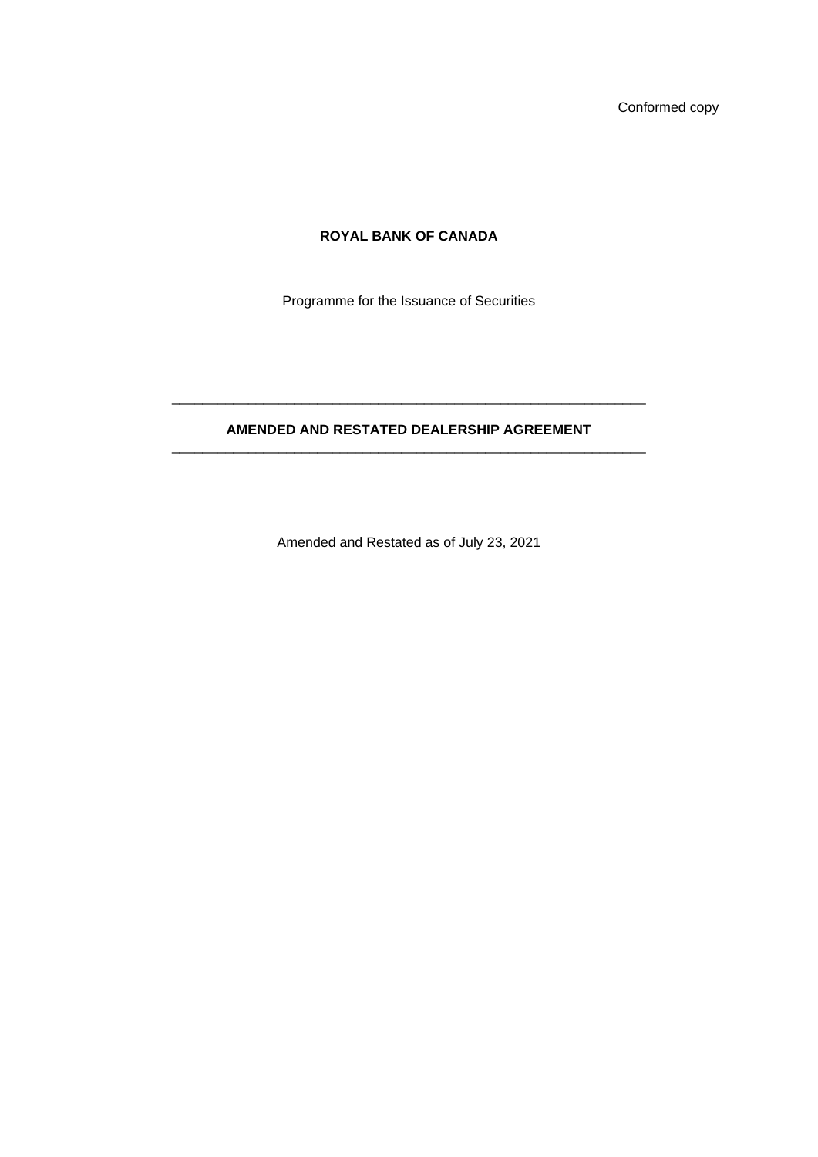Conformed copy

# **ROYAL BANK OF CANADA**

Programme for the Issuance of Securities

## **AMENDED AND RESTATED DEALERSHIP AGREEMENT**  \_\_\_\_\_\_\_\_\_\_\_\_\_\_\_\_\_\_\_\_\_\_\_\_\_\_\_\_\_\_\_\_\_\_\_\_\_\_\_\_\_\_\_\_\_\_\_\_\_\_\_\_\_\_\_\_\_\_\_\_\_\_

\_\_\_\_\_\_\_\_\_\_\_\_\_\_\_\_\_\_\_\_\_\_\_\_\_\_\_\_\_\_\_\_\_\_\_\_\_\_\_\_\_\_\_\_\_\_\_\_\_\_\_\_\_\_\_\_\_\_\_\_\_\_

Amended and Restated as of July 23, 2021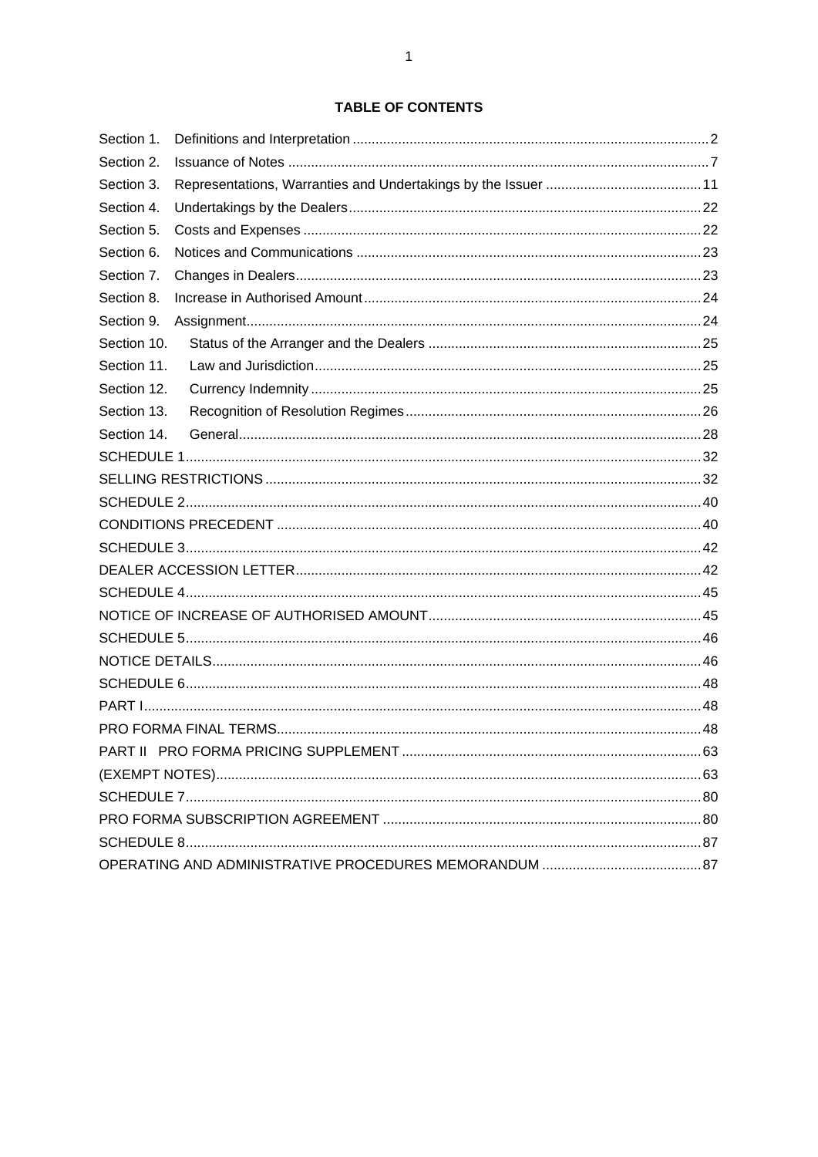## **TABLE OF CONTENTS**

| Section 1.  |  |  |
|-------------|--|--|
| Section 2.  |  |  |
| Section 3.  |  |  |
| Section 4.  |  |  |
| Section 5.  |  |  |
| Section 6.  |  |  |
| Section 7.  |  |  |
| Section 8.  |  |  |
| Section 9.  |  |  |
| Section 10. |  |  |
| Section 11. |  |  |
| Section 12. |  |  |
| Section 13. |  |  |
| Section 14. |  |  |
|             |  |  |
|             |  |  |
|             |  |  |
|             |  |  |
|             |  |  |
|             |  |  |
|             |  |  |
|             |  |  |
|             |  |  |
|             |  |  |
|             |  |  |
|             |  |  |
|             |  |  |
|             |  |  |
|             |  |  |
|             |  |  |
|             |  |  |
|             |  |  |
|             |  |  |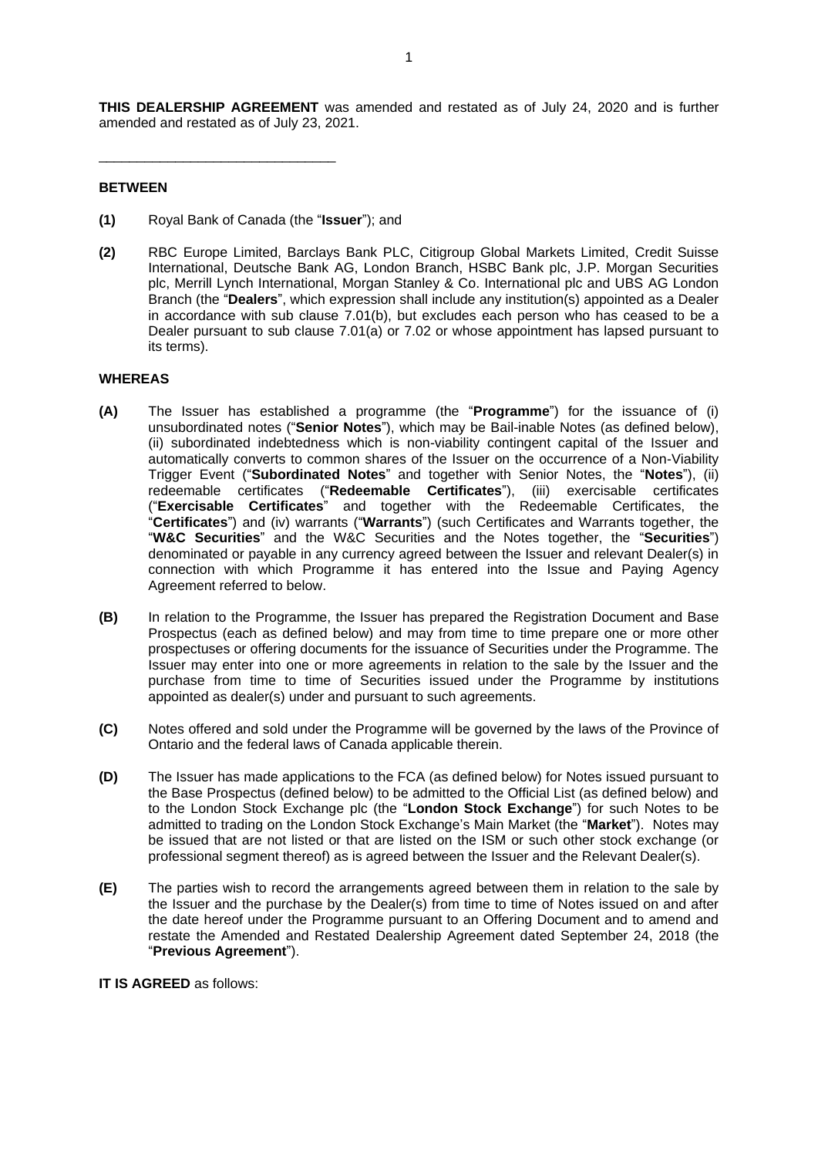**THIS DEALERSHIP AGREEMENT** was amended and restated as of July 24, 2020 and is further amended and restated as of July 23, 2021.

## **BETWEEN**

**(1)** Royal Bank of Canada (the "**Issuer**"); and

\_\_\_\_\_\_\_\_\_\_\_\_\_\_\_\_\_\_\_\_\_\_\_\_\_\_\_\_\_\_\_

**(2)** RBC Europe Limited, Barclays Bank PLC, Citigroup Global Markets Limited, Credit Suisse International, Deutsche Bank AG, London Branch, HSBC Bank plc, J.P. Morgan Securities plc, Merrill Lynch International, Morgan Stanley & Co. International plc and UBS AG London Branch (the "**Dealers**", which expression shall include any institution(s) appointed as a Dealer in accordance with sub clause [7.01\(b\),](#page-25-2) but excludes each person who has ceased to be a Dealer pursuant to sub clause [7.01\(a\)](#page-25-3) or [7.02](#page-25-4) or whose appointment has lapsed pursuant to its terms).

## **WHEREAS**

- **(A)** The Issuer has established a programme (the "**Programme**") for the issuance of (i) unsubordinated notes ("**Senior Notes**"), which may be Bail-inable Notes (as defined below), (ii) subordinated indebtedness which is non-viability contingent capital of the Issuer and automatically converts to common shares of the Issuer on the occurrence of a Non-Viability Trigger Event ("**Subordinated Notes**" and together with Senior Notes, the "**Notes**"), (ii) redeemable certificates ("**Redeemable Certificates**"), (iii) exercisable certificates ("**Exercisable Certificates**" and together with the Redeemable Certificates, the "**Certificates**") and (iv) warrants ("**Warrants**") (such Certificates and Warrants together, the "**W&C Securities**" and the W&C Securities and the Notes together, the "**Securities**") denominated or payable in any currency agreed between the Issuer and relevant Dealer(s) in connection with which Programme it has entered into the Issue and Paying Agency Agreement referred to below.
- **(B)** In relation to the Programme, the Issuer has prepared the Registration Document and Base Prospectus (each as defined below) and may from time to time prepare one or more other prospectuses or offering documents for the issuance of Securities under the Programme. The Issuer may enter into one or more agreements in relation to the sale by the Issuer and the purchase from time to time of Securities issued under the Programme by institutions appointed as dealer(s) under and pursuant to such agreements.
- **(C)** Notes offered and sold under the Programme will be governed by the laws of the Province of Ontario and the federal laws of Canada applicable therein.
- **(D)** The Issuer has made applications to the FCA (as defined below) for Notes issued pursuant to the Base Prospectus (defined below) to be admitted to the Official List (as defined below) and to the London Stock Exchange plc (the "**London Stock Exchange**") for such Notes to be admitted to trading on the London Stock Exchange's Main Market (the "**Market**"). Notes may be issued that are not listed or that are listed on the ISM or such other stock exchange (or professional segment thereof) as is agreed between the Issuer and the Relevant Dealer(s).
- **(E)** The parties wish to record the arrangements agreed between them in relation to the sale by the Issuer and the purchase by the Dealer(s) from time to time of Notes issued on and after the date hereof under the Programme pursuant to an Offering Document and to amend and restate the Amended and Restated Dealership Agreement dated September 24, 2018 (the "**Previous Agreement**").

**IT IS AGREED** as follows: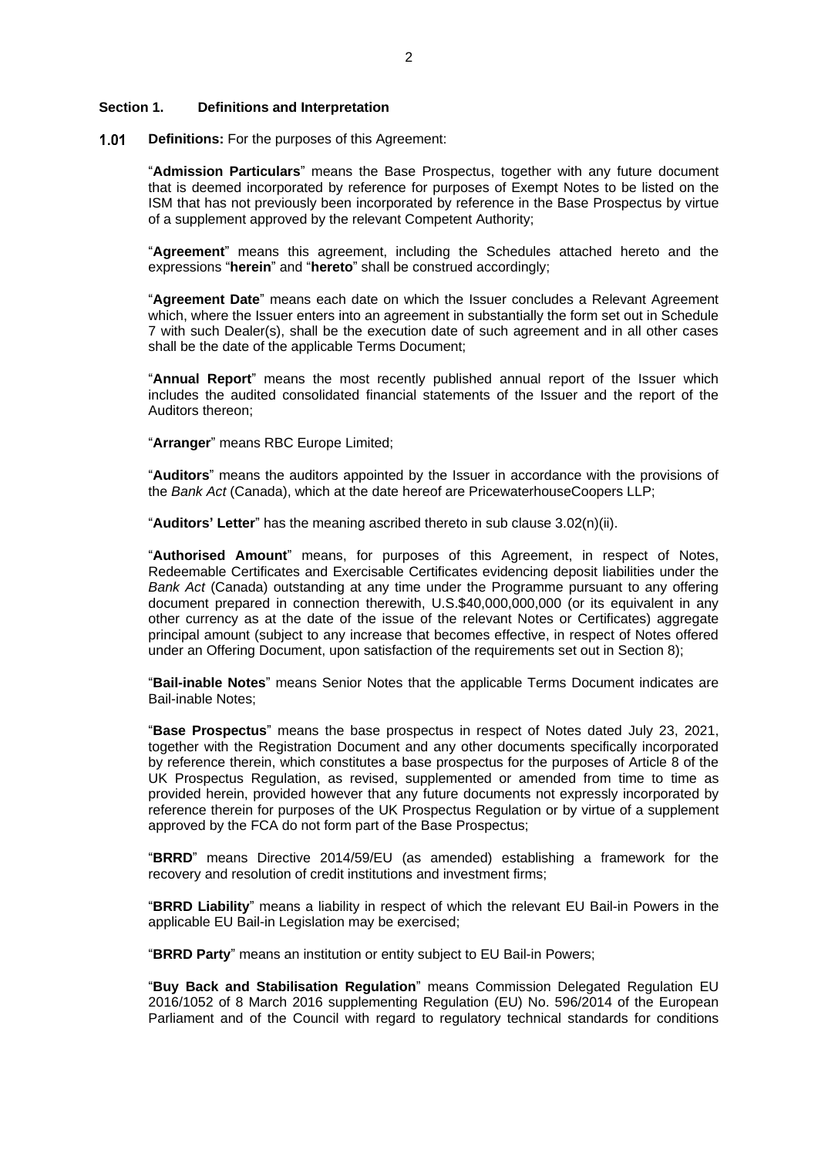#### <span id="page-3-0"></span>**Section 1. Definitions and Interpretation**

 $1.01$ **Definitions:** For the purposes of this Agreement:

> "**Admission Particulars**" means the Base Prospectus, together with any future document that is deemed incorporated by reference for purposes of Exempt Notes to be listed on the ISM that has not previously been incorporated by reference in the Base Prospectus by virtue of a supplement approved by the relevant Competent Authority;

> "**Agreement**" means this agreement, including the Schedules attached hereto and the expressions "**herein**" and "**hereto**" shall be construed accordingly;

> "**Agreement Date**" means each date on which the Issuer concludes a Relevant Agreement which, where the Issuer enters into an agreement in substantially the form set out in Schedule 7 with such Dealer(s), shall be the execution date of such agreement and in all other cases shall be the date of the applicable Terms Document;

> "**Annual Report**" means the most recently published annual report of the Issuer which includes the audited consolidated financial statements of the Issuer and the report of the Auditors thereon;

"**Arranger**" means RBC Europe Limited;

"**Auditors**" means the auditors appointed by the Issuer in accordance with the provisions of the *Bank Act* (Canada), which at the date hereof are PricewaterhouseCoopers LLP;

"**Auditors' Letter**" has the meaning ascribed thereto in sub clause [3.02\(n\)\(](#page-18-0)ii).

"**Authorised Amount**" means, for purposes of this Agreement, in respect of Notes, Redeemable Certificates and Exercisable Certificates evidencing deposit liabilities under the *Bank Act* (Canada) outstanding at any time under the Programme pursuant to any offering document prepared in connection therewith, U.S.\$40,000,000,000 (or its equivalent in any other currency as at the date of the issue of the relevant Notes or Certificates) aggregate principal amount (subject to any increase that becomes effective, in respect of Notes offered under an Offering Document, upon satisfaction of the requirements set out in [Section](#page-25-0) 8);

"**Bail-inable Notes**" means Senior Notes that the applicable Terms Document indicates are Bail-inable Notes;

"**Base Prospectus**" means the base prospectus in respect of Notes dated July 23, 2021, together with the Registration Document and any other documents specifically incorporated by reference therein, which constitutes a base prospectus for the purposes of Article 8 of the UK Prospectus Regulation, as revised, supplemented or amended from time to time as provided herein, provided however that any future documents not expressly incorporated by reference therein for purposes of the UK Prospectus Regulation or by virtue of a supplement approved by the FCA do not form part of the Base Prospectus;

"**BRRD**" means Directive 2014/59/EU (as amended) establishing a framework for the recovery and resolution of credit institutions and investment firms;

"**BRRD Liability**" means a liability in respect of which the relevant EU Bail-in Powers in the applicable EU Bail-in Legislation may be exercised;

"**BRRD Party**" means an institution or entity subject to EU Bail-in Powers;

"**Buy Back and Stabilisation Regulation**" means Commission Delegated Regulation EU 2016/1052 of 8 March 2016 supplementing Regulation (EU) No. 596/2014 of the European Parliament and of the Council with regard to regulatory technical standards for conditions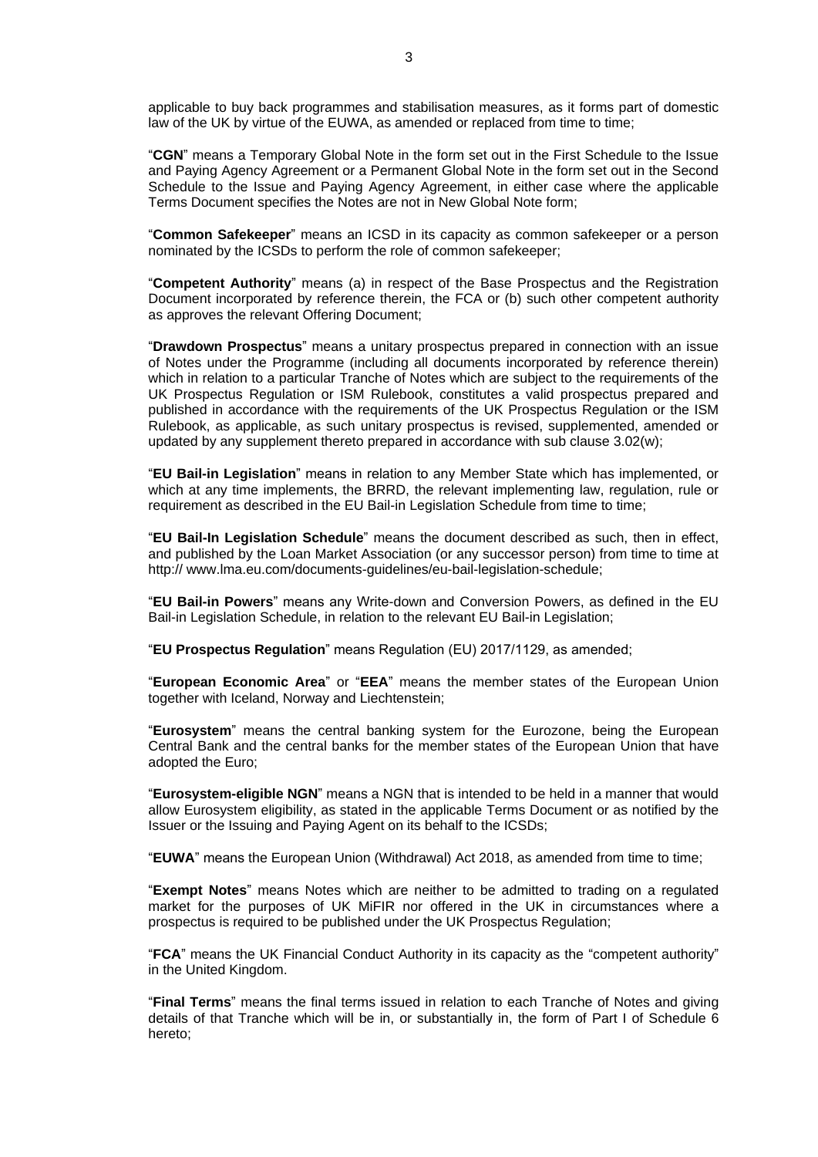applicable to buy back programmes and stabilisation measures, as it forms part of domestic law of the UK by virtue of the EUWA, as amended or replaced from time to time;

"**CGN**" means a Temporary Global Note in the form set out in the First Schedule to the Issue and Paying Agency Agreement or a Permanent Global Note in the form set out in the Second Schedule to the Issue and Paying Agency Agreement, in either case where the applicable Terms Document specifies the Notes are not in New Global Note form;

"**Common Safekeeper**" means an ICSD in its capacity as common safekeeper or a person nominated by the ICSDs to perform the role of common safekeeper;

"**Competent Authority**" means (a) in respect of the Base Prospectus and the Registration Document incorporated by reference therein, the FCA or (b) such other competent authority as approves the relevant Offering Document;

"**Drawdown Prospectus**" means a unitary prospectus prepared in connection with an issue of Notes under the Programme (including all documents incorporated by reference therein) which in relation to a particular Tranche of Notes which are subject to the requirements of the UK Prospectus Regulation or ISM Rulebook, constitutes a valid prospectus prepared and published in accordance with the requirements of the UK Prospectus Regulation or the ISM Rulebook, as applicable, as such unitary prospectus is revised, supplemented, amended or updated by any supplement thereto prepared in accordance with sub clause [3.02\(w\);](#page-20-0)

"**EU Bail-in Legislation**" means in relation to any Member State which has implemented, or which at any time implements, the BRRD, the relevant implementing law, regulation, rule or requirement as described in the EU Bail-in Legislation Schedule from time to time;

"**EU Bail-In Legislation Schedule**" means the document described as such, then in effect, and published by the Loan Market Association (or any successor person) from time to time at http://www.lma.eu.com/documents-guidelines/eu-bail-legislation-schedule;

"**EU Bail-in Powers**" means any Write-down and Conversion Powers, as defined in the EU Bail-in Legislation Schedule, in relation to the relevant EU Bail-in Legislation;

"**EU Prospectus Regulation**" means Regulation (EU) 2017/1129, as amended;

"**European Economic Area**" or "**EEA**" means the member states of the European Union together with Iceland, Norway and Liechtenstein;

"**Eurosystem**" means the central banking system for the Eurozone, being the European Central Bank and the central banks for the member states of the European Union that have adopted the Euro;

"**Eurosystem-eligible NGN**" means a NGN that is intended to be held in a manner that would allow Eurosystem eligibility, as stated in the applicable Terms Document or as notified by the Issuer or the Issuing and Paying Agent on its behalf to the ICSDs;

"**EUWA**" means the European Union (Withdrawal) Act 2018, as amended from time to time;

"**Exempt Notes**" means Notes which are neither to be admitted to trading on a regulated market for the purposes of UK MiFIR nor offered in the UK in circumstances where a prospectus is required to be published under the UK Prospectus Regulation;

"**FCA**" means the UK Financial Conduct Authority in its capacity as the "competent authority" in the United Kingdom.

"**Final Terms**" means the final terms issued in relation to each Tranche of Notes and giving details of that Tranche which will be in, or substantially in, the form of Part I of Schedule 6 hereto;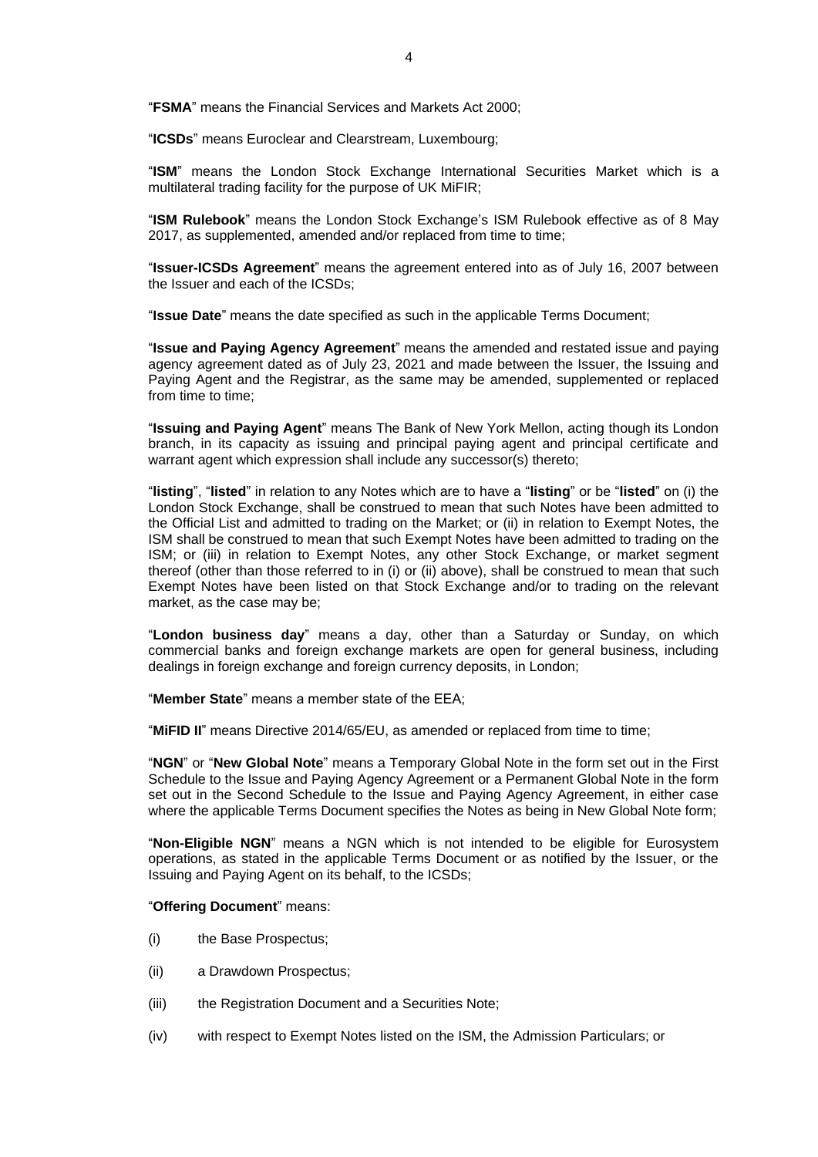"**FSMA**" means the Financial Services and Markets Act 2000;

"**ICSDs**" means Euroclear and Clearstream, Luxembourg;

"**ISM**" means the London Stock Exchange International Securities Market which is a multilateral trading facility for the purpose of UK MiFIR;

"**ISM Rulebook**" means the London Stock Exchange's ISM Rulebook effective as of 8 May 2017, as supplemented, amended and/or replaced from time to time;

"**Issuer-ICSDs Agreement**" means the agreement entered into as of July 16, 2007 between the Issuer and each of the ICSDs;

"**Issue Date**" means the date specified as such in the applicable Terms Document;

"**Issue and Paying Agency Agreement**" means the amended and restated issue and paying agency agreement dated as of July 23, 2021 and made between the Issuer, the Issuing and Paying Agent and the Registrar, as the same may be amended, supplemented or replaced from time to time;

"**Issuing and Paying Agent**" means The Bank of New York Mellon, acting though its London branch, in its capacity as issuing and principal paying agent and principal certificate and warrant agent which expression shall include any successor(s) thereto;

"**listing**", "**listed**" in relation to any Notes which are to have a "**listing**" or be "**listed**" on (i) the London Stock Exchange, shall be construed to mean that such Notes have been admitted to the Official List and admitted to trading on the Market; or (ii) in relation to Exempt Notes, the ISM shall be construed to mean that such Exempt Notes have been admitted to trading on the ISM; or (iii) in relation to Exempt Notes, any other Stock Exchange, or market segment thereof (other than those referred to in (i) or (ii) above), shall be construed to mean that such Exempt Notes have been listed on that Stock Exchange and/or to trading on the relevant market, as the case may be;

"**London business day**" means a day, other than a Saturday or Sunday, on which commercial banks and foreign exchange markets are open for general business, including dealings in foreign exchange and foreign currency deposits, in London;

"**Member State**" means a member state of the EEA;

"**MiFID II**" means Directive 2014/65/EU, as amended or replaced from time to time;

"**NGN**" or "**New Global Note**" means a Temporary Global Note in the form set out in the First Schedule to the Issue and Paying Agency Agreement or a Permanent Global Note in the form set out in the Second Schedule to the Issue and Paying Agency Agreement, in either case where the applicable Terms Document specifies the Notes as being in New Global Note form;

"**Non-Eligible NGN**" means a NGN which is not intended to be eligible for Eurosystem operations, as stated in the applicable Terms Document or as notified by the Issuer, or the Issuing and Paying Agent on its behalf, to the ICSDs;

### "**Offering Document**" means:

- (i) the Base Prospectus;
- (ii) a Drawdown Prospectus;
- (iii) the Registration Document and a Securities Note;
- (iv) with respect to Exempt Notes listed on the ISM, the Admission Particulars; or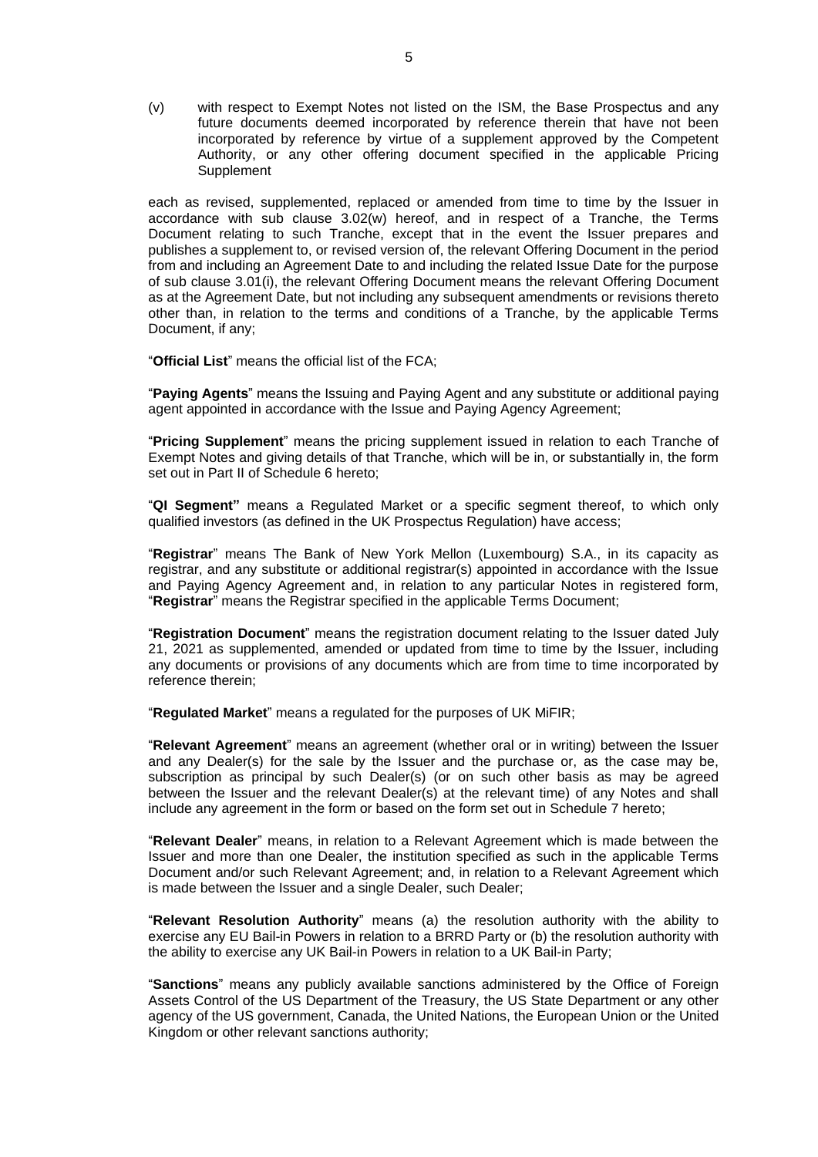(v) with respect to Exempt Notes not listed on the ISM, the Base Prospectus and any future documents deemed incorporated by reference therein that have not been incorporated by reference by virtue of a supplement approved by the Competent Authority, or any other offering document specified in the applicable Pricing **Supplement** 

each as revised, supplemented, replaced or amended from time to time by the Issuer in accordance with sub clause [3.02\(w\)](#page-20-0) hereof, and in respect of a Tranche, the Terms Document relating to such Tranche, except that in the event the Issuer prepares and publishes a supplement to, or revised version of, the relevant Offering Document in the period from and including an Agreement Date to and including the related Issue Date for the purpose of sub clause [3.01\(i\),](#page-14-0) the relevant Offering Document means the relevant Offering Document as at the Agreement Date, but not including any subsequent amendments or revisions thereto other than, in relation to the terms and conditions of a Tranche, by the applicable Terms Document, if any;

"**Official List**" means the official list of the FCA;

"**Paying Agents**" means the Issuing and Paying Agent and any substitute or additional paying agent appointed in accordance with the Issue and Paying Agency Agreement;

"**Pricing Supplement**" means the pricing supplement issued in relation to each Tranche of Exempt Notes and giving details of that Tranche, which will be in, or substantially in, the form set out in Part II of Schedule 6 hereto;

"**QI Segment"** means a Regulated Market or a specific segment thereof, to which only qualified investors (as defined in the UK Prospectus Regulation) have access;

"**Registrar**" means The Bank of New York Mellon (Luxembourg) S.A., in its capacity as registrar, and any substitute or additional registrar(s) appointed in accordance with the Issue and Paying Agency Agreement and, in relation to any particular Notes in registered form, "**Registrar**" means the Registrar specified in the applicable Terms Document;

"**Registration Document**" means the registration document relating to the Issuer dated July 21, 2021 as supplemented, amended or updated from time to time by the Issuer, including any documents or provisions of any documents which are from time to time incorporated by reference therein;

"**Regulated Market**" means a regulated for the purposes of UK MiFIR;

"**Relevant Agreement**" means an agreement (whether oral or in writing) between the Issuer and any Dealer(s) for the sale by the Issuer and the purchase or, as the case may be, subscription as principal by such Dealer(s) (or on such other basis as may be agreed between the Issuer and the relevant Dealer(s) at the relevant time) of any Notes and shall include any agreement in the form or based on the form set out in Schedule 7 hereto;

"**Relevant Dealer**" means, in relation to a Relevant Agreement which is made between the Issuer and more than one Dealer, the institution specified as such in the applicable Terms Document and/or such Relevant Agreement; and, in relation to a Relevant Agreement which is made between the Issuer and a single Dealer, such Dealer;

"**Relevant Resolution Authority**" means (a) the resolution authority with the ability to exercise any EU Bail-in Powers in relation to a BRRD Party or (b) the resolution authority with the ability to exercise any UK Bail-in Powers in relation to a UK Bail-in Party;

"**Sanctions**" means any publicly available sanctions administered by the Office of Foreign Assets Control of the US Department of the Treasury, the US State Department or any other agency of the US government, Canada, the United Nations, the European Union or the United Kingdom or other relevant sanctions authority;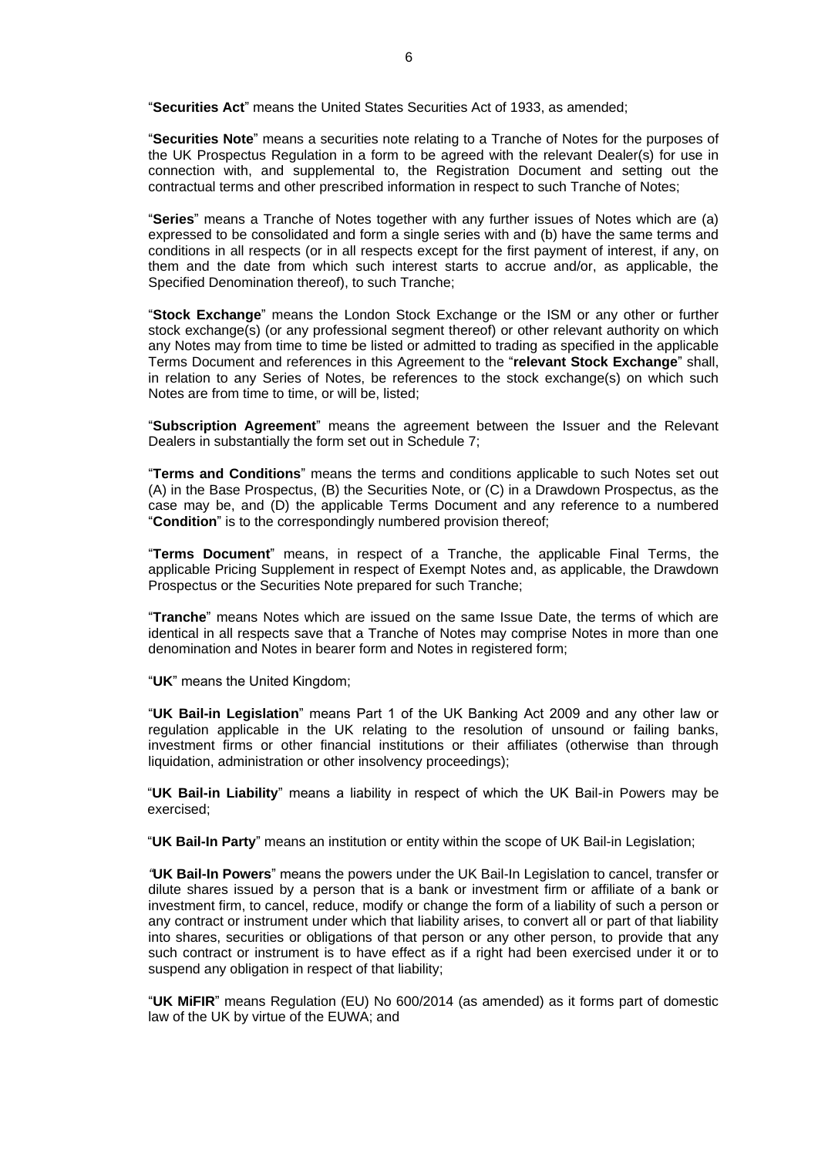"**Securities Act**" means the United States Securities Act of 1933, as amended;

"**Securities Note**" means a securities note relating to a Tranche of Notes for the purposes of the UK Prospectus Regulation in a form to be agreed with the relevant Dealer(s) for use in connection with, and supplemental to, the Registration Document and setting out the contractual terms and other prescribed information in respect to such Tranche of Notes;

"**Series**" means a Tranche of Notes together with any further issues of Notes which are (a) expressed to be consolidated and form a single series with and (b) have the same terms and conditions in all respects (or in all respects except for the first payment of interest, if any, on them and the date from which such interest starts to accrue and/or, as applicable, the Specified Denomination thereof), to such Tranche;

"**Stock Exchange**" means the London Stock Exchange or the ISM or any other or further stock exchange(s) (or any professional segment thereof) or other relevant authority on which any Notes may from time to time be listed or admitted to trading as specified in the applicable Terms Document and references in this Agreement to the "**relevant Stock Exchange**" shall, in relation to any Series of Notes, be references to the stock exchange(s) on which such Notes are from time to time, or will be, listed;

"**Subscription Agreement**" means the agreement between the Issuer and the Relevant Dealers in substantially the form set out in Schedule 7;

"**Terms and Conditions**" means the terms and conditions applicable to such Notes set out (A) in the Base Prospectus, (B) the Securities Note, or (C) in a Drawdown Prospectus, as the case may be, and (D) the applicable Terms Document and any reference to a numbered "**Condition**" is to the correspondingly numbered provision thereof;

"**Terms Document**" means, in respect of a Tranche, the applicable Final Terms, the applicable Pricing Supplement in respect of Exempt Notes and, as applicable, the Drawdown Prospectus or the Securities Note prepared for such Tranche;

"**Tranche**" means Notes which are issued on the same Issue Date, the terms of which are identical in all respects save that a Tranche of Notes may comprise Notes in more than one denomination and Notes in bearer form and Notes in registered form;

"**UK**" means the United Kingdom;

"**UK Bail-in Legislation**" means Part 1 of the UK Banking Act 2009 and any other law or regulation applicable in the UK relating to the resolution of unsound or failing banks, investment firms or other financial institutions or their affiliates (otherwise than through liquidation, administration or other insolvency proceedings);

"**UK Bail-in Liability**" means a liability in respect of which the UK Bail-in Powers may be exercised;

"**UK Bail-In Party**" means an institution or entity within the scope of UK Bail-in Legislation;

*"***UK Bail-In Powers**" means the powers under the UK Bail-In Legislation to cancel, transfer or dilute shares issued by a person that is a bank or investment firm or affiliate of a bank or investment firm, to cancel, reduce, modify or change the form of a liability of such a person or any contract or instrument under which that liability arises, to convert all or part of that liability into shares, securities or obligations of that person or any other person, to provide that any such contract or instrument is to have effect as if a right had been exercised under it or to suspend any obligation in respect of that liability;

"**UK MiFIR**" means Regulation (EU) No 600/2014 (as amended) as it forms part of domestic law of the UK by virtue of the EUWA; and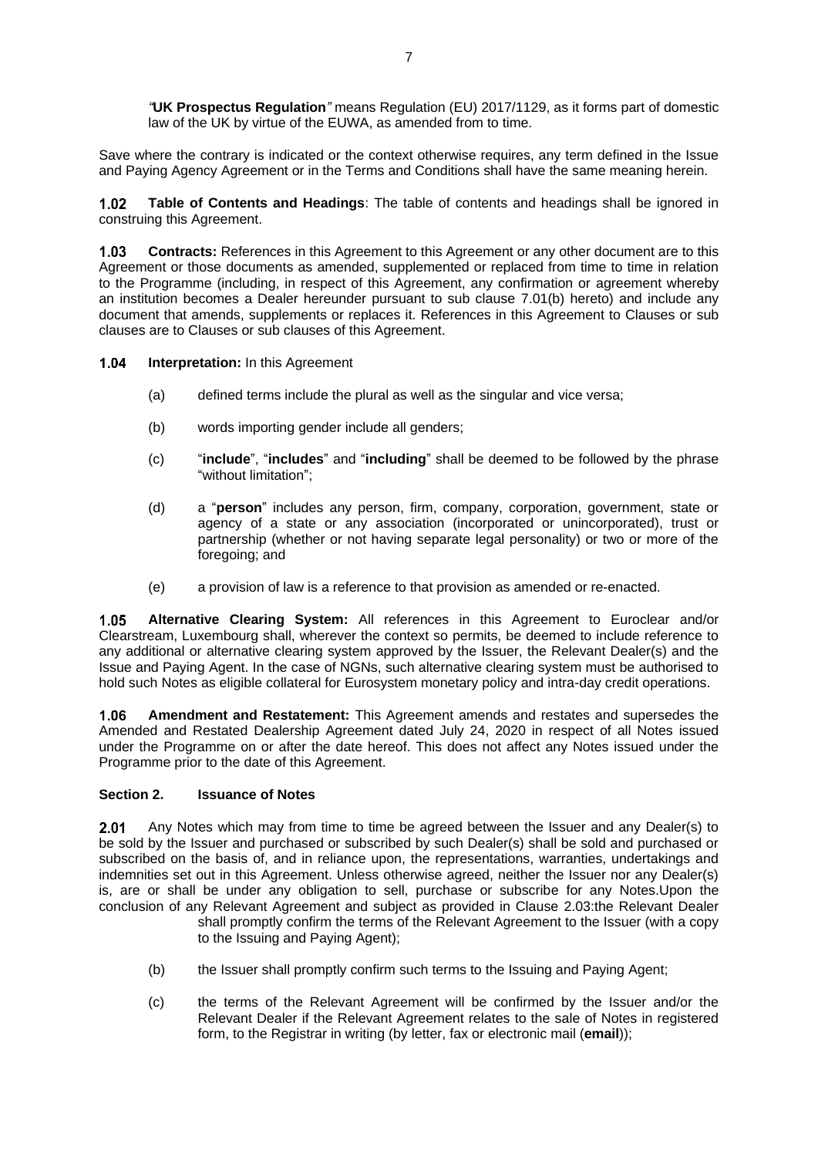*"***UK Prospectus Regulation***"* means Regulation (EU) 2017/1129, as it forms part of domestic law of the UK by virtue of the EUWA, as amended from to time.

Save where the contrary is indicated or the context otherwise requires, any term defined in the Issue and Paying Agency Agreement or in the Terms and Conditions shall have the same meaning herein.

 $1.02$ **Table of Contents and Headings**: The table of contents and headings shall be ignored in construing this Agreement.

 $1.03$ **Contracts:** References in this Agreement to this Agreement or any other document are to this Agreement or those documents as amended, supplemented or replaced from time to time in relation to the Programme (including, in respect of this Agreement, any confirmation or agreement whereby an institution becomes a Dealer hereunder pursuant to sub clause [7.01\(b\)](#page-25-2) hereto) and include any document that amends, supplements or replaces it. References in this Agreement to Clauses or sub clauses are to Clauses or sub clauses of this Agreement.

 $1.04$ **Interpretation:** In this Agreement

- (a) defined terms include the plural as well as the singular and vice versa;
- (b) words importing gender include all genders;
- (c) "**include**", "**includes**" and "**including**" shall be deemed to be followed by the phrase "without limitation";
- (d) a "**person**" includes any person, firm, company, corporation, government, state or agency of a state or any association (incorporated or unincorporated), trust or partnership (whether or not having separate legal personality) or two or more of the foregoing; and
- (e) a provision of law is a reference to that provision as amended or re-enacted.

**Alternative Clearing System:** All references in this Agreement to Euroclear and/or  $1.05$ Clearstream, Luxembourg shall, wherever the context so permits, be deemed to include reference to any additional or alternative clearing system approved by the Issuer, the Relevant Dealer(s) and the Issue and Paying Agent. In the case of NGNs, such alternative clearing system must be authorised to hold such Notes as eligible collateral for Eurosystem monetary policy and intra-day credit operations.

**Amendment and Restatement:** This Agreement amends and restates and supersedes the 1.06 Amended and Restated Dealership Agreement dated July 24, 2020 in respect of all Notes issued under the Programme on or after the date hereof. This does not affect any Notes issued under the Programme prior to the date of this Agreement.

## <span id="page-8-0"></span>**Section 2. Issuance of Notes**

 $2.01$ Any Notes which may from time to time be agreed between the Issuer and any Dealer(s) to be sold by the Issuer and purchased or subscribed by such Dealer(s) shall be sold and purchased or subscribed on the basis of, and in reliance upon, the representations, warranties, undertakings and indemnities set out in this Agreement. Unless otherwise agreed, neither the Issuer nor any Dealer(s) is, are or shall be under any obligation to sell, purchase or subscribe for any Notes.Upon the conclusion of any Relevant Agreement and subject as provided in Clause [2.03:](#page-9-0)the Relevant Dealer shall promptly confirm the terms of the Relevant Agreement to the Issuer (with a copy

<span id="page-8-1"></span>to the Issuing and Paying Agent);

- (b) the Issuer shall promptly confirm such terms to the Issuing and Paying Agent;
- (c) the terms of the Relevant Agreement will be confirmed by the Issuer and/or the Relevant Dealer if the Relevant Agreement relates to the sale of Notes in registered form, to the Registrar in writing (by letter, fax or electronic mail (**email**));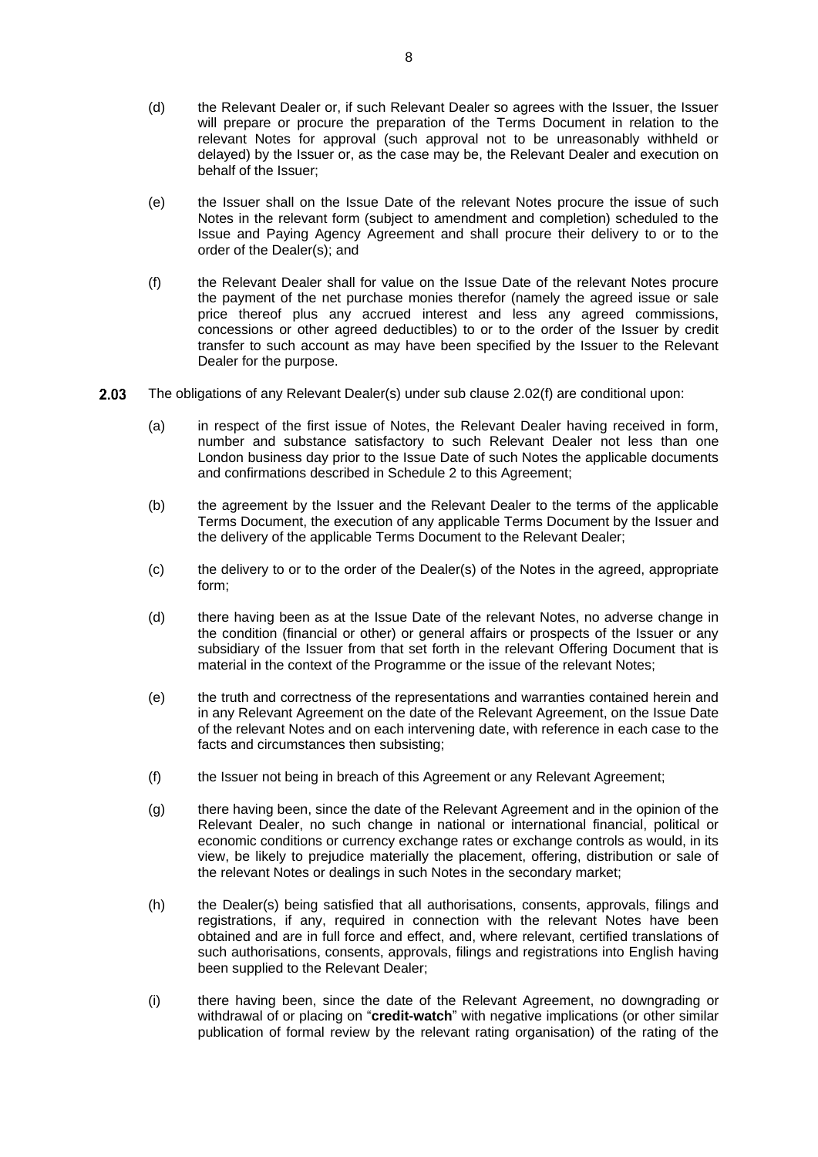- (d) the Relevant Dealer or, if such Relevant Dealer so agrees with the Issuer, the Issuer will prepare or procure the preparation of the Terms Document in relation to the relevant Notes for approval (such approval not to be unreasonably withheld or delayed) by the Issuer or, as the case may be, the Relevant Dealer and execution on behalf of the Issuer;
- (e) the Issuer shall on the Issue Date of the relevant Notes procure the issue of such Notes in the relevant form (subject to amendment and completion) scheduled to the Issue and Paying Agency Agreement and shall procure their delivery to or to the order of the Dealer(s); and
- <span id="page-9-1"></span>(f) the Relevant Dealer shall for value on the Issue Date of the relevant Notes procure the payment of the net purchase monies therefor (namely the agreed issue or sale price thereof plus any accrued interest and less any agreed commissions, concessions or other agreed deductibles) to or to the order of the Issuer by credit transfer to such account as may have been specified by the Issuer to the Relevant Dealer for the purpose.
- <span id="page-9-2"></span><span id="page-9-0"></span>2.03 The obligations of any Relevant Dealer(s) under sub clause [2.02\(f\)](#page-9-1) are conditional upon:
	- (a) in respect of the first issue of Notes, the Relevant Dealer having received in form, number and substance satisfactory to such Relevant Dealer not less than one London business day prior to the Issue Date of such Notes the applicable documents and confirmations described in Schedule 2 to this Agreement;
	- (b) the agreement by the Issuer and the Relevant Dealer to the terms of the applicable Terms Document, the execution of any applicable Terms Document by the Issuer and the delivery of the applicable Terms Document to the Relevant Dealer;
	- (c) the delivery to or to the order of the Dealer(s) of the Notes in the agreed, appropriate form;
	- (d) there having been as at the Issue Date of the relevant Notes, no adverse change in the condition (financial or other) or general affairs or prospects of the Issuer or any subsidiary of the Issuer from that set forth in the relevant Offering Document that is material in the context of the Programme or the issue of the relevant Notes;
	- (e) the truth and correctness of the representations and warranties contained herein and in any Relevant Agreement on the date of the Relevant Agreement, on the Issue Date of the relevant Notes and on each intervening date, with reference in each case to the facts and circumstances then subsisting;
	- (f) the Issuer not being in breach of this Agreement or any Relevant Agreement;
	- (g) there having been, since the date of the Relevant Agreement and in the opinion of the Relevant Dealer, no such change in national or international financial, political or economic conditions or currency exchange rates or exchange controls as would, in its view, be likely to prejudice materially the placement, offering, distribution or sale of the relevant Notes or dealings in such Notes in the secondary market;
	- (h) the Dealer(s) being satisfied that all authorisations, consents, approvals, filings and registrations, if any, required in connection with the relevant Notes have been obtained and are in full force and effect, and, where relevant, certified translations of such authorisations, consents, approvals, filings and registrations into English having been supplied to the Relevant Dealer;
	- (i) there having been, since the date of the Relevant Agreement, no downgrading or withdrawal of or placing on "**credit-watch**" with negative implications (or other similar publication of formal review by the relevant rating organisation) of the rating of the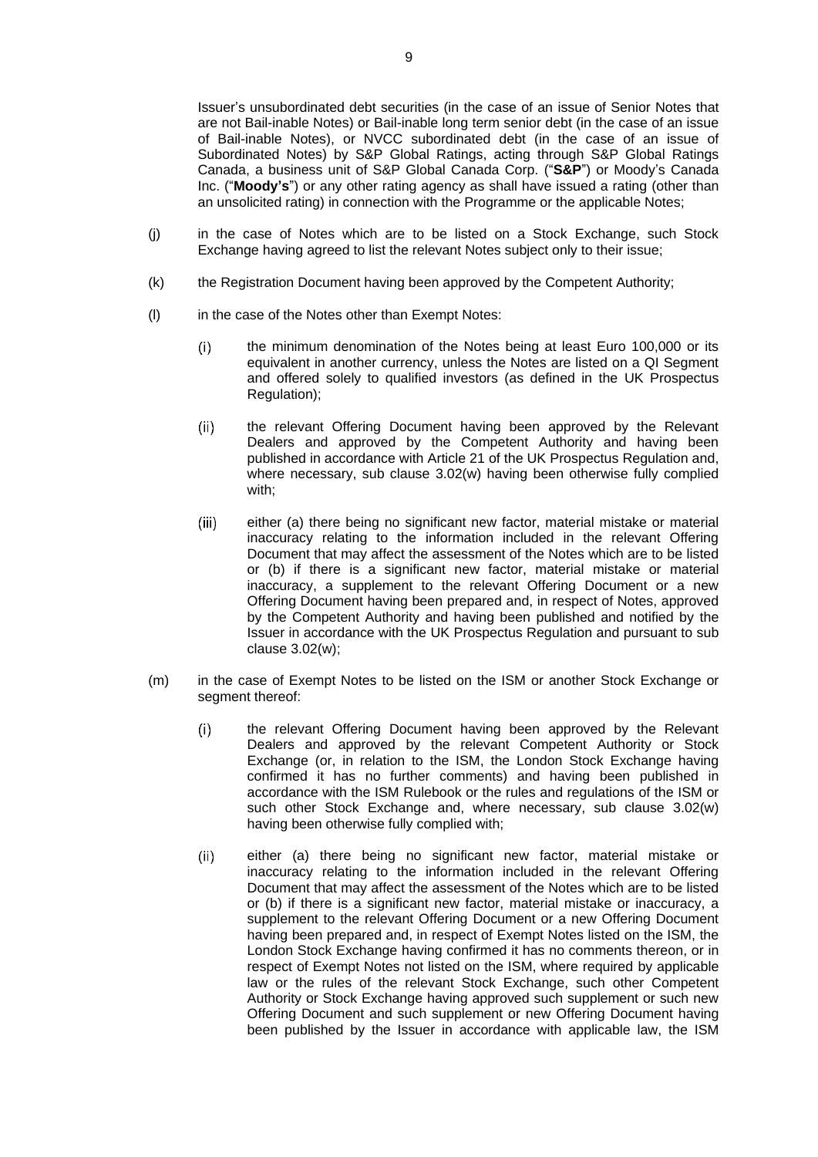Issuer's unsubordinated debt securities (in the case of an issue of Senior Notes that are not Bail-inable Notes) or Bail-inable long term senior debt (in the case of an issue of Bail-inable Notes), or NVCC subordinated debt (in the case of an issue of Subordinated Notes) by S&P Global Ratings, acting through S&P Global Ratings Canada, a business unit of S&P Global Canada Corp. ("**S&P**") or Moody's Canada Inc. ("**Moody's**") or any other rating agency as shall have issued a rating (other than an unsolicited rating) in connection with the Programme or the applicable Notes;

- (j) in the case of Notes which are to be listed on a Stock Exchange, such Stock Exchange having agreed to list the relevant Notes subject only to their issue;
- <span id="page-10-0"></span>(k) the Registration Document having been approved by the Competent Authority;
- <span id="page-10-1"></span>(l) in the case of the Notes other than Exempt Notes:
	- the minimum denomination of the Notes being at least Euro 100,000 or its  $(i)$ equivalent in another currency, unless the Notes are listed on a QI Segment and offered solely to qualified investors (as defined in the UK Prospectus Regulation);
	- $(ii)$ the relevant Offering Document having been approved by the Relevant Dealers and approved by the Competent Authority and having been published in accordance with Article 21 of the UK Prospectus Regulation and, where necessary, sub clause [3.02\(w\)](#page-20-0) having been otherwise fully complied with;
	- $(iii)$ either (a) there being no significant new factor, material mistake or material inaccuracy relating to the information included in the relevant Offering Document that may affect the assessment of the Notes which are to be listed or (b) if there is a significant new factor, material mistake or material inaccuracy, a supplement to the relevant Offering Document or a new Offering Document having been prepared and, in respect of Notes, approved by the Competent Authority and having been published and notified by the Issuer in accordance with the UK Prospectus Regulation and pursuant to sub clause [3.02\(w\);](#page-20-0)
- <span id="page-10-2"></span>(m) in the case of Exempt Notes to be listed on the ISM or another Stock Exchange or segment thereof:
	- the relevant Offering Document having been approved by the Relevant  $(i)$ Dealers and approved by the relevant Competent Authority or Stock Exchange (or, in relation to the ISM, the London Stock Exchange having confirmed it has no further comments) and having been published in accordance with the ISM Rulebook or the rules and regulations of the ISM or such other Stock Exchange and, where necessary, sub clause [3.02\(w\)](#page-20-0) having been otherwise fully complied with;
	- $(ii)$ either (a) there being no significant new factor, material mistake or inaccuracy relating to the information included in the relevant Offering Document that may affect the assessment of the Notes which are to be listed or (b) if there is a significant new factor, material mistake or inaccuracy, a supplement to the relevant Offering Document or a new Offering Document having been prepared and, in respect of Exempt Notes listed on the ISM, the London Stock Exchange having confirmed it has no comments thereon, or in respect of Exempt Notes not listed on the ISM, where required by applicable law or the rules of the relevant Stock Exchange, such other Competent Authority or Stock Exchange having approved such supplement or such new Offering Document and such supplement or new Offering Document having been published by the Issuer in accordance with applicable law, the ISM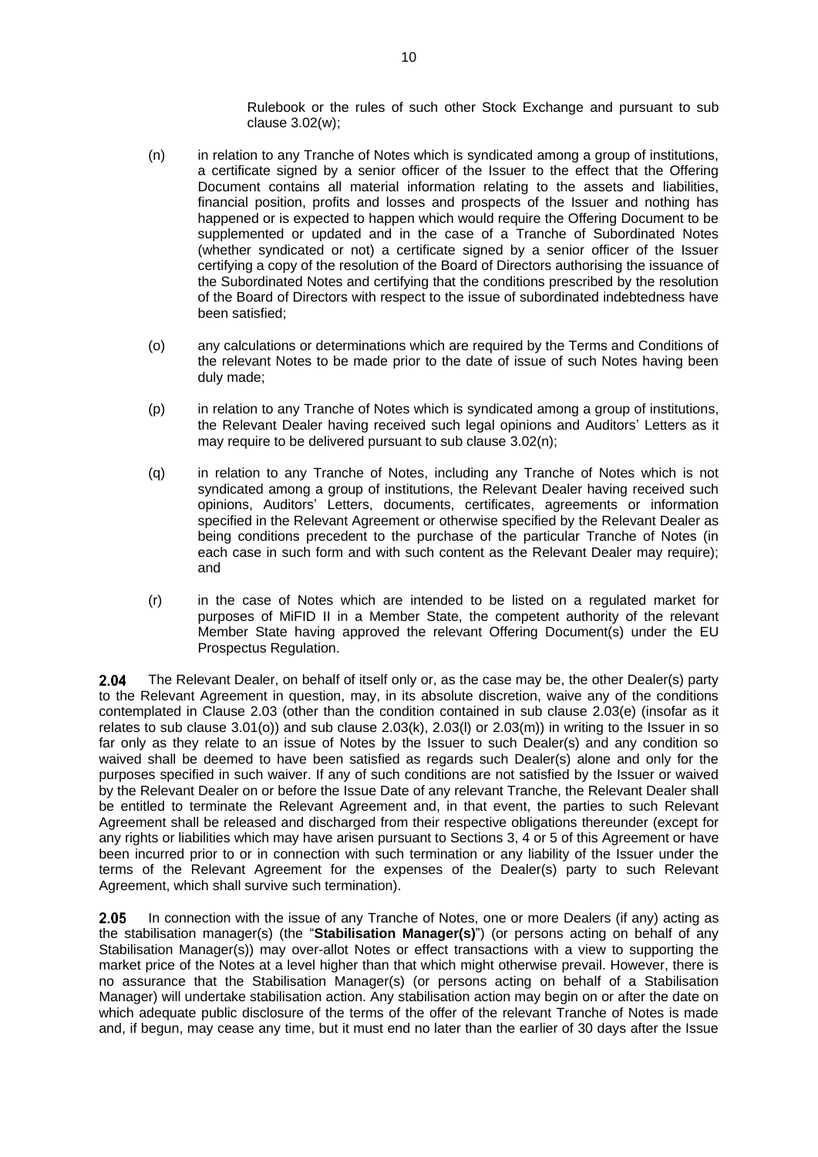Rulebook or the rules of such other Stock Exchange and pursuant to sub clause [3.02\(w\);](#page-20-0)

- (n) in relation to any Tranche of Notes which is syndicated among a group of institutions, a certificate signed by a senior officer of the Issuer to the effect that the Offering Document contains all material information relating to the assets and liabilities, financial position, profits and losses and prospects of the Issuer and nothing has happened or is expected to happen which would require the Offering Document to be supplemented or updated and in the case of a Tranche of Subordinated Notes (whether syndicated or not) a certificate signed by a senior officer of the Issuer certifying a copy of the resolution of the Board of Directors authorising the issuance of the Subordinated Notes and certifying that the conditions prescribed by the resolution of the Board of Directors with respect to the issue of subordinated indebtedness have been satisfied;
- (o) any calculations or determinations which are required by the Terms and Conditions of the relevant Notes to be made prior to the date of issue of such Notes having been duly made;
- (p) in relation to any Tranche of Notes which is syndicated among a group of institutions, the Relevant Dealer having received such legal opinions and Auditors' Letters as it may require to be delivered pursuant to sub clause [3.02\(n\);](#page-18-0)
- (q) in relation to any Tranche of Notes, including any Tranche of Notes which is not syndicated among a group of institutions, the Relevant Dealer having received such opinions, Auditors' Letters, documents, certificates, agreements or information specified in the Relevant Agreement or otherwise specified by the Relevant Dealer as being conditions precedent to the purchase of the particular Tranche of Notes (in each case in such form and with such content as the Relevant Dealer may require); and
- (r) in the case of Notes which are intended to be listed on a regulated market for purposes of MiFID II in a Member State, the competent authority of the relevant Member State having approved the relevant Offering Document(s) under the EU Prospectus Regulation.

 $2.04$ The Relevant Dealer, on behalf of itself only or, as the case may be, the other Dealer(s) party to the Relevant Agreement in question, may, in its absolute discretion, waive any of the conditions contemplated in Clause [2.03](#page-9-0) (other than the condition contained in sub clause [2.03\(e\)](#page-9-2) (insofar as it relates to sub clause  $3.01(0)$ ) and sub clause  $2.03(k)$ ,  $2.03(l)$  or  $2.03(m)$ ) in writing to the Issuer in so far only as they relate to an issue of Notes by the Issuer to such Dealer(s) and any condition so waived shall be deemed to have been satisfied as regards such Dealer(s) alone and only for the purposes specified in such waiver. If any of such conditions are not satisfied by the Issuer or waived by the Relevant Dealer on or before the Issue Date of any relevant Tranche, the Relevant Dealer shall be entitled to terminate the Relevant Agreement and, in that event, the parties to such Relevant Agreement shall be released and discharged from their respective obligations thereunder (except for any rights or liabilities which may have arisen pursuant to Sections [3,](#page-12-0) [4](#page-23-0) or [5](#page-23-1) of this Agreement or have been incurred prior to or in connection with such termination or any liability of the Issuer under the terms of the Relevant Agreement for the expenses of the Dealer(s) party to such Relevant Agreement, which shall survive such termination).

2.05 In connection with the issue of any Tranche of Notes, one or more Dealers (if any) acting as the stabilisation manager(s) (the "**Stabilisation Manager(s)**") (or persons acting on behalf of any Stabilisation Manager(s)) may over-allot Notes or effect transactions with a view to supporting the market price of the Notes at a level higher than that which might otherwise prevail. However, there is no assurance that the Stabilisation Manager(s) (or persons acting on behalf of a Stabilisation Manager) will undertake stabilisation action. Any stabilisation action may begin on or after the date on which adequate public disclosure of the terms of the offer of the relevant Tranche of Notes is made and, if begun, may cease any time, but it must end no later than the earlier of 30 days after the Issue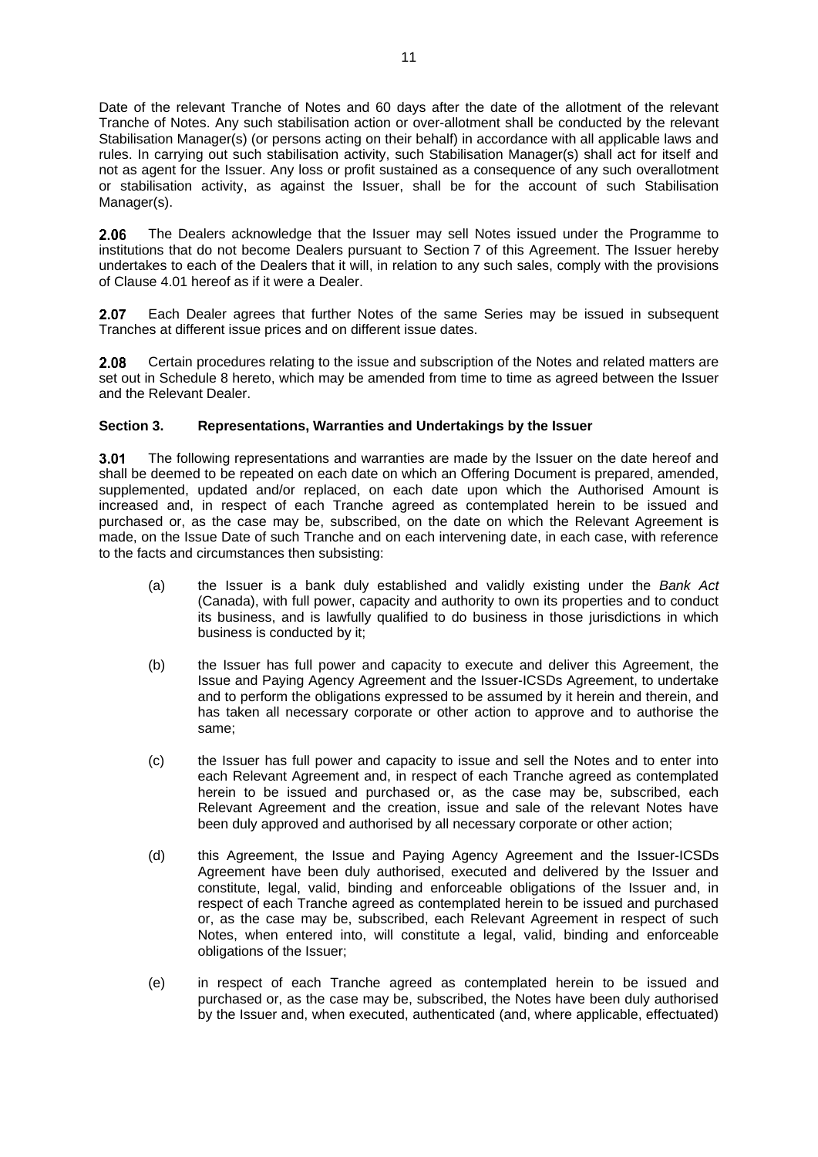Date of the relevant Tranche of Notes and 60 days after the date of the allotment of the relevant Tranche of Notes. Any such stabilisation action or over-allotment shall be conducted by the relevant Stabilisation Manager(s) (or persons acting on their behalf) in accordance with all applicable laws and rules. In carrying out such stabilisation activity, such Stabilisation Manager(s) shall act for itself and not as agent for the Issuer. Any loss or profit sustained as a consequence of any such overallotment or stabilisation activity, as against the Issuer, shall be for the account of such Stabilisation Manager(s).

The Dealers acknowledge that the Issuer may sell Notes issued under the Programme to 2.06 institutions that do not become Dealers pursuant to [Section](#page-24-1) 7 of this Agreement. The Issuer hereby undertakes to each of the Dealers that it will, in relation to any such sales, comply with the provisions of Clause [4.01](#page-23-2) hereof as if it were a Dealer.

2.07 Each Dealer agrees that further Notes of the same Series may be issued in subsequent Tranches at different issue prices and on different issue dates.

Certain procedures relating to the issue and subscription of the Notes and related matters are 2.08 set out in Schedule 8 hereto, which may be amended from time to time as agreed between the Issuer and the Relevant Dealer.

## <span id="page-12-0"></span>**Section 3. Representations, Warranties and Undertakings by the Issuer**

The following representations and warranties are made by the Issuer on the date hereof and  $3.01$ shall be deemed to be repeated on each date on which an Offering Document is prepared, amended, supplemented, updated and/or replaced, on each date upon which the Authorised Amount is increased and, in respect of each Tranche agreed as contemplated herein to be issued and purchased or, as the case may be, subscribed, on the date on which the Relevant Agreement is made, on the Issue Date of such Tranche and on each intervening date, in each case, with reference to the facts and circumstances then subsisting:

- (a) the Issuer is a bank duly established and validly existing under the *Bank Act* (Canada), with full power, capacity and authority to own its properties and to conduct its business, and is lawfully qualified to do business in those jurisdictions in which business is conducted by it;
- (b) the Issuer has full power and capacity to execute and deliver this Agreement, the Issue and Paying Agency Agreement and the Issuer-ICSDs Agreement, to undertake and to perform the obligations expressed to be assumed by it herein and therein, and has taken all necessary corporate or other action to approve and to authorise the same;
- (c) the Issuer has full power and capacity to issue and sell the Notes and to enter into each Relevant Agreement and, in respect of each Tranche agreed as contemplated herein to be issued and purchased or, as the case may be, subscribed, each Relevant Agreement and the creation, issue and sale of the relevant Notes have been duly approved and authorised by all necessary corporate or other action;
- (d) this Agreement, the Issue and Paying Agency Agreement and the Issuer-ICSDs Agreement have been duly authorised, executed and delivered by the Issuer and constitute, legal, valid, binding and enforceable obligations of the Issuer and, in respect of each Tranche agreed as contemplated herein to be issued and purchased or, as the case may be, subscribed, each Relevant Agreement in respect of such Notes, when entered into, will constitute a legal, valid, binding and enforceable obligations of the Issuer;
- (e) in respect of each Tranche agreed as contemplated herein to be issued and purchased or, as the case may be, subscribed, the Notes have been duly authorised by the Issuer and, when executed, authenticated (and, where applicable, effectuated)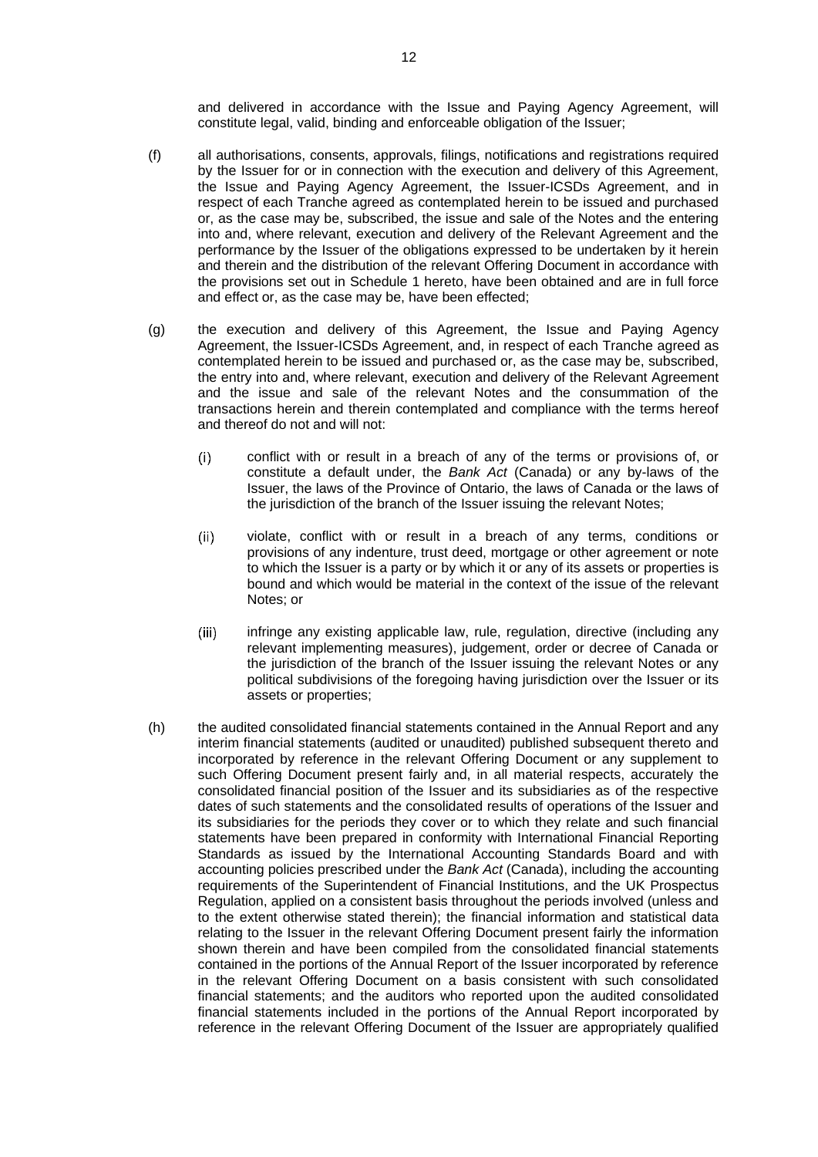and delivered in accordance with the Issue and Paying Agency Agreement, will constitute legal, valid, binding and enforceable obligation of the Issuer;

- (f) all authorisations, consents, approvals, filings, notifications and registrations required by the Issuer for or in connection with the execution and delivery of this Agreement, the Issue and Paying Agency Agreement, the Issuer-ICSDs Agreement, and in respect of each Tranche agreed as contemplated herein to be issued and purchased or, as the case may be, subscribed, the issue and sale of the Notes and the entering into and, where relevant, execution and delivery of the Relevant Agreement and the performance by the Issuer of the obligations expressed to be undertaken by it herein and therein and the distribution of the relevant Offering Document in accordance with the provisions set out in Schedule 1 hereto, have been obtained and are in full force and effect or, as the case may be, have been effected;
- (g) the execution and delivery of this Agreement, the Issue and Paying Agency Agreement, the Issuer-ICSDs Agreement, and, in respect of each Tranche agreed as contemplated herein to be issued and purchased or, as the case may be, subscribed, the entry into and, where relevant, execution and delivery of the Relevant Agreement and the issue and sale of the relevant Notes and the consummation of the transactions herein and therein contemplated and compliance with the terms hereof and thereof do not and will not:
	- $(i)$ conflict with or result in a breach of any of the terms or provisions of, or constitute a default under, the *Bank Act* (Canada) or any by-laws of the Issuer, the laws of the Province of Ontario, the laws of Canada or the laws of the jurisdiction of the branch of the Issuer issuing the relevant Notes;
	- $(ii)$ violate, conflict with or result in a breach of any terms, conditions or provisions of any indenture, trust deed, mortgage or other agreement or note to which the Issuer is a party or by which it or any of its assets or properties is bound and which would be material in the context of the issue of the relevant Notes; or
	- infringe any existing applicable law, rule, regulation, directive (including any  $(iii)$ relevant implementing measures), judgement, order or decree of Canada or the jurisdiction of the branch of the Issuer issuing the relevant Notes or any political subdivisions of the foregoing having jurisdiction over the Issuer or its assets or properties;
- (h) the audited consolidated financial statements contained in the Annual Report and any interim financial statements (audited or unaudited) published subsequent thereto and incorporated by reference in the relevant Offering Document or any supplement to such Offering Document present fairly and, in all material respects, accurately the consolidated financial position of the Issuer and its subsidiaries as of the respective dates of such statements and the consolidated results of operations of the Issuer and its subsidiaries for the periods they cover or to which they relate and such financial statements have been prepared in conformity with International Financial Reporting Standards as issued by the International Accounting Standards Board and with accounting policies prescribed under the *Bank Act* (Canada), including the accounting requirements of the Superintendent of Financial Institutions, and the UK Prospectus Regulation, applied on a consistent basis throughout the periods involved (unless and to the extent otherwise stated therein); the financial information and statistical data relating to the Issuer in the relevant Offering Document present fairly the information shown therein and have been compiled from the consolidated financial statements contained in the portions of the Annual Report of the Issuer incorporated by reference in the relevant Offering Document on a basis consistent with such consolidated financial statements; and the auditors who reported upon the audited consolidated financial statements included in the portions of the Annual Report incorporated by reference in the relevant Offering Document of the Issuer are appropriately qualified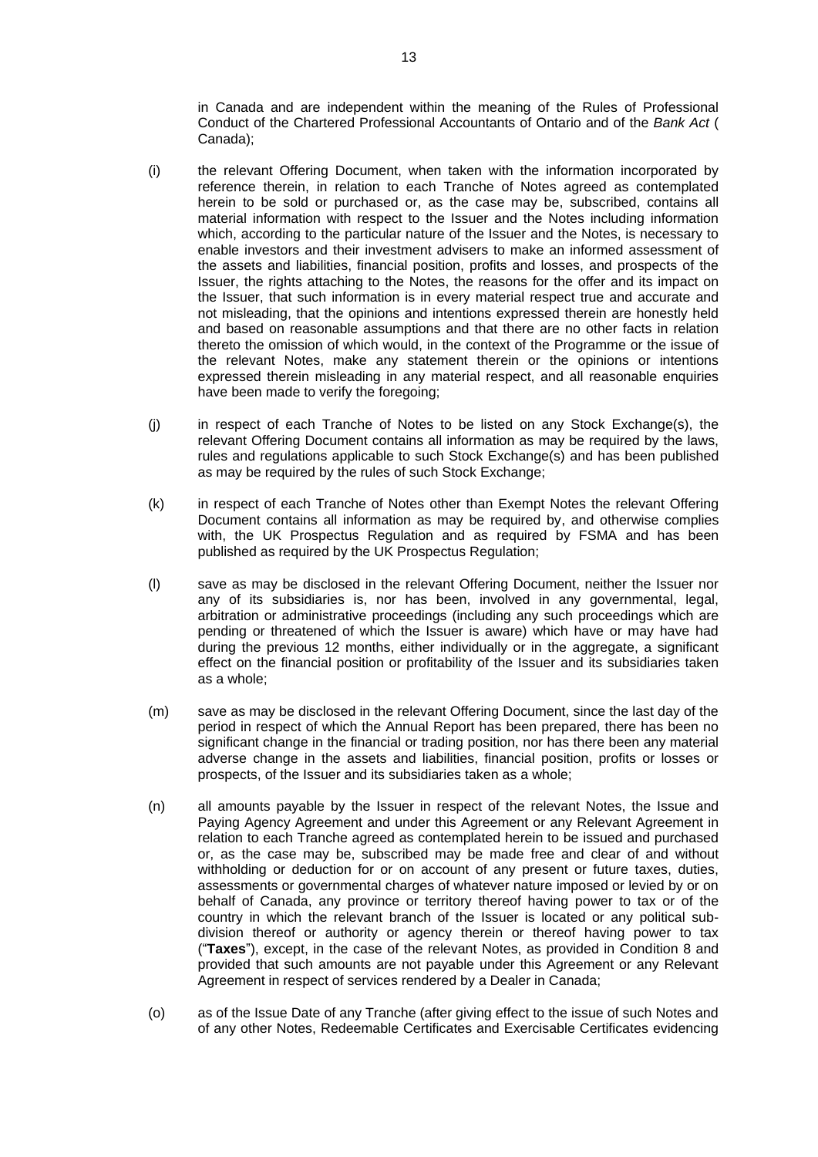in Canada and are independent within the meaning of the Rules of Professional Conduct of the Chartered Professional Accountants of Ontario and of the *Bank Act* ( Canada);

- <span id="page-14-0"></span>(i) the relevant Offering Document, when taken with the information incorporated by reference therein, in relation to each Tranche of Notes agreed as contemplated herein to be sold or purchased or, as the case may be, subscribed, contains all material information with respect to the Issuer and the Notes including information which, according to the particular nature of the Issuer and the Notes, is necessary to enable investors and their investment advisers to make an informed assessment of the assets and liabilities, financial position, profits and losses, and prospects of the Issuer, the rights attaching to the Notes, the reasons for the offer and its impact on the Issuer, that such information is in every material respect true and accurate and not misleading, that the opinions and intentions expressed therein are honestly held and based on reasonable assumptions and that there are no other facts in relation thereto the omission of which would, in the context of the Programme or the issue of the relevant Notes, make any statement therein or the opinions or intentions expressed therein misleading in any material respect, and all reasonable enquiries have been made to verify the foregoing;
- (j) in respect of each Tranche of Notes to be listed on any Stock Exchange(s), the relevant Offering Document contains all information as may be required by the laws, rules and regulations applicable to such Stock Exchange(s) and has been published as may be required by the rules of such Stock Exchange;
- (k) in respect of each Tranche of Notes other than Exempt Notes the relevant Offering Document contains all information as may be required by, and otherwise complies with, the UK Prospectus Regulation and as required by FSMA and has been published as required by the UK Prospectus Regulation;
- (l) save as may be disclosed in the relevant Offering Document, neither the Issuer nor any of its subsidiaries is, nor has been, involved in any governmental, legal, arbitration or administrative proceedings (including any such proceedings which are pending or threatened of which the Issuer is aware) which have or may have had during the previous 12 months, either individually or in the aggregate, a significant effect on the financial position or profitability of the Issuer and its subsidiaries taken as a whole;
- (m) save as may be disclosed in the relevant Offering Document, since the last day of the period in respect of which the Annual Report has been prepared, there has been no significant change in the financial or trading position, nor has there been any material adverse change in the assets and liabilities, financial position, profits or losses or prospects, of the Issuer and its subsidiaries taken as a whole;
- (n) all amounts payable by the Issuer in respect of the relevant Notes, the Issue and Paying Agency Agreement and under this Agreement or any Relevant Agreement in relation to each Tranche agreed as contemplated herein to be issued and purchased or, as the case may be, subscribed may be made free and clear of and without withholding or deduction for or on account of any present or future taxes, duties, assessments or governmental charges of whatever nature imposed or levied by or on behalf of Canada, any province or territory thereof having power to tax or of the country in which the relevant branch of the Issuer is located or any political subdivision thereof or authority or agency therein or thereof having power to tax ("**Taxes**"), except, in the case of the relevant Notes, as provided in Condition 8 and provided that such amounts are not payable under this Agreement or any Relevant Agreement in respect of services rendered by a Dealer in Canada;
- <span id="page-14-1"></span>(o) as of the Issue Date of any Tranche (after giving effect to the issue of such Notes and of any other Notes, Redeemable Certificates and Exercisable Certificates evidencing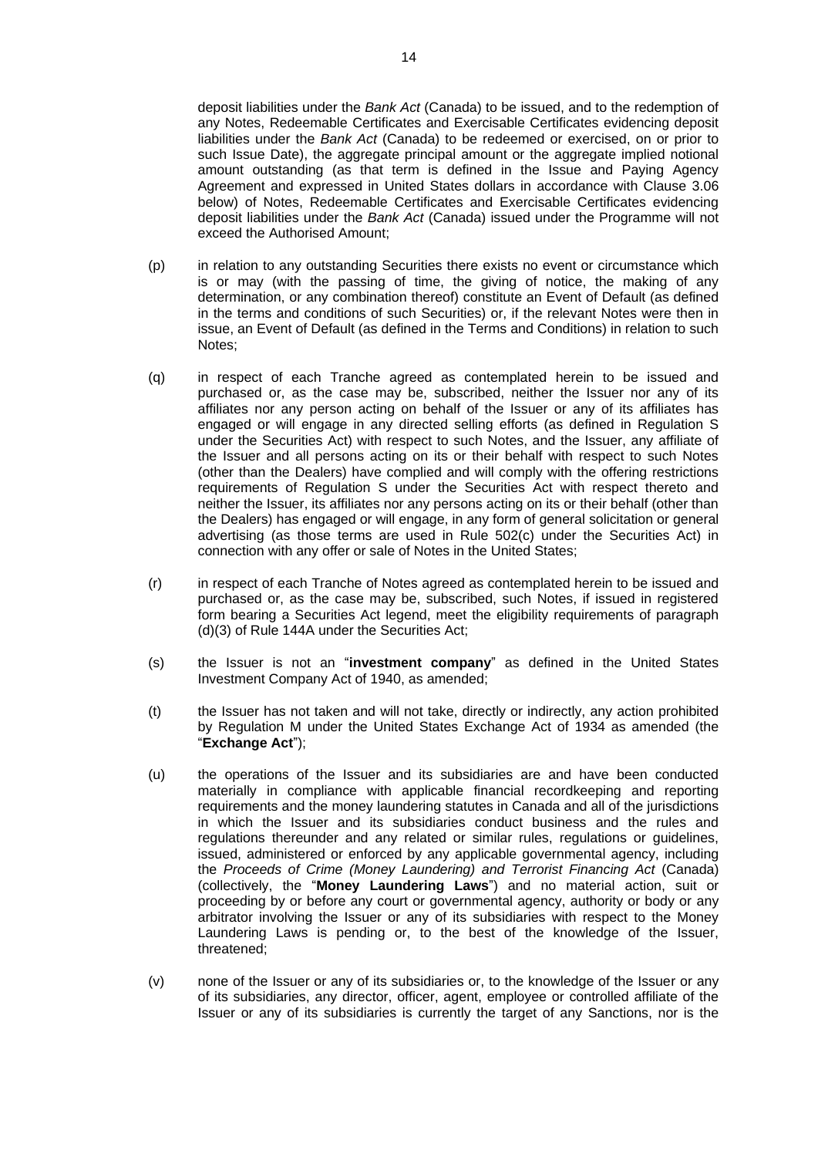deposit liabilities under the *Bank Act* (Canada) to be issued, and to the redemption of any Notes, Redeemable Certificates and Exercisable Certificates evidencing deposit liabilities under the *Bank Act* (Canada) to be redeemed or exercised, on or prior to such Issue Date), the aggregate principal amount or the aggregate implied notional amount outstanding (as that term is defined in the Issue and Paying Agency Agreement and expressed in United States dollars in accordance with Clause [3.06](#page-22-0) below) of Notes, Redeemable Certificates and Exercisable Certificates evidencing deposit liabilities under the *Bank Act* (Canada) issued under the Programme will not exceed the Authorised Amount;

- (p) in relation to any outstanding Securities there exists no event or circumstance which is or may (with the passing of time, the giving of notice, the making of any determination, or any combination thereof) constitute an Event of Default (as defined in the terms and conditions of such Securities) or, if the relevant Notes were then in issue, an Event of Default (as defined in the Terms and Conditions) in relation to such Notes;
- (q) in respect of each Tranche agreed as contemplated herein to be issued and purchased or, as the case may be, subscribed, neither the Issuer nor any of its affiliates nor any person acting on behalf of the Issuer or any of its affiliates has engaged or will engage in any directed selling efforts (as defined in Regulation S under the Securities Act) with respect to such Notes, and the Issuer, any affiliate of the Issuer and all persons acting on its or their behalf with respect to such Notes (other than the Dealers) have complied and will comply with the offering restrictions requirements of Regulation S under the Securities Act with respect thereto and neither the Issuer, its affiliates nor any persons acting on its or their behalf (other than the Dealers) has engaged or will engage, in any form of general solicitation or general advertising (as those terms are used in Rule 502(c) under the Securities Act) in connection with any offer or sale of Notes in the United States;
- (r) in respect of each Tranche of Notes agreed as contemplated herein to be issued and purchased or, as the case may be, subscribed, such Notes, if issued in registered form bearing a Securities Act legend, meet the eligibility requirements of paragraph (d)(3) of Rule 144A under the Securities Act;
- (s) the Issuer is not an "**investment company**" as defined in the United States Investment Company Act of 1940, as amended;
- (t) the Issuer has not taken and will not take, directly or indirectly, any action prohibited by Regulation M under the United States Exchange Act of 1934 as amended (the "**Exchange Act**");
- (u) the operations of the Issuer and its subsidiaries are and have been conducted materially in compliance with applicable financial recordkeeping and reporting requirements and the money laundering statutes in Canada and all of the jurisdictions in which the Issuer and its subsidiaries conduct business and the rules and regulations thereunder and any related or similar rules, regulations or guidelines, issued, administered or enforced by any applicable governmental agency, including the *Proceeds of Crime (Money Laundering) and Terrorist Financing Act* (Canada) (collectively, the "**Money Laundering Laws**") and no material action, suit or proceeding by or before any court or governmental agency, authority or body or any arbitrator involving the Issuer or any of its subsidiaries with respect to the Money Laundering Laws is pending or, to the best of the knowledge of the Issuer, threatened;
- (v) none of the Issuer or any of its subsidiaries or, to the knowledge of the Issuer or any of its subsidiaries, any director, officer, agent, employee or controlled affiliate of the Issuer or any of its subsidiaries is currently the target of any Sanctions, nor is the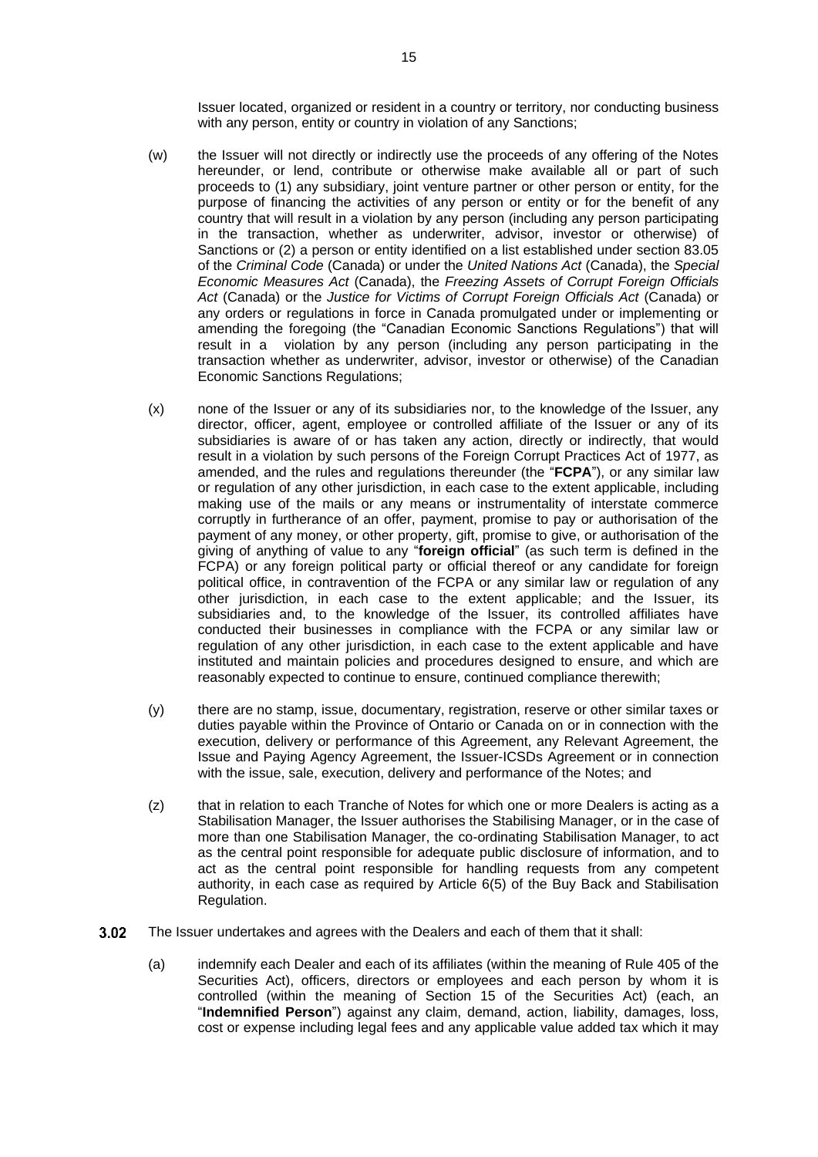Issuer located, organized or resident in a country or territory, nor conducting business with any person, entity or country in violation of any Sanctions;

- (w) the Issuer will not directly or indirectly use the proceeds of any offering of the Notes hereunder, or lend, contribute or otherwise make available all or part of such proceeds to (1) any subsidiary, joint venture partner or other person or entity, for the purpose of financing the activities of any person or entity or for the benefit of any country that will result in a violation by any person (including any person participating in the transaction, whether as underwriter, advisor, investor or otherwise) of Sanctions or (2) a person or entity identified on a list established under section 83.05 of the *Criminal Code* (Canada) or under the *United Nations Act* (Canada), the *Special Economic Measures Act* (Canada), the *Freezing Assets of Corrupt Foreign Officials Act* (Canada) or the *Justice for Victims of Corrupt Foreign Officials Act* (Canada) or any orders or regulations in force in Canada promulgated under or implementing or amending the foregoing (the "Canadian Economic Sanctions Regulations") that will result in a violation by any person (including any person participating in the transaction whether as underwriter, advisor, investor or otherwise) of the Canadian Economic Sanctions Regulations;
- (x) none of the Issuer or any of its subsidiaries nor, to the knowledge of the Issuer, any director, officer, agent, employee or controlled affiliate of the Issuer or any of its subsidiaries is aware of or has taken any action, directly or indirectly, that would result in a violation by such persons of the Foreign Corrupt Practices Act of 1977, as amended, and the rules and regulations thereunder (the "**FCPA**"), or any similar law or regulation of any other jurisdiction, in each case to the extent applicable, including making use of the mails or any means or instrumentality of interstate commerce corruptly in furtherance of an offer, payment, promise to pay or authorisation of the payment of any money, or other property, gift, promise to give, or authorisation of the giving of anything of value to any "**foreign official**" (as such term is defined in the FCPA) or any foreign political party or official thereof or any candidate for foreign political office, in contravention of the FCPA or any similar law or regulation of any other jurisdiction, in each case to the extent applicable; and the Issuer, its subsidiaries and, to the knowledge of the Issuer, its controlled affiliates have conducted their businesses in compliance with the FCPA or any similar law or regulation of any other jurisdiction, in each case to the extent applicable and have instituted and maintain policies and procedures designed to ensure, and which are reasonably expected to continue to ensure, continued compliance therewith;
- (y) there are no stamp, issue, documentary, registration, reserve or other similar taxes or duties payable within the Province of Ontario or Canada on or in connection with the execution, delivery or performance of this Agreement, any Relevant Agreement, the Issue and Paying Agency Agreement, the Issuer-ICSDs Agreement or in connection with the issue, sale, execution, delivery and performance of the Notes; and
- (z) that in relation to each Tranche of Notes for which one or more Dealers is acting as a Stabilisation Manager, the Issuer authorises the Stabilising Manager, or in the case of more than one Stabilisation Manager, the co-ordinating Stabilisation Manager, to act as the central point responsible for adequate public disclosure of information, and to act as the central point responsible for handling requests from any competent authority, in each case as required by Article 6(5) of the Buy Back and Stabilisation Regulation.
- <span id="page-16-0"></span> $3.02$ The Issuer undertakes and agrees with the Dealers and each of them that it shall:
	- (a) indemnify each Dealer and each of its affiliates (within the meaning of Rule 405 of the Securities Act), officers, directors or employees and each person by whom it is controlled (within the meaning of Section 15 of the Securities Act) (each, an "**Indemnified Person**") against any claim, demand, action, liability, damages, loss, cost or expense including legal fees and any applicable value added tax which it may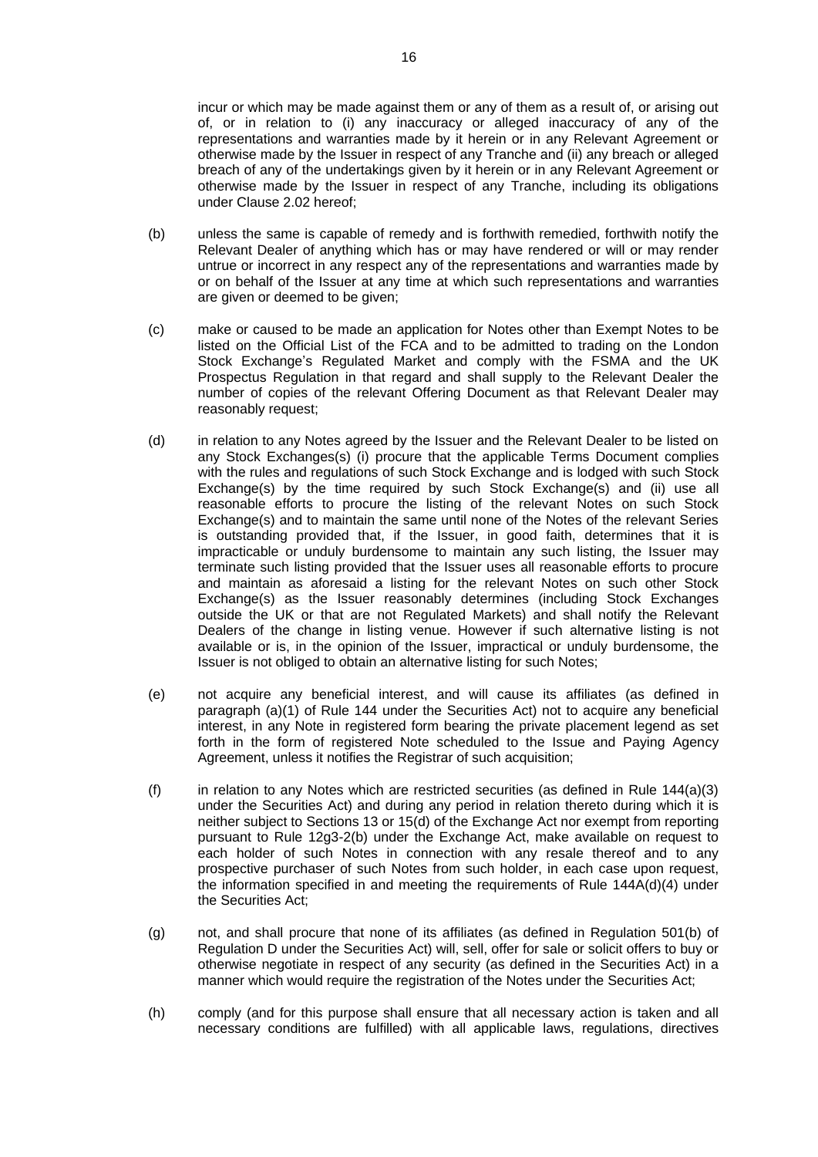incur or which may be made against them or any of them as a result of, or arising out of, or in relation to (i) any inaccuracy or alleged inaccuracy of any of the representations and warranties made by it herein or in any Relevant Agreement or otherwise made by the Issuer in respect of any Tranche and (ii) any breach or alleged breach of any of the undertakings given by it herein or in any Relevant Agreement or otherwise made by the Issuer in respect of any Tranche, including its obligations under Clause [2.02](#page-8-1) hereof;

- (b) unless the same is capable of remedy and is forthwith remedied, forthwith notify the Relevant Dealer of anything which has or may have rendered or will or may render untrue or incorrect in any respect any of the representations and warranties made by or on behalf of the Issuer at any time at which such representations and warranties are given or deemed to be given;
- (c) make or caused to be made an application for Notes other than Exempt Notes to be listed on the Official List of the FCA and to be admitted to trading on the London Stock Exchange's Regulated Market and comply with the FSMA and the UK Prospectus Regulation in that regard and shall supply to the Relevant Dealer the number of copies of the relevant Offering Document as that Relevant Dealer may reasonably request:
- <span id="page-17-0"></span>(d) in relation to any Notes agreed by the Issuer and the Relevant Dealer to be listed on any Stock Exchanges(s) (i) procure that the applicable Terms Document complies with the rules and regulations of such Stock Exchange and is lodged with such Stock Exchange(s) by the time required by such Stock Exchange(s) and (ii) use all reasonable efforts to procure the listing of the relevant Notes on such Stock Exchange(s) and to maintain the same until none of the Notes of the relevant Series is outstanding provided that, if the Issuer, in good faith, determines that it is impracticable or unduly burdensome to maintain any such listing, the Issuer may terminate such listing provided that the Issuer uses all reasonable efforts to procure and maintain as aforesaid a listing for the relevant Notes on such other Stock Exchange(s) as the Issuer reasonably determines (including Stock Exchanges outside the UK or that are not Regulated Markets) and shall notify the Relevant Dealers of the change in listing venue. However if such alternative listing is not available or is, in the opinion of the Issuer, impractical or unduly burdensome, the Issuer is not obliged to obtain an alternative listing for such Notes;
- (e) not acquire any beneficial interest, and will cause its affiliates (as defined in paragraph (a)(1) of Rule 144 under the Securities Act) not to acquire any beneficial interest, in any Note in registered form bearing the private placement legend as set forth in the form of registered Note scheduled to the Issue and Paying Agency Agreement, unless it notifies the Registrar of such acquisition;
- (f) in relation to any Notes which are restricted securities (as defined in Rule  $144(a)(3)$ under the Securities Act) and during any period in relation thereto during which it is neither subject to Sections 13 or 15(d) of the Exchange Act nor exempt from reporting pursuant to Rule 12g3-2(b) under the Exchange Act, make available on request to each holder of such Notes in connection with any resale thereof and to any prospective purchaser of such Notes from such holder, in each case upon request, the information specified in and meeting the requirements of Rule 144A(d)(4) under the Securities Act;
- (g) not, and shall procure that none of its affiliates (as defined in Regulation 501(b) of Regulation D under the Securities Act) will, sell, offer for sale or solicit offers to buy or otherwise negotiate in respect of any security (as defined in the Securities Act) in a manner which would require the registration of the Notes under the Securities Act;
- (h) comply (and for this purpose shall ensure that all necessary action is taken and all necessary conditions are fulfilled) with all applicable laws, regulations, directives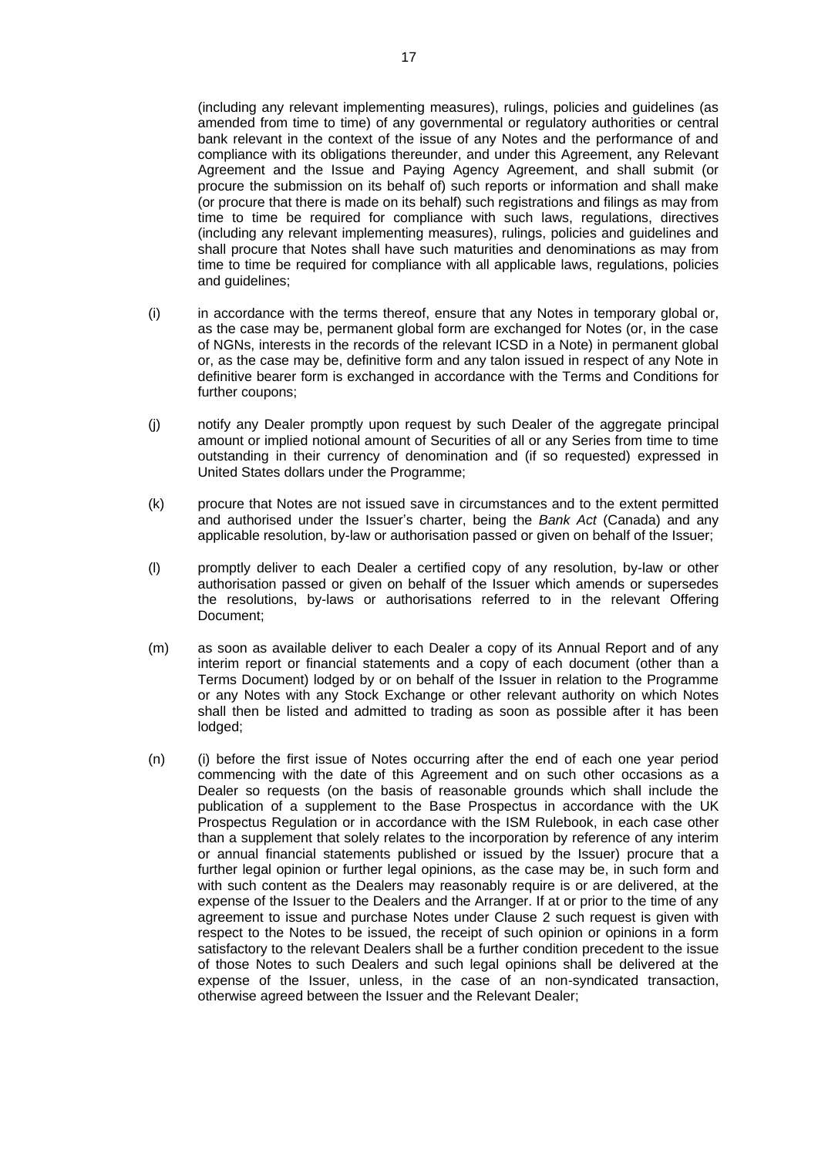(including any relevant implementing measures), rulings, policies and guidelines (as amended from time to time) of any governmental or regulatory authorities or central bank relevant in the context of the issue of any Notes and the performance of and compliance with its obligations thereunder, and under this Agreement, any Relevant Agreement and the Issue and Paying Agency Agreement, and shall submit (or procure the submission on its behalf of) such reports or information and shall make (or procure that there is made on its behalf) such registrations and filings as may from time to time be required for compliance with such laws, regulations, directives (including any relevant implementing measures), rulings, policies and guidelines and shall procure that Notes shall have such maturities and denominations as may from time to time be required for compliance with all applicable laws, regulations, policies and guidelines;

- (i) in accordance with the terms thereof, ensure that any Notes in temporary global or, as the case may be, permanent global form are exchanged for Notes (or, in the case of NGNs, interests in the records of the relevant ICSD in a Note) in permanent global or, as the case may be, definitive form and any talon issued in respect of any Note in definitive bearer form is exchanged in accordance with the Terms and Conditions for further coupons;
- (j) notify any Dealer promptly upon request by such Dealer of the aggregate principal amount or implied notional amount of Securities of all or any Series from time to time outstanding in their currency of denomination and (if so requested) expressed in United States dollars under the Programme;
- (k) procure that Notes are not issued save in circumstances and to the extent permitted and authorised under the Issuer's charter, being the *Bank Act* (Canada) and any applicable resolution, by-law or authorisation passed or given on behalf of the Issuer;
- (l) promptly deliver to each Dealer a certified copy of any resolution, by-law or other authorisation passed or given on behalf of the Issuer which amends or supersedes the resolutions, by-laws or authorisations referred to in the relevant Offering Document;
- (m) as soon as available deliver to each Dealer a copy of its Annual Report and of any interim report or financial statements and a copy of each document (other than a Terms Document) lodged by or on behalf of the Issuer in relation to the Programme or any Notes with any Stock Exchange or other relevant authority on which Notes shall then be listed and admitted to trading as soon as possible after it has been lodged;
- <span id="page-18-0"></span>(n) (i) before the first issue of Notes occurring after the end of each one year period commencing with the date of this Agreement and on such other occasions as a Dealer so requests (on the basis of reasonable grounds which shall include the publication of a supplement to the Base Prospectus in accordance with the UK Prospectus Regulation or in accordance with the ISM Rulebook, in each case other than a supplement that solely relates to the incorporation by reference of any interim or annual financial statements published or issued by the Issuer) procure that a further legal opinion or further legal opinions, as the case may be, in such form and with such content as the Dealers may reasonably require is or are delivered, at the expense of the Issuer to the Dealers and the Arranger. If at or prior to the time of any agreement to issue and purchase Notes under Clause [2](#page-8-0) such request is given with respect to the Notes to be issued, the receipt of such opinion or opinions in a form satisfactory to the relevant Dealers shall be a further condition precedent to the issue of those Notes to such Dealers and such legal opinions shall be delivered at the expense of the Issuer, unless, in the case of an non-syndicated transaction, otherwise agreed between the Issuer and the Relevant Dealer;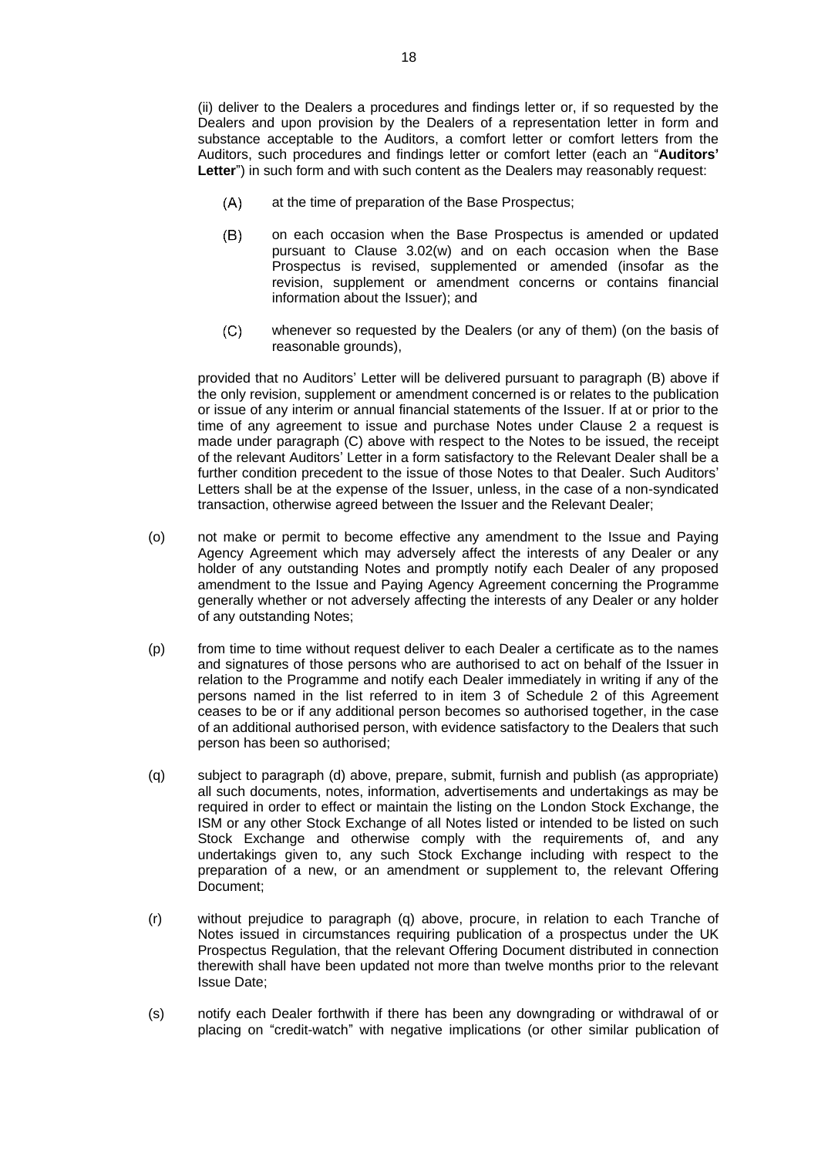(ii) deliver to the Dealers a procedures and findings letter or, if so requested by the Dealers and upon provision by the Dealers of a representation letter in form and substance acceptable to the Auditors, a comfort letter or comfort letters from the Auditors, such procedures and findings letter or comfort letter (each an "**Auditors' Letter**") in such form and with such content as the Dealers may reasonably request:

- $(A)$ at the time of preparation of the Base Prospectus;
- <span id="page-19-0"></span> $(B)$ on each occasion when the Base Prospectus is amended or updated pursuant to Clause [3.02\(w\)](#page-20-0) and on each occasion when the Base Prospectus is revised, supplemented or amended (insofar as the revision, supplement or amendment concerns or contains financial information about the Issuer); and
- $(C)$ whenever so requested by the Dealers (or any of them) (on the basis of reasonable grounds),

<span id="page-19-1"></span>provided that no Auditors' Letter will be delivered pursuant to paragraph [\(B\)](#page-19-0) above if the only revision, supplement or amendment concerned is or relates to the publication or issue of any interim or annual financial statements of the Issuer. If at or prior to the time of any agreement to issue and purchase Notes under Clause [2](#page-8-0) a request is made under paragraph [\(C\)](#page-19-1) above with respect to the Notes to be issued, the receipt of the relevant Auditors' Letter in a form satisfactory to the Relevant Dealer shall be a further condition precedent to the issue of those Notes to that Dealer. Such Auditors' Letters shall be at the expense of the Issuer, unless, in the case of a non-syndicated transaction, otherwise agreed between the Issuer and the Relevant Dealer;

- (o) not make or permit to become effective any amendment to the Issue and Paying Agency Agreement which may adversely affect the interests of any Dealer or any holder of any outstanding Notes and promptly notify each Dealer of any proposed amendment to the Issue and Paying Agency Agreement concerning the Programme generally whether or not adversely affecting the interests of any Dealer or any holder of any outstanding Notes;
- (p) from time to time without request deliver to each Dealer a certificate as to the names and signatures of those persons who are authorised to act on behalf of the Issuer in relation to the Programme and notify each Dealer immediately in writing if any of the persons named in the list referred to in item 3 of Schedule 2 of this Agreement ceases to be or if any additional person becomes so authorised together, in the case of an additional authorised person, with evidence satisfactory to the Dealers that such person has been so authorised;
- <span id="page-19-2"></span>(q) subject to paragraph [\(d\)](#page-17-0) above, prepare, submit, furnish and publish (as appropriate) all such documents, notes, information, advertisements and undertakings as may be required in order to effect or maintain the listing on the London Stock Exchange, the ISM or any other Stock Exchange of all Notes listed or intended to be listed on such Stock Exchange and otherwise comply with the requirements of, and any undertakings given to, any such Stock Exchange including with respect to the preparation of a new, or an amendment or supplement to, the relevant Offering Document;
- (r) without prejudice to paragraph [\(q\)](#page-19-2) above, procure, in relation to each Tranche of Notes issued in circumstances requiring publication of a prospectus under the UK Prospectus Regulation, that the relevant Offering Document distributed in connection therewith shall have been updated not more than twelve months prior to the relevant Issue Date;
- (s) notify each Dealer forthwith if there has been any downgrading or withdrawal of or placing on "credit-watch" with negative implications (or other similar publication of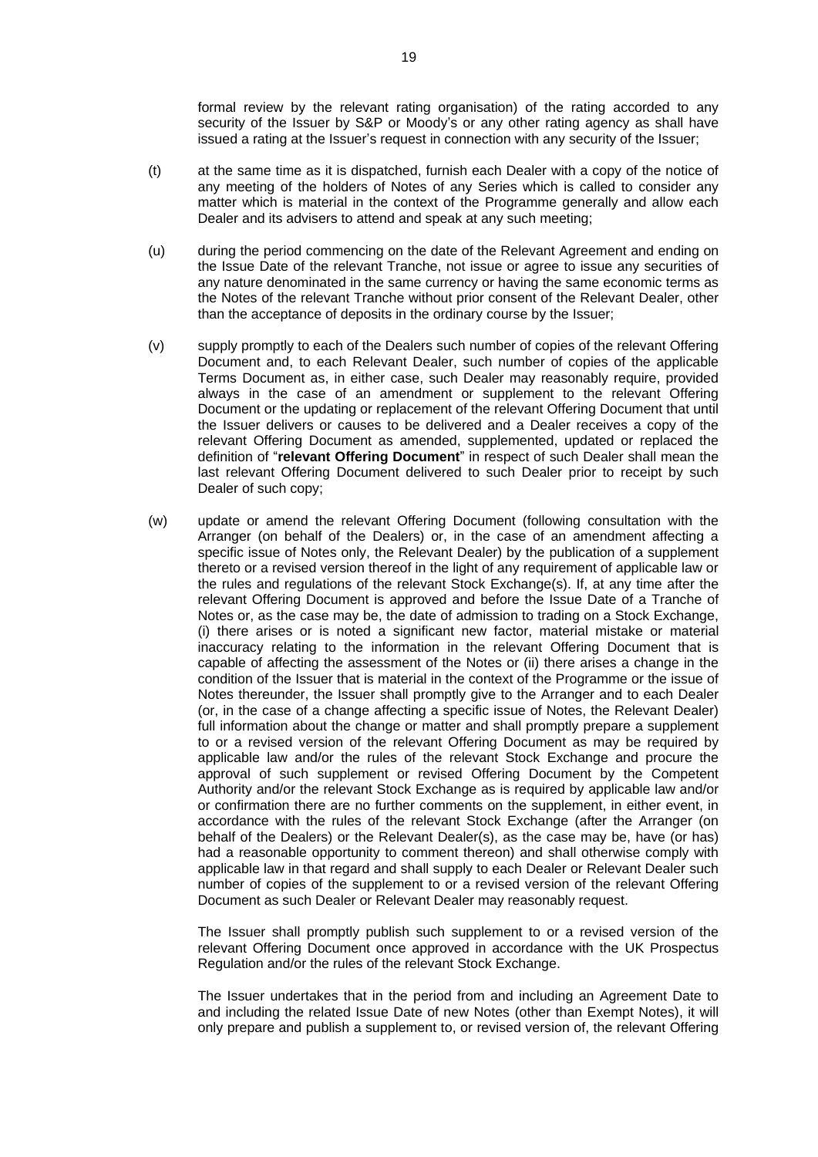formal review by the relevant rating organisation) of the rating accorded to any security of the Issuer by S&P or Moody's or any other rating agency as shall have issued a rating at the Issuer's request in connection with any security of the Issuer;

- (t) at the same time as it is dispatched, furnish each Dealer with a copy of the notice of any meeting of the holders of Notes of any Series which is called to consider any matter which is material in the context of the Programme generally and allow each Dealer and its advisers to attend and speak at any such meeting;
- (u) during the period commencing on the date of the Relevant Agreement and ending on the Issue Date of the relevant Tranche, not issue or agree to issue any securities of any nature denominated in the same currency or having the same economic terms as the Notes of the relevant Tranche without prior consent of the Relevant Dealer, other than the acceptance of deposits in the ordinary course by the Issuer;
- (v) supply promptly to each of the Dealers such number of copies of the relevant Offering Document and, to each Relevant Dealer, such number of copies of the applicable Terms Document as, in either case, such Dealer may reasonably require, provided always in the case of an amendment or supplement to the relevant Offering Document or the updating or replacement of the relevant Offering Document that until the Issuer delivers or causes to be delivered and a Dealer receives a copy of the relevant Offering Document as amended, supplemented, updated or replaced the definition of "**relevant Offering Document**" in respect of such Dealer shall mean the last relevant Offering Document delivered to such Dealer prior to receipt by such Dealer of such copy;
- <span id="page-20-0"></span>(w) update or amend the relevant Offering Document (following consultation with the Arranger (on behalf of the Dealers) or, in the case of an amendment affecting a specific issue of Notes only, the Relevant Dealer) by the publication of a supplement thereto or a revised version thereof in the light of any requirement of applicable law or the rules and regulations of the relevant Stock Exchange(s). If, at any time after the relevant Offering Document is approved and before the Issue Date of a Tranche of Notes or, as the case may be, the date of admission to trading on a Stock Exchange, (i) there arises or is noted a significant new factor, material mistake or material inaccuracy relating to the information in the relevant Offering Document that is capable of affecting the assessment of the Notes or (ii) there arises a change in the condition of the Issuer that is material in the context of the Programme or the issue of Notes thereunder, the Issuer shall promptly give to the Arranger and to each Dealer (or, in the case of a change affecting a specific issue of Notes, the Relevant Dealer) full information about the change or matter and shall promptly prepare a supplement to or a revised version of the relevant Offering Document as may be required by applicable law and/or the rules of the relevant Stock Exchange and procure the approval of such supplement or revised Offering Document by the Competent Authority and/or the relevant Stock Exchange as is required by applicable law and/or or confirmation there are no further comments on the supplement, in either event, in accordance with the rules of the relevant Stock Exchange (after the Arranger (on behalf of the Dealers) or the Relevant Dealer(s), as the case may be, have (or has) had a reasonable opportunity to comment thereon) and shall otherwise comply with applicable law in that regard and shall supply to each Dealer or Relevant Dealer such number of copies of the supplement to or a revised version of the relevant Offering Document as such Dealer or Relevant Dealer may reasonably request.

The Issuer shall promptly publish such supplement to or a revised version of the relevant Offering Document once approved in accordance with the UK Prospectus Regulation and/or the rules of the relevant Stock Exchange.

The Issuer undertakes that in the period from and including an Agreement Date to and including the related Issue Date of new Notes (other than Exempt Notes), it will only prepare and publish a supplement to, or revised version of, the relevant Offering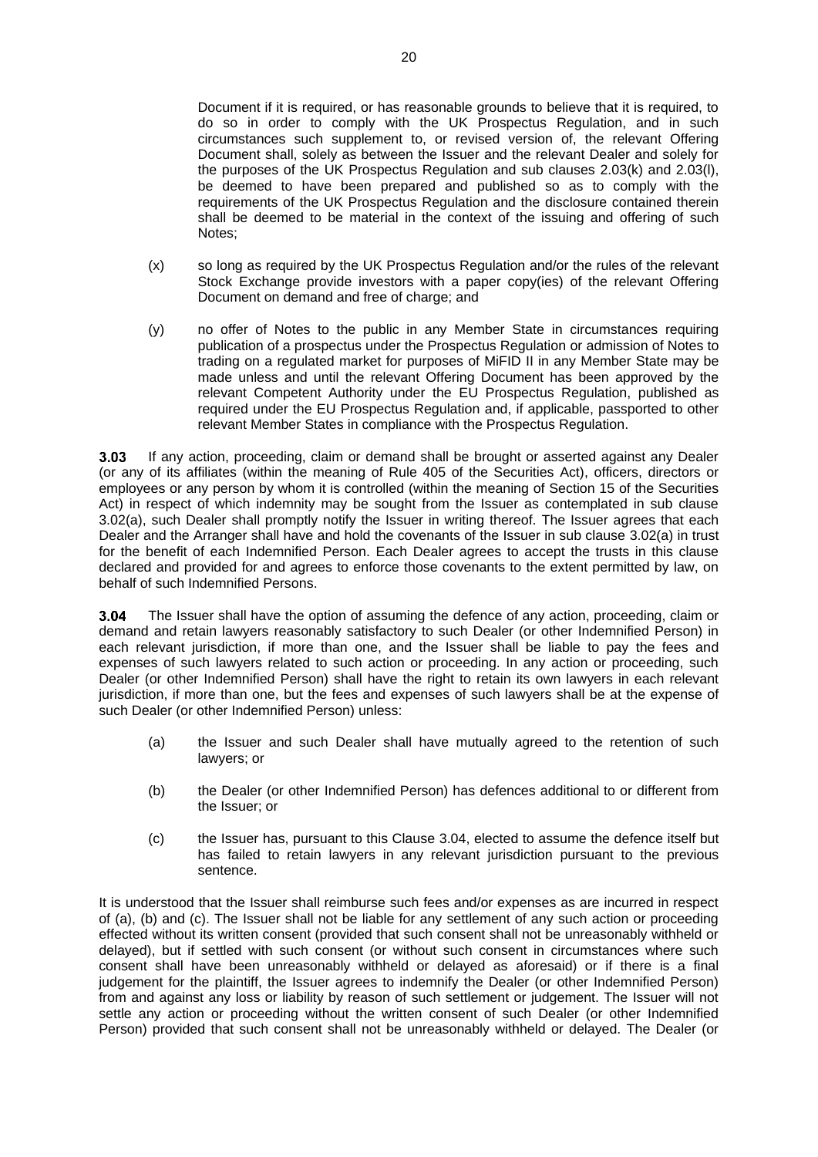Document if it is required, or has reasonable grounds to believe that it is required, to do so in order to comply with the UK Prospectus Regulation, and in such circumstances such supplement to, or revised version of, the relevant Offering Document shall, solely as between the Issuer and the relevant Dealer and solely for the purposes of the UK Prospectus Regulation and sub clauses [2.03\(k\)](#page-10-0) and [2.03\(l\),](#page-10-1) be deemed to have been prepared and published so as to comply with the requirements of the UK Prospectus Regulation and the disclosure contained therein shall be deemed to be material in the context of the issuing and offering of such Notes;

- (x) so long as required by the UK Prospectus Regulation and/or the rules of the relevant Stock Exchange provide investors with a paper copy(ies) of the relevant Offering Document on demand and free of charge; and
- (y) no offer of Notes to the public in any Member State in circumstances requiring publication of a prospectus under the Prospectus Regulation or admission of Notes to trading on a regulated market for purposes of MiFID II in any Member State may be made unless and until the relevant Offering Document has been approved by the relevant Competent Authority under the EU Prospectus Regulation, published as required under the EU Prospectus Regulation and, if applicable, passported to other relevant Member States in compliance with the Prospectus Regulation.

 $3.03$ If any action, proceeding, claim or demand shall be brought or asserted against any Dealer (or any of its affiliates (within the meaning of Rule 405 of the Securities Act), officers, directors or employees or any person by whom it is controlled (within the meaning of Section 15 of the Securities Act) in respect of which indemnity may be sought from the Issuer as contemplated in sub clause [3.02\(a\),](#page-16-0) such Dealer shall promptly notify the Issuer in writing thereof. The Issuer agrees that each Dealer and the Arranger shall have and hold the covenants of the Issuer in sub clause [3.02\(a\)](#page-16-0) in trust for the benefit of each Indemnified Person. Each Dealer agrees to accept the trusts in this clause declared and provided for and agrees to enforce those covenants to the extent permitted by law, on behalf of such Indemnified Persons.

<span id="page-21-0"></span>The Issuer shall have the option of assuming the defence of any action, proceeding, claim or 3.04 demand and retain lawyers reasonably satisfactory to such Dealer (or other Indemnified Person) in each relevant jurisdiction, if more than one, and the Issuer shall be liable to pay the fees and expenses of such lawyers related to such action or proceeding. In any action or proceeding, such Dealer (or other Indemnified Person) shall have the right to retain its own lawyers in each relevant jurisdiction, if more than one, but the fees and expenses of such lawyers shall be at the expense of such Dealer (or other Indemnified Person) unless:

- (a) the Issuer and such Dealer shall have mutually agreed to the retention of such lawyers; or
- (b) the Dealer (or other Indemnified Person) has defences additional to or different from the Issuer; or
- (c) the Issuer has, pursuant to this Clause [3.04,](#page-21-0) elected to assume the defence itself but has failed to retain lawyers in any relevant jurisdiction pursuant to the previous sentence.

It is understood that the Issuer shall reimburse such fees and/or expenses as are incurred in respect of (a), (b) and (c). The Issuer shall not be liable for any settlement of any such action or proceeding effected without its written consent (provided that such consent shall not be unreasonably withheld or delayed), but if settled with such consent (or without such consent in circumstances where such consent shall have been unreasonably withheld or delayed as aforesaid) or if there is a final judgement for the plaintiff, the Issuer agrees to indemnify the Dealer (or other Indemnified Person) from and against any loss or liability by reason of such settlement or judgement. The Issuer will not settle any action or proceeding without the written consent of such Dealer (or other Indemnified Person) provided that such consent shall not be unreasonably withheld or delayed. The Dealer (or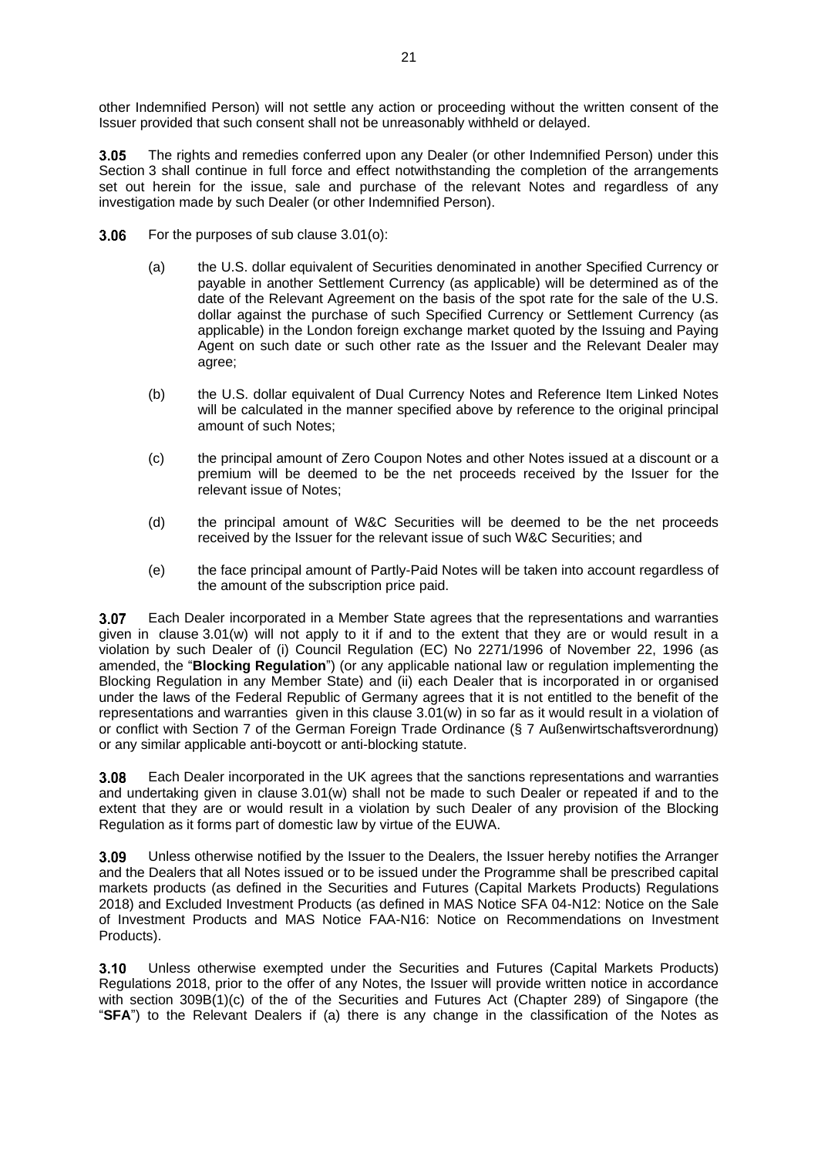other Indemnified Person) will not settle any action or proceeding without the written consent of the Issuer provided that such consent shall not be unreasonably withheld or delayed.

 $3.05$ The rights and remedies conferred upon any Dealer (or other Indemnified Person) under this [Section](#page-12-0) 3 shall continue in full force and effect notwithstanding the completion of the arrangements set out herein for the issue, sale and purchase of the relevant Notes and regardless of any investigation made by such Dealer (or other Indemnified Person).

- <span id="page-22-0"></span> $3.06$ For the purposes of sub clause [3.01\(o\):](#page-14-1)
	- (a) the U.S. dollar equivalent of Securities denominated in another Specified Currency or payable in another Settlement Currency (as applicable) will be determined as of the date of the Relevant Agreement on the basis of the spot rate for the sale of the U.S. dollar against the purchase of such Specified Currency or Settlement Currency (as applicable) in the London foreign exchange market quoted by the Issuing and Paying Agent on such date or such other rate as the Issuer and the Relevant Dealer may agree;
	- (b) the U.S. dollar equivalent of Dual Currency Notes and Reference Item Linked Notes will be calculated in the manner specified above by reference to the original principal amount of such Notes;
	- (c) the principal amount of Zero Coupon Notes and other Notes issued at a discount or a premium will be deemed to be the net proceeds received by the Issuer for the relevant issue of Notes;
	- (d) the principal amount of W&C Securities will be deemed to be the net proceeds received by the Issuer for the relevant issue of such W&C Securities; and
	- (e) the face principal amount of Partly-Paid Notes will be taken into account regardless of the amount of the subscription price paid.

3.07 Each Dealer incorporated in a Member State agrees that the representations and warranties given in clause 3.01(w) will not apply to it if and to the extent that they are or would result in a violation by such Dealer of (i) Council Regulation (EC) No 2271/1996 of November 22, 1996 (as amended, the "**Blocking Regulation**") (or any applicable national law or regulation implementing the Blocking Regulation in any Member State) and (ii) each Dealer that is incorporated in or organised under the laws of the Federal Republic of Germany agrees that it is not entitled to the benefit of the representations and warranties given in this clause 3.01(w) in so far as it would result in a violation of or conflict with Section 7 of the German Foreign Trade Ordinance (§ 7 Außenwirtschaftsverordnung) or any similar applicable anti-boycott or anti-blocking statute.

Each Dealer incorporated in the UK agrees that the sanctions representations and warranties 3.08 and undertaking given in clause 3.01(w) shall not be made to such Dealer or repeated if and to the extent that they are or would result in a violation by such Dealer of any provision of the Blocking Regulation as it forms part of domestic law by virtue of the EUWA.

Unless otherwise notified by the Issuer to the Dealers, the Issuer hereby notifies the Arranger 3.09 and the Dealers that all Notes issued or to be issued under the Programme shall be prescribed capital markets products (as defined in the Securities and Futures (Capital Markets Products) Regulations 2018) and Excluded Investment Products (as defined in MAS Notice SFA 04-N12: Notice on the Sale of Investment Products and MAS Notice FAA-N16: Notice on Recommendations on Investment Products).

 $3.10$ Unless otherwise exempted under the Securities and Futures (Capital Markets Products) Regulations 2018, prior to the offer of any Notes, the Issuer will provide written notice in accordance with section 309B(1)(c) of the of the Securities and Futures Act (Chapter 289) of Singapore (the "**SFA**") to the Relevant Dealers if (a) there is any change in the classification of the Notes as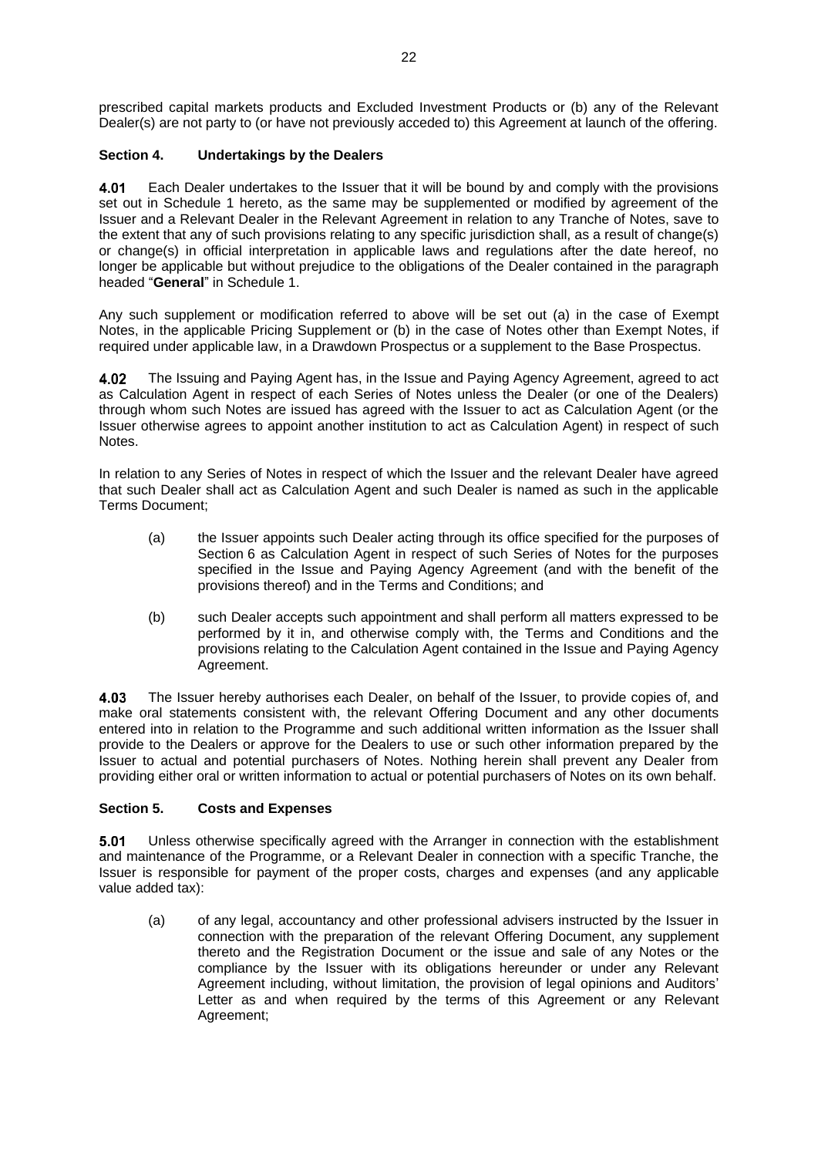prescribed capital markets products and Excluded Investment Products or (b) any of the Relevant Dealer(s) are not party to (or have not previously acceded to) this Agreement at launch of the offering.

## <span id="page-23-0"></span>**Section 4. Undertakings by the Dealers**

<span id="page-23-2"></span>Each Dealer undertakes to the Issuer that it will be bound by and comply with the provisions 4.01 set out in Schedule 1 hereto, as the same may be supplemented or modified by agreement of the Issuer and a Relevant Dealer in the Relevant Agreement in relation to any Tranche of Notes, save to the extent that any of such provisions relating to any specific jurisdiction shall, as a result of change(s) or change(s) in official interpretation in applicable laws and regulations after the date hereof, no longer be applicable but without prejudice to the obligations of the Dealer contained in the paragraph headed "**General**" in Schedule 1.

Any such supplement or modification referred to above will be set out (a) in the case of Exempt Notes, in the applicable Pricing Supplement or (b) in the case of Notes other than Exempt Notes, if required under applicable law, in a Drawdown Prospectus or a supplement to the Base Prospectus.

The Issuing and Paying Agent has, in the Issue and Paying Agency Agreement, agreed to act 4.02 as Calculation Agent in respect of each Series of Notes unless the Dealer (or one of the Dealers) through whom such Notes are issued has agreed with the Issuer to act as Calculation Agent (or the Issuer otherwise agrees to appoint another institution to act as Calculation Agent) in respect of such Notes.

In relation to any Series of Notes in respect of which the Issuer and the relevant Dealer have agreed that such Dealer shall act as Calculation Agent and such Dealer is named as such in the applicable Terms Document;

- (a) the Issuer appoints such Dealer acting through its office specified for the purposes of [Section](#page-24-0) 6 as Calculation Agent in respect of such Series of Notes for the purposes specified in the Issue and Paying Agency Agreement (and with the benefit of the provisions thereof) and in the Terms and Conditions; and
- (b) such Dealer accepts such appointment and shall perform all matters expressed to be performed by it in, and otherwise comply with, the Terms and Conditions and the provisions relating to the Calculation Agent contained in the Issue and Paying Agency Agreement.

4.03 The Issuer hereby authorises each Dealer, on behalf of the Issuer, to provide copies of, and make oral statements consistent with, the relevant Offering Document and any other documents entered into in relation to the Programme and such additional written information as the Issuer shall provide to the Dealers or approve for the Dealers to use or such other information prepared by the Issuer to actual and potential purchasers of Notes. Nothing herein shall prevent any Dealer from providing either oral or written information to actual or potential purchasers of Notes on its own behalf.

## <span id="page-23-1"></span>**Section 5. Costs and Expenses**

5.01 Unless otherwise specifically agreed with the Arranger in connection with the establishment and maintenance of the Programme, or a Relevant Dealer in connection with a specific Tranche, the Issuer is responsible for payment of the proper costs, charges and expenses (and any applicable value added tax):

(a) of any legal, accountancy and other professional advisers instructed by the Issuer in connection with the preparation of the relevant Offering Document, any supplement thereto and the Registration Document or the issue and sale of any Notes or the compliance by the Issuer with its obligations hereunder or under any Relevant Agreement including, without limitation, the provision of legal opinions and Auditors' Letter as and when required by the terms of this Agreement or any Relevant Agreement;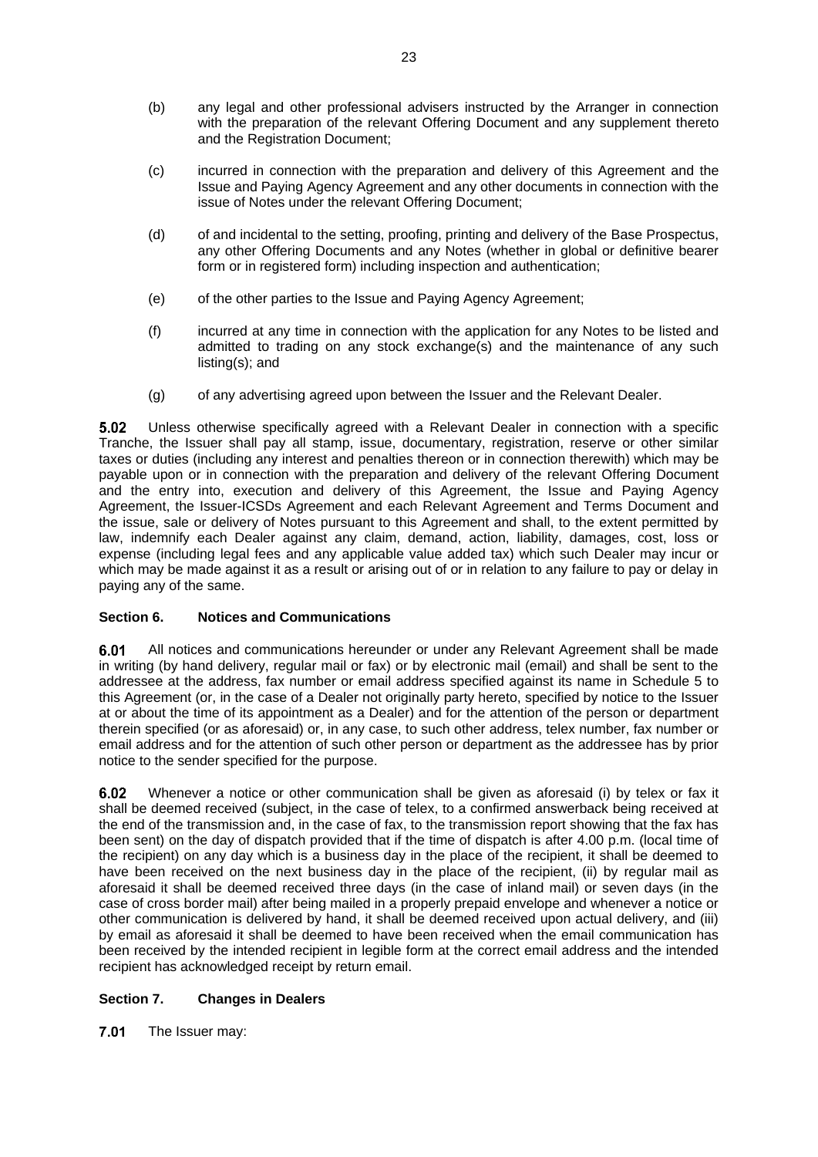- (b) any legal and other professional advisers instructed by the Arranger in connection with the preparation of the relevant Offering Document and any supplement thereto and the Registration Document;
- (c) incurred in connection with the preparation and delivery of this Agreement and the Issue and Paying Agency Agreement and any other documents in connection with the issue of Notes under the relevant Offering Document;
- (d) of and incidental to the setting, proofing, printing and delivery of the Base Prospectus, any other Offering Documents and any Notes (whether in global or definitive bearer form or in registered form) including inspection and authentication;
- (e) of the other parties to the Issue and Paying Agency Agreement;
- (f) incurred at any time in connection with the application for any Notes to be listed and admitted to trading on any stock exchange(s) and the maintenance of any such listing(s); and
- (g) of any advertising agreed upon between the Issuer and the Relevant Dealer.

 $5.02$ Unless otherwise specifically agreed with a Relevant Dealer in connection with a specific Tranche, the Issuer shall pay all stamp, issue, documentary, registration, reserve or other similar taxes or duties (including any interest and penalties thereon or in connection therewith) which may be payable upon or in connection with the preparation and delivery of the relevant Offering Document and the entry into, execution and delivery of this Agreement, the Issue and Paying Agency Agreement, the Issuer-ICSDs Agreement and each Relevant Agreement and Terms Document and the issue, sale or delivery of Notes pursuant to this Agreement and shall, to the extent permitted by law, indemnify each Dealer against any claim, demand, action, liability, damages, cost, loss or expense (including legal fees and any applicable value added tax) which such Dealer may incur or which may be made against it as a result or arising out of or in relation to any failure to pay or delay in paying any of the same.

## <span id="page-24-0"></span>**Section 6. Notices and Communications**

6.01 All notices and communications hereunder or under any Relevant Agreement shall be made in writing (by hand delivery, regular mail or fax) or by electronic mail (email) and shall be sent to the addressee at the address, fax number or email address specified against its name in Schedule 5 to this Agreement (or, in the case of a Dealer not originally party hereto, specified by notice to the Issuer at or about the time of its appointment as a Dealer) and for the attention of the person or department therein specified (or as aforesaid) or, in any case, to such other address, telex number, fax number or email address and for the attention of such other person or department as the addressee has by prior notice to the sender specified for the purpose.

Whenever a notice or other communication shall be given as aforesaid (i) by telex or fax it  $6.02$ shall be deemed received (subject, in the case of telex, to a confirmed answerback being received at the end of the transmission and, in the case of fax, to the transmission report showing that the fax has been sent) on the day of dispatch provided that if the time of dispatch is after 4.00 p.m. (local time of the recipient) on any day which is a business day in the place of the recipient, it shall be deemed to have been received on the next business day in the place of the recipient, (ii) by regular mail as aforesaid it shall be deemed received three days (in the case of inland mail) or seven days (in the case of cross border mail) after being mailed in a properly prepaid envelope and whenever a notice or other communication is delivered by hand, it shall be deemed received upon actual delivery, and (iii) by email as aforesaid it shall be deemed to have been received when the email communication has been received by the intended recipient in legible form at the correct email address and the intended recipient has acknowledged receipt by return email.

## <span id="page-24-1"></span>**Section 7. Changes in Dealers**

 $7.01$ The Issuer may: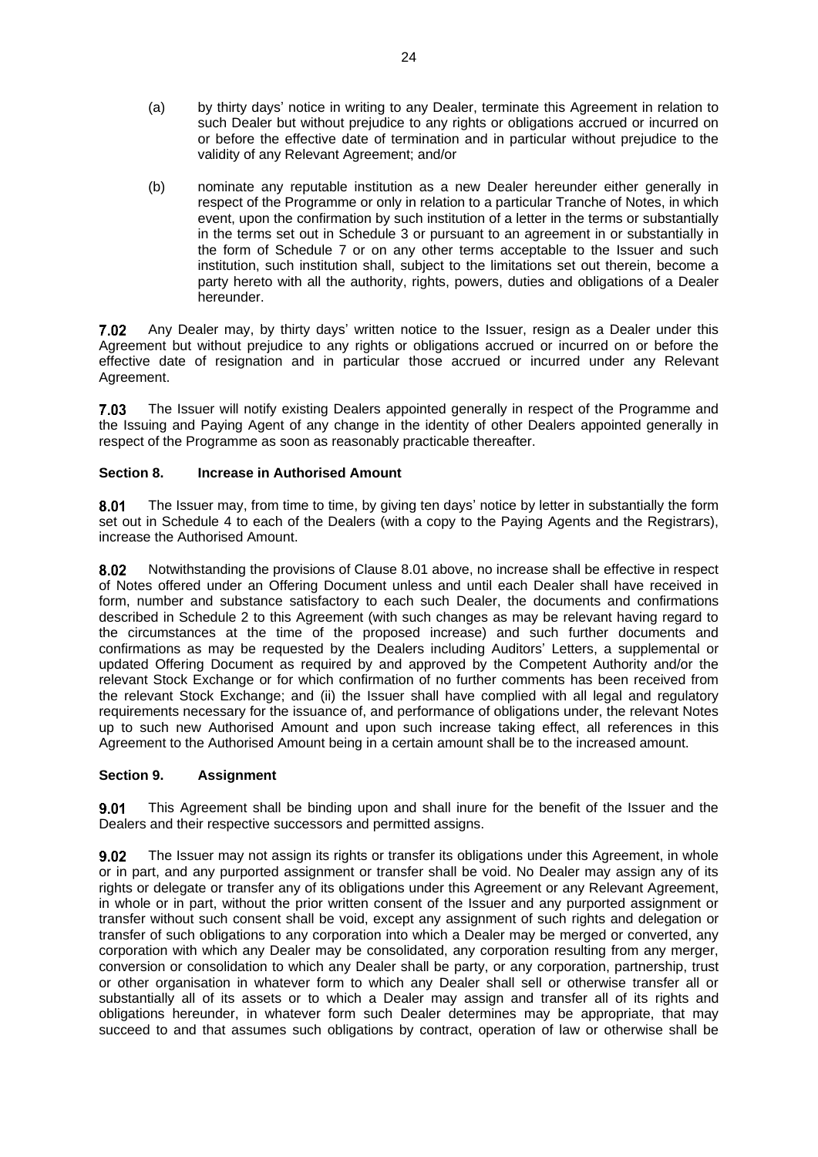- <span id="page-25-3"></span>(a) by thirty days' notice in writing to any Dealer, terminate this Agreement in relation to such Dealer but without prejudice to any rights or obligations accrued or incurred on or before the effective date of termination and in particular without prejudice to the validity of any Relevant Agreement; and/or
- <span id="page-25-2"></span>(b) nominate any reputable institution as a new Dealer hereunder either generally in respect of the Programme or only in relation to a particular Tranche of Notes, in which event, upon the confirmation by such institution of a letter in the terms or substantially in the terms set out in Schedule 3 or pursuant to an agreement in or substantially in the form of Schedule 7 or on any other terms acceptable to the Issuer and such institution, such institution shall, subject to the limitations set out therein, become a party hereto with all the authority, rights, powers, duties and obligations of a Dealer hereunder.

<span id="page-25-4"></span> $7.02$ Any Dealer may, by thirty days' written notice to the Issuer, resign as a Dealer under this Agreement but without prejudice to any rights or obligations accrued or incurred on or before the effective date of resignation and in particular those accrued or incurred under any Relevant Agreement.

The Issuer will notify existing Dealers appointed generally in respect of the Programme and 7.03 the Issuing and Paying Agent of any change in the identity of other Dealers appointed generally in respect of the Programme as soon as reasonably practicable thereafter.

## <span id="page-25-0"></span>**Section 8. Increase in Authorised Amount**

<span id="page-25-5"></span>8.01 The Issuer may, from time to time, by giving ten days' notice by letter in substantially the form set out in Schedule 4 to each of the Dealers (with a copy to the Paying Agents and the Registrars), increase the Authorised Amount.

Notwithstanding the provisions of Clause [8.01](#page-25-5) above, no increase shall be effective in respect 8.02 of Notes offered under an Offering Document unless and until each Dealer shall have received in form, number and substance satisfactory to each such Dealer, the documents and confirmations described in Schedule 2 to this Agreement (with such changes as may be relevant having regard to the circumstances at the time of the proposed increase) and such further documents and confirmations as may be requested by the Dealers including Auditors' Letters, a supplemental or updated Offering Document as required by and approved by the Competent Authority and/or the relevant Stock Exchange or for which confirmation of no further comments has been received from the relevant Stock Exchange; and (ii) the Issuer shall have complied with all legal and regulatory requirements necessary for the issuance of, and performance of obligations under, the relevant Notes up to such new Authorised Amount and upon such increase taking effect, all references in this Agreement to the Authorised Amount being in a certain amount shall be to the increased amount.

#### <span id="page-25-1"></span>**Section 9. Assignment**

 $9.01$ This Agreement shall be binding upon and shall inure for the benefit of the Issuer and the Dealers and their respective successors and permitted assigns.

 $9.02$ The Issuer may not assign its rights or transfer its obligations under this Agreement, in whole or in part, and any purported assignment or transfer shall be void. No Dealer may assign any of its rights or delegate or transfer any of its obligations under this Agreement or any Relevant Agreement, in whole or in part, without the prior written consent of the Issuer and any purported assignment or transfer without such consent shall be void, except any assignment of such rights and delegation or transfer of such obligations to any corporation into which a Dealer may be merged or converted, any corporation with which any Dealer may be consolidated, any corporation resulting from any merger, conversion or consolidation to which any Dealer shall be party, or any corporation, partnership, trust or other organisation in whatever form to which any Dealer shall sell or otherwise transfer all or substantially all of its assets or to which a Dealer may assign and transfer all of its rights and obligations hereunder, in whatever form such Dealer determines may be appropriate, that may succeed to and that assumes such obligations by contract, operation of law or otherwise shall be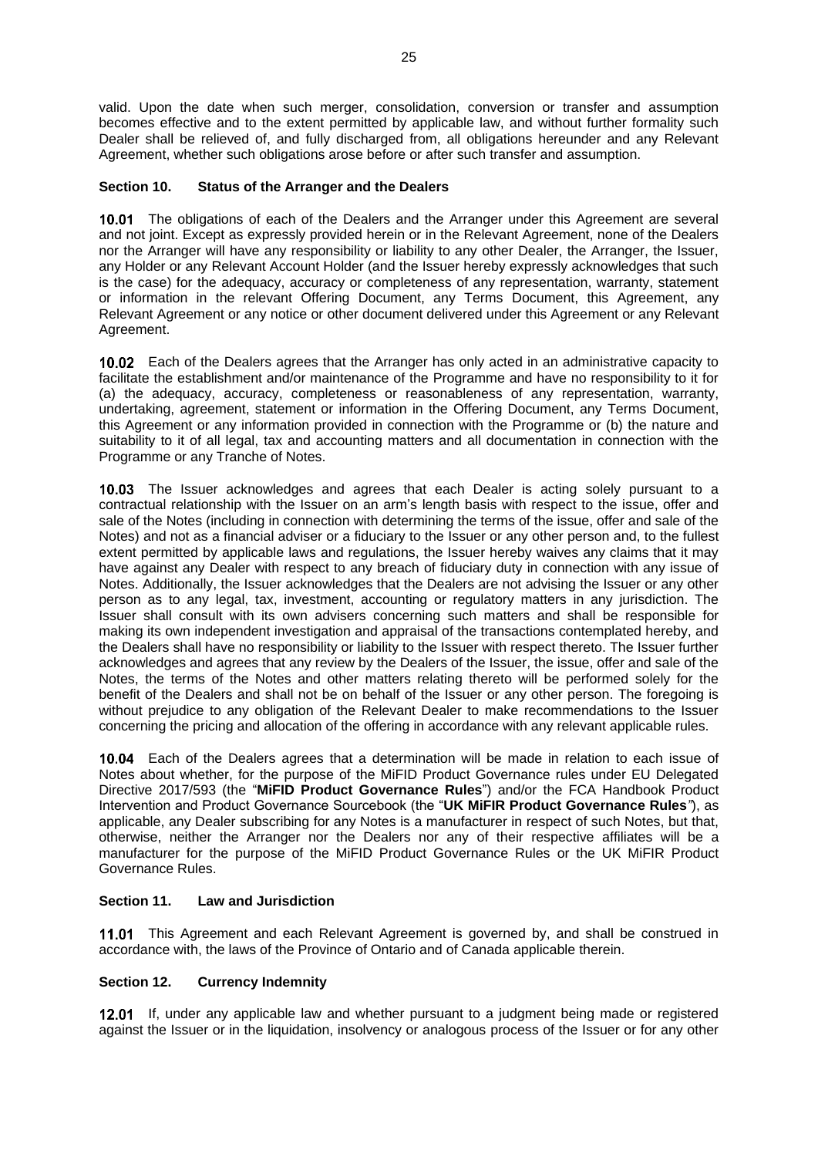valid. Upon the date when such merger, consolidation, conversion or transfer and assumption becomes effective and to the extent permitted by applicable law, and without further formality such Dealer shall be relieved of, and fully discharged from, all obligations hereunder and any Relevant Agreement, whether such obligations arose before or after such transfer and assumption.

## <span id="page-26-0"></span>**Section 10. Status of the Arranger and the Dealers**

10.01 The obligations of each of the Dealers and the Arranger under this Agreement are several and not joint. Except as expressly provided herein or in the Relevant Agreement, none of the Dealers nor the Arranger will have any responsibility or liability to any other Dealer, the Arranger, the Issuer, any Holder or any Relevant Account Holder (and the Issuer hereby expressly acknowledges that such is the case) for the adequacy, accuracy or completeness of any representation, warranty, statement or information in the relevant Offering Document, any Terms Document, this Agreement, any Relevant Agreement or any notice or other document delivered under this Agreement or any Relevant Agreement.

10.02 Each of the Dealers agrees that the Arranger has only acted in an administrative capacity to facilitate the establishment and/or maintenance of the Programme and have no responsibility to it for (a) the adequacy, accuracy, completeness or reasonableness of any representation, warranty, undertaking, agreement, statement or information in the Offering Document, any Terms Document, this Agreement or any information provided in connection with the Programme or (b) the nature and suitability to it of all legal, tax and accounting matters and all documentation in connection with the Programme or any Tranche of Notes.

10.03 The Issuer acknowledges and agrees that each Dealer is acting solely pursuant to a contractual relationship with the Issuer on an arm's length basis with respect to the issue, offer and sale of the Notes (including in connection with determining the terms of the issue, offer and sale of the Notes) and not as a financial adviser or a fiduciary to the Issuer or any other person and, to the fullest extent permitted by applicable laws and regulations, the Issuer hereby waives any claims that it may have against any Dealer with respect to any breach of fiduciary duty in connection with any issue of Notes. Additionally, the Issuer acknowledges that the Dealers are not advising the Issuer or any other person as to any legal, tax, investment, accounting or regulatory matters in any jurisdiction. The Issuer shall consult with its own advisers concerning such matters and shall be responsible for making its own independent investigation and appraisal of the transactions contemplated hereby, and the Dealers shall have no responsibility or liability to the Issuer with respect thereto. The Issuer further acknowledges and agrees that any review by the Dealers of the Issuer, the issue, offer and sale of the Notes, the terms of the Notes and other matters relating thereto will be performed solely for the benefit of the Dealers and shall not be on behalf of the Issuer or any other person. The foregoing is without prejudice to any obligation of the Relevant Dealer to make recommendations to the Issuer concerning the pricing and allocation of the offering in accordance with any relevant applicable rules.

Each of the Dealers agrees that a determination will be made in relation to each issue of Notes about whether, for the purpose of the MiFID Product Governance rules under EU Delegated Directive 2017/593 (the "**MiFID Product Governance Rules**") and/or the FCA Handbook Product Intervention and Product Governance Sourcebook (the "**UK MiFIR Product Governance Rules***"*), as applicable, any Dealer subscribing for any Notes is a manufacturer in respect of such Notes, but that, otherwise, neither the Arranger nor the Dealers nor any of their respective affiliates will be a manufacturer for the purpose of the MiFID Product Governance Rules or the UK MiFIR Product Governance Rules.

## <span id="page-26-1"></span>**Section 11. Law and Jurisdiction**

11.01 This Agreement and each Relevant Agreement is governed by, and shall be construed in accordance with, the laws of the Province of Ontario and of Canada applicable therein.

## <span id="page-26-2"></span>**Section 12. Currency Indemnity**

12.01 If, under any applicable law and whether pursuant to a judgment being made or registered against the Issuer or in the liquidation, insolvency or analogous process of the Issuer or for any other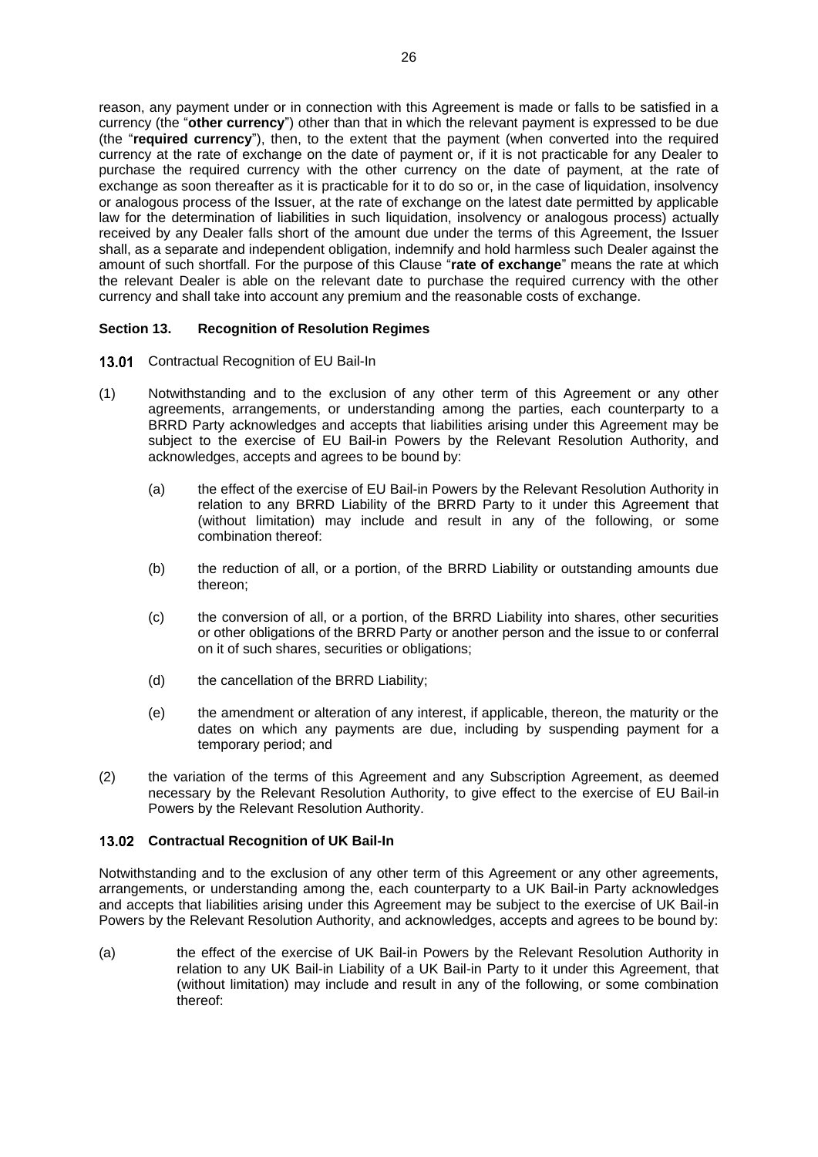reason, any payment under or in connection with this Agreement is made or falls to be satisfied in a currency (the "**other currency**") other than that in which the relevant payment is expressed to be due (the "**required currency**"), then, to the extent that the payment (when converted into the required currency at the rate of exchange on the date of payment or, if it is not practicable for any Dealer to purchase the required currency with the other currency on the date of payment, at the rate of exchange as soon thereafter as it is practicable for it to do so or, in the case of liquidation, insolvency or analogous process of the Issuer, at the rate of exchange on the latest date permitted by applicable law for the determination of liabilities in such liquidation, insolvency or analogous process) actually received by any Dealer falls short of the amount due under the terms of this Agreement, the Issuer shall, as a separate and independent obligation, indemnify and hold harmless such Dealer against the amount of such shortfall. For the purpose of this Clause "**rate of exchange**" means the rate at which the relevant Dealer is able on the relevant date to purchase the required currency with the other currency and shall take into account any premium and the reasonable costs of exchange.

## <span id="page-27-0"></span>**Section 13. Recognition of Resolution Regimes**

- 13.01 Contractual Recognition of EU Bail-In
- (1) Notwithstanding and to the exclusion of any other term of this Agreement or any other agreements, arrangements, or understanding among the parties, each counterparty to a BRRD Party acknowledges and accepts that liabilities arising under this Agreement may be subject to the exercise of EU Bail-in Powers by the Relevant Resolution Authority, and acknowledges, accepts and agrees to be bound by:
	- (a) the effect of the exercise of EU Bail-in Powers by the Relevant Resolution Authority in relation to any BRRD Liability of the BRRD Party to it under this Agreement that (without limitation) may include and result in any of the following, or some combination thereof:
	- (b) the reduction of all, or a portion, of the BRRD Liability or outstanding amounts due thereon;
	- (c) the conversion of all, or a portion, of the BRRD Liability into shares, other securities or other obligations of the BRRD Party or another person and the issue to or conferral on it of such shares, securities or obligations;
	- (d) the cancellation of the BRRD Liability;
	- (e) the amendment or alteration of any interest, if applicable, thereon, the maturity or the dates on which any payments are due, including by suspending payment for a temporary period; and
- (2) the variation of the terms of this Agreement and any Subscription Agreement, as deemed necessary by the Relevant Resolution Authority, to give effect to the exercise of EU Bail-in Powers by the Relevant Resolution Authority.

#### <span id="page-27-1"></span>**Contractual Recognition of UK Bail-In**

Notwithstanding and to the exclusion of any other term of this Agreement or any other agreements, arrangements, or understanding among the, each counterparty to a UK Bail-in Party acknowledges and accepts that liabilities arising under this Agreement may be subject to the exercise of UK Bail-in Powers by the Relevant Resolution Authority, and acknowledges, accepts and agrees to be bound by:

(a) the effect of the exercise of UK Bail-in Powers by the Relevant Resolution Authority in relation to any UK Bail-in Liability of a UK Bail-in Party to it under this Agreement, that (without limitation) may include and result in any of the following, or some combination thereof: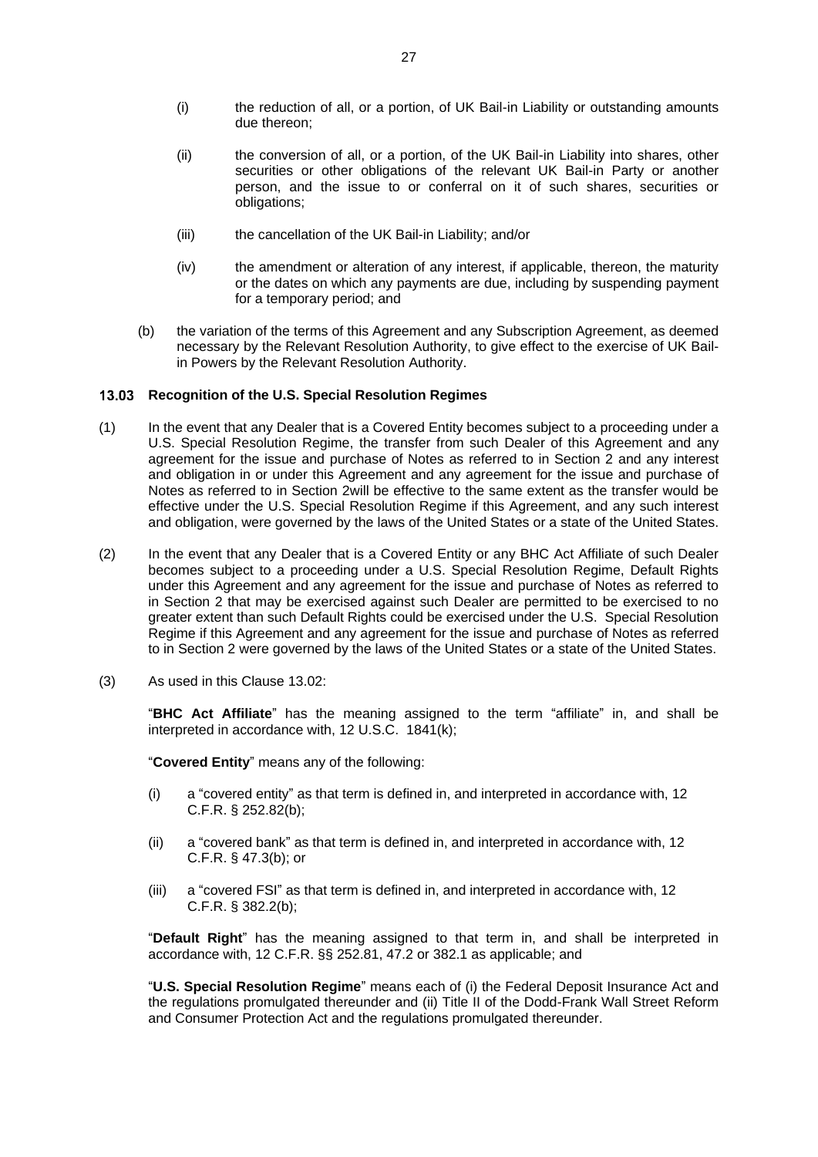- (i) the reduction of all, or a portion, of UK Bail-in Liability or outstanding amounts due thereon;
- (ii) the conversion of all, or a portion, of the UK Bail-in Liability into shares, other securities or other obligations of the relevant UK Bail-in Party or another person, and the issue to or conferral on it of such shares, securities or obligations;
- (iii) the cancellation of the UK Bail-in Liability; and/or
- (iv) the amendment or alteration of any interest, if applicable, thereon, the maturity or the dates on which any payments are due, including by suspending payment for a temporary period; and
- (b) the variation of the terms of this Agreement and any Subscription Agreement, as deemed necessary by the Relevant Resolution Authority, to give effect to the exercise of UK Bailin Powers by the Relevant Resolution Authority.

## **Recognition of the U.S. Special Resolution Regimes**

- (1) In the event that any Dealer that is a Covered Entity becomes subject to a proceeding under a U.S. Special Resolution Regime, the transfer from such Dealer of this Agreement and any agreement for the issue and purchase of Notes as referred to in Section 2 and any interest and obligation in or under this Agreement and any agreement for the issue and purchase of Notes as referred to in Section 2will be effective to the same extent as the transfer would be effective under the U.S. Special Resolution Regime if this Agreement, and any such interest and obligation, were governed by the laws of the United States or a state of the United States.
- (2) In the event that any Dealer that is a Covered Entity or any BHC Act Affiliate of such Dealer becomes subject to a proceeding under a U.S. Special Resolution Regime, Default Rights under this Agreement and any agreement for the issue and purchase of Notes as referred to in Section 2 that may be exercised against such Dealer are permitted to be exercised to no greater extent than such Default Rights could be exercised under the U.S. Special Resolution Regime if this Agreement and any agreement for the issue and purchase of Notes as referred to in Section 2 were governed by the laws of the United States or a state of the United States.
- (3) As used in this Claus[e 13.02:](#page-27-1)

"**BHC Act Affiliate**" has the meaning assigned to the term "affiliate" in, and shall be interpreted in accordance with, 12 U.S.C. 1841(k);

"**Covered Entity**" means any of the following:

- (i) a "covered entity" as that term is defined in, and interpreted in accordance with, 12 C.F.R. § 252.82(b);
- (ii) a "covered bank" as that term is defined in, and interpreted in accordance with, 12 C.F.R. § 47.3(b); or
- (iii) a "covered FSI" as that term is defined in, and interpreted in accordance with, 12 C.F.R. § 382.2(b);

"**Default Right**" has the meaning assigned to that term in, and shall be interpreted in accordance with, 12 C.F.R. §§ 252.81, 47.2 or 382.1 as applicable; and

"**U.S. Special Resolution Regime**" means each of (i) the Federal Deposit Insurance Act and the regulations promulgated thereunder and (ii) Title II of the Dodd-Frank Wall Street Reform and Consumer Protection Act and the regulations promulgated thereunder.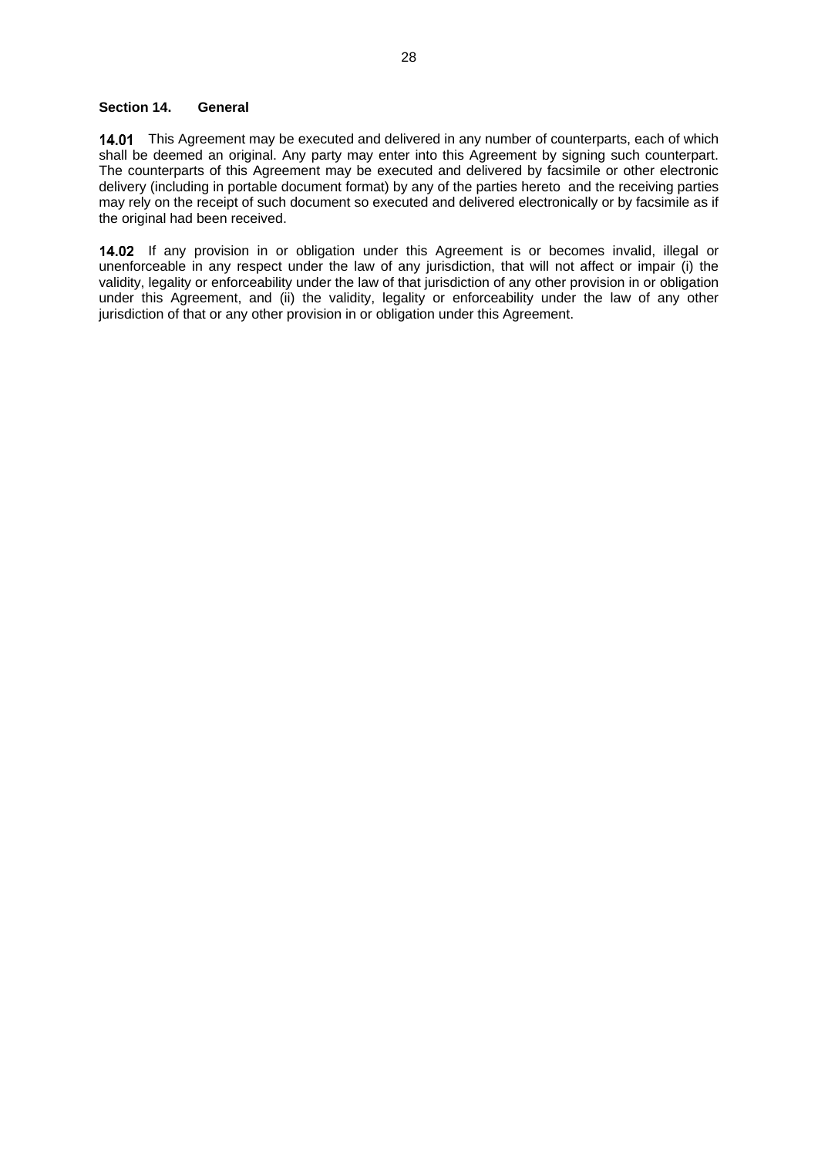#### <span id="page-29-0"></span>**Section 14. General**

14.01 This Agreement may be executed and delivered in any number of counterparts, each of which shall be deemed an original. Any party may enter into this Agreement by signing such counterpart. The counterparts of this Agreement may be executed and delivered by facsimile or other electronic delivery (including in portable document format) by any of the parties hereto and the receiving parties may rely on the receipt of such document so executed and delivered electronically or by facsimile as if the original had been received.

14.02 If any provision in or obligation under this Agreement is or becomes invalid, illegal or unenforceable in any respect under the law of any jurisdiction, that will not affect or impair (i) the validity, legality or enforceability under the law of that jurisdiction of any other provision in or obligation under this Agreement, and (ii) the validity, legality or enforceability under the law of any other jurisdiction of that or any other provision in or obligation under this Agreement.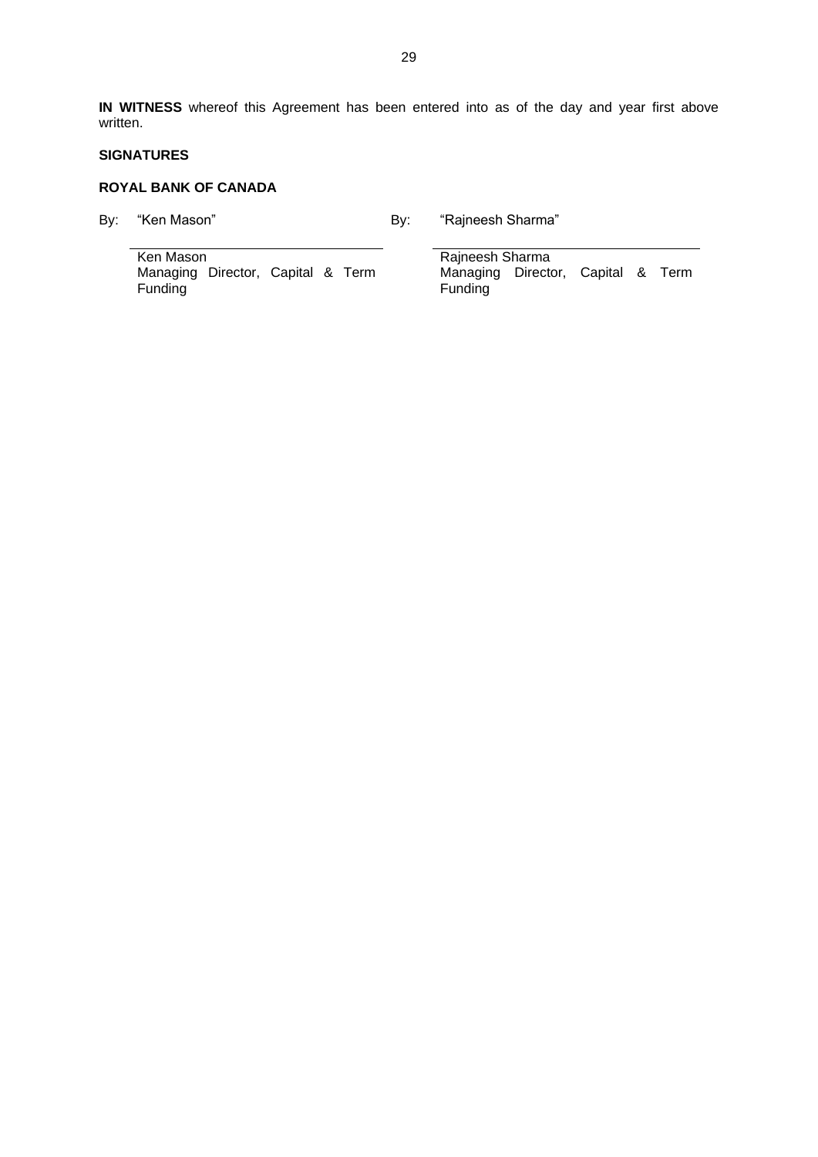**IN WITNESS** whereof this Agreement has been entered into as of the day and year first above written.

#### **SIGNATURES**

#### **ROYAL BANK OF CANADA**

By: "Ken Mason" and By: "Rajneesh Sharma"

Ken Mason Rajneesh Sharma Managing Director, Capital & Term Funding

Managing Director, Capital & Term Funding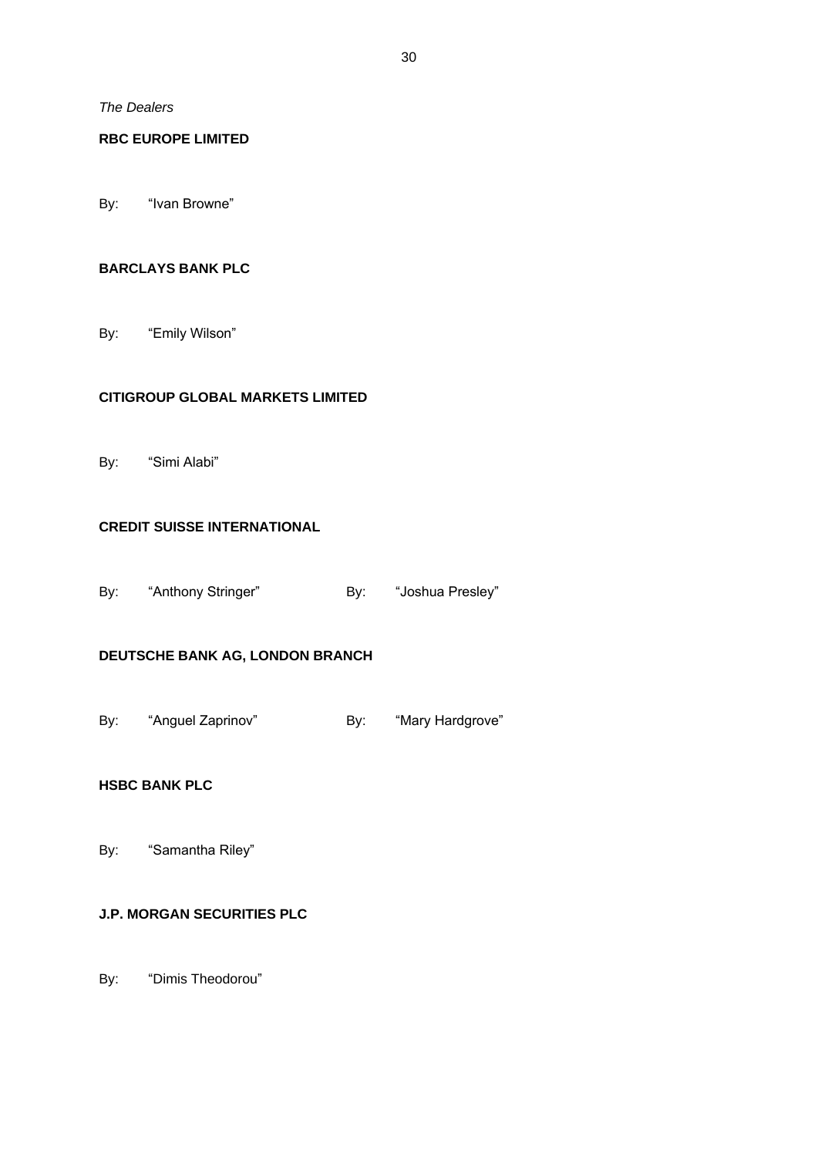*The Dealers*

## **RBC EUROPE LIMITED**

By: "Ivan Browne"

## **BARCLAYS BANK PLC**

By: "Emily Wilson"

## **CITIGROUP GLOBAL MARKETS LIMITED**

By: "Simi Alabi"

## **CREDIT SUISSE INTERNATIONAL**

By: "Anthony Stringer" By: "Joshua Presley"

# **DEUTSCHE BANK AG, LONDON BRANCH**

By: "Anguel Zaprinov" By: "Mary Hardgrove"

## **HSBC BANK PLC**

By: "Samantha Riley"

## **J.P. MORGAN SECURITIES PLC**

By: "Dimis Theodorou"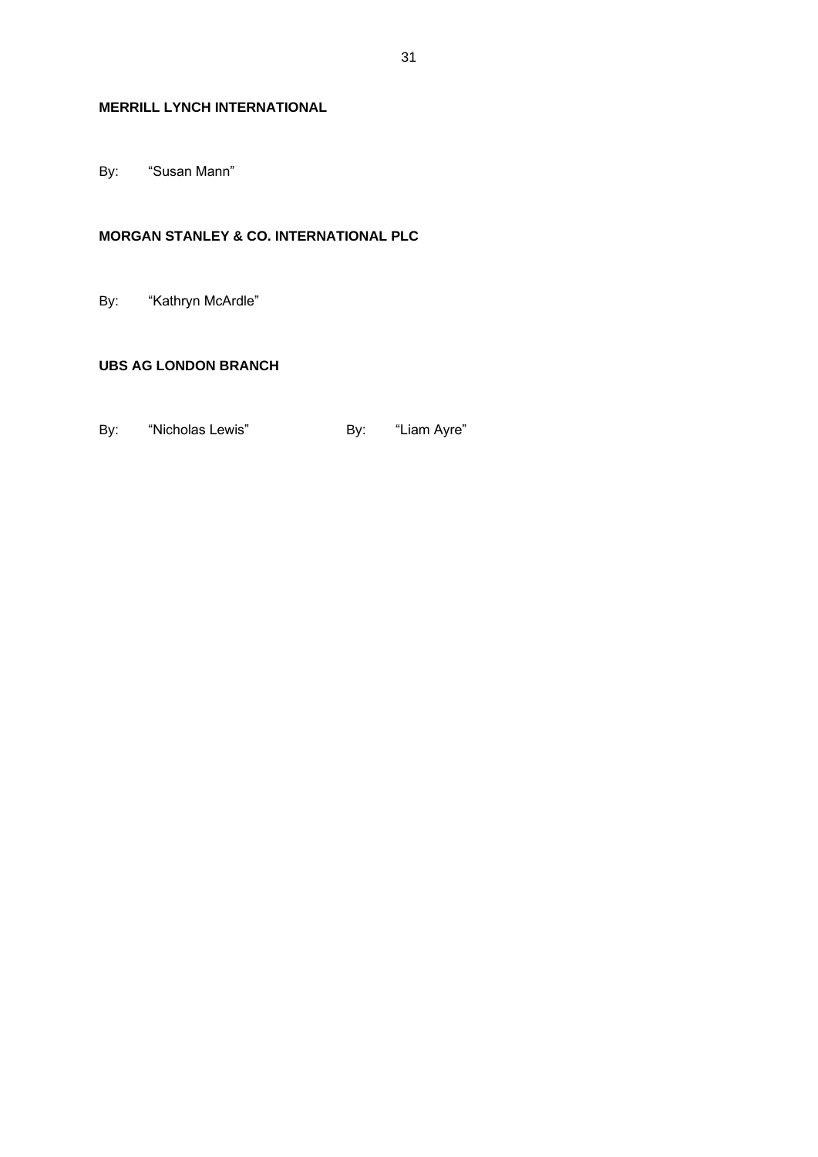# **MERRILL LYNCH INTERNATIONAL**

By: "Susan Mann"

# **MORGAN STANLEY & CO. INTERNATIONAL PLC**

By: "Kathryn McArdle"

## **UBS AG LONDON BRANCH**

By: "Nicholas Lewis" By: "Liam Ayre"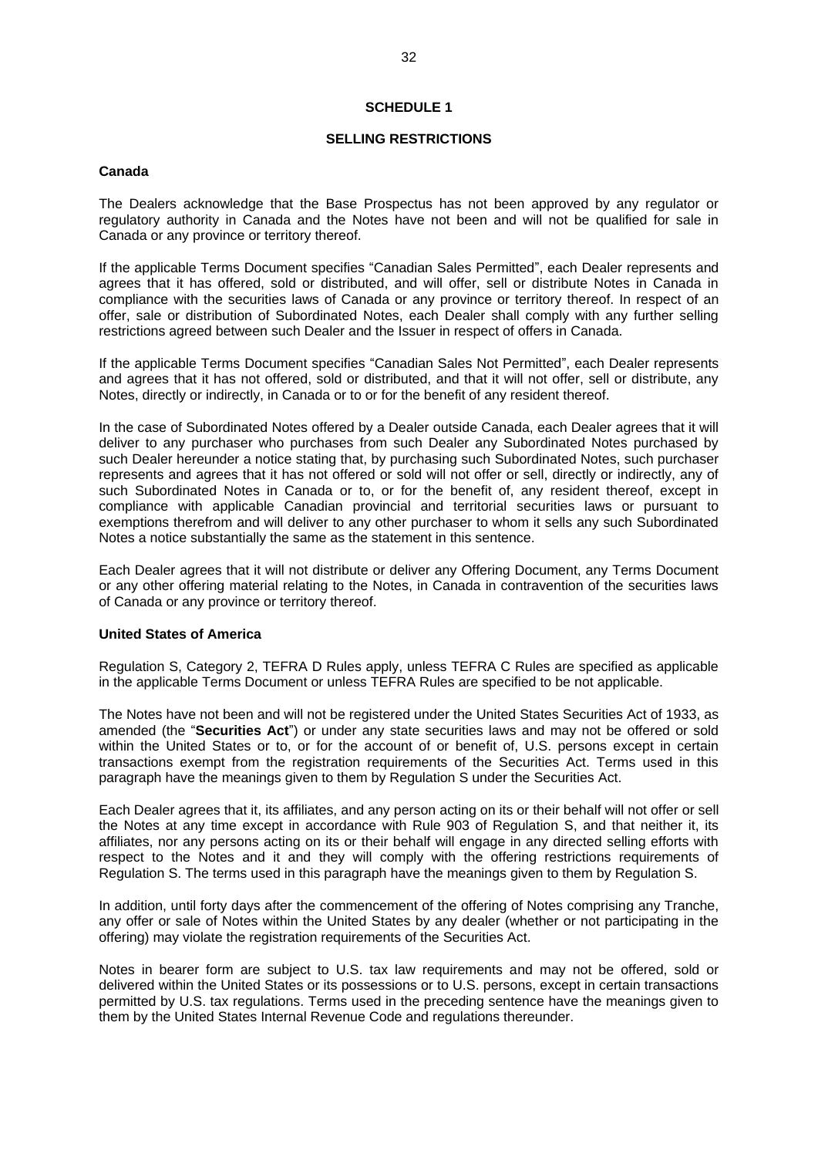#### **SCHEDULE 1**

#### **SELLING RESTRICTIONS**

#### <span id="page-33-1"></span><span id="page-33-0"></span>**Canada**

The Dealers acknowledge that the Base Prospectus has not been approved by any regulator or regulatory authority in Canada and the Notes have not been and will not be qualified for sale in Canada or any province or territory thereof.

If the applicable Terms Document specifies "Canadian Sales Permitted", each Dealer represents and agrees that it has offered, sold or distributed, and will offer, sell or distribute Notes in Canada in compliance with the securities laws of Canada or any province or territory thereof. In respect of an offer, sale or distribution of Subordinated Notes, each Dealer shall comply with any further selling restrictions agreed between such Dealer and the Issuer in respect of offers in Canada.

If the applicable Terms Document specifies "Canadian Sales Not Permitted", each Dealer represents and agrees that it has not offered, sold or distributed, and that it will not offer, sell or distribute, any Notes, directly or indirectly, in Canada or to or for the benefit of any resident thereof.

In the case of Subordinated Notes offered by a Dealer outside Canada, each Dealer agrees that it will deliver to any purchaser who purchases from such Dealer any Subordinated Notes purchased by such Dealer hereunder a notice stating that, by purchasing such Subordinated Notes, such purchaser represents and agrees that it has not offered or sold will not offer or sell, directly or indirectly, any of such Subordinated Notes in Canada or to, or for the benefit of, any resident thereof, except in compliance with applicable Canadian provincial and territorial securities laws or pursuant to exemptions therefrom and will deliver to any other purchaser to whom it sells any such Subordinated Notes a notice substantially the same as the statement in this sentence.

Each Dealer agrees that it will not distribute or deliver any Offering Document, any Terms Document or any other offering material relating to the Notes, in Canada in contravention of the securities laws of Canada or any province or territory thereof.

#### **United States of America**

Regulation S, Category 2, TEFRA D Rules apply, unless TEFRA C Rules are specified as applicable in the applicable Terms Document or unless TEFRA Rules are specified to be not applicable.

The Notes have not been and will not be registered under the United States Securities Act of 1933, as amended (the "**Securities Act**") or under any state securities laws and may not be offered or sold within the United States or to, or for the account of or benefit of, U.S. persons except in certain transactions exempt from the registration requirements of the Securities Act. Terms used in this paragraph have the meanings given to them by Regulation S under the Securities Act.

Each Dealer agrees that it, its affiliates, and any person acting on its or their behalf will not offer or sell the Notes at any time except in accordance with Rule 903 of Regulation S, and that neither it, its affiliates, nor any persons acting on its or their behalf will engage in any directed selling efforts with respect to the Notes and it and they will comply with the offering restrictions requirements of Regulation S. The terms used in this paragraph have the meanings given to them by Regulation S.

In addition, until forty days after the commencement of the offering of Notes comprising any Tranche, any offer or sale of Notes within the United States by any dealer (whether or not participating in the offering) may violate the registration requirements of the Securities Act.

Notes in bearer form are subject to U.S. tax law requirements and may not be offered, sold or delivered within the United States or its possessions or to U.S. persons, except in certain transactions permitted by U.S. tax regulations. Terms used in the preceding sentence have the meanings given to them by the United States Internal Revenue Code and regulations thereunder.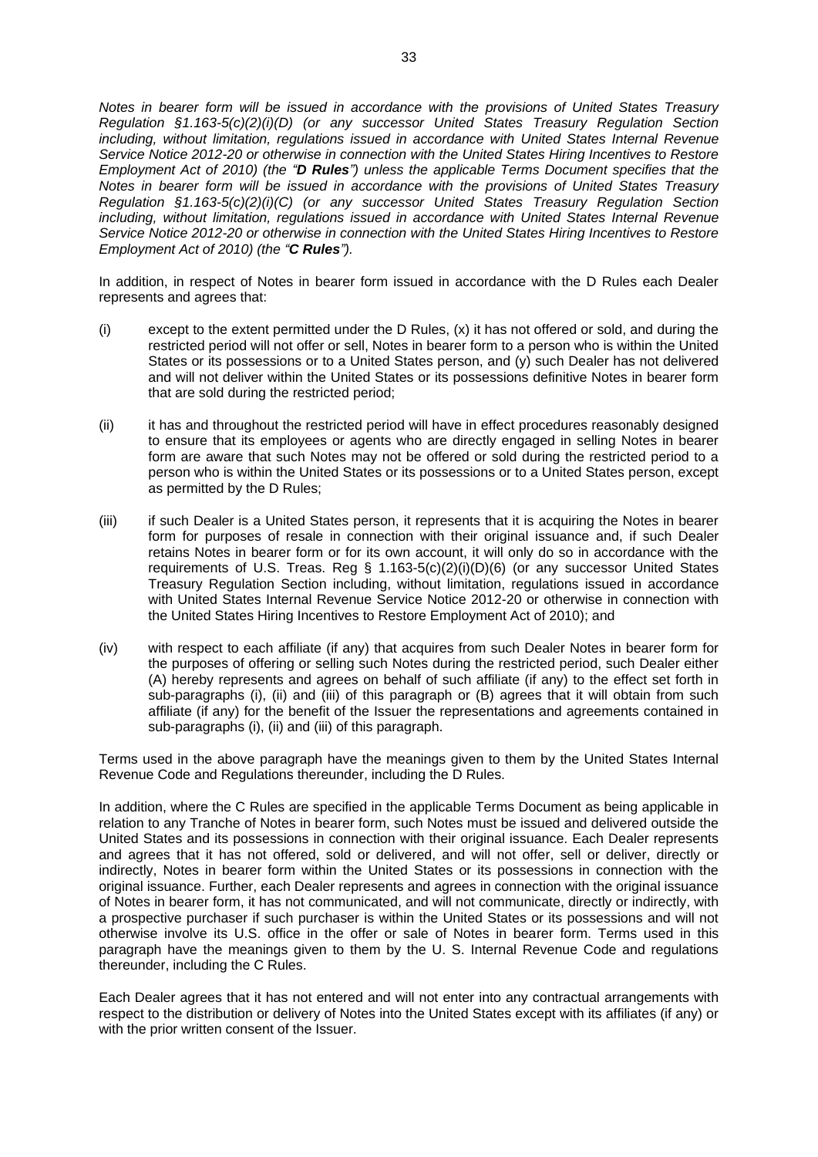*Notes in bearer form will be issued in accordance with the provisions of United States Treasury Regulation §1.163-5(c)(2)(i)(D) (or any successor United States Treasury Regulation Section including, without limitation, regulations issued in accordance with United States Internal Revenue Service Notice 2012-20 or otherwise in connection with the United States Hiring Incentives to Restore Employment Act of 2010) (the "D Rules") unless the applicable Terms Document specifies that the Notes in bearer form will be issued in accordance with the provisions of United States Treasury Regulation §1.163-5(c)(2)(i)(C) (or any successor United States Treasury Regulation Section including, without limitation, regulations issued in accordance with United States Internal Revenue Service Notice 2012-20 or otherwise in connection with the United States Hiring Incentives to Restore Employment Act of 2010) (the "C Rules").*

In addition, in respect of Notes in bearer form issued in accordance with the D Rules each Dealer represents and agrees that:

- (i) except to the extent permitted under the D Rules, (x) it has not offered or sold, and during the restricted period will not offer or sell, Notes in bearer form to a person who is within the United States or its possessions or to a United States person, and (y) such Dealer has not delivered and will not deliver within the United States or its possessions definitive Notes in bearer form that are sold during the restricted period;
- (ii) it has and throughout the restricted period will have in effect procedures reasonably designed to ensure that its employees or agents who are directly engaged in selling Notes in bearer form are aware that such Notes may not be offered or sold during the restricted period to a person who is within the United States or its possessions or to a United States person, except as permitted by the D Rules;
- (iii) if such Dealer is a United States person, it represents that it is acquiring the Notes in bearer form for purposes of resale in connection with their original issuance and, if such Dealer retains Notes in bearer form or for its own account, it will only do so in accordance with the requirements of U.S. Treas. Reg §  $1.163-5(c)(2)(i)(D)(6)$  (or any successor United States Treasury Regulation Section including, without limitation, regulations issued in accordance with United States Internal Revenue Service Notice 2012-20 or otherwise in connection with the United States Hiring Incentives to Restore Employment Act of 2010); and
- (iv) with respect to each affiliate (if any) that acquires from such Dealer Notes in bearer form for the purposes of offering or selling such Notes during the restricted period, such Dealer either (A) hereby represents and agrees on behalf of such affiliate (if any) to the effect set forth in sub-paragraphs (i), (ii) and (iii) of this paragraph or (B) agrees that it will obtain from such affiliate (if any) for the benefit of the Issuer the representations and agreements contained in sub-paragraphs (i), (ii) and (iii) of this paragraph.

Terms used in the above paragraph have the meanings given to them by the United States Internal Revenue Code and Regulations thereunder, including the D Rules.

In addition, where the C Rules are specified in the applicable Terms Document as being applicable in relation to any Tranche of Notes in bearer form, such Notes must be issued and delivered outside the United States and its possessions in connection with their original issuance. Each Dealer represents and agrees that it has not offered, sold or delivered, and will not offer, sell or deliver, directly or indirectly, Notes in bearer form within the United States or its possessions in connection with the original issuance. Further, each Dealer represents and agrees in connection with the original issuance of Notes in bearer form, it has not communicated, and will not communicate, directly or indirectly, with a prospective purchaser if such purchaser is within the United States or its possessions and will not otherwise involve its U.S. office in the offer or sale of Notes in bearer form. Terms used in this paragraph have the meanings given to them by the U. S. Internal Revenue Code and regulations thereunder, including the C Rules.

Each Dealer agrees that it has not entered and will not enter into any contractual arrangements with respect to the distribution or delivery of Notes into the United States except with its affiliates (if any) or with the prior written consent of the Issuer.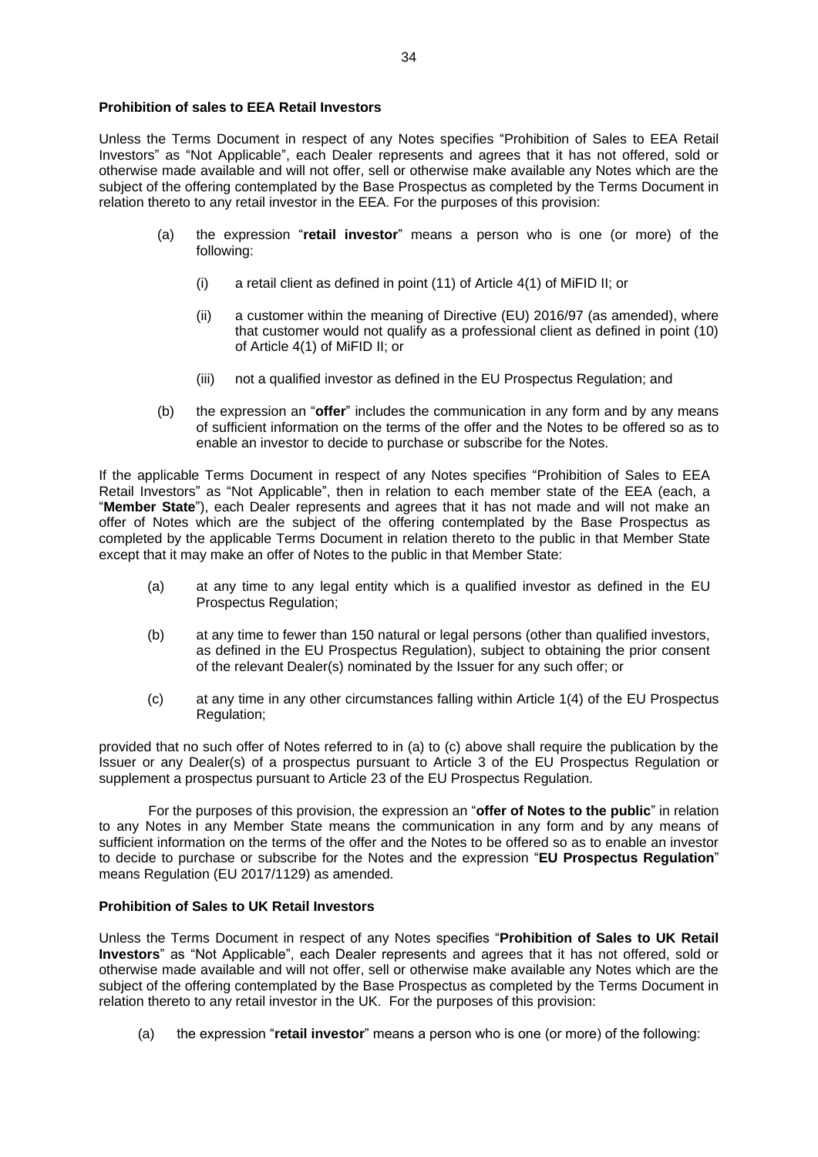#### **Prohibition of sales to EEA Retail Investors**

Unless the Terms Document in respect of any Notes specifies "Prohibition of Sales to EEA Retail Investors" as "Not Applicable", each Dealer represents and agrees that it has not offered, sold or otherwise made available and will not offer, sell or otherwise make available any Notes which are the subject of the offering contemplated by the Base Prospectus as completed by the Terms Document in relation thereto to any retail investor in the EEA. For the purposes of this provision:

- (a) the expression "**retail investor**" means a person who is one (or more) of the following:
	- (i) a retail client as defined in point (11) of Article 4(1) of MiFID II; or
	- (ii) a customer within the meaning of Directive (EU) 2016/97 (as amended), where that customer would not qualify as a professional client as defined in point (10) of Article 4(1) of MiFID II; or
	- (iii) not a qualified investor as defined in the EU Prospectus Regulation; and
- (b) the expression an "**offer**" includes the communication in any form and by any means of sufficient information on the terms of the offer and the Notes to be offered so as to enable an investor to decide to purchase or subscribe for the Notes.

If the applicable Terms Document in respect of any Notes specifies "Prohibition of Sales to EEA Retail Investors" as "Not Applicable", then in relation to each member state of the EEA (each, a "**Member State**"), each Dealer represents and agrees that it has not made and will not make an offer of Notes which are the subject of the offering contemplated by the Base Prospectus as completed by the applicable Terms Document in relation thereto to the public in that Member State except that it may make an offer of Notes to the public in that Member State:

- (a) at any time to any legal entity which is a qualified investor as defined in the EU Prospectus Regulation;
- (b) at any time to fewer than 150 natural or legal persons (other than qualified investors, as defined in the EU Prospectus Regulation), subject to obtaining the prior consent of the relevant Dealer(s) nominated by the Issuer for any such offer; or
- (c) at any time in any other circumstances falling within Article 1(4) of the EU Prospectus Regulation;

provided that no such offer of Notes referred to in (a) to (c) above shall require the publication by the Issuer or any Dealer(s) of a prospectus pursuant to Article 3 of the EU Prospectus Regulation or supplement a prospectus pursuant to Article 23 of the EU Prospectus Regulation.

For the purposes of this provision, the expression an "**offer of Notes to the public**" in relation to any Notes in any Member State means the communication in any form and by any means of sufficient information on the terms of the offer and the Notes to be offered so as to enable an investor to decide to purchase or subscribe for the Notes and the expression "**EU Prospectus Regulation**" means Regulation (EU 2017/1129) as amended.

#### **Prohibition of Sales to UK Retail Investors**

Unless the Terms Document in respect of any Notes specifies "**Prohibition of Sales to UK Retail Investors**" as "Not Applicable", each Dealer represents and agrees that it has not offered, sold or otherwise made available and will not offer, sell or otherwise make available any Notes which are the subject of the offering contemplated by the Base Prospectus as completed by the Terms Document in relation thereto to any retail investor in the UK. For the purposes of this provision:

(a) the expression "**retail investor**" means a person who is one (or more) of the following: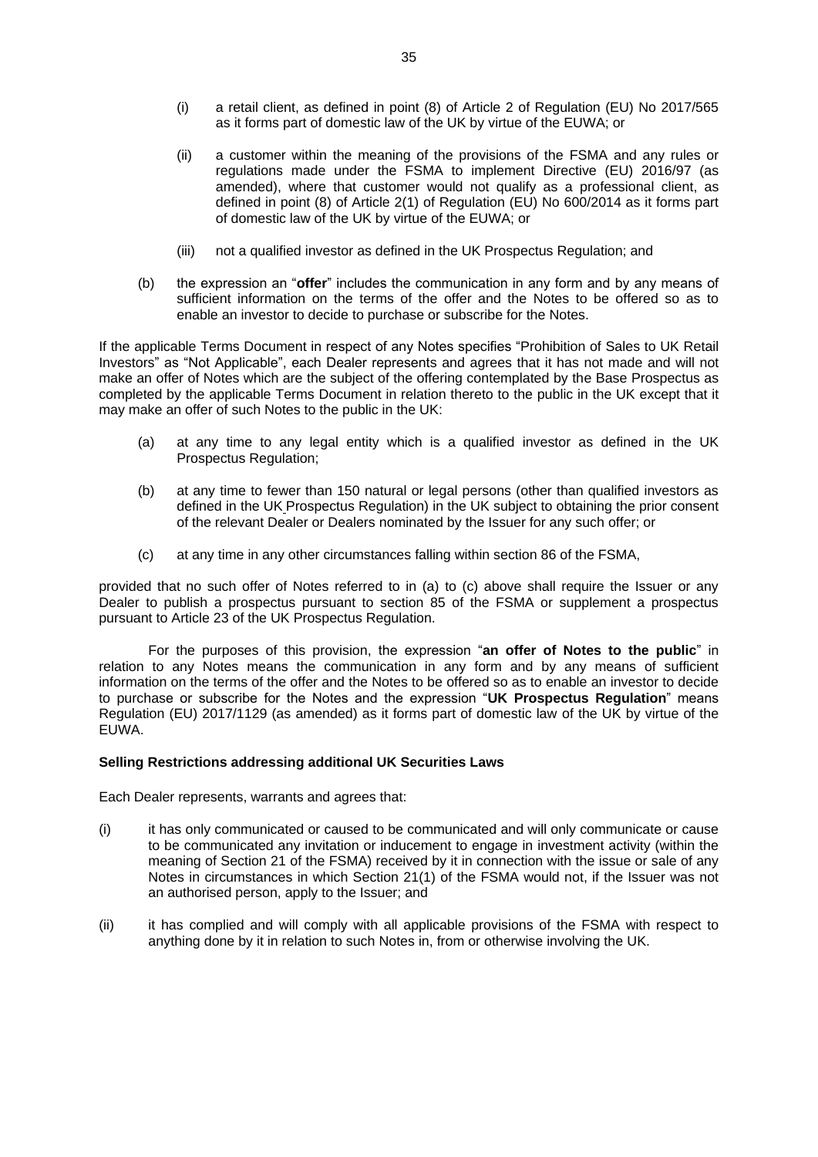- (i) a retail client, as defined in point (8) of Article 2 of Regulation (EU) No 2017/565 as it forms part of domestic law of the UK by virtue of the EUWA; or
- (ii) a customer within the meaning of the provisions of the FSMA and any rules or regulations made under the FSMA to implement Directive (EU) 2016/97 (as amended), where that customer would not qualify as a professional client, as defined in point (8) of Article 2(1) of Regulation (EU) No 600/2014 as it forms part of domestic law of the UK by virtue of the EUWA; or
- (iii) not a qualified investor as defined in the UK Prospectus Regulation; and
- (b) the expression an "**offer**" includes the communication in any form and by any means of sufficient information on the terms of the offer and the Notes to be offered so as to enable an investor to decide to purchase or subscribe for the Notes.

If the applicable Terms Document in respect of any Notes specifies "Prohibition of Sales to UK Retail Investors" as "Not Applicable", each Dealer represents and agrees that it has not made and will not make an offer of Notes which are the subject of the offering contemplated by the Base Prospectus as completed by the applicable Terms Document in relation thereto to the public in the UK except that it may make an offer of such Notes to the public in the UK:

- (a) at any time to any legal entity which is a qualified investor as defined in the UK Prospectus Regulation;
- (b) at any time to fewer than 150 natural or legal persons (other than qualified investors as defined in the UK Prospectus Regulation) in the UK subject to obtaining the prior consent of the relevant Dealer or Dealers nominated by the Issuer for any such offer; or
- (c) at any time in any other circumstances falling within section 86 of the FSMA,

provided that no such offer of Notes referred to in (a) to (c) above shall require the Issuer or any Dealer to publish a prospectus pursuant to section 85 of the FSMA or supplement a prospectus pursuant to Article 23 of the UK Prospectus Regulation.

For the purposes of this provision, the expression "**an offer of Notes to the public**" in relation to any Notes means the communication in any form and by any means of sufficient information on the terms of the offer and the Notes to be offered so as to enable an investor to decide to purchase or subscribe for the Notes and the expression "**UK Prospectus Regulation**" means Regulation (EU) 2017/1129 (as amended) as it forms part of domestic law of the UK by virtue of the EUWA.

#### **Selling Restrictions addressing additional UK Securities Laws**

Each Dealer represents, warrants and agrees that:

- (i) it has only communicated or caused to be communicated and will only communicate or cause to be communicated any invitation or inducement to engage in investment activity (within the meaning of Section 21 of the FSMA) received by it in connection with the issue or sale of any Notes in circumstances in which Section 21(1) of the FSMA would not, if the Issuer was not an authorised person, apply to the Issuer; and
- (ii) it has complied and will comply with all applicable provisions of the FSMA with respect to anything done by it in relation to such Notes in, from or otherwise involving the UK.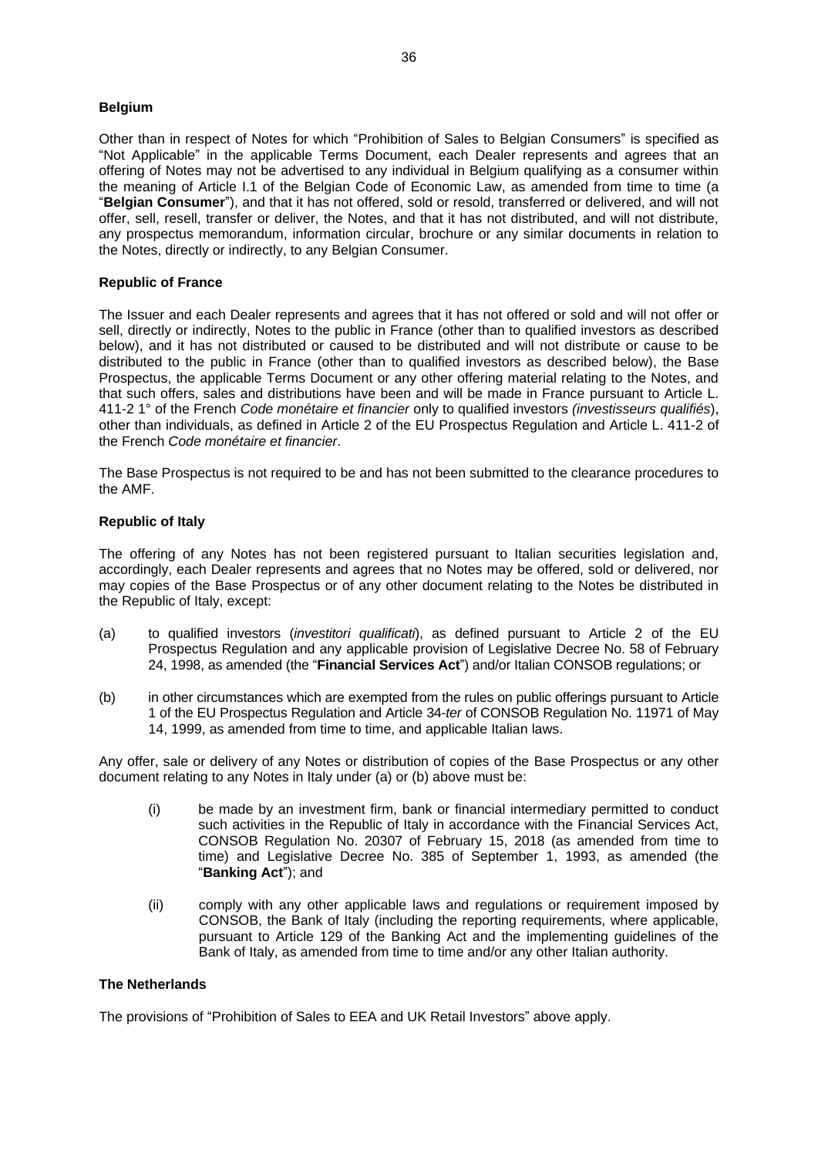# **Belgium**

Other than in respect of Notes for which "Prohibition of Sales to Belgian Consumers" is specified as "Not Applicable" in the applicable Terms Document, each Dealer represents and agrees that an offering of Notes may not be advertised to any individual in Belgium qualifying as a consumer within the meaning of Article I.1 of the Belgian Code of Economic Law, as amended from time to time (a "**Belgian Consumer**"), and that it has not offered, sold or resold, transferred or delivered, and will not offer, sell, resell, transfer or deliver, the Notes, and that it has not distributed, and will not distribute, any prospectus memorandum, information circular, brochure or any similar documents in relation to the Notes, directly or indirectly, to any Belgian Consumer.

#### **Republic of France**

The Issuer and each Dealer represents and agrees that it has not offered or sold and will not offer or sell, directly or indirectly, Notes to the public in France (other than to qualified investors as described below), and it has not distributed or caused to be distributed and will not distribute or cause to be distributed to the public in France (other than to qualified investors as described below), the Base Prospectus, the applicable Terms Document or any other offering material relating to the Notes, and that such offers, sales and distributions have been and will be made in France pursuant to Article L. 411-2 1° of the French *Code monétaire et financier* only to qualified investors *(investisseurs qualifiés*), other than individuals, as defined in Article 2 of the EU Prospectus Regulation and Article L. 411-2 of the French *Code monétaire et financier*.

The Base Prospectus is not required to be and has not been submitted to the clearance procedures to the AMF.

# **Republic of Italy**

The offering of any Notes has not been registered pursuant to Italian securities legislation and, accordingly, each Dealer represents and agrees that no Notes may be offered, sold or delivered, nor may copies of the Base Prospectus or of any other document relating to the Notes be distributed in the Republic of Italy, except:

- (a) to qualified investors (*investitori qualificati*), as defined pursuant to Article 2 of the EU Prospectus Regulation and any applicable provision of Legislative Decree No. 58 of February 24, 1998, as amended (the "**Financial Services Act**") and/or Italian CONSOB regulations; or
- (b) in other circumstances which are exempted from the rules on public offerings pursuant to Article 1 of the EU Prospectus Regulation and Article 34-*ter* of CONSOB Regulation No. 11971 of May 14, 1999, as amended from time to time, and applicable Italian laws.

Any offer, sale or delivery of any Notes or distribution of copies of the Base Prospectus or any other document relating to any Notes in Italy under (a) or (b) above must be:

- (i) be made by an investment firm, bank or financial intermediary permitted to conduct such activities in the Republic of Italy in accordance with the Financial Services Act, CONSOB Regulation No. 20307 of February 15, 2018 (as amended from time to time) and Legislative Decree No. 385 of September 1, 1993, as amended (the "**Banking Act**"); and
- (ii) comply with any other applicable laws and regulations or requirement imposed by CONSOB, the Bank of Italy (including the reporting requirements, where applicable, pursuant to Article 129 of the Banking Act and the implementing guidelines of the Bank of Italy, as amended from time to time and/or any other Italian authority.

#### **The Netherlands**

The provisions of "Prohibition of Sales to EEA and UK Retail Investors" above apply.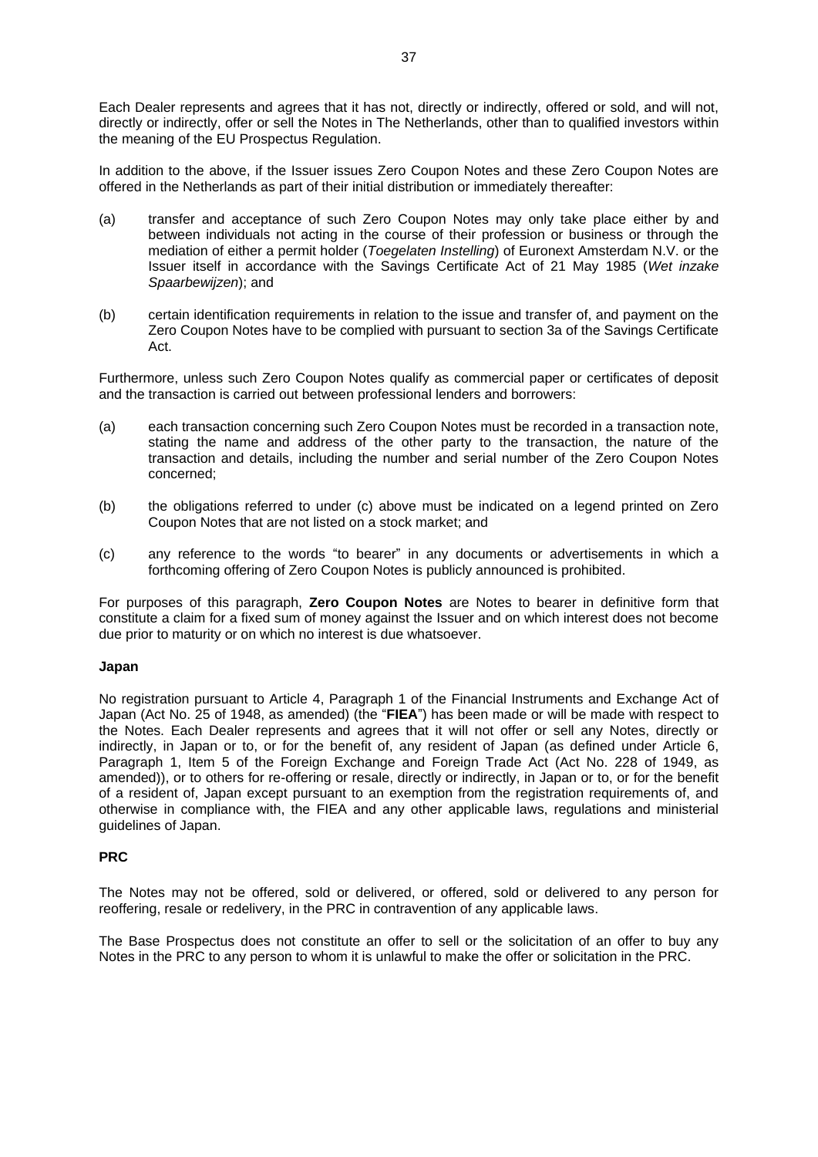In addition to the above, if the Issuer issues Zero Coupon Notes and these Zero Coupon Notes are offered in the Netherlands as part of their initial distribution or immediately thereafter:

- (a) transfer and acceptance of such Zero Coupon Notes may only take place either by and between individuals not acting in the course of their profession or business or through the mediation of either a permit holder (*Toegelaten Instelling*) of Euronext Amsterdam N.V. or the Issuer itself in accordance with the Savings Certificate Act of 21 May 1985 (*Wet inzake Spaarbewijzen*); and
- (b) certain identification requirements in relation to the issue and transfer of, and payment on the Zero Coupon Notes have to be complied with pursuant to section 3a of the Savings Certificate Act.

Furthermore, unless such Zero Coupon Notes qualify as commercial paper or certificates of deposit and the transaction is carried out between professional lenders and borrowers:

- (a) each transaction concerning such Zero Coupon Notes must be recorded in a transaction note, stating the name and address of the other party to the transaction, the nature of the transaction and details, including the number and serial number of the Zero Coupon Notes concerned;
- (b) the obligations referred to under (c) above must be indicated on a legend printed on Zero Coupon Notes that are not listed on a stock market; and
- (c) any reference to the words "to bearer" in any documents or advertisements in which a forthcoming offering of Zero Coupon Notes is publicly announced is prohibited.

For purposes of this paragraph, **Zero Coupon Notes** are Notes to bearer in definitive form that constitute a claim for a fixed sum of money against the Issuer and on which interest does not become due prior to maturity or on which no interest is due whatsoever.

#### **Japan**

No registration pursuant to Article 4, Paragraph 1 of the Financial Instruments and Exchange Act of Japan (Act No. 25 of 1948, as amended) (the "**FIEA**") has been made or will be made with respect to the Notes. Each Dealer represents and agrees that it will not offer or sell any Notes, directly or indirectly, in Japan or to, or for the benefit of, any resident of Japan (as defined under Article 6, Paragraph 1, Item 5 of the Foreign Exchange and Foreign Trade Act (Act No. 228 of 1949, as amended)), or to others for re-offering or resale, directly or indirectly, in Japan or to, or for the benefit of a resident of, Japan except pursuant to an exemption from the registration requirements of, and otherwise in compliance with, the FIEA and any other applicable laws, regulations and ministerial guidelines of Japan.

# **PRC**

The Notes may not be offered, sold or delivered, or offered, sold or delivered to any person for reoffering, resale or redelivery, in the PRC in contravention of any applicable laws.

The Base Prospectus does not constitute an offer to sell or the solicitation of an offer to buy any Notes in the PRC to any person to whom it is unlawful to make the offer or solicitation in the PRC.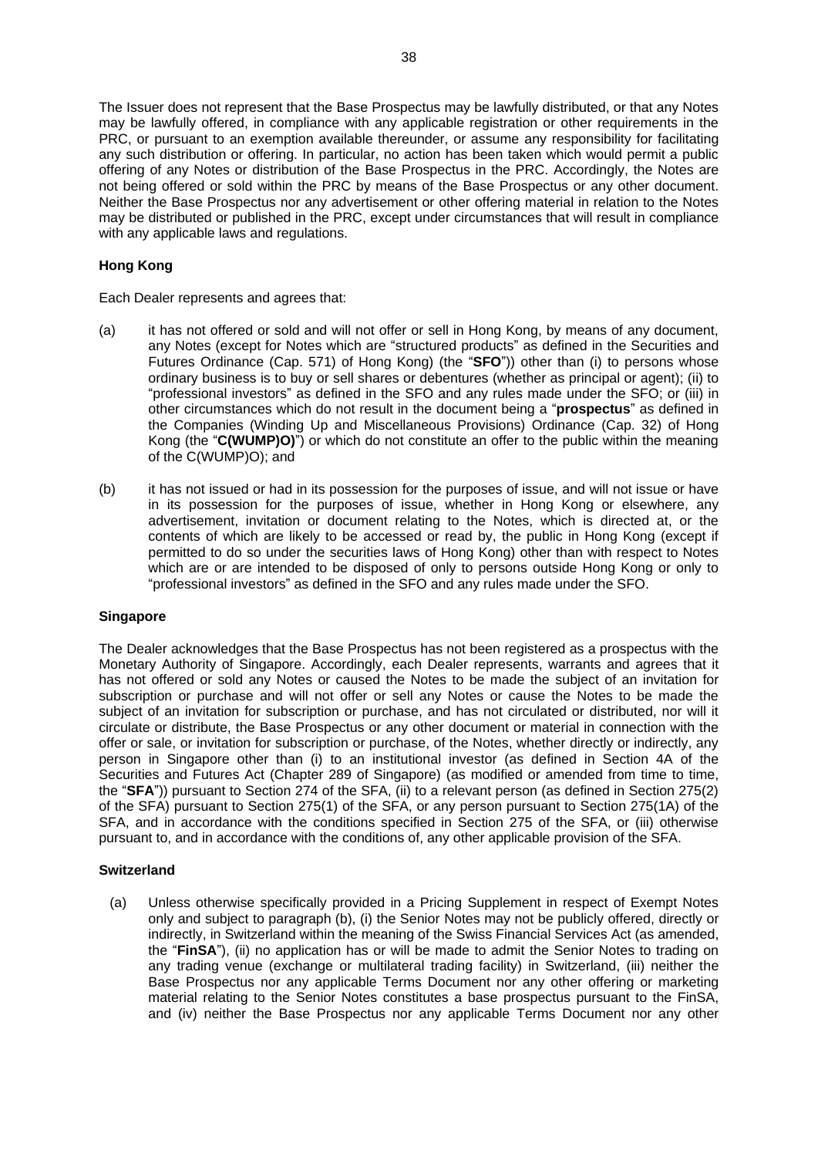The Issuer does not represent that the Base Prospectus may be lawfully distributed, or that any Notes may be lawfully offered, in compliance with any applicable registration or other requirements in the PRC, or pursuant to an exemption available thereunder, or assume any responsibility for facilitating any such distribution or offering. In particular, no action has been taken which would permit a public offering of any Notes or distribution of the Base Prospectus in the PRC. Accordingly, the Notes are not being offered or sold within the PRC by means of the Base Prospectus or any other document. Neither the Base Prospectus nor any advertisement or other offering material in relation to the Notes may be distributed or published in the PRC, except under circumstances that will result in compliance with any applicable laws and regulations.

# **Hong Kong**

Each Dealer represents and agrees that:

- (a) it has not offered or sold and will not offer or sell in Hong Kong, by means of any document, any Notes (except for Notes which are "structured products" as defined in the Securities and Futures Ordinance (Cap. 571) of Hong Kong) (the "**SFO**")) other than (i) to persons whose ordinary business is to buy or sell shares or debentures (whether as principal or agent); (ii) to "professional investors" as defined in the SFO and any rules made under the SFO; or (iii) in other circumstances which do not result in the document being a "**prospectus**" as defined in the Companies (Winding Up and Miscellaneous Provisions) Ordinance (Cap. 32) of Hong Kong (the "**C(WUMP)O)**") or which do not constitute an offer to the public within the meaning of the C(WUMP)O); and
- (b) it has not issued or had in its possession for the purposes of issue, and will not issue or have in its possession for the purposes of issue, whether in Hong Kong or elsewhere, any advertisement, invitation or document relating to the Notes, which is directed at, or the contents of which are likely to be accessed or read by, the public in Hong Kong (except if permitted to do so under the securities laws of Hong Kong) other than with respect to Notes which are or are intended to be disposed of only to persons outside Hong Kong or only to "professional investors" as defined in the SFO and any rules made under the SFO.

#### **Singapore**

The Dealer acknowledges that the Base Prospectus has not been registered as a prospectus with the Monetary Authority of Singapore. Accordingly, each Dealer represents, warrants and agrees that it has not offered or sold any Notes or caused the Notes to be made the subject of an invitation for subscription or purchase and will not offer or sell any Notes or cause the Notes to be made the subject of an invitation for subscription or purchase, and has not circulated or distributed, nor will it circulate or distribute, the Base Prospectus or any other document or material in connection with the offer or sale, or invitation for subscription or purchase, of the Notes, whether directly or indirectly, any person in Singapore other than (i) to an institutional investor (as defined in Section 4A of the Securities and Futures Act (Chapter 289 of Singapore) (as modified or amended from time to time, the "**SFA**")) pursuant to Section 274 of the SFA, (ii) to a relevant person (as defined in Section 275(2) of the SFA) pursuant to Section 275(1) of the SFA, or any person pursuant to Section 275(1A) of the SFA, and in accordance with the conditions specified in Section 275 of the SFA, or (iii) otherwise pursuant to, and in accordance with the conditions of, any other applicable provision of the SFA.

#### **Switzerland**

(a) Unless otherwise specifically provided in a Pricing Supplement in respect of Exempt Notes only and subject to paragraph (b), (i) the Senior Notes may not be publicly offered, directly or indirectly, in Switzerland within the meaning of the Swiss Financial Services Act (as amended, the "**FinSA**"), (ii) no application has or will be made to admit the Senior Notes to trading on any trading venue (exchange or multilateral trading facility) in Switzerland, (iii) neither the Base Prospectus nor any applicable Terms Document nor any other offering or marketing material relating to the Senior Notes constitutes a base prospectus pursuant to the FinSA, and (iv) neither the Base Prospectus nor any applicable Terms Document nor any other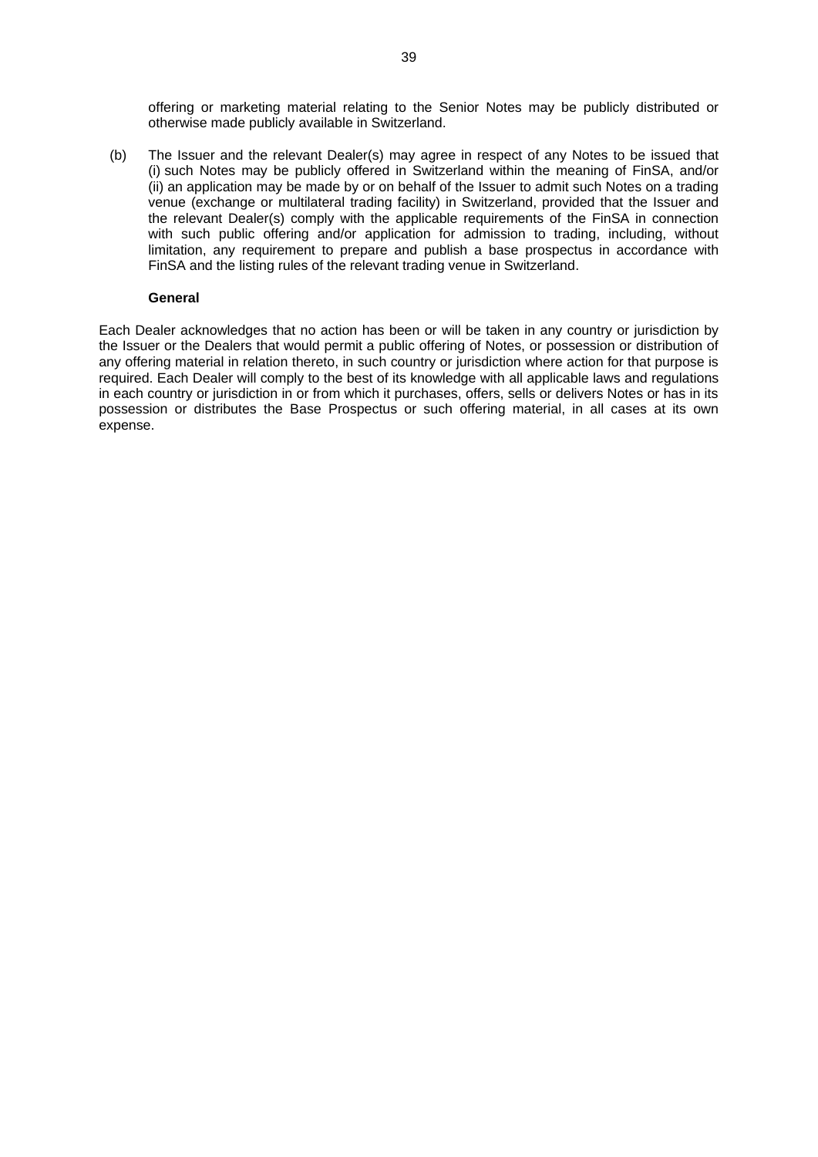offering or marketing material relating to the Senior Notes may be publicly distributed or otherwise made publicly available in Switzerland.

(b) The Issuer and the relevant Dealer(s) may agree in respect of any Notes to be issued that (i) such Notes may be publicly offered in Switzerland within the meaning of FinSA, and/or (ii) an application may be made by or on behalf of the Issuer to admit such Notes on a trading venue (exchange or multilateral trading facility) in Switzerland, provided that the Issuer and the relevant Dealer(s) comply with the applicable requirements of the FinSA in connection with such public offering and/or application for admission to trading, including, without limitation, any requirement to prepare and publish a base prospectus in accordance with FinSA and the listing rules of the relevant trading venue in Switzerland.

#### **General**

Each Dealer acknowledges that no action has been or will be taken in any country or jurisdiction by the Issuer or the Dealers that would permit a public offering of Notes, or possession or distribution of any offering material in relation thereto, in such country or jurisdiction where action for that purpose is required. Each Dealer will comply to the best of its knowledge with all applicable laws and regulations in each country or jurisdiction in or from which it purchases, offers, sells or delivers Notes or has in its possession or distributes the Base Prospectus or such offering material, in all cases at its own expense.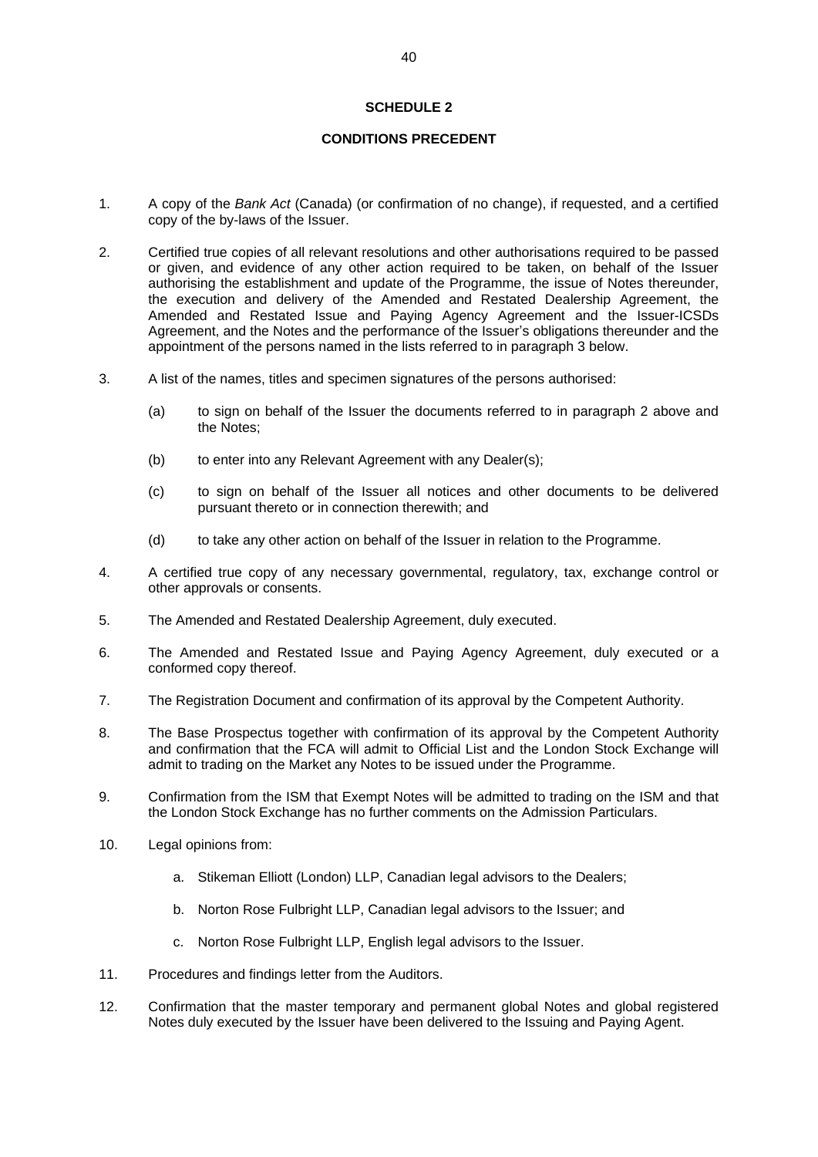# **SCHEDULE 2**

## **CONDITIONS PRECEDENT**

- 1. A copy of the *Bank Act* (Canada) (or confirmation of no change), if requested, and a certified copy of the by-laws of the Issuer.
- 2. Certified true copies of all relevant resolutions and other authorisations required to be passed or given, and evidence of any other action required to be taken, on behalf of the Issuer authorising the establishment and update of the Programme, the issue of Notes thereunder, the execution and delivery of the Amended and Restated Dealership Agreement, the Amended and Restated Issue and Paying Agency Agreement and the Issuer-ICSDs Agreement, and the Notes and the performance of the Issuer's obligations thereunder and the appointment of the persons named in the lists referred to in paragraph 3 below.
- 3. A list of the names, titles and specimen signatures of the persons authorised:
	- (a) to sign on behalf of the Issuer the documents referred to in paragraph 2 above and the Notes;
	- (b) to enter into any Relevant Agreement with any Dealer(s);
	- (c) to sign on behalf of the Issuer all notices and other documents to be delivered pursuant thereto or in connection therewith; and
	- (d) to take any other action on behalf of the Issuer in relation to the Programme.
- 4. A certified true copy of any necessary governmental, regulatory, tax, exchange control or other approvals or consents.
- 5. The Amended and Restated Dealership Agreement, duly executed.
- 6. The Amended and Restated Issue and Paying Agency Agreement, duly executed or a conformed copy thereof.
- 7. The Registration Document and confirmation of its approval by the Competent Authority.
- 8. The Base Prospectus together with confirmation of its approval by the Competent Authority and confirmation that the FCA will admit to Official List and the London Stock Exchange will admit to trading on the Market any Notes to be issued under the Programme.
- 9. Confirmation from the ISM that Exempt Notes will be admitted to trading on the ISM and that the London Stock Exchange has no further comments on the Admission Particulars.
- 10. Legal opinions from:
	- a. Stikeman Elliott (London) LLP, Canadian legal advisors to the Dealers;
	- b. Norton Rose Fulbright LLP, Canadian legal advisors to the Issuer; and
	- c. Norton Rose Fulbright LLP, English legal advisors to the Issuer.
- 11. Procedures and findings letter from the Auditors.
- 12. Confirmation that the master temporary and permanent global Notes and global registered Notes duly executed by the Issuer have been delivered to the Issuing and Paying Agent.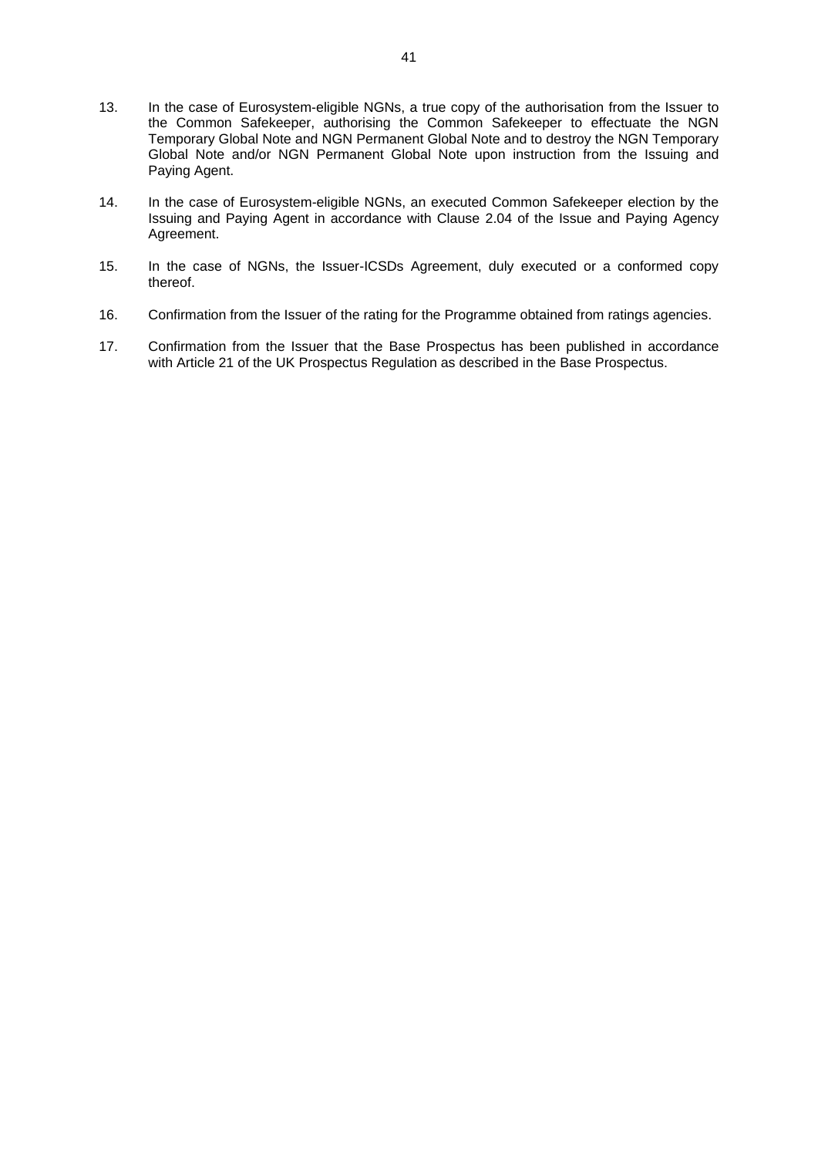- 13. In the case of Eurosystem-eligible NGNs, a true copy of the authorisation from the Issuer to the Common Safekeeper, authorising the Common Safekeeper to effectuate the NGN Temporary Global Note and NGN Permanent Global Note and to destroy the NGN Temporary Global Note and/or NGN Permanent Global Note upon instruction from the Issuing and Paying Agent.
- 14. In the case of Eurosystem-eligible NGNs, an executed Common Safekeeper election by the Issuing and Paying Agent in accordance with Clause [2.04](#page-11-0) of the Issue and Paying Agency Agreement.
- 15. In the case of NGNs, the Issuer-ICSDs Agreement, duly executed or a conformed copy thereof.
- 16. Confirmation from the Issuer of the rating for the Programme obtained from ratings agencies.
- 17. Confirmation from the Issuer that the Base Prospectus has been published in accordance with Article 21 of the UK Prospectus Regulation as described in the Base Prospectus.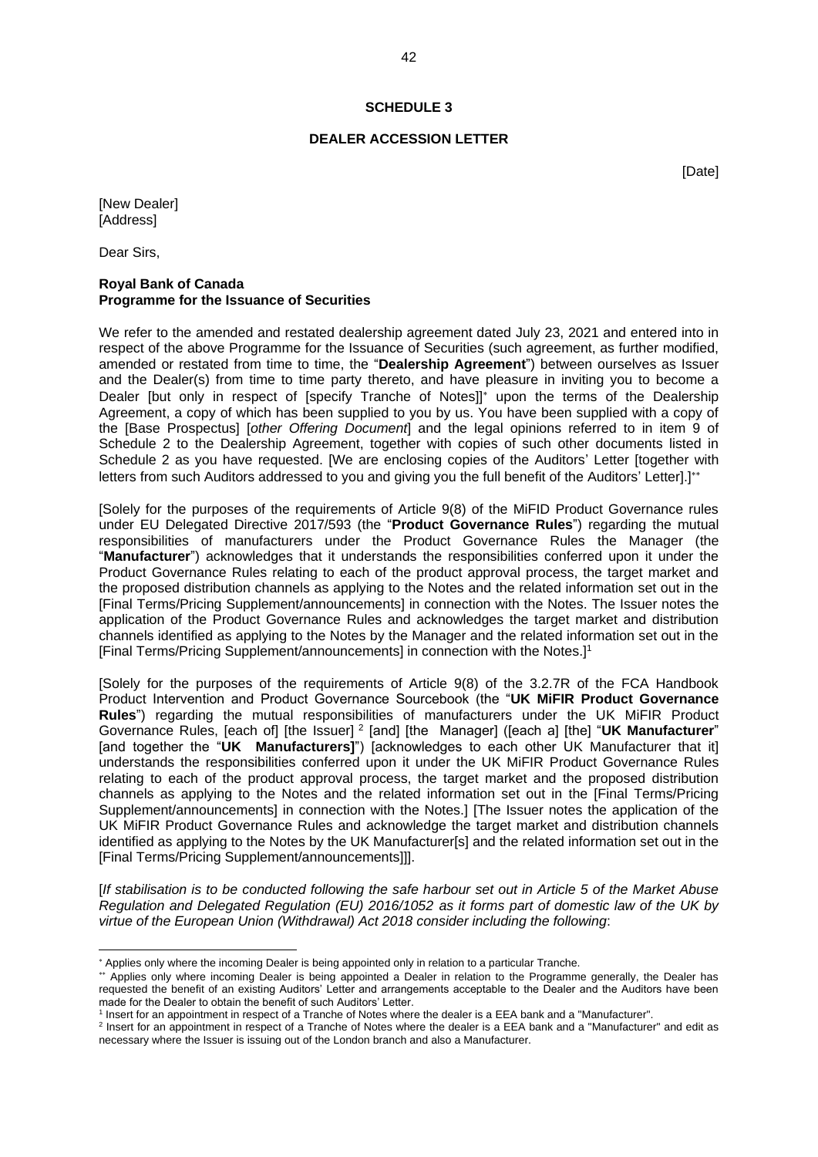#### **SCHEDULE 3**

#### **DEALER ACCESSION LETTER**

[Date]

[New Dealer] **[Address]** 

Dear Sirs,

#### **Royal Bank of Canada Programme for the Issuance of Securities**

We refer to the amended and restated dealership agreement dated July 23, 2021 and entered into in respect of the above Programme for the Issuance of Securities (such agreement, as further modified, amended or restated from time to time, the "**Dealership Agreement**") between ourselves as Issuer and the Dealer(s) from time to time party thereto, and have pleasure in inviting you to become a Dealer [but only in respect of [specify Tranche of Notes]]<sup>\*</sup> upon the terms of the Dealership Agreement, a copy of which has been supplied to you by us. You have been supplied with a copy of the [Base Prospectus] [*other Offering Document*] and the legal opinions referred to in item 9 of Schedule 2 to the Dealership Agreement, together with copies of such other documents listed in Schedule 2 as you have requested. [We are enclosing copies of the Auditors' Letter [together with letters from such Auditors addressed to you and giving you the full benefit of the Auditors' Letter.

[Solely for the purposes of the requirements of Article 9(8) of the MiFID Product Governance rules under EU Delegated Directive 2017/593 (the "**Product Governance Rules**") regarding the mutual responsibilities of manufacturers under the Product Governance Rules the Manager (the "**Manufacturer**") acknowledges that it understands the responsibilities conferred upon it under the Product Governance Rules relating to each of the product approval process, the target market and the proposed distribution channels as applying to the Notes and the related information set out in the [Final Terms/Pricing Supplement/announcements] in connection with the Notes. The Issuer notes the application of the Product Governance Rules and acknowledges the target market and distribution channels identified as applying to the Notes by the Manager and the related information set out in the [Final Terms/Pricing Supplement/announcements] in connection with the Notes.]<sup>1</sup>

[Solely for the purposes of the requirements of Article 9(8) of the 3.2.7R of the FCA Handbook Product Intervention and Product Governance Sourcebook (the "**UK MiFIR Product Governance Rules**") regarding the mutual responsibilities of manufacturers under the UK MiFIR Product Governance Rules, [each of] [the Issuer] <sup>2</sup> [and] [the Manager] ([each a] [the] "UK Manufacturer" [and together the "**UK Manufacturers]**") [acknowledges to each other UK Manufacturer that it] understands the responsibilities conferred upon it under the UK MiFIR Product Governance Rules relating to each of the product approval process, the target market and the proposed distribution channels as applying to the Notes and the related information set out in the [Final Terms/Pricing Supplement/announcements] in connection with the Notes.] [The Issuer notes the application of the UK MiFIR Product Governance Rules and acknowledge the target market and distribution channels identified as applying to the Notes by the UK Manufacturer[s] and the related information set out in the [Final Terms/Pricing Supplement/announcements]]].

[*If stabilisation is to be conducted following the safe harbour set out in Article 5 of the Market Abuse Regulation and Delegated Regulation (EU) 2016/1052 as it forms part of domestic law of the UK by virtue of the European Union (Withdrawal) Act 2018 consider including the following*:

<sup>\*</sup> Applies only where the incoming Dealer is being appointed only in relation to a particular Tranche.

<sup>\*\*</sup> Applies only where incoming Dealer is being appointed a Dealer in relation to the Programme generally, the Dealer has requested the benefit of an existing Auditors' Letter and arrangements acceptable to the Dealer and the Auditors have been made for the Dealer to obtain the benefit of such Auditors' Letter.

<sup>&</sup>lt;sup>1</sup> Insert for an appointment in respect of a Tranche of Notes where the dealer is a EEA bank and a "Manufacturer".

<sup>&</sup>lt;sup>2</sup> Insert for an appointment in respect of a Tranche of Notes where the dealer is a EEA bank and a "Manufacturer" and edit as necessary where the Issuer is issuing out of the London branch and also a Manufacturer.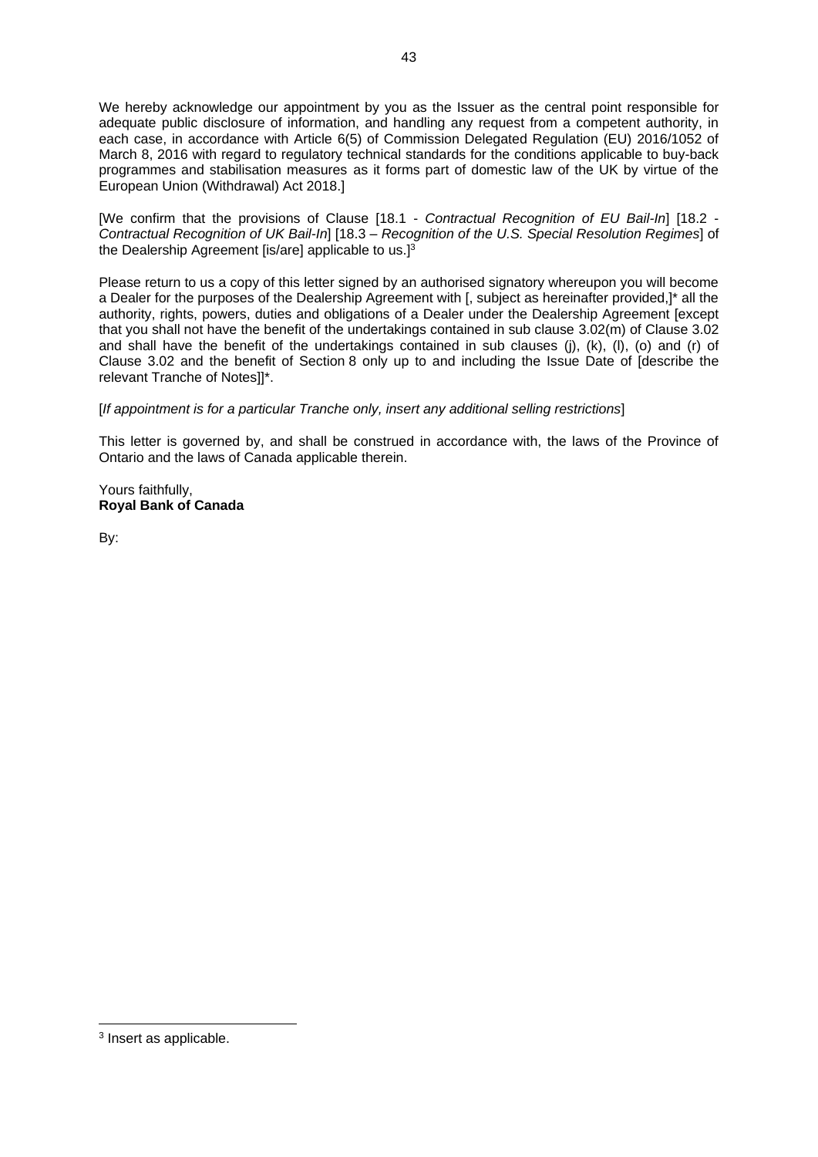We hereby acknowledge our appointment by you as the Issuer as the central point responsible for adequate public disclosure of information, and handling any request from a competent authority, in each case, in accordance with Article 6(5) of Commission Delegated Regulation (EU) 2016/1052 of March 8, 2016 with regard to regulatory technical standards for the conditions applicable to buy-back programmes and stabilisation measures as it forms part of domestic law of the UK by virtue of the European Union (Withdrawal) Act 2018.]

[We confirm that the provisions of Clause [18.1 - *Contractual Recognition of EU Bail-In*] [18.2 - *Contractual Recognition of UK Bail-In*] [18.3 – *Recognition of the U.S. Special Resolution Regimes*] of the Dealership Agreement [is/are] applicable to us. $1^3$ 

Please return to us a copy of this letter signed by an authorised signatory whereupon you will become a Dealer for the purposes of the Dealership Agreement with [, subject as hereinafter provided,]\* all the authority, rights, powers, duties and obligations of a Dealer under the Dealership Agreement [except that you shall not have the benefit of the undertakings contained in sub clause [3.02\(m\)](#page-18-0) of Clause 3.02 and shall have the benefit of the undertakings contained in sub clauses [\(j\),](#page-18-1) [\(k\),](#page-18-2) [\(l\),](#page-18-3) [\(o\)](#page-19-0) and [\(r\)](#page-19-1) of Clause 3.02 and the benefit of [Section](#page-25-0) 8 only up to and including the Issue Date of [describe the relevant Tranche of Notes]]\*.

[*If appointment is for a particular Tranche only, insert any additional selling restrictions*]

This letter is governed by, and shall be construed in accordance with, the laws of the Province of Ontario and the laws of Canada applicable therein.

Yours faithfully, **Royal Bank of Canada**

By:

<sup>&</sup>lt;sup>3</sup> Insert as applicable.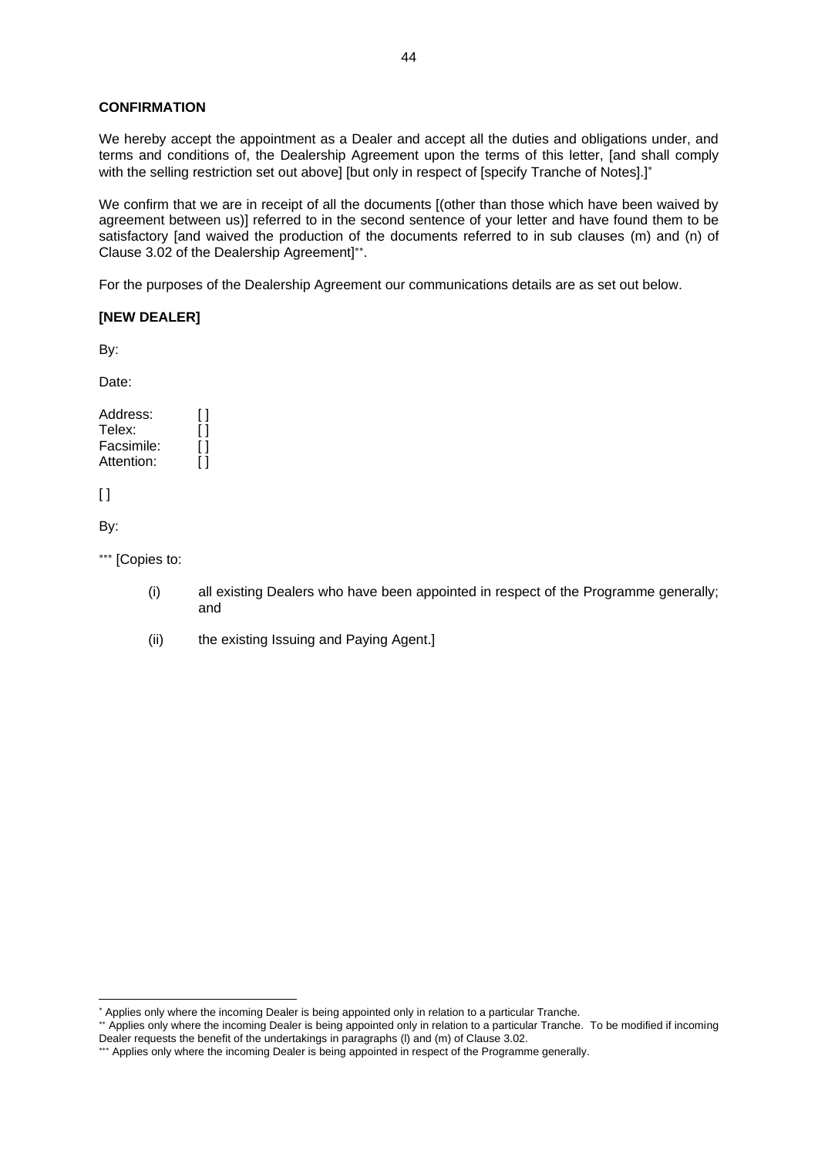# **CONFIRMATION**

We hereby accept the appointment as a Dealer and accept all the duties and obligations under, and terms and conditions of, the Dealership Agreement upon the terms of this letter, [and shall comply with the selling restriction set out above] [but only in respect of [specify Tranche of Notes].]\*

We confirm that we are in receipt of all the documents [(other than those which have been waived by agreement between us)] referred to in the second sentence of your letter and have found them to be satisfactory [and waived the production of the documents referred to in sub clauses [\(m\)](#page-18-0) and [\(n\)](#page-18-4) of Clause 3.02 of the Dealership Agreement] .

For the purposes of the Dealership Agreement our communications details are as set out below.

# **[NEW DEALER]**

By:

Date:

Address: [] Telex: Facsimile: Attention: [ ]

 $[ ]$ 

By:

\*\*\* [Copies to:

- (i) all existing Dealers who have been appointed in respect of the Programme generally; and
- (ii) the existing Issuing and Paying Agent.]

<sup>\*</sup> Applies only where the incoming Dealer is being appointed only in relation to a particular Tranche.

<sup>\*\*</sup> Applies only where the incoming Dealer is being appointed only in relation to a particular Tranche. To be modified if incoming Dealer requests the benefit of the undertakings in paragraph[s \(l\)](#page-18-3) an[d \(m\)](#page-18-0) of Clause 3.02.

<sup>\*\*\*</sup> Applies only where the incoming Dealer is being appointed in respect of the Programme generally.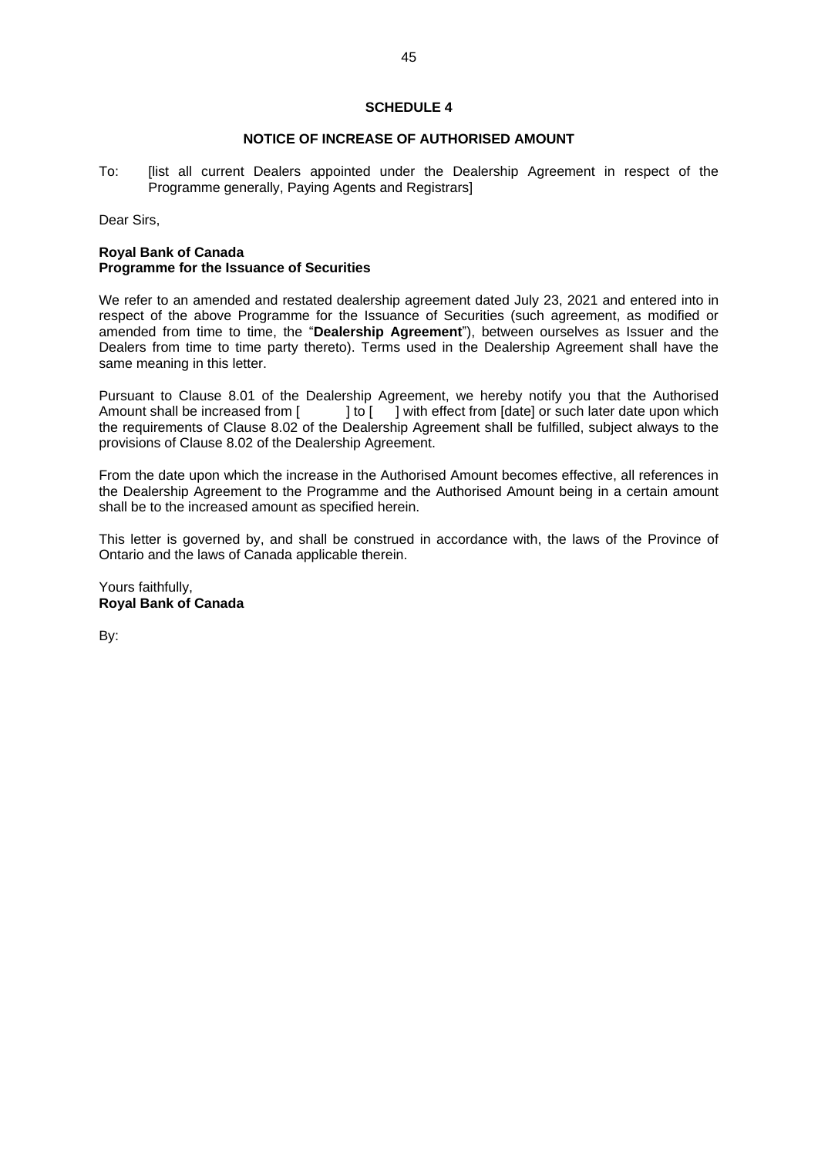#### **SCHEDULE 4**

#### **NOTICE OF INCREASE OF AUTHORISED AMOUNT**

To: [list all current Dealers appointed under the Dealership Agreement in respect of the Programme generally, Paying Agents and Registrars]

Dear Sirs,

# **Royal Bank of Canada Programme for the Issuance of Securities**

We refer to an amended and restated dealership agreement dated July 23, 2021 and entered into in respect of the above Programme for the Issuance of Securities (such agreement, as modified or amended from time to time, the "**Dealership Agreement**"), between ourselves as Issuer and the Dealers from time to time party thereto). Terms used in the Dealership Agreement shall have the same meaning in this letter.

Pursuant to Clause 8.01 of the Dealership Agreement, we hereby notify you that the Authorised<br>Amount shall be increased from  $\begin{bmatrix} 1 & 1 \end{bmatrix}$  with effect from [date] or such later date upon which | to [ ] with effect from [date] or such later date upon which the requirements of Clause 8.02 of the Dealership Agreement shall be fulfilled, subject always to the provisions of Clause 8.02 of the Dealership Agreement.

From the date upon which the increase in the Authorised Amount becomes effective, all references in the Dealership Agreement to the Programme and the Authorised Amount being in a certain amount shall be to the increased amount as specified herein.

This letter is governed by, and shall be construed in accordance with, the laws of the Province of Ontario and the laws of Canada applicable therein.

Yours faithfully, **Royal Bank of Canada**

By: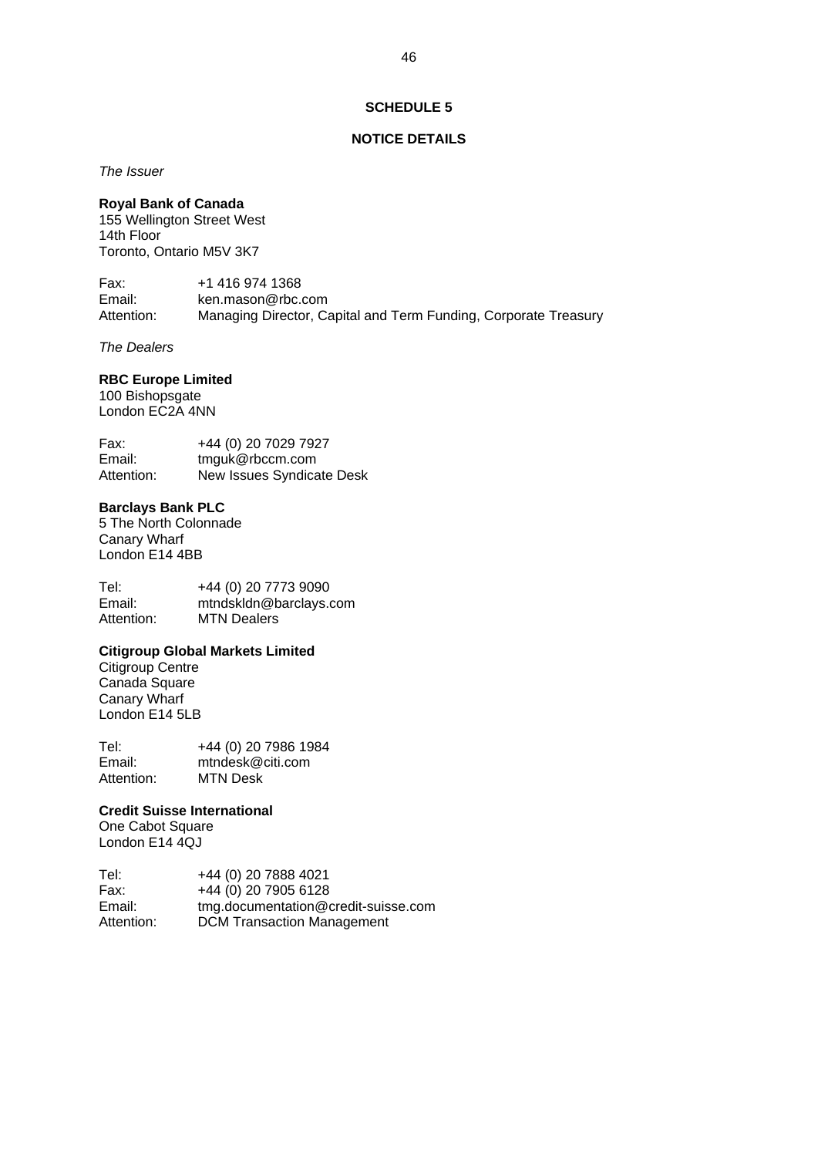#### **SCHEDULE 5**

## **NOTICE DETAILS**

*The Issuer*

#### **Royal Bank of Canada**

155 Wellington Street West 14th Floor Toronto, Ontario M5V 3K7

Fax: +1 416 974 1368<br>Fmail: ken mason@rbc ken.mason@rbc.com Attention: Managing Director, Capital and Term Funding, Corporate Treasury

*The Dealers*

#### **RBC Europe Limited**

100 Bishopsgate London EC2A 4NN

Fax: +44 (0) 20 7029 7927 Email: tmguk@rbccm.com<br>Attention: New Issues Syndica New Issues Syndicate Desk

# **Barclays Bank PLC**

5 The North Colonnade Canary Wharf London E14 4BB

Tel: +44 (0) 20 7773 9090<br>Email: mtndskldn@barclavs.org Email: mtndskldn@barclays.com<br>Attention: MTN Dealers **MTN Dealers** 

#### **Citigroup Global Markets Limited**

Citigroup Centre Canada Square Canary Wharf London E14 5LB

Tel: +44 (0) 20 7986 1984<br>Email: mtndesk@citi.com mtndesk@citi.com Attention: MTN Desk

## **Credit Suisse International**

One Cabot Square London E14 4QJ

Tel: +44 (0) 20 7888 4021 Fax: +44 (0) 20 7905 6128 Email: tmg.documentation@credit-suisse.com Attention: DCM Transaction Management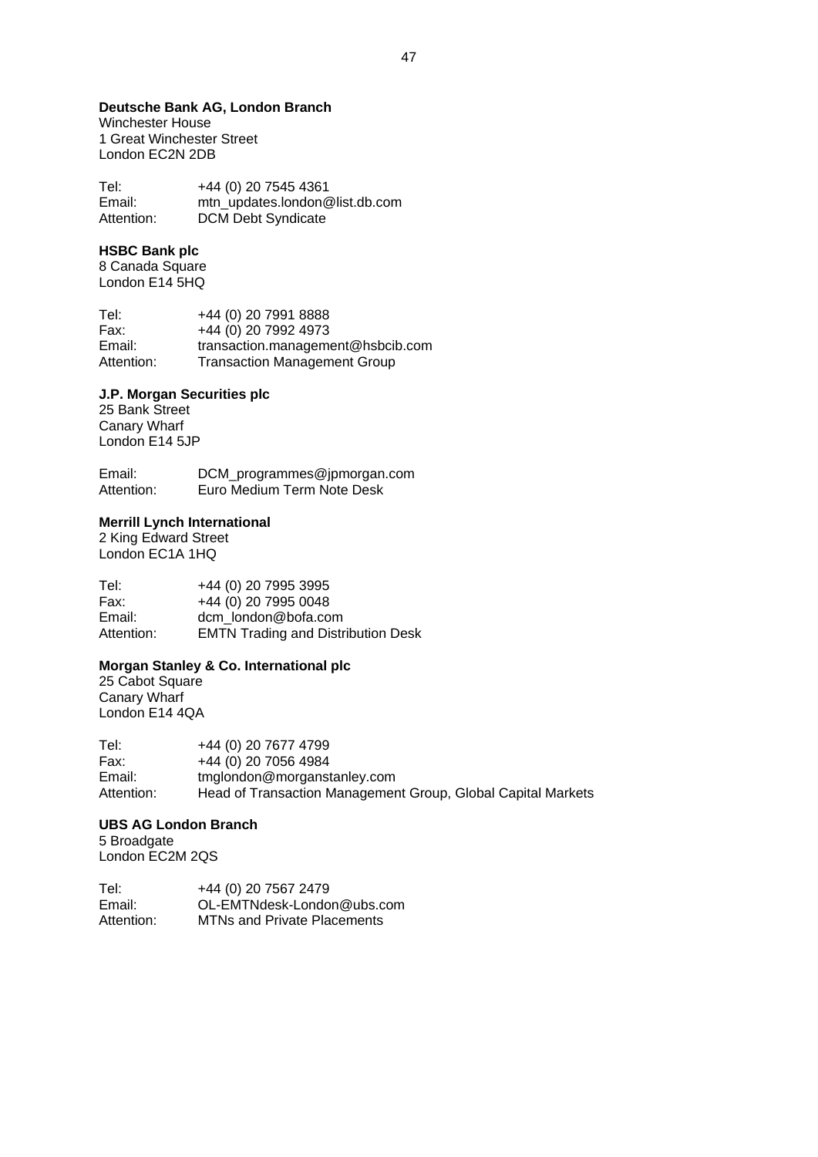#### **Deutsche Bank AG, London Branch**

Winchester House 1 Great Winchester Street London EC2N 2DB

Tel: +44 (0) 20 7545 4361<br>Email: mtn updates.london@ mtn\_updates.london@list.db.com Attention: DCM Debt Syndicate

# **HSBC Bank plc**

8 Canada Square London E14 5HQ

Tel: +44 (0) 20 7991 8888 Fax: +44 (0) 20 7992 4973 Email: transaction.management@hsbcib.com Attention: Transaction Management Group

#### **J.P. Morgan Securities plc**

25 Bank Street Canary Wharf London E14 5JP

Email: DCM\_programmes@jpmorgan.com Attention: Euro Medium Term Note Desk

# **Merrill Lynch International**

2 King Edward Street London EC1A 1HQ

Tel: +44 (0) 20 7995 3995 Fax: +44 (0) 20 7995 0048 Email: dcm\_london@bofa.com Attention: EMTN Trading and Distribution Desk

#### **Morgan Stanley & Co. International plc**

25 Cabot Square Canary Wharf London E14 4QA

Tel: +44 (0) 20 7677 4799<br>Fax: +44 (0) 20 7056 4984 Fax:  $+44 (0) 20 7056 4984$ <br>Fmail:  $t$ mglondon@morganst Email: tmglondon@morganstanley.com Attention: Head of Transaction Management Group, Global Capital Markets

# **UBS AG London Branch**

5 Broadgate London EC2M 2QS

Tel: +44 (0) 20 7567 2479 Email: OL-EMTNdesk-London@ubs.com Attention: MTNs and Private Placements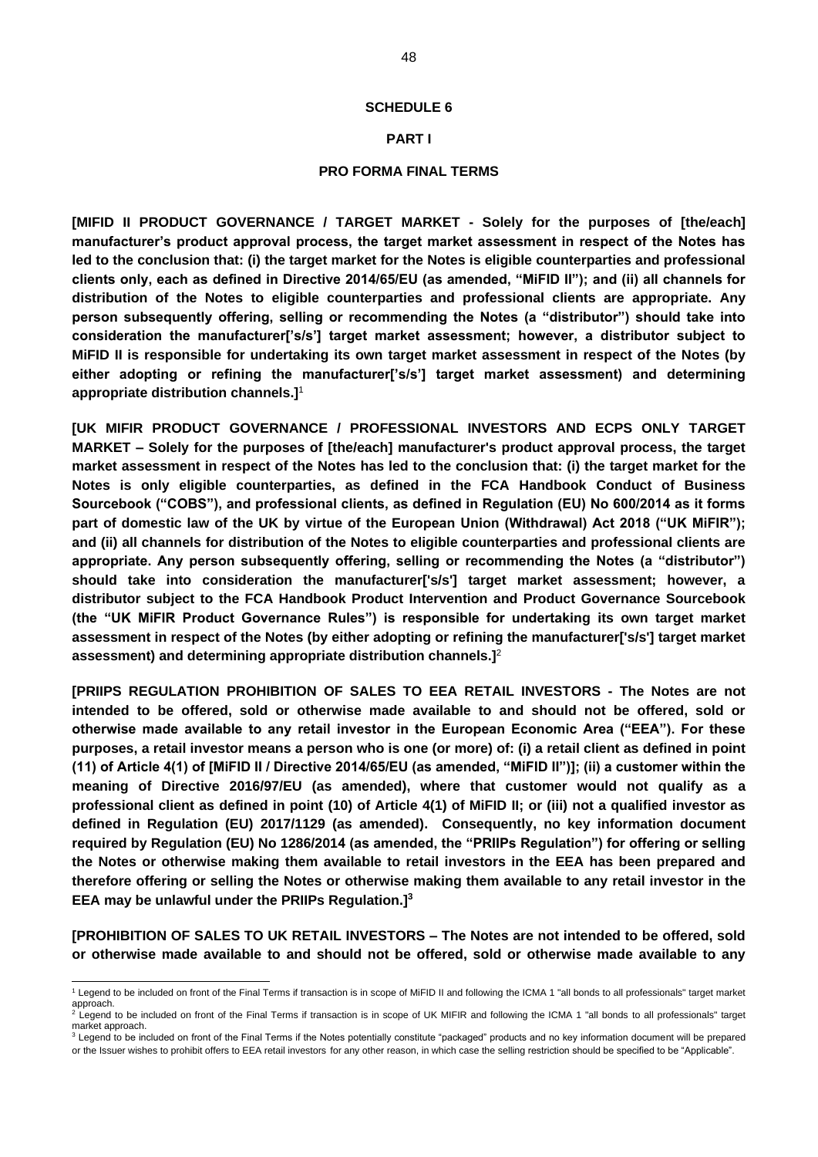#### **SCHEDULE 6**

#### **PART I**

#### **PRO FORMA FINAL TERMS**

**[MIFID II PRODUCT GOVERNANCE / TARGET MARKET - Solely for the purposes of [the/each] manufacturer's product approval process, the target market assessment in respect of the Notes has led to the conclusion that: (i) the target market for the Notes is eligible counterparties and professional clients only, each as defined in Directive 2014/65/EU (as amended, "MiFID II"); and (ii) all channels for distribution of the Notes to eligible counterparties and professional clients are appropriate. Any person subsequently offering, selling or recommending the Notes (a "distributor") should take into consideration the manufacturer['s/s'] target market assessment; however, a distributor subject to MiFID II is responsible for undertaking its own target market assessment in respect of the Notes (by**  either adopting or refining the manufacturer['s/s'] target market assessment) and determining **appropriate distribution channels.]**<sup>1</sup>

**[UK MIFIR PRODUCT GOVERNANCE / PROFESSIONAL INVESTORS AND ECPS ONLY TARGET MARKET – Solely for the purposes of [the/each] manufacturer's product approval process, the target market assessment in respect of the Notes has led to the conclusion that: (i) the target market for the Notes is only eligible counterparties, as defined in the FCA Handbook Conduct of Business Sourcebook ("COBS"), and professional clients, as defined in Regulation (EU) No 600/2014 as it forms part of domestic law of the UK by virtue of the European Union (Withdrawal) Act 2018 ("UK MiFIR"); and (ii) all channels for distribution of the Notes to eligible counterparties and professional clients are appropriate. Any person subsequently offering, selling or recommending the Notes (a "distributor") should take into consideration the manufacturer['s/s'] target market assessment; however, a distributor subject to the FCA Handbook Product Intervention and Product Governance Sourcebook (the "UK MiFIR Product Governance Rules") is responsible for undertaking its own target market assessment in respect of the Notes (by either adopting or refining the manufacturer['s/s'] target market assessment) and determining appropriate distribution channels.]**<sup>2</sup>

**[PRIIPS REGULATION PROHIBITION OF SALES TO EEA RETAIL INVESTORS - The Notes are not intended to be offered, sold or otherwise made available to and should not be offered, sold or otherwise made available to any retail investor in the European Economic Area ("EEA"). For these purposes, a retail investor means a person who is one (or more) of: (i) a retail client as defined in point (11) of Article 4(1) of [MiFID II / Directive 2014/65/EU (as amended, "MiFID II")]; (ii) a customer within the meaning of Directive 2016/97/EU (as amended), where that customer would not qualify as a professional client as defined in point (10) of Article 4(1) of MiFID II; or (iii) not a qualified investor as defined in Regulation (EU) 2017/1129 (as amended). Consequently, no key information document required by Regulation (EU) No 1286/2014 (as amended, the "PRIIPs Regulation") for offering or selling the Notes or otherwise making them available to retail investors in the EEA has been prepared and therefore offering or selling the Notes or otherwise making them available to any retail investor in the EEA may be unlawful under the PRIIPs Regulation.]<sup>3</sup>**

**[PROHIBITION OF SALES TO UK RETAIL INVESTORS – The Notes are not intended to be offered, sold or otherwise made available to and should not be offered, sold or otherwise made available to any** 

<sup>1</sup> Legend to be included on front of the Final Terms if transaction is in scope of MiFID II and following the ICMA 1 "all bonds to all professionals" target market approach.

<sup>.&</sup>lt;br>Legend to be included on front of the Final Terms if transaction is in scope of UK MIFIR and following the ICMA 1 "all bonds to all professionals" target market approach.

<sup>&</sup>lt;sup>3</sup> Legend to be included on front of the Final Terms if the Notes potentially constitute "packaged" products and no key information document will be prepared or the Issuer wishes to prohibit offers to EEA retail investors for any other reason, in which case the selling restriction should be specified to be "Applicable".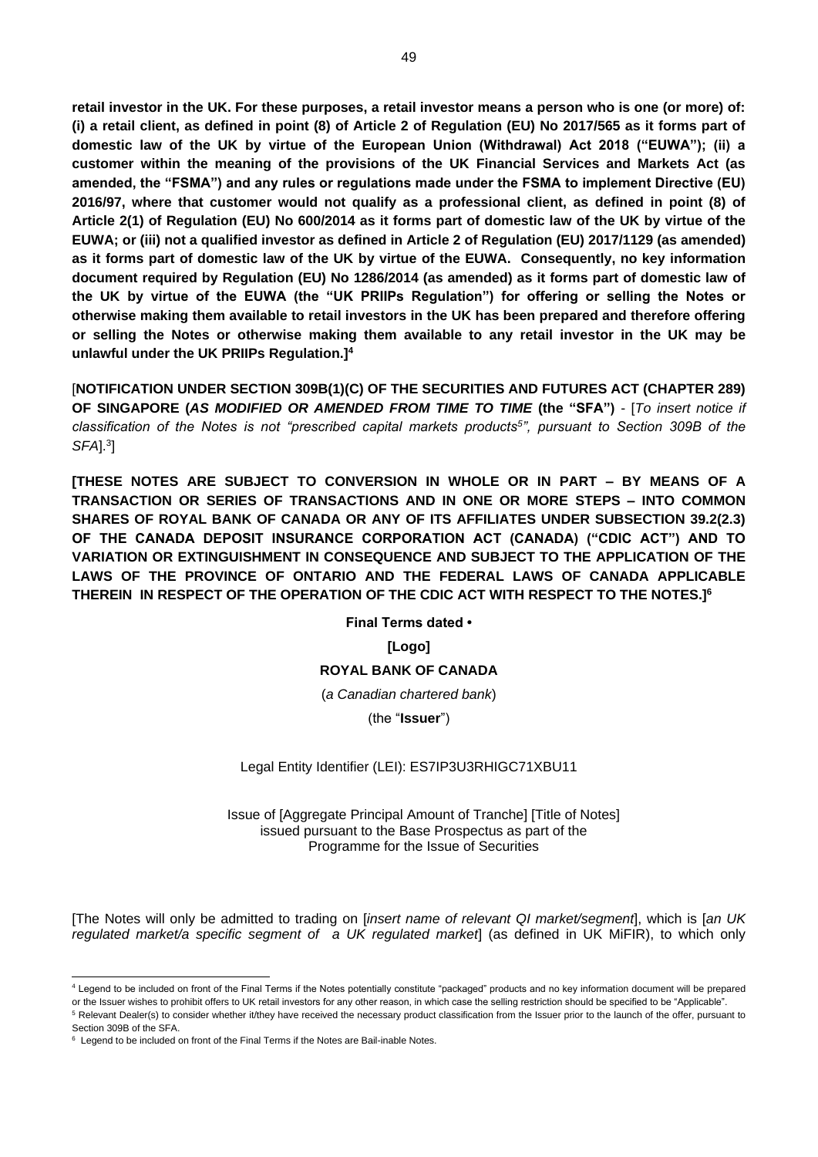**retail investor in the UK. For these purposes, a retail investor means a person who is one (or more) of: (i) a retail client, as defined in point (8) of Article 2 of Regulation (EU) No 2017/565 as it forms part of domestic law of the UK by virtue of the European Union (Withdrawal) Act 2018 ("EUWA"); (ii) a customer within the meaning of the provisions of the UK Financial Services and Markets Act (as amended, the "FSMA") and any rules or regulations made under the FSMA to implement Directive (EU) 2016/97, where that customer would not qualify as a professional client, as defined in point (8) of Article 2(1) of Regulation (EU) No 600/2014 as it forms part of domestic law of the UK by virtue of the EUWA; or (iii) not a qualified investor as defined in Article 2 of Regulation (EU) 2017/1129 (as amended) as it forms part of domestic law of the UK by virtue of the EUWA. Consequently, no key information document required by Regulation (EU) No 1286/2014 (as amended) as it forms part of domestic law of the UK by virtue of the EUWA (the "UK PRIIPs Regulation") for offering or selling the Notes or otherwise making them available to retail investors in the UK has been prepared and therefore offering or selling the Notes or otherwise making them available to any retail investor in the UK may be unlawful under the UK PRIIPs Regulation.]<sup>4</sup>**

[**NOTIFICATION UNDER SECTION 309B(1)(C) OF THE SECURITIES AND FUTURES ACT (CHAPTER 289) OF SINGAPORE (***AS MODIFIED OR AMENDED FROM TIME TO TIME* **(the "SFA")** - [*To insert notice if classification of the Notes is not "prescribed capital markets products<sup>5</sup> ", pursuant to Section 309B of the SFA*].<sup>3</sup> ]

**[THESE NOTES ARE SUBJECT TO CONVERSION IN WHOLE OR IN PART – BY MEANS OF A TRANSACTION OR SERIES OF TRANSACTIONS AND IN ONE OR MORE STEPS – INTO COMMON SHARES OF ROYAL BANK OF CANADA OR ANY OF ITS AFFILIATES UNDER SUBSECTION 39.2(2.3) OF THE CANADA DEPOSIT INSURANCE CORPORATION ACT (CANADA) ("CDIC ACT") AND TO VARIATION OR EXTINGUISHMENT IN CONSEQUENCE AND SUBJECT TO THE APPLICATION OF THE LAWS OF THE PROVINCE OF ONTARIO AND THE FEDERAL LAWS OF CANADA APPLICABLE THEREIN IN RESPECT OF THE OPERATION OF THE CDIC ACT WITH RESPECT TO THE NOTES.]<sup>6</sup>**

**Final Terms dated •**

**[Logo]**

# **ROYAL BANK OF CANADA**

(*a Canadian chartered bank*)

(the "**Issuer**")

#### Legal Entity Identifier (LEI): ES7IP3U3RHIGC71XBU11

Issue of [Aggregate Principal Amount of Tranche] [Title of Notes] issued pursuant to the Base Prospectus as part of the Programme for the Issue of Securities

[The Notes will only be admitted to trading on [*insert name of relevant QI market/segment*], which is [*an UK regulated market/a specific segment of a UK regulated market*] (as defined in UK MiFIR), to which only

<sup>4</sup> Legend to be included on front of the Final Terms if the Notes potentially constitute "packaged" products and no key information document will be prepared or the Issuer wishes to prohibit offers to UK retail investors for any other reason, in which case the selling restriction should be specified to be "Applicable".

<sup>5</sup> Relevant Dealer(s) to consider whether it/they have received the necessary product classification from the Issuer prior to the launch of the offer, pursuant to Section 309B of the SFA.

<sup>&</sup>lt;sup>6</sup> Legend to be included on front of the Final Terms if the Notes are Bail-inable Notes.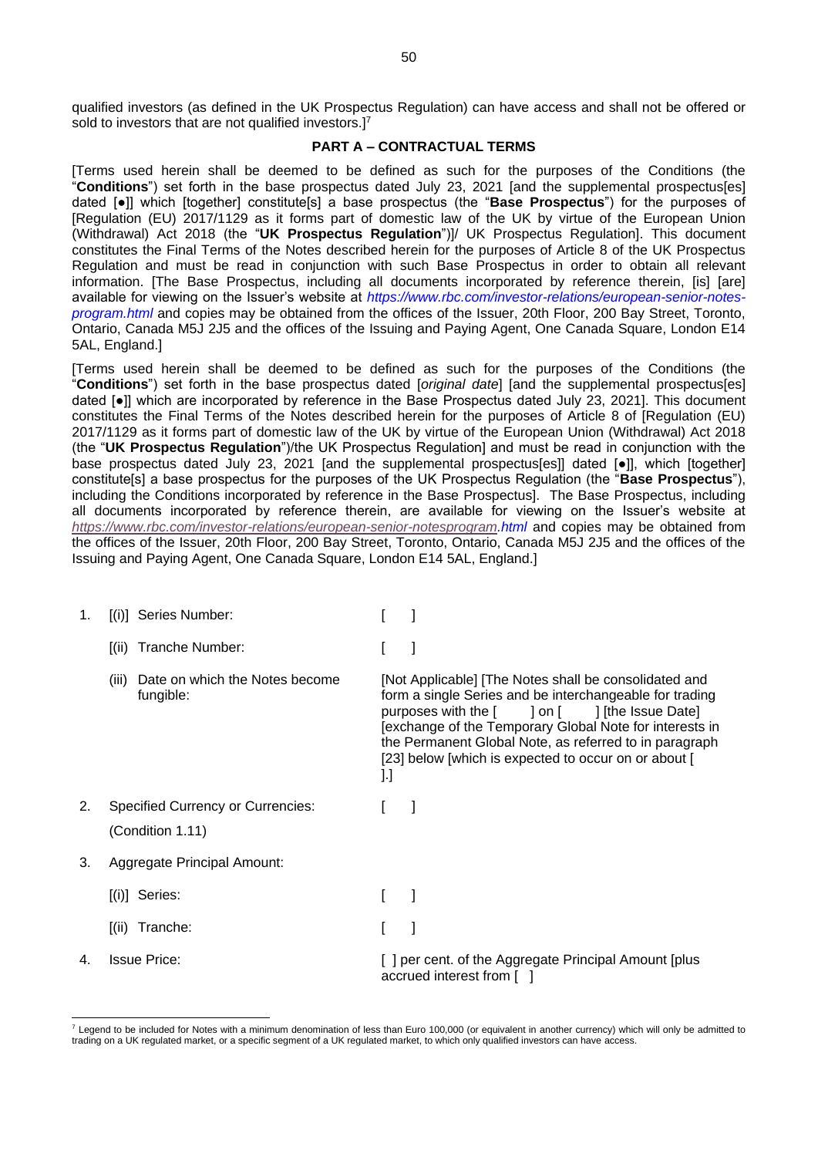qualified investors (as defined in the UK Prospectus Regulation) can have access and shall not be offered or sold to investors that are not qualified investors.]<sup>7</sup>

## **PART A – CONTRACTUAL TERMS**

[Terms used herein shall be deemed to be defined as such for the purposes of the Conditions (the "**Conditions**") set forth in the base prospectus dated July 23, 2021 [and the supplemental prospectus[es] dated [●]] which [together] constitute[s] a base prospectus (the "**Base Prospectus**") for the purposes of [Regulation (EU) 2017/1129 as it forms part of domestic law of the UK by virtue of the European Union (Withdrawal) Act 2018 (the "**UK Prospectus Regulation**")]/ UK Prospectus Regulation]. This document constitutes the Final Terms of the Notes described herein for the purposes of Article 8 of the UK Prospectus Regulation and must be read in conjunction with such Base Prospectus in order to obtain all relevant information. [The Base Prospectus, including all documents incorporated by reference therein, [is] [are] available for viewing on the Issuer's website at *https://www.rbc.com/investor-relations/european-senior-notesprogram.html* and copies may be obtained from the offices of the Issuer, 20th Floor, 200 Bay Street, Toronto, Ontario, Canada M5J 2J5 and the offices of the Issuing and Paying Agent, One Canada Square, London E14 5AL, England.]

[Terms used herein shall be deemed to be defined as such for the purposes of the Conditions (the "**Conditions**") set forth in the base prospectus dated [*original date*] [and the supplemental prospectus[es] dated [●]] which are incorporated by reference in the Base Prospectus dated July 23, 2021]. This document constitutes the Final Terms of the Notes described herein for the purposes of Article 8 of [Regulation (EU) 2017/1129 as it forms part of domestic law of the UK by virtue of the European Union (Withdrawal) Act 2018 (the "**UK Prospectus Regulation**")/the UK Prospectus Regulation] and must be read in conjunction with the base prospectus dated July 23, 2021 [and the supplemental prospectus[es]] dated [•]], which [together] constitute[s] a base prospectus for the purposes of the UK Prospectus Regulation (the "**Base Prospectus**"), including the Conditions incorporated by reference in the Base Prospectus]. The Base Prospectus, including all documents incorporated by reference therein, are available for viewing on the Issuer's website at *[https://www.rbc.com/investor-relations/european-senior-notesprogram.](https://www.rbc.com/investor-relations/european-senior-notesprogram)html* and copies may be obtained from the offices of the Issuer, 20th Floor, 200 Bay Street, Toronto, Ontario, Canada M5J 2J5 and the offices of the Issuing and Paying Agent, One Canada Square, London E14 5AL, England.]

| 1. | [(i)] Series Number:                                 |                                                                                                                                                                                                                                                                                                                                                          |
|----|------------------------------------------------------|----------------------------------------------------------------------------------------------------------------------------------------------------------------------------------------------------------------------------------------------------------------------------------------------------------------------------------------------------------|
|    | [(ii) Tranche Number:                                |                                                                                                                                                                                                                                                                                                                                                          |
|    | Date on which the Notes become<br>(iii)<br>fungible: | [Not Applicable] [The Notes shall be consolidated and<br>form a single Series and be interchangeable for trading<br>purposes with the [<br>] on [ ] [the Issue Date]<br>[exchange of the Temporary Global Note for interests in<br>the Permanent Global Note, as referred to in paragraph<br>[23] below [which is expected to occur on or about [<br>].] |
| 2. | <b>Specified Currency or Currencies:</b>             |                                                                                                                                                                                                                                                                                                                                                          |
|    | (Condition 1.11)                                     |                                                                                                                                                                                                                                                                                                                                                          |
| 3. | Aggregate Principal Amount:                          |                                                                                                                                                                                                                                                                                                                                                          |
|    | [(i)] Series:                                        |                                                                                                                                                                                                                                                                                                                                                          |
|    | Tranche:<br>[(ii)]                                   |                                                                                                                                                                                                                                                                                                                                                          |
| 4. | <b>Issue Price:</b>                                  | [ ] per cent. of the Aggregate Principal Amount [plus<br>accrued interest from [                                                                                                                                                                                                                                                                         |

<sup>&</sup>lt;sup>7</sup> Legend to be included for Notes with a minimum denomination of less than Euro 100,000 (or equivalent in another currency) which will only be admitted to trading on a UK regulated market, or a specific segment of a UK regulated market, to which only qualified investors can have access.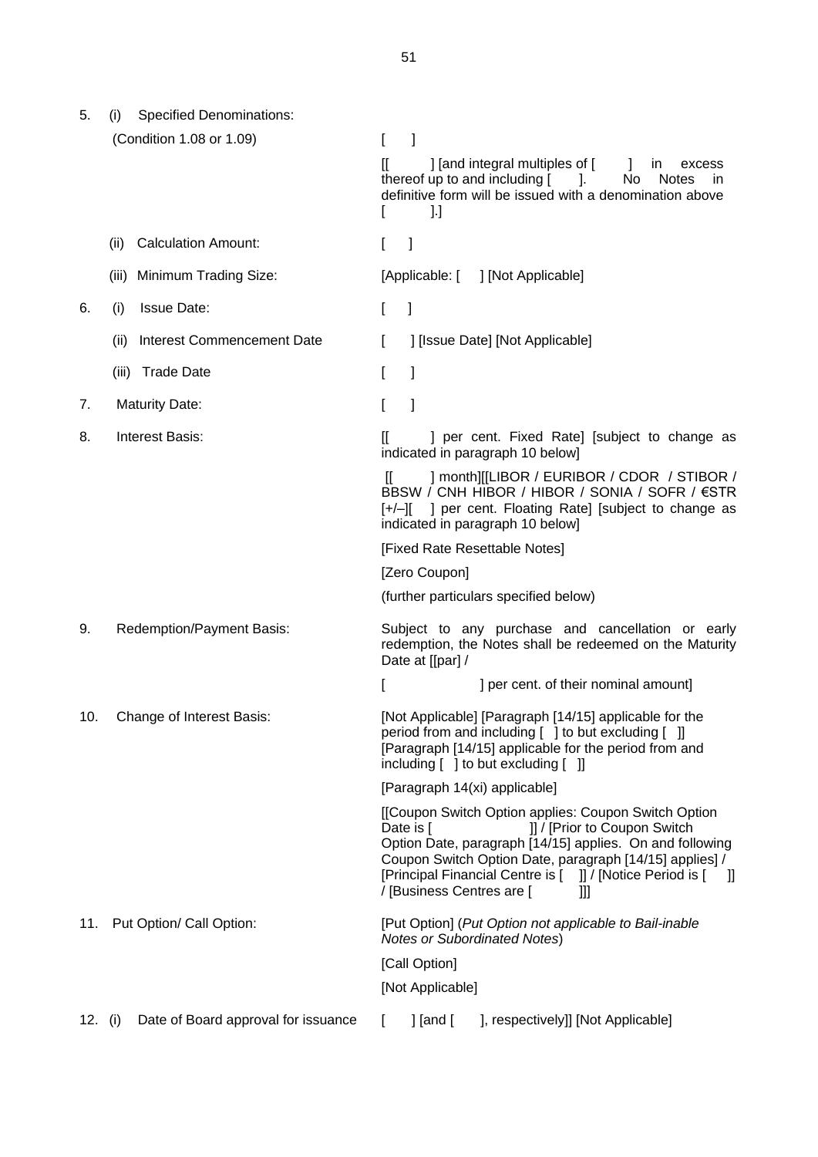5. (i) Specified Denominations: (Condition 1.08 or 1.09) [ ] [[ ] [and integral multiples of [ ] in excess thereof up to and including [ ]. No Notes in definitive form will be issued with a denomination above  $\begin{bmatrix} 1 & 1 \end{bmatrix}$ (ii) Calculation Amount: [ ] (iii) Minimum Trading Size: [Applicable: [ ] [Not Applicable] 6. (i) Issue Date: [ ] (ii) Interest Commencement Date [ ] [Issue Date] [Not Applicable] (iii) Trade Date **[** ] 7. Maturity Date: The Maturity Date: 8. Interest Basis:  $[$  ] per cent. Fixed Rate] [subject to change as indicated in paragraph 10 below] [[ ] month][[LIBOR / EURIBOR / CDOR / STIBOR / BBSW / CNH HIBOR / HIBOR / SONIA / SOFR / €STR [+/–][ ] per cent. Floating Rate] [subject to change as indicated in paragraph 10 below] [Fixed Rate Resettable Notes] [Zero Coupon] (further particulars specified below) 9. Redemption/Payment Basis: Subject to any purchase and cancellation or early redemption, the Notes shall be redeemed on the Maturity Date at [[par] / [ ] per cent. of their nominal amount] 10. Change of Interest Basis: [Not Applicable] [Paragraph [14/15] applicable for the period from and including [ ] to but excluding [ ]] [Paragraph [14/15] applicable for the period from and including [ ] to but excluding [ ]] [Paragraph 14(xi) applicable] [[Coupon Switch Option applies: Coupon Switch Option Date is [  $\frac{1}{2}$  | | / [Prior to Coupon Switch Option Date, paragraph [14/15] applies. On and following Coupon Switch Option Date, paragraph [14/15] applies] / [Principal Financial Centre is [ ]] / [Notice Period is [ ]] / [Business Centres are [ ]]] 11. Put Option/ Call Option: [Put Option] (*Put Option not applicable to Bail-inable Notes or Subordinated Notes*) [Call Option]

[Not Applicable]

12. (i) Date of Board approval for issuance [ ] [and [ ], respectively]] [Not Applicable]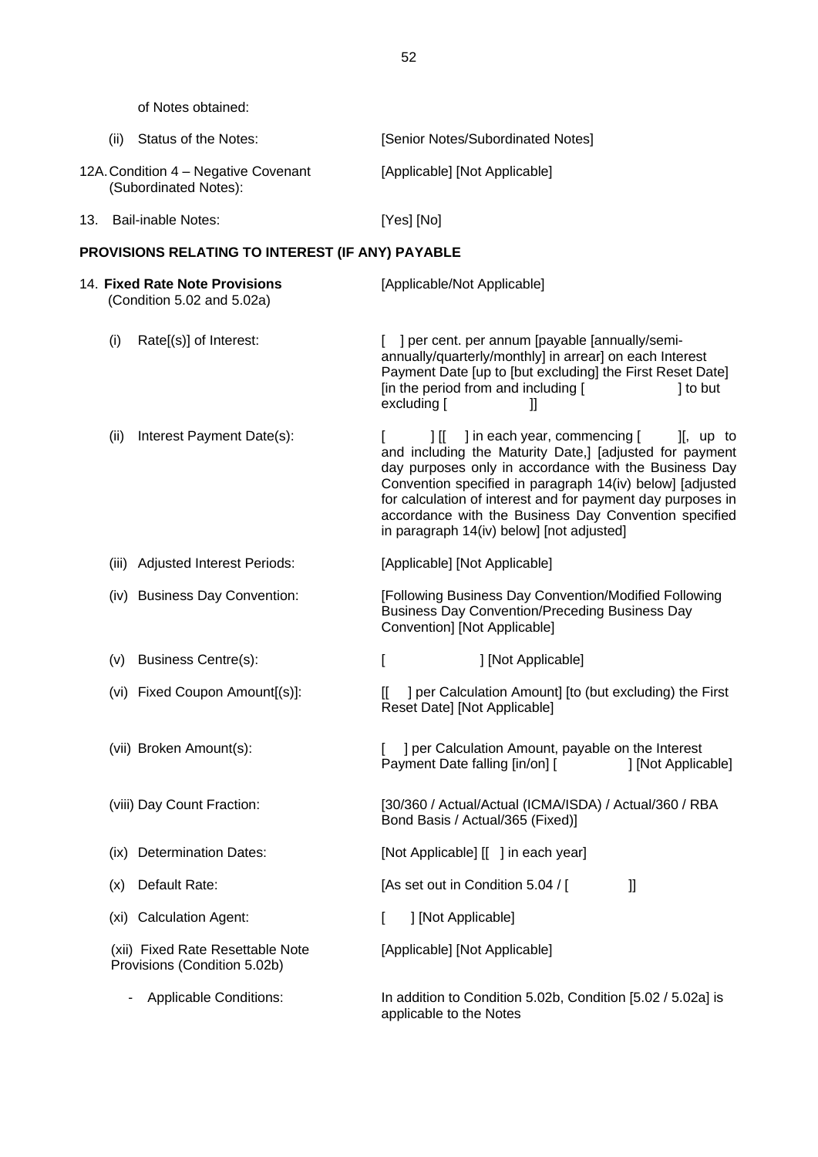of Notes obtained:

|     | (ii)  | Status of the Notes:                                             |     | [Senior Notes/Subordinated Notes]                                                                                                                                                                                                                                                                                                                                                                                          |
|-----|-------|------------------------------------------------------------------|-----|----------------------------------------------------------------------------------------------------------------------------------------------------------------------------------------------------------------------------------------------------------------------------------------------------------------------------------------------------------------------------------------------------------------------------|
|     |       | 12A. Condition 4 - Negative Covenant<br>(Subordinated Notes):    |     | [Applicable] [Not Applicable]                                                                                                                                                                                                                                                                                                                                                                                              |
| 13. |       | <b>Bail-inable Notes:</b>                                        |     | [Yes] [No]                                                                                                                                                                                                                                                                                                                                                                                                                 |
|     |       | PROVISIONS RELATING TO INTEREST (IF ANY) PAYABLE                 |     |                                                                                                                                                                                                                                                                                                                                                                                                                            |
|     |       | 14. Fixed Rate Note Provisions<br>(Condition 5.02 and 5.02a)     |     | [Applicable/Not Applicable]                                                                                                                                                                                                                                                                                                                                                                                                |
|     | (i)   | Rate[(s)] of Interest:                                           |     | ] per cent. per annum [payable [annually/semi-<br>annually/quarterly/monthly] in arrear] on each Interest<br>Payment Date [up to [but excluding] the First Reset Date]<br>[in the period from and including [<br>] to but<br>excluding [<br>IJ                                                                                                                                                                             |
|     | (ii)  | Interest Payment Date(s):                                        |     | ] in each year, commencing [<br>$\mathbb{H}$<br>$\mathbf{I}$ , up to<br>and including the Maturity Date,] [adjusted for payment<br>day purposes only in accordance with the Business Day<br>Convention specified in paragraph 14(iv) below] [adjusted<br>for calculation of interest and for payment day purposes in<br>accordance with the Business Day Convention specified<br>in paragraph 14(iv) below] [not adjusted] |
|     | (iii) | <b>Adjusted Interest Periods:</b>                                |     | [Applicable] [Not Applicable]                                                                                                                                                                                                                                                                                                                                                                                              |
|     |       | (iv) Business Day Convention:                                    |     | [Following Business Day Convention/Modified Following<br><b>Business Day Convention/Preceding Business Day</b><br>Convention] [Not Applicable]                                                                                                                                                                                                                                                                             |
|     | (v)   | Business Centre(s):                                              | ſ   | ] [Not Applicable]                                                                                                                                                                                                                                                                                                                                                                                                         |
|     |       | (vi) Fixed Coupon Amount[(s)]:                                   | II. | ] per Calculation Amount] [to (but excluding) the First<br>Reset Date] [Not Applicable]                                                                                                                                                                                                                                                                                                                                    |
|     |       | (vii) Broken Amount(s):                                          |     | ] per Calculation Amount, payable on the Interest<br>Payment Date falling [in/on] [<br>] [Not Applicable]                                                                                                                                                                                                                                                                                                                  |
|     |       | (viii) Day Count Fraction:                                       |     | [30/360 / Actual/Actual (ICMA/ISDA) / Actual/360 / RBA<br>Bond Basis / Actual/365 (Fixed)]                                                                                                                                                                                                                                                                                                                                 |
|     | (IX)  | <b>Determination Dates:</b>                                      |     | [Not Applicable] [[ ] in each year]                                                                                                                                                                                                                                                                                                                                                                                        |
|     | (x)   | Default Rate:                                                    |     | [As set out in Condition 5.04 / [<br>Ш                                                                                                                                                                                                                                                                                                                                                                                     |
|     | (xi)  | <b>Calculation Agent:</b>                                        | L   | ] [Not Applicable]                                                                                                                                                                                                                                                                                                                                                                                                         |
|     |       | (xii) Fixed Rate Resettable Note<br>Provisions (Condition 5.02b) |     | [Applicable] [Not Applicable]                                                                                                                                                                                                                                                                                                                                                                                              |
|     |       | Applicable Conditions:                                           |     | In addition to Condition 5.02b, Condition [5.02 / 5.02a] is<br>applicable to the Notes                                                                                                                                                                                                                                                                                                                                     |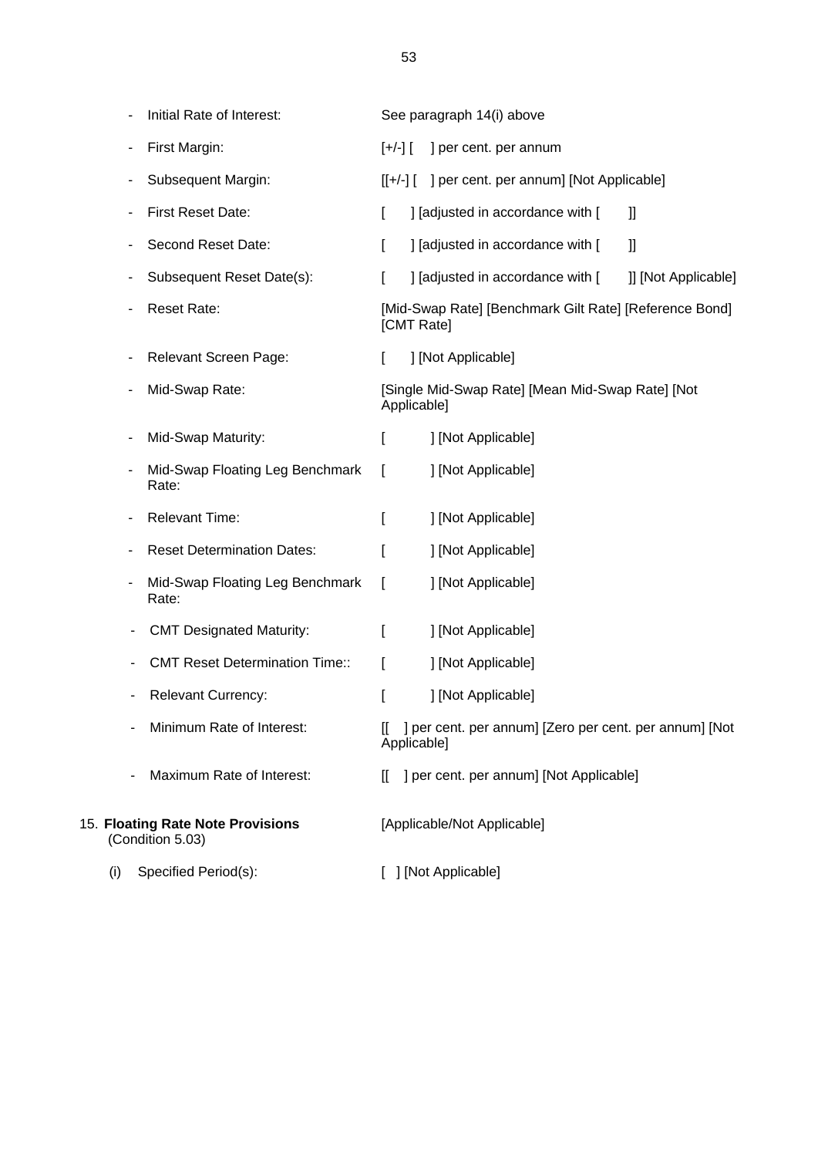|     |   | Initial Rate of Interest:                             |         | See paragraph 14(i) above                                             |
|-----|---|-------------------------------------------------------|---------|-----------------------------------------------------------------------|
|     |   | First Margin:                                         | $[+/-]$ | ] per cent. per annum                                                 |
|     |   | Subsequent Margin:                                    |         | [[+/-] [ ] per cent. per annum] [Not Applicable]                      |
|     |   | <b>First Reset Date:</b>                              | L       | ] [adjusted in accordance with [<br>II                                |
|     |   | Second Reset Date:                                    | L       | ] [adjusted in accordance with [<br>IJ                                |
|     |   | Subsequent Reset Date(s):                             | L       | ] [adjusted in accordance with [<br>]] [Not Applicable]               |
|     |   | <b>Reset Rate:</b>                                    |         | [Mid-Swap Rate] [Benchmark Gilt Rate] [Reference Bond]<br>[CMT Rate]  |
|     |   | Relevant Screen Page:                                 | L       | ] [Not Applicable]                                                    |
|     |   | Mid-Swap Rate:                                        |         | [Single Mid-Swap Rate] [Mean Mid-Swap Rate] [Not<br>Applicable]       |
|     |   | Mid-Swap Maturity:                                    | ſ       | ] [Not Applicable]                                                    |
|     |   | Mid-Swap Floating Leg Benchmark<br>Rate:              | ſ       | ] [Not Applicable]                                                    |
|     |   | <b>Relevant Time:</b>                                 | L       | ] [Not Applicable]                                                    |
|     | ٠ | <b>Reset Determination Dates:</b>                     | ſ       | ] [Not Applicable]                                                    |
|     | ۰ | Mid-Swap Floating Leg Benchmark<br>Rate:              | I       | ] [Not Applicable]                                                    |
|     |   | <b>CMT Designated Maturity:</b>                       | ſ       | ] [Not Applicable]                                                    |
|     |   | <b>CMT Reset Determination Time::</b>                 | L       | ] [Not Applicable]                                                    |
|     |   | <b>Relevant Currency:</b>                             | I       | ] [Not Applicable]                                                    |
|     |   | Minimum Rate of Interest:                             |         | ] per cent. per annum] [Zero per cent. per annum] [Not<br>Applicable] |
|     |   | Maximum Rate of Interest:                             | П       | ] per cent. per annum] [Not Applicable]                               |
|     |   | 15. Floating Rate Note Provisions<br>(Condition 5.03) |         | [Applicable/Not Applicable]                                           |
| (i) |   | Specified Period(s):                                  |         | ] [Not Applicable]                                                    |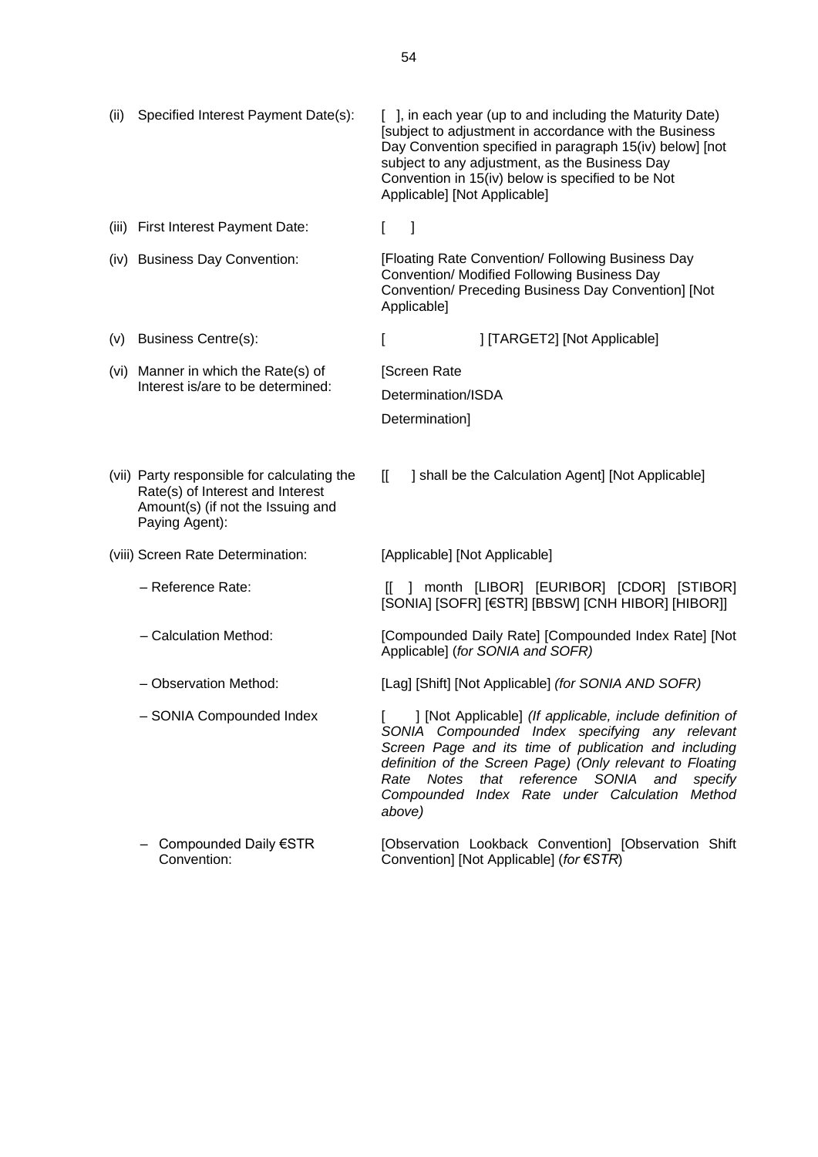| (ii) | Specified Interest Payment Date(s):                                                                                                    | [ ], in each year (up to and including the Maturity Date)<br>[subject to adjustment in accordance with the Business<br>Day Convention specified in paragraph 15(iv) below] [not<br>subject to any adjustment, as the Business Day<br>Convention in 15(iv) below is specified to be Not<br>Applicable] [Not Applicable]                                     |
|------|----------------------------------------------------------------------------------------------------------------------------------------|------------------------------------------------------------------------------------------------------------------------------------------------------------------------------------------------------------------------------------------------------------------------------------------------------------------------------------------------------------|
|      | (iii) First Interest Payment Date:                                                                                                     | - 1<br>$\Gamma$                                                                                                                                                                                                                                                                                                                                            |
|      | (iv) Business Day Convention:                                                                                                          | [Floating Rate Convention/ Following Business Day<br>Convention/ Modified Following Business Day<br>Convention/ Preceding Business Day Convention] [Not<br>Applicable]                                                                                                                                                                                     |
| (V)  | <b>Business Centre(s):</b>                                                                                                             | ] [TARGET2] [Not Applicable]<br>L                                                                                                                                                                                                                                                                                                                          |
|      | (vi) Manner in which the Rate(s) of                                                                                                    | [Screen Rate                                                                                                                                                                                                                                                                                                                                               |
|      | Interest is/are to be determined:                                                                                                      | Determination/ISDA                                                                                                                                                                                                                                                                                                                                         |
|      |                                                                                                                                        | Determination]                                                                                                                                                                                                                                                                                                                                             |
|      | (vii) Party responsible for calculating the<br>Rate(s) of Interest and Interest<br>Amount(s) (if not the Issuing and<br>Paying Agent): | $\mathbb{I}$<br>] shall be the Calculation Agent] [Not Applicable]                                                                                                                                                                                                                                                                                         |
|      | (viii) Screen Rate Determination:                                                                                                      | [Applicable] [Not Applicable]                                                                                                                                                                                                                                                                                                                              |
|      | - Reference Rate:                                                                                                                      | [[ ] month [LIBOR] [EURIBOR] [CDOR] [STIBOR]<br>[SONIA] [SOFR] [€STR] [BBSW] [CNH HIBOR] [HIBOR]]                                                                                                                                                                                                                                                          |
|      | - Calculation Method:                                                                                                                  | [Compounded Daily Rate] [Compounded Index Rate] [Not<br>Applicable] (for SONIA and SOFR)                                                                                                                                                                                                                                                                   |
|      | - Observation Method:                                                                                                                  | [Lag] [Shift] [Not Applicable] (for SONIA AND SOFR)                                                                                                                                                                                                                                                                                                        |
|      | - SONIA Compounded Index                                                                                                               | ] [Not Applicable] (If applicable, include definition of<br>SONIA Compounded Index specifying any relevant<br>Screen Page and its time of publication and including<br>definition of the Screen Page) (Only relevant to Floating<br>Notes that<br>reference<br>SONIA<br>Rate<br>and<br>specify<br>Compounded Index Rate under Calculation Method<br>above) |
|      | Compounded Daily €STR<br>Convention:                                                                                                   | [Observation Lookback Convention] [Observation Shift<br>Convention] [Not Applicable] (for €STR)                                                                                                                                                                                                                                                            |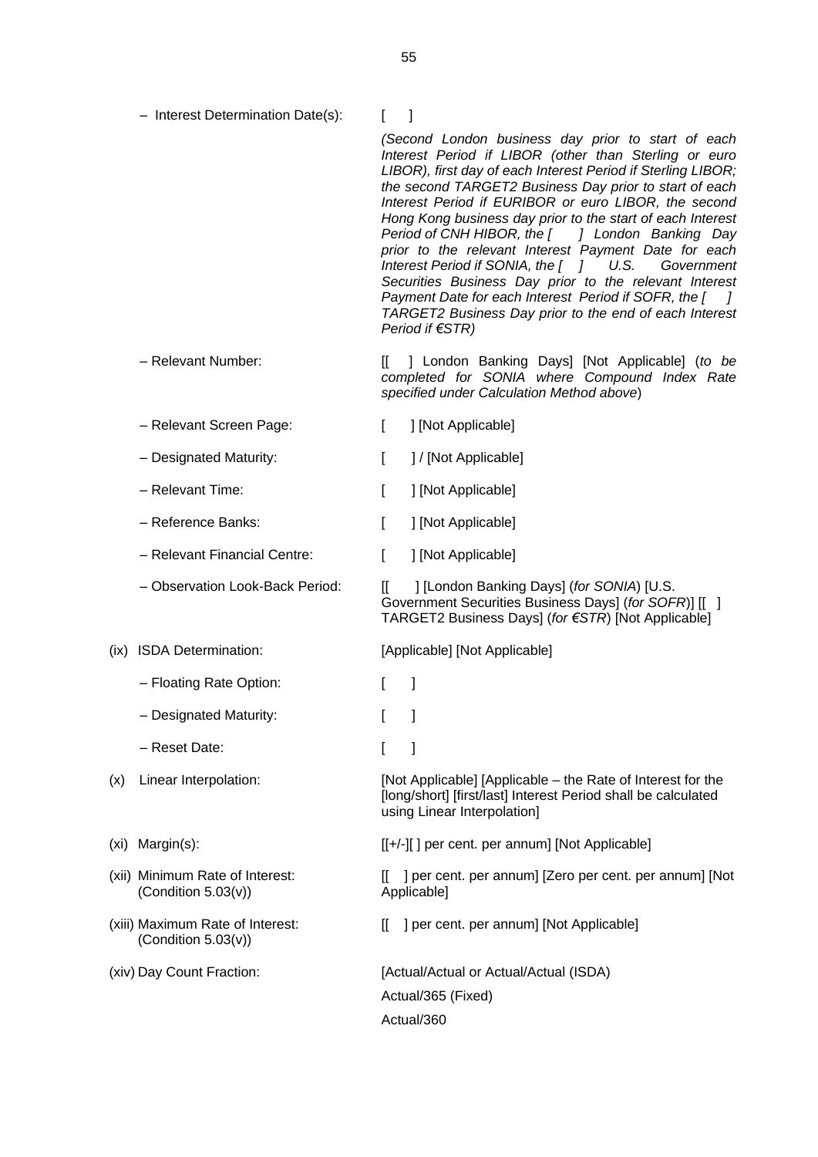– Interest Determination Date(s): [ ]

*(Second London business day prior to start of each Interest Period if LIBOR (other than Sterling or euro LIBOR), first day of each Interest Period if Sterling LIBOR; the second TARGET2 Business Day prior to start of each Interest Period if EURIBOR or euro LIBOR, the second Hong Kong business day prior to the start of each Interest Period of CNH HIBOR, the [ ] London Banking Day prior to the relevant Interest Payment Date for each Interest Period if SONIA, the [ ] U.S. Government Securities Business Day prior to the relevant Interest Payment Date for each Interest Period if SOFR, the [ ] TARGET2 Business Day prior to the end of each Interest Period if €STR)*

– Relevant Number: [[ ] London Banking Days] [Not Applicable] (*to be completed for SONIA where Compound Index Rate specified under Calculation Method above*)

- Relevant Screen Page: [ ] [Not Applicable]
- Designated Maturity:  $\begin{bmatrix} 1 \end{bmatrix}$  [Not Applicable]
- Relevant Time: [ ] [Not Applicable]
- Reference Banks: [ ] [Not Applicable]
- Relevant Financial Centre: [ ] [Not Applicable]
- 

- Floating Rate Option: [ ]
- Designated Maturity: [ ]
- Reset Date: [ ]
- 
- 
- (xii) Minimum Rate of Interest: (Condition 5.03(v))
- (xiii) Maximum Rate of Interest: (Condition 5.03(v))
- 

– Observation Look-Back Period: [[ ] [London Banking Days] (*for SONIA*) [U.S. Government Securities Business Days] (*for SOFR*)] [[ ] TARGET2 Business Days] (*for €STR*) [Not Applicable]

(ix) ISDA Determination: [Applicable] [Not Applicable]

- 
- 
- 

(x) Linear Interpolation: [Not Applicable] [Applicable – the Rate of Interest for the [long/short] [first/last] Interest Period shall be calculated using Linear Interpolation]

(xi) Margin(s): [[+/-][ ] per cent. per annum] [Not Applicable]

[[ ] per cent. per annum] [Zero per cent. per annum] [Not Applicable]

[[ ] per cent. per annum] [Not Applicable]

(xiv) Day Count Fraction: [Actual/Actual or Actual/Actual (ISDA) Actual/365 (Fixed) Actual/360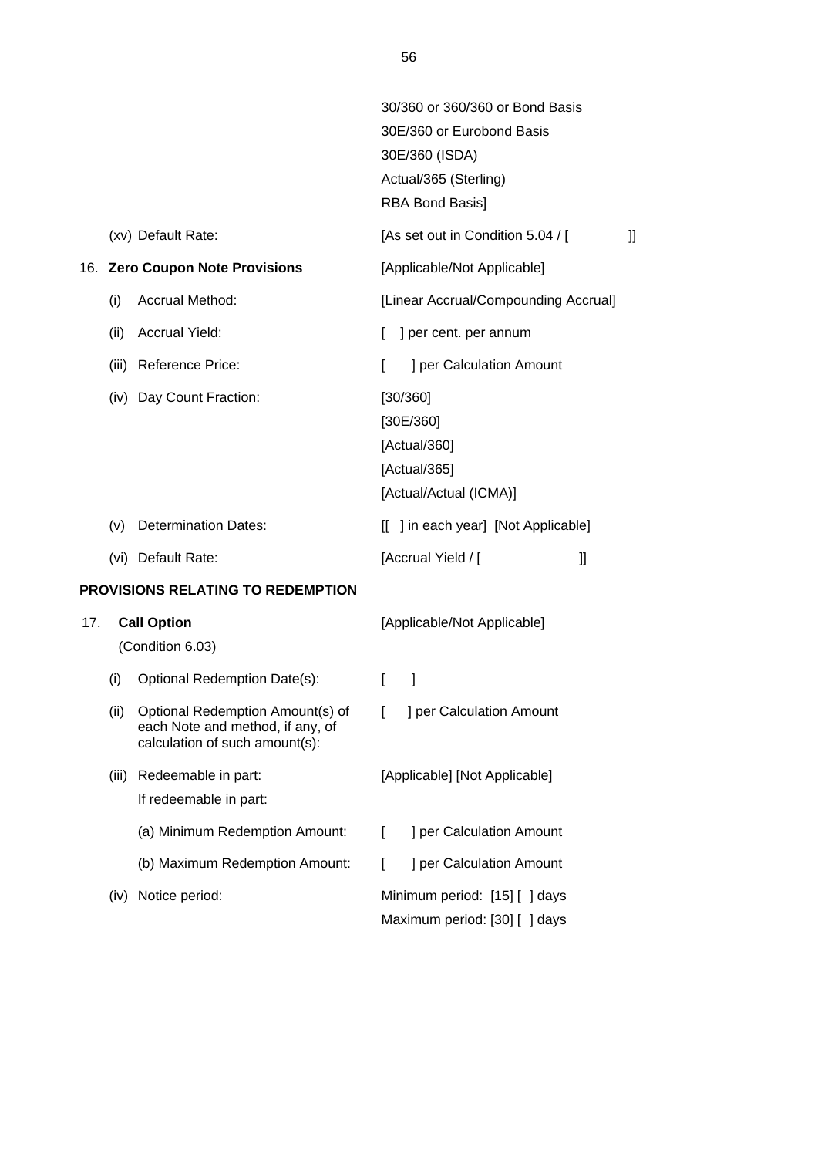|     |      |                                                                                                        |     | 30/360 or 360/360 or Bond Basis<br>30E/360 or Eurobond Basis<br>30E/360 (ISDA)<br>Actual/365 (Sterling) |    |
|-----|------|--------------------------------------------------------------------------------------------------------|-----|---------------------------------------------------------------------------------------------------------|----|
|     |      |                                                                                                        |     | <b>RBA Bond Basis]</b>                                                                                  |    |
|     |      | (xv) Default Rate:                                                                                     |     | [As set out in Condition 5.04 / [                                                                       | IJ |
|     |      | 16. Zero Coupon Note Provisions                                                                        |     | [Applicable/Not Applicable]                                                                             |    |
|     | (i)  | <b>Accrual Method:</b>                                                                                 |     | [Linear Accrual/Compounding Accrual]                                                                    |    |
|     | (ii) | <b>Accrual Yield:</b>                                                                                  | L   | ] per cent. per annum                                                                                   |    |
|     |      | (iii) Reference Price:                                                                                 | L   | ] per Calculation Amount                                                                                |    |
|     |      | (iv) Day Count Fraction:                                                                               |     | [30/360]<br>[30E/360]<br>[Actual/360]<br>[Actual/365]<br>[Actual/Actual (ICMA)]                         |    |
|     | (v)  | <b>Determination Dates:</b>                                                                            | IL. | ] in each year] [Not Applicable]                                                                        |    |
|     |      | (vi) Default Rate:                                                                                     |     | [Accrual Yield / [<br>$\mathbf l$                                                                       |    |
|     |      | PROVISIONS RELATING TO REDEMPTION                                                                      |     |                                                                                                         |    |
| 17. |      | <b>Call Option</b><br>(Condition 6.03)                                                                 |     | [Applicable/Not Applicable]                                                                             |    |
|     | (i)  | Optional Redemption Date(s):                                                                           | L   | 1                                                                                                       |    |
|     | (ii) | Optional Redemption Amount(s) of<br>each Note and method, if any, of<br>calculation of such amount(s): | L   | ] per Calculation Amount                                                                                |    |

# (iii) Redeemable in part: If redeemable in part: [Applicable] [Not Applicable] (a) Minimum Redemption Amount: [ ] per Calculation Amount (b) Maximum Redemption Amount: [ ] per Calculation Amount (iv) Notice period: Minimum period: [15] [ ] days Maximum period: [30] [ ] days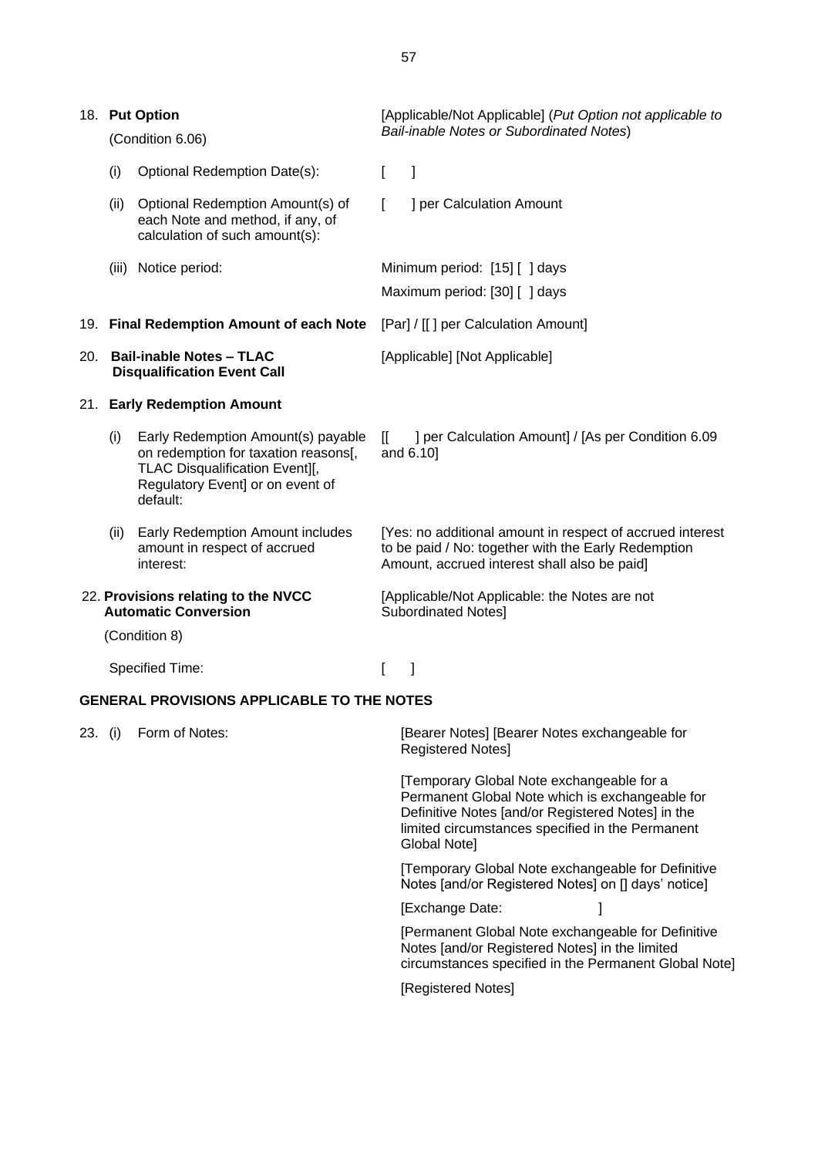|     |       | 18. Put Option                                                                                                                                               |              | [Applicable/Not Applicable] (Put Option not applicable to                                                                                                                                                             |
|-----|-------|--------------------------------------------------------------------------------------------------------------------------------------------------------------|--------------|-----------------------------------------------------------------------------------------------------------------------------------------------------------------------------------------------------------------------|
|     |       | (Condition 6.06)                                                                                                                                             |              | Bail-inable Notes or Subordinated Notes)                                                                                                                                                                              |
|     | (i)   | Optional Redemption Date(s):                                                                                                                                 |              |                                                                                                                                                                                                                       |
|     | (ii)  | Optional Redemption Amount(s) of<br>each Note and method, if any, of<br>calculation of such amount(s):                                                       |              | ] per Calculation Amount                                                                                                                                                                                              |
|     | (iii) | Notice period:                                                                                                                                               |              | Minimum period: [15] [] days                                                                                                                                                                                          |
|     |       |                                                                                                                                                              |              | Maximum period: [30] [ ] days                                                                                                                                                                                         |
|     |       | 19. Final Redemption Amount of each Note                                                                                                                     |              | [Par] / [[] per Calculation Amount]                                                                                                                                                                                   |
|     |       | 20. Bail-inable Notes - TLAC<br><b>Disqualification Event Call</b>                                                                                           |              | [Applicable] [Not Applicable]                                                                                                                                                                                         |
|     |       | 21. Early Redemption Amount                                                                                                                                  |              |                                                                                                                                                                                                                       |
|     | (i)   | Early Redemption Amount(s) payable<br>on redemption for taxation reasons[,<br>TLAC Disqualification Event][,<br>Regulatory Event] or on event of<br>default: | $\mathbb{I}$ | ] per Calculation Amount] / [As per Condition 6.09<br>and 6.10]                                                                                                                                                       |
|     | (ii)  | Early Redemption Amount includes<br>amount in respect of accrued<br>interest:                                                                                |              | [Yes: no additional amount in respect of accrued interest<br>to be paid / No: together with the Early Redemption<br>Amount, accrued interest shall also be paid]                                                      |
|     |       | 22. Provisions relating to the NVCC<br><b>Automatic Conversion</b>                                                                                           |              | [Applicable/Not Applicable: the Notes are not<br><b>Subordinated Notes]</b>                                                                                                                                           |
|     |       | (Condition 8)                                                                                                                                                |              |                                                                                                                                                                                                                       |
|     |       | <b>Specified Time:</b>                                                                                                                                       |              |                                                                                                                                                                                                                       |
|     |       | <b>GENERAL PROVISIONS APPLICABLE TO THE NOTES</b>                                                                                                            |              |                                                                                                                                                                                                                       |
| 23. | (i)   | Form of Notes:                                                                                                                                               |              | [Bearer Notes] [Bearer Notes exchangeable for<br>Registered Notes]                                                                                                                                                    |
|     |       |                                                                                                                                                              |              | [Temporary Global Note exchangeable for a<br>Permanent Global Note which is exchangeable for<br>Definitive Notes [and/or Registered Notes] in the<br>limited circumstances specified in the Permanent<br>Global Note] |
|     |       |                                                                                                                                                              |              | [Temporary Global Note exchangeable for Definitive<br>Notes [and/or Registered Notes] on [] days' notice]                                                                                                             |
|     |       |                                                                                                                                                              |              | [Exchange Date:                                                                                                                                                                                                       |

[Permanent Global Note exchangeable for Definitive Notes [and/or Registered Notes] in the limited circumstances specified in the Permanent Global Note]

[Registered Notes]

57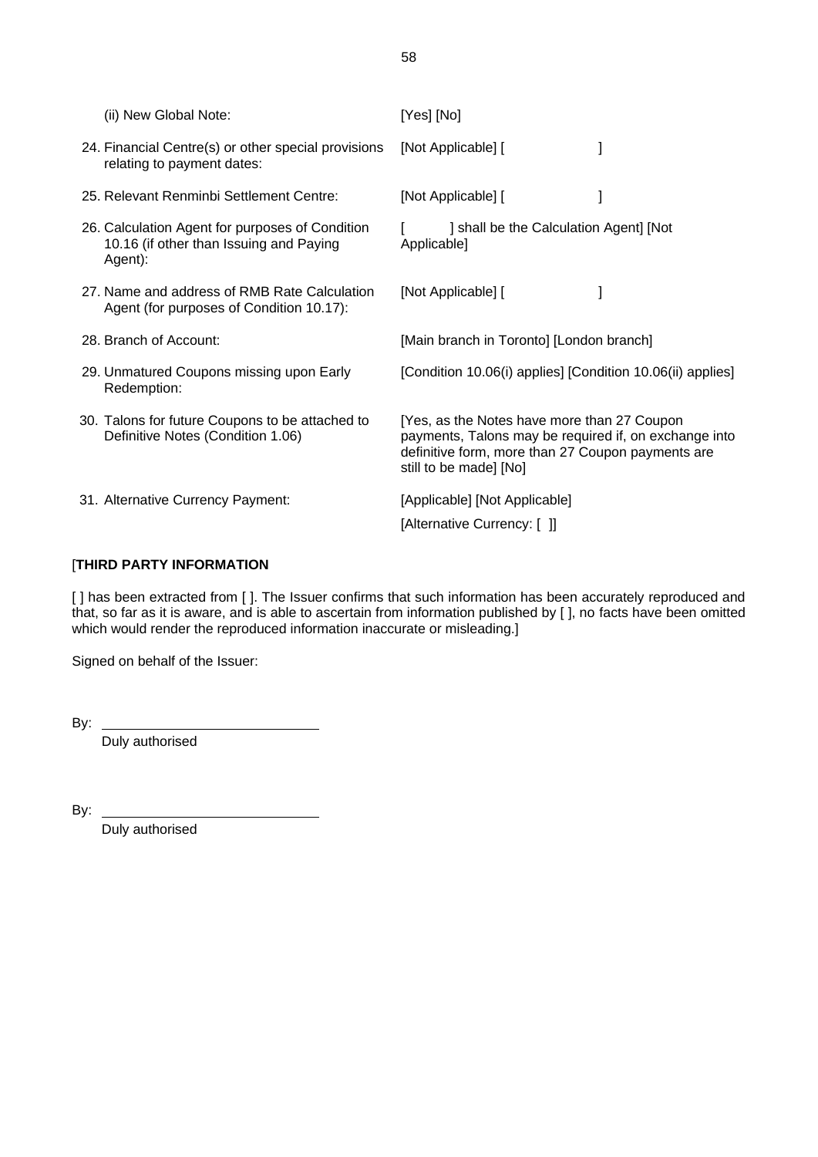| (ii) New Global Note:                                                                                 | [Yes] [No]                                                                                                                                                                          |
|-------------------------------------------------------------------------------------------------------|-------------------------------------------------------------------------------------------------------------------------------------------------------------------------------------|
| 24. Financial Centre(s) or other special provisions<br>relating to payment dates:                     | [Not Applicable] [                                                                                                                                                                  |
| 25. Relevant Renminbi Settlement Centre:                                                              | [Not Applicable] [                                                                                                                                                                  |
| 26. Calculation Agent for purposes of Condition<br>10.16 (if other than Issuing and Paying<br>Agent): | ] shall be the Calculation Agent] [Not<br>Applicable]                                                                                                                               |
| 27. Name and address of RMB Rate Calculation<br>Agent (for purposes of Condition 10.17):              | [Not Applicable] [                                                                                                                                                                  |
| 28. Branch of Account:                                                                                | [Main branch in Toronto] [London branch]                                                                                                                                            |
| 29. Unmatured Coupons missing upon Early<br>Redemption:                                               | [Condition 10.06(i) applies] [Condition 10.06(ii) applies]                                                                                                                          |
| 30. Talons for future Coupons to be attached to<br>Definitive Notes (Condition 1.06)                  | [Yes, as the Notes have more than 27 Coupon<br>payments, Talons may be required if, on exchange into<br>definitive form, more than 27 Coupon payments are<br>still to be made] [No] |
| 31. Alternative Currency Payment:                                                                     | [Applicable] [Not Applicable]<br>[Alternative Currency: [ ]]                                                                                                                        |

# [**THIRD PARTY INFORMATION**

[ ] has been extracted from [ ]. The Issuer confirms that such information has been accurately reproduced and that, so far as it is aware, and is able to ascertain from information published by [ ], no facts have been omitted which would render the reproduced information inaccurate or misleading.]

Signed on behalf of the Issuer:

| --<br>. .<br>-  |  |
|-----------------|--|
| . .<br>۰.<br>۰, |  |

Duly authorised

By:

Duly authorised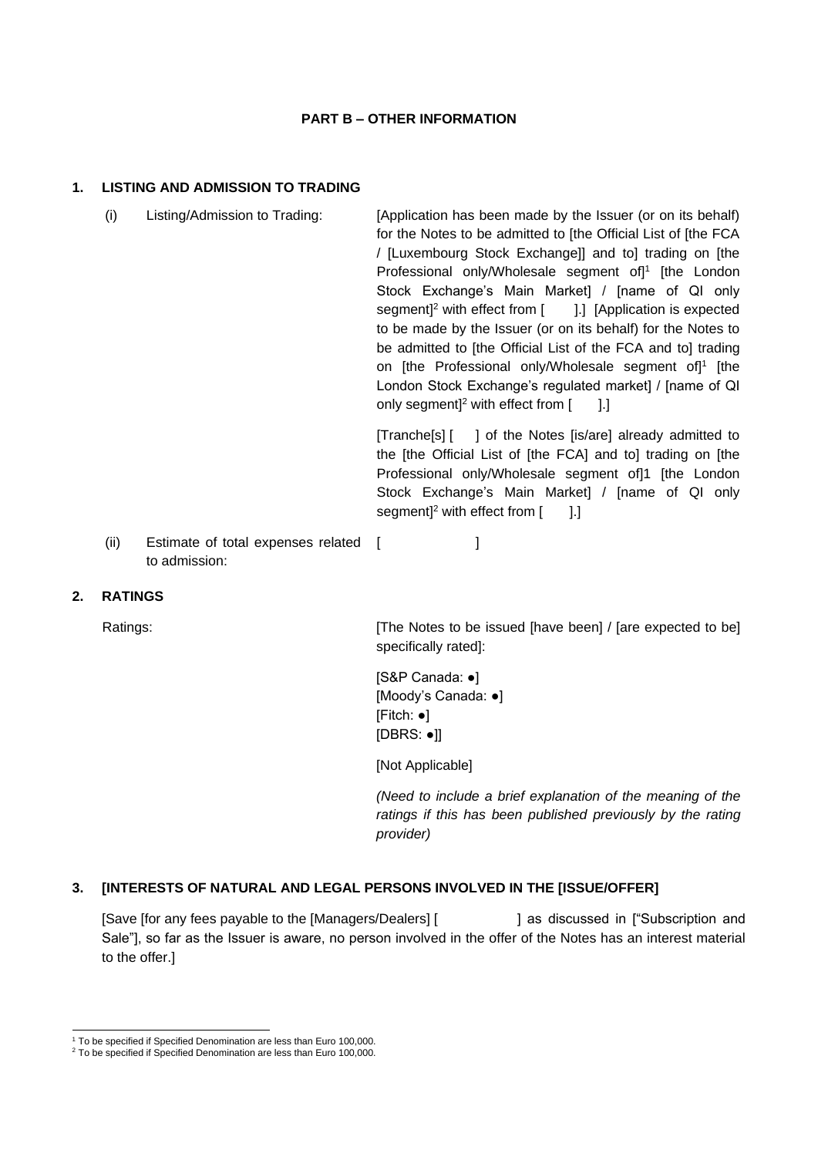#### **PART B – OTHER INFORMATION**

# **1. LISTING AND ADMISSION TO TRADING**

- (i) Listing/Admission to Trading: [Application has been made by the Issuer (or on its behalf) for the Notes to be admitted to [the Official List of [the FCA / [Luxembourg Stock Exchange]] and to] trading on [the Professional only/Wholesale segment of<sup>1</sup> [the London Stock Exchange's Main Market] / [name of QI only segment<sup> $2$ </sup> with effect from  $\begin{bmatrix} 1 \\ 1 \end{bmatrix}$  [Application is expected to be made by the Issuer (or on its behalf) for the Notes to be admitted to [the Official List of the FCA and to] trading on [the Professional only/Wholesale segment of]<sup>1</sup> [the London Stock Exchange's regulated market] / [name of QI only segment $]^{2}$  with effect from  $[$  ].] [Tranche[s] [ ] of the Notes [is/are] already admitted to the [the Official List of [the FCA] and to] trading on [the Professional only/Wholesale segment of]1 [the London Stock Exchange's Main Market] / [name of QI only segment $]^{2}$  with effect from  $[$   $]$ .]
- (ii) Estimate of total expenses related to admission:  $[$   $]$

# **2. RATINGS**

Ratings: **Example 2 [The Notes to be issued [have been]** / [are expected to be] specifically rated]:

> [S&P Canada: ●] [Moody's Canada: ●] [Fitch: ●] [DBRS: ●]]

[Not Applicable]

*(Need to include a brief explanation of the meaning of the ratings if this has been published previously by the rating provider)*

# **3. [INTERESTS OF NATURAL AND LEGAL PERSONS INVOLVED IN THE [ISSUE/OFFER]**

[Save [for any fees payable to the [Managers/Dealers] [ ] as discussed in ["Subscription and Sale"], so far as the Issuer is aware, no person involved in the offer of the Notes has an interest material to the offer.]

<sup>&</sup>lt;sup>1</sup> To be specified if Specified Denomination are less than Euro 100,000.

<sup>&</sup>lt;sup>2</sup> To be specified if Specified Denomination are less than Euro 100,000.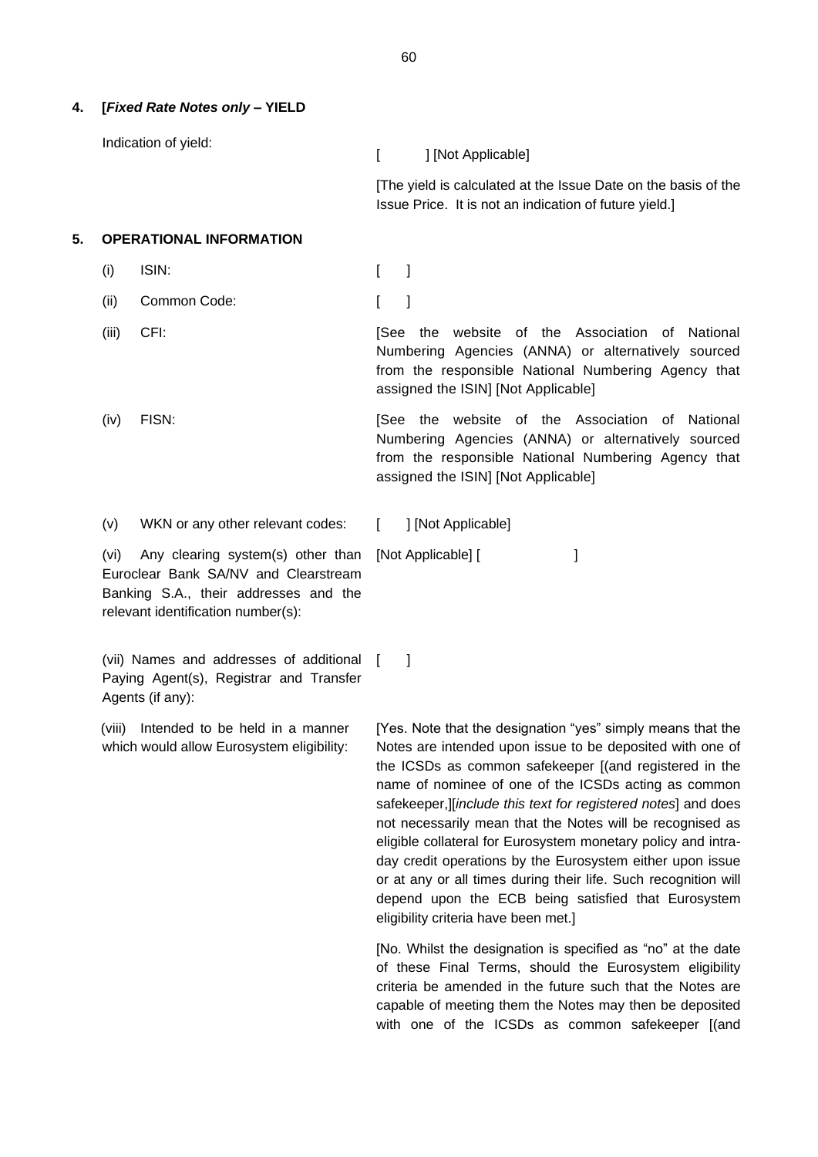#### **4. [***Fixed Rate Notes only* **– YIELD**

Indication of yield:

[ ] [Not Applicable]

[The yield is calculated at the Issue Date on the basis of the Issue Price. It is not an indication of future yield.]

#### **5. OPERATIONAL INFORMATION**

- (i) ISIN: [ ]
- (ii) Common Code: [ ]
- (iii) CFI: **[See the website of the Association of National** Numbering Agencies (ANNA) or alternatively sourced from the responsible National Numbering Agency that assigned the ISIN] [Not Applicable]
- (iv) FISN: The Society of the Website of the Association of National Numbering Agencies (ANNA) or alternatively sourced from the responsible National Numbering Agency that assigned the ISIN] [Not Applicable]

 $\overline{\phantom{a}}$ 

(v) WKN or any other relevant codes: [ ] [Not Applicable]

[Not Applicable] [ ]

(vi) Any clearing system(s) other than Euroclear Bank SA/NV and Clearstream Banking S.A., their addresses and the relevant identification number(s):

(vii) Names and addresses of additional Paying Agent(s), Registrar and Transfer Agents (if any):

(viii) Intended to be held in a manner which would allow Eurosystem eligibility:

[Yes. Note that the designation "yes" simply means that the Notes are intended upon issue to be deposited with one of the ICSDs as common safekeeper [(and registered in the name of nominee of one of the ICSDs acting as common safekeeper,][*include this text for registered notes*] and does not necessarily mean that the Notes will be recognised as eligible collateral for Eurosystem monetary policy and intraday credit operations by the Eurosystem either upon issue or at any or all times during their life. Such recognition will depend upon the ECB being satisfied that Eurosystem eligibility criteria have been met.]

[No. Whilst the designation is specified as "no" at the date of these Final Terms, should the Eurosystem eligibility criteria be amended in the future such that the Notes are capable of meeting them the Notes may then be deposited with one of the ICSDs as common safekeeper [(and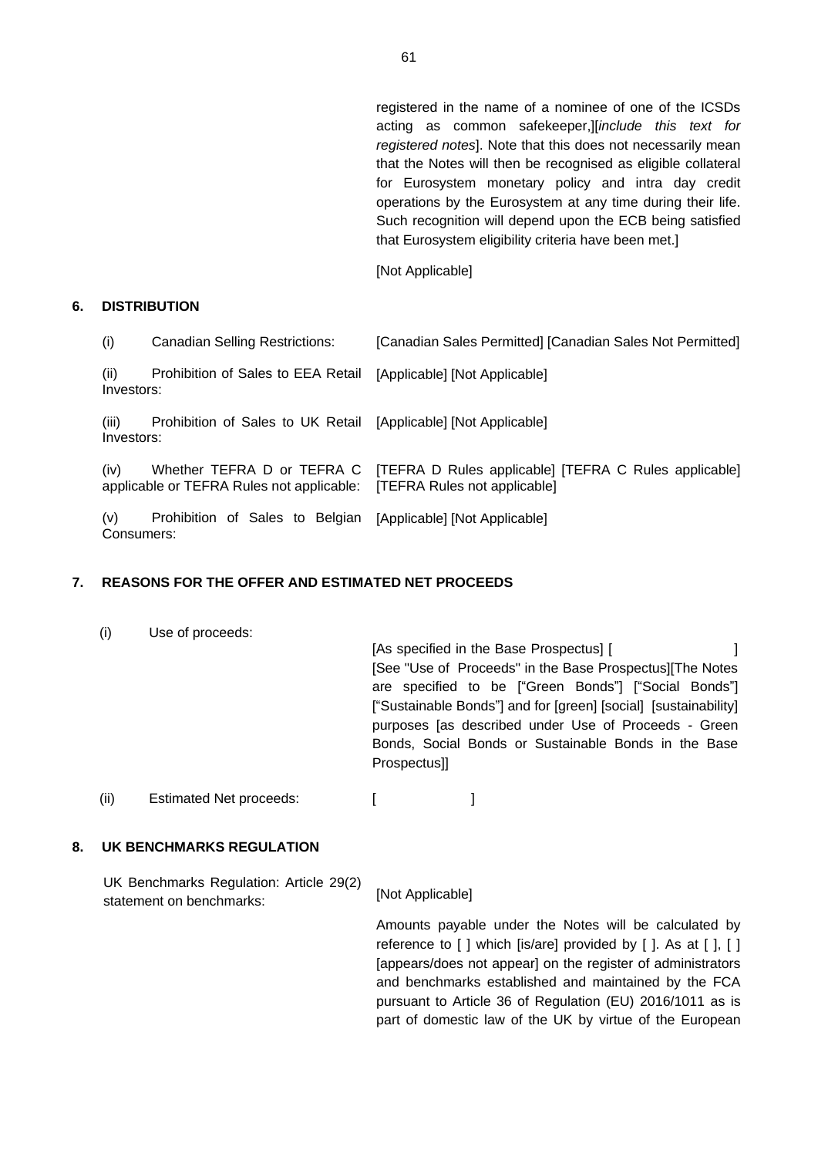registered in the name of a nominee of one of the ICSDs acting as common safekeeper,][*include this text for registered notes*]. Note that this does not necessarily mean that the Notes will then be recognised as eligible collateral for Eurosystem monetary policy and intra day credit operations by the Eurosystem at any time during their life. Such recognition will depend upon the ECB being satisfied that Eurosystem eligibility criteria have been met.]

[Not Applicable]

#### **6. DISTRIBUTION**

| (i)                 | <b>Canadian Selling Restrictions:</b>                                   | [Canadian Sales Permitted] [Canadian Sales Not Permitted]                             |
|---------------------|-------------------------------------------------------------------------|---------------------------------------------------------------------------------------|
| (ii)<br>Investors:  | Prohibition of Sales to EEA Retail                                      | [Applicable] [Not Applicable]                                                         |
| (iii)<br>Investors: | Prohibition of Sales to UK Retail [Applicable] [Not Applicable]         |                                                                                       |
| (iv)                | Whether TEFRA D or TEFRA C<br>applicable or TEFRA Rules not applicable: | [TEFRA D Rules applicable] [TEFRA C Rules applicable]<br>[TEFRA Rules not applicable] |
| (v)<br>Consumers:   | Prohibition of Sales to Belgian [Applicable] [Not Applicable]           |                                                                                       |

# **7. REASONS FOR THE OFFER AND ESTIMATED NET PROCEEDS**

| (i)  | Use of proceeds:               | Prospectus] | [As specified in the Base Prospectus] [<br>[See "Use of Proceeds" in the Base Prospectus] The Notes<br>are specified to be ["Green Bonds"] ["Social Bonds"]<br>["Sustainable Bonds"] and for [green] [social] [sustainability]<br>purposes [as described under Use of Proceeds - Green<br>Bonds, Social Bonds or Sustainable Bonds in the Base |  |
|------|--------------------------------|-------------|------------------------------------------------------------------------------------------------------------------------------------------------------------------------------------------------------------------------------------------------------------------------------------------------------------------------------------------------|--|
| (ii) | <b>Estimated Net proceeds:</b> |             |                                                                                                                                                                                                                                                                                                                                                |  |

# **8. UK BENCHMARKS REGULATION**

UK Benchmarks Regulation: Article 29(2) statement on benchmarks: [Not Applicable]

> Amounts payable under the Notes will be calculated by reference to  $\lceil \cdot \rceil$  which  $\lceil \cdot \rceil$  provided by  $\lceil \cdot \rceil$ . As at  $\lceil \cdot \rceil$ ,  $\lceil \cdot \rceil$ [appears/does not appear] on the register of administrators and benchmarks established and maintained by the FCA pursuant to Article 36 of Regulation (EU) 2016/1011 as is part of domestic law of the UK by virtue of the European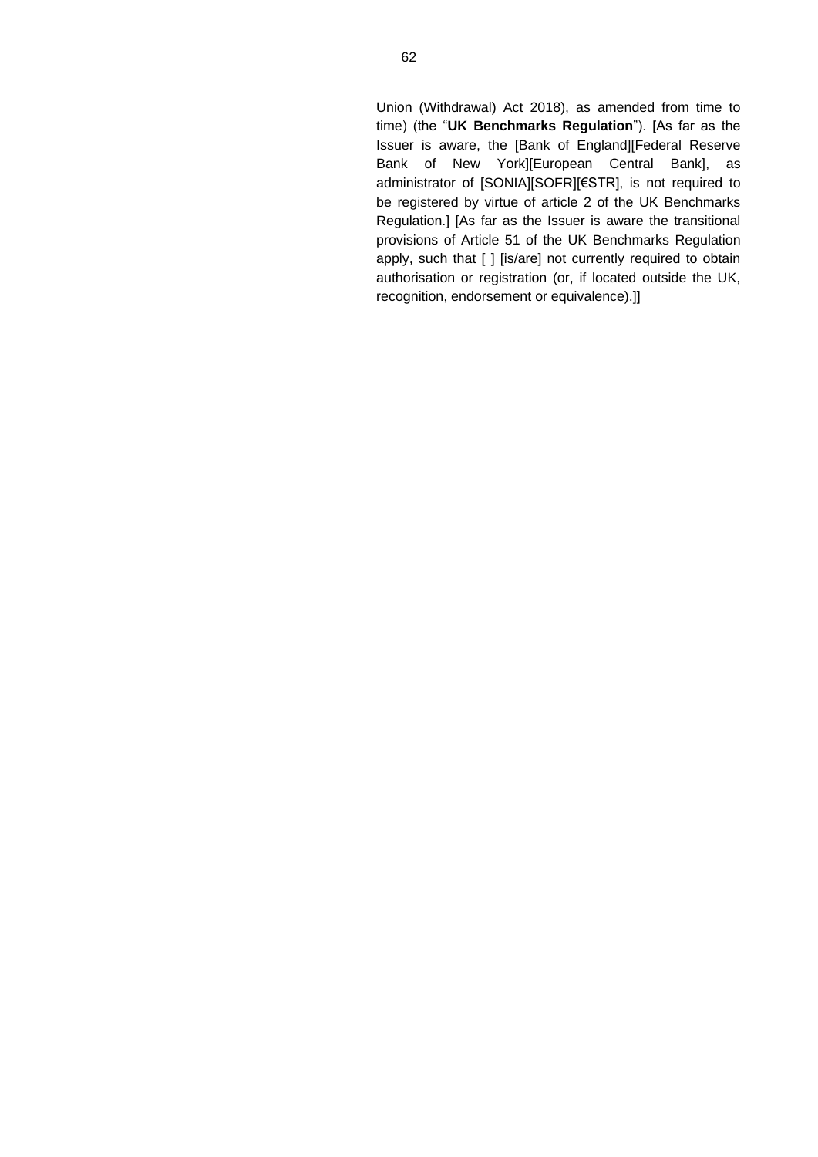Union (Withdrawal) Act 2018), as amended from time to time) (the "**UK Benchmarks Regulation**"). [As far as the Issuer is aware, the [Bank of England][Federal Reserve Bank of New York][European Central Bank], as administrator of [SONIA][SOFR][€STR], is not required to be registered by virtue of article 2 of the UK Benchmarks Regulation.] [As far as the Issuer is aware the transitional provisions of Article 51 of the UK Benchmarks Regulation apply, such that [ ] [is/are] not currently required to obtain authorisation or registration (or, if located outside the UK, recognition, endorsement or equivalence).]]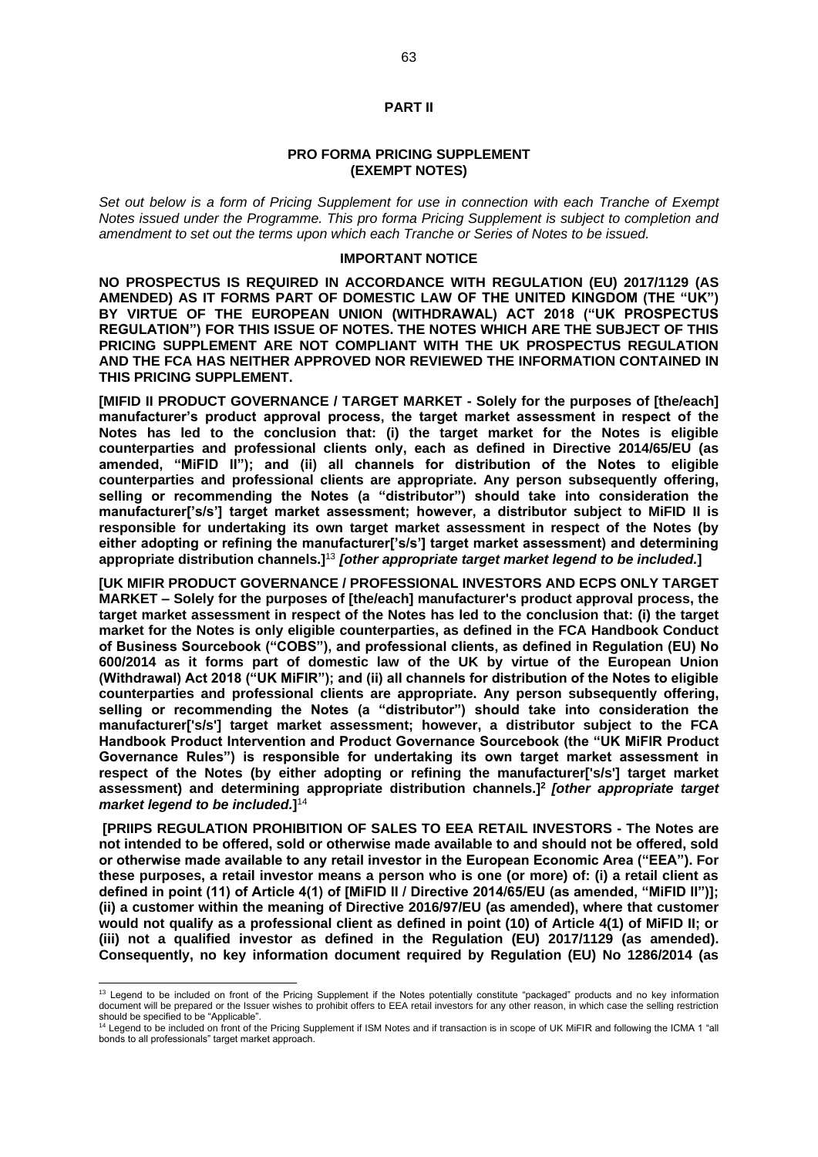#### **PART II**

#### **PRO FORMA PRICING SUPPLEMENT (EXEMPT NOTES)**

*Set out below is a form of Pricing Supplement for use in connection with each Tranche of Exempt Notes issued under the Programme. This pro forma Pricing Supplement is subject to completion and amendment to set out the terms upon which each Tranche or Series of Notes to be issued.*

#### **IMPORTANT NOTICE**

**NO PROSPECTUS IS REQUIRED IN ACCORDANCE WITH REGULATION (EU) 2017/1129 (AS AMENDED) AS IT FORMS PART OF DOMESTIC LAW OF THE UNITED KINGDOM (THE "UK") BY VIRTUE OF THE EUROPEAN UNION (WITHDRAWAL) ACT 2018 ("UK PROSPECTUS REGULATION") FOR THIS ISSUE OF NOTES. THE NOTES WHICH ARE THE SUBJECT OF THIS PRICING SUPPLEMENT ARE NOT COMPLIANT WITH THE UK PROSPECTUS REGULATION AND THE FCA HAS NEITHER APPROVED NOR REVIEWED THE INFORMATION CONTAINED IN THIS PRICING SUPPLEMENT.**

**[MIFID II PRODUCT GOVERNANCE / TARGET MARKET - Solely for the purposes of [the/each] manufacturer's product approval process, the target market assessment in respect of the Notes has led to the conclusion that: (i) the target market for the Notes is eligible counterparties and professional clients only, each as defined in Directive 2014/65/EU (as amended, "MiFID II"); and (ii) all channels for distribution of the Notes to eligible counterparties and professional clients are appropriate. Any person subsequently offering, selling or recommending the Notes (a "distributor") should take into consideration the manufacturer['s/s'] target market assessment; however, a distributor subject to MiFID II is responsible for undertaking its own target market assessment in respect of the Notes (by either adopting or refining the manufacturer['s/s'] target market assessment) and determining appropriate distribution channels.]**<sup>13</sup> *[other appropriate target market legend to be included.***]**

**[UK MIFIR PRODUCT GOVERNANCE / PROFESSIONAL INVESTORS AND ECPS ONLY TARGET MARKET – Solely for the purposes of [the/each] manufacturer's product approval process, the target market assessment in respect of the Notes has led to the conclusion that: (i) the target market for the Notes is only eligible counterparties, as defined in the FCA Handbook Conduct of Business Sourcebook ("COBS"), and professional clients, as defined in Regulation (EU) No 600/2014 as it forms part of domestic law of the UK by virtue of the European Union (Withdrawal) Act 2018 ("UK MiFIR"); and (ii) all channels for distribution of the Notes to eligible counterparties and professional clients are appropriate. Any person subsequently offering, selling or recommending the Notes (a "distributor") should take into consideration the manufacturer['s/s'] target market assessment; however, a distributor subject to the FCA Handbook Product Intervention and Product Governance Sourcebook (the "UK MiFIR Product Governance Rules") is responsible for undertaking its own target market assessment in respect of the Notes (by either adopting or refining the manufacturer['s/s'] target market assessment) and determining appropriate distribution channels.]<sup>2</sup>***[other appropriate target market legend to be included.***]** 14

**[PRIIPS REGULATION PROHIBITION OF SALES TO EEA RETAIL INVESTORS - The Notes are not intended to be offered, sold or otherwise made available to and should not be offered, sold or otherwise made available to any retail investor in the European Economic Area ("EEA"). For these purposes, a retail investor means a person who is one (or more) of: (i) a retail client as defined in point (11) of Article 4(1) of [MiFID II / Directive 2014/65/EU (as amended, "MiFID II")]; (ii) a customer within the meaning of Directive 2016/97/EU (as amended), where that customer would not qualify as a professional client as defined in point (10) of Article 4(1) of MiFID II; or (iii) not a qualified investor as defined in the Regulation (EU) 2017/1129 (as amended). Consequently, no key information document required by Regulation (EU) No 1286/2014 (as** 

<sup>&</sup>lt;sup>13</sup> Legend to be included on front of the Pricing Supplement if the Notes potentially constitute "packaged" products and no key information document will be prepared or the Issuer wishes to prohibit offers to EEA retail investors for any other reason, in which case the selling restriction should be specified to be "Applicable".

<sup>&</sup>lt;sup>14</sup> Legend to be included on front of the Pricing Supplement if ISM Notes and if transaction is in scope of UK MiFIR and following the ICMA 1 "all bonds to all professionals" target market approach.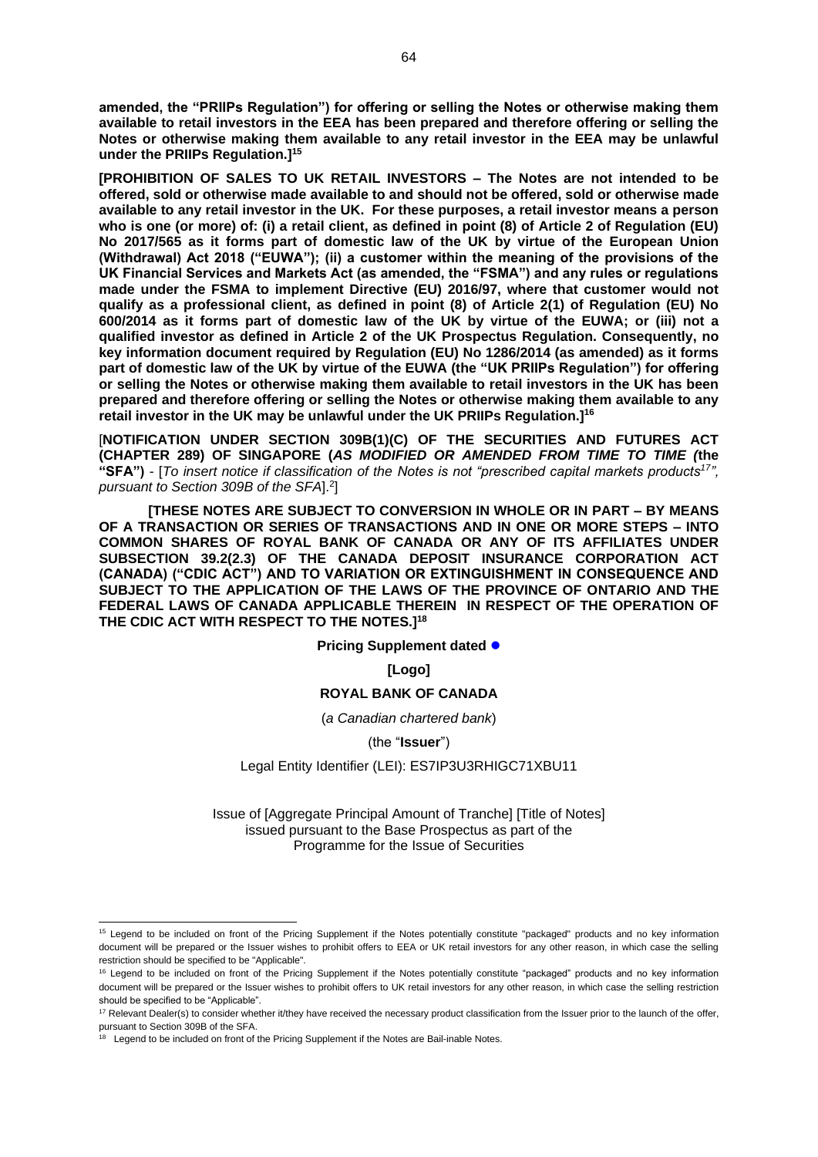**amended, the "PRIIPs Regulation") for offering or selling the Notes or otherwise making them available to retail investors in the EEA has been prepared and therefore offering or selling the Notes or otherwise making them available to any retail investor in the EEA may be unlawful under the PRIIPs Regulation.]<sup>15</sup>**

**[PROHIBITION OF SALES TO UK RETAIL INVESTORS – The Notes are not intended to be offered, sold or otherwise made available to and should not be offered, sold or otherwise made available to any retail investor in the UK. For these purposes, a retail investor means a person who is one (or more) of: (i) a retail client, as defined in point (8) of Article 2 of Regulation (EU) No 2017/565 as it forms part of domestic law of the UK by virtue of the European Union (Withdrawal) Act 2018 ("EUWA"); (ii) a customer within the meaning of the provisions of the UK Financial Services and Markets Act (as amended, the "FSMA") and any rules or regulations made under the FSMA to implement Directive (EU) 2016/97, where that customer would not qualify as a professional client, as defined in point (8) of Article 2(1) of Regulation (EU) No 600/2014 as it forms part of domestic law of the UK by virtue of the EUWA; or (iii) not a qualified investor as defined in Article 2 of the UK Prospectus Regulation. Consequently, no key information document required by Regulation (EU) No 1286/2014 (as amended) as it forms part of domestic law of the UK by virtue of the EUWA (the "UK PRIIPs Regulation") for offering or selling the Notes or otherwise making them available to retail investors in the UK has been prepared and therefore offering or selling the Notes or otherwise making them available to any retail investor in the UK may be unlawful under the UK PRIIPs Regulation.]<sup>16</sup>**

[**NOTIFICATION UNDER SECTION 309B(1)(C) OF THE SECURITIES AND FUTURES ACT (CHAPTER 289) OF SINGAPORE (***AS MODIFIED OR AMENDED FROM TIME TO TIME (***the "SFA")** - [*To insert notice if classification of the Notes is not "prescribed capital markets products<sup>17</sup>",*  pursuant to Section 309B of the SFA].<sup>2</sup>]

**[THESE NOTES ARE SUBJECT TO CONVERSION IN WHOLE OR IN PART – BY MEANS OF A TRANSACTION OR SERIES OF TRANSACTIONS AND IN ONE OR MORE STEPS – INTO COMMON SHARES OF ROYAL BANK OF CANADA OR ANY OF ITS AFFILIATES UNDER SUBSECTION 39.2(2.3) OF THE CANADA DEPOSIT INSURANCE CORPORATION ACT (CANADA) ("CDIC ACT") AND TO VARIATION OR EXTINGUISHMENT IN CONSEQUENCE AND SUBJECT TO THE APPLICATION OF THE LAWS OF THE PROVINCE OF ONTARIO AND THE FEDERAL LAWS OF CANADA APPLICABLE THEREIN IN RESPECT OF THE OPERATION OF THE CDIC ACT WITH RESPECT TO THE NOTES.]<sup>18</sup>**

**Pricing Supplement dated ●** 

**[Logo]**

#### **ROYAL BANK OF CANADA**

#### (*a Canadian chartered bank*)

(the "**Issuer**")

#### Legal Entity Identifier (LEI): ES7IP3U3RHIGC71XBU11

Issue of [Aggregate Principal Amount of Tranche] [Title of Notes] issued pursuant to the Base Prospectus as part of the Programme for the Issue of Securities

<sup>&</sup>lt;sup>15</sup> Legend to be included on front of the Pricing Supplement if the Notes potentially constitute "packaged" products and no key information document will be prepared or the Issuer wishes to prohibit offers to EEA or UK retail investors for any other reason, in which case the selling restriction should be specified to be "Applicable".

<sup>&</sup>lt;sup>16</sup> Legend to be included on front of the Pricing Supplement if the Notes potentially constitute "packaged" products and no key information document will be prepared or the Issuer wishes to prohibit offers to UK retail investors for any other reason, in which case the selling restriction should be specified to be "Applicable".

<sup>&</sup>lt;sup>17</sup> Relevant Dealer(s) to consider whether it/they have received the necessary product classification from the Issuer prior to the launch of the offer,

pursuant to Section 309B of the SFA.<br><sup>18</sup> Legend to be included on front of the Pricing Supplement if the Notes are Bail-inable Notes.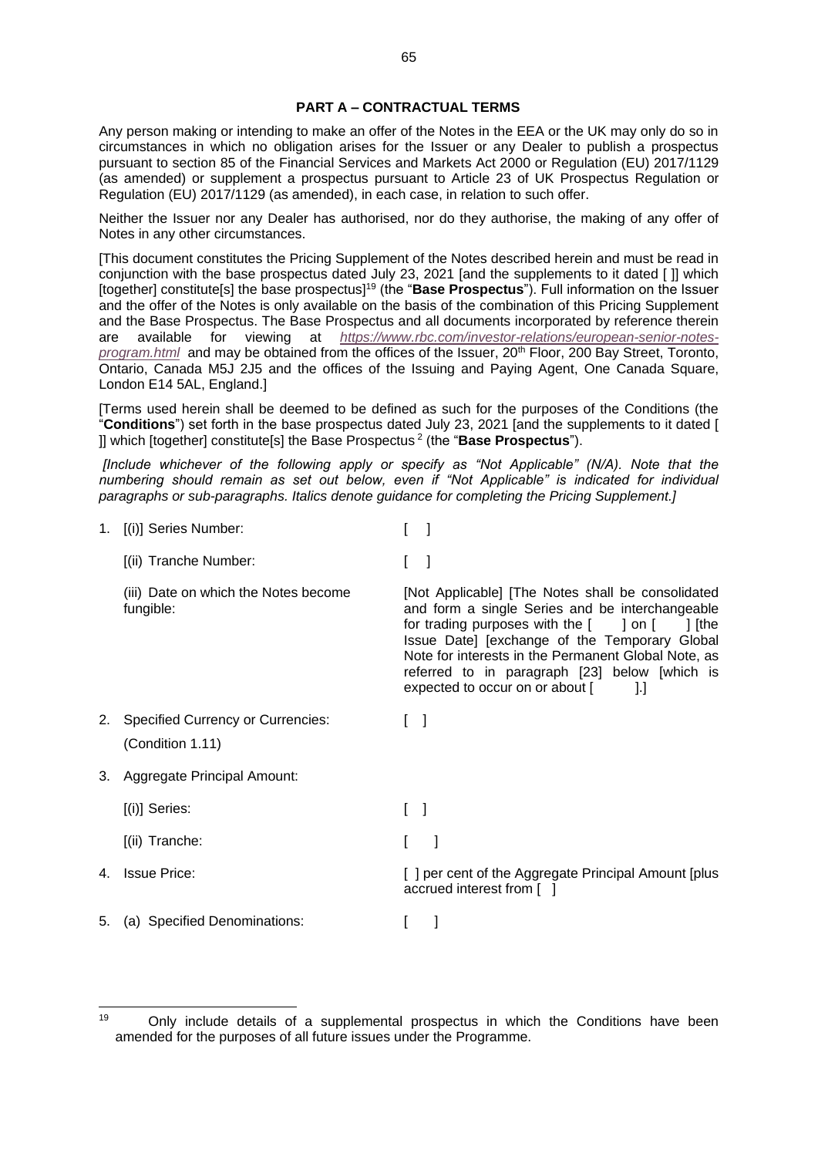#### **PART A – CONTRACTUAL TERMS**

Any person making or intending to make an offer of the Notes in the EEA or the UK may only do so in circumstances in which no obligation arises for the Issuer or any Dealer to publish a prospectus pursuant to section 85 of the Financial Services and Markets Act 2000 or Regulation (EU) 2017/1129 (as amended) or supplement a prospectus pursuant to Article 23 of UK Prospectus Regulation or Regulation (EU) 2017/1129 (as amended), in each case, in relation to such offer.

Neither the Issuer nor any Dealer has authorised, nor do they authorise, the making of any offer of Notes in any other circumstances.

[This document constitutes the Pricing Supplement of the Notes described herein and must be read in conjunction with the base prospectus dated July 23, 2021 [and the supplements to it dated [ ]] which [together] constitute[s] the base prospectus]<sup>19</sup> (the "**Base Prospectus**"). Full information on the Issuer and the offer of the Notes is only available on the basis of the combination of this Pricing Supplement and the Base Prospectus. The Base Prospectus and all documents incorporated by reference therein are available for viewing at *[https://www.rbc.com/investor-relations/european-senior-notes](https://www.rbc.com/investor-relations/european-senior-notes-program.html)[program.html](https://www.rbc.com/investor-relations/european-senior-notes-program.html)* and may be obtained from the offices of the Issuer, 20<sup>th</sup> Floor, 200 Bay Street, Toronto, Ontario, Canada M5J 2J5 and the offices of the Issuing and Paying Agent, One Canada Square, London E14 5AL, England.]

[Terms used herein shall be deemed to be defined as such for the purposes of the Conditions (the "**Conditions**") set forth in the base prospectus dated July 23, 2021 [and the supplements to it dated [ ]] which [together] constitute[s] the Base Prospectus <sup>2</sup> (the "**Base Prospectus**").

*[Include whichever of the following apply or specify as "Not Applicable" (N/A). Note that the numbering should remain as set out below, even if "Not Applicable" is indicated for individual paragraphs or sub-paragraphs. Italics denote guidance for completing the Pricing Supplement.]*

1. [(i)] Series Number: [ ] [(ii) Tranche Number: [ ] (iii) Date on which the Notes become fungible: [Not Applicable] [The Notes shall be consolidated and form a single Series and be interchangeable for trading purposes with the  $\begin{bmatrix} 1 & 1 \\ 0 & 1 \end{bmatrix}$  [the Issue Date] [exchange of the Temporary Global Note for interests in the Permanent Global Note, as referred to in paragraph [23] below [which is expected to occur on or about [ ].] 2. Specified Currency or Currencies: (Condition 1.11)  $\lceil$   $\rceil$ 3. Aggregate Principal Amount:  $[(i)]$  Series:  $[ ]$ [(ii) Tranche: [ ] 4. Issue Price: **Example 2. Internal Amount Contract Aggregate Principal Amount [plus [1]** per cent of the Aggregate Principal Amount [plus accrued interest from [ ] 5. (a) Specified Denominations: [ ]

 $19$  Only include details of a supplemental prospectus in which the Conditions have been amended for the purposes of all future issues under the Programme.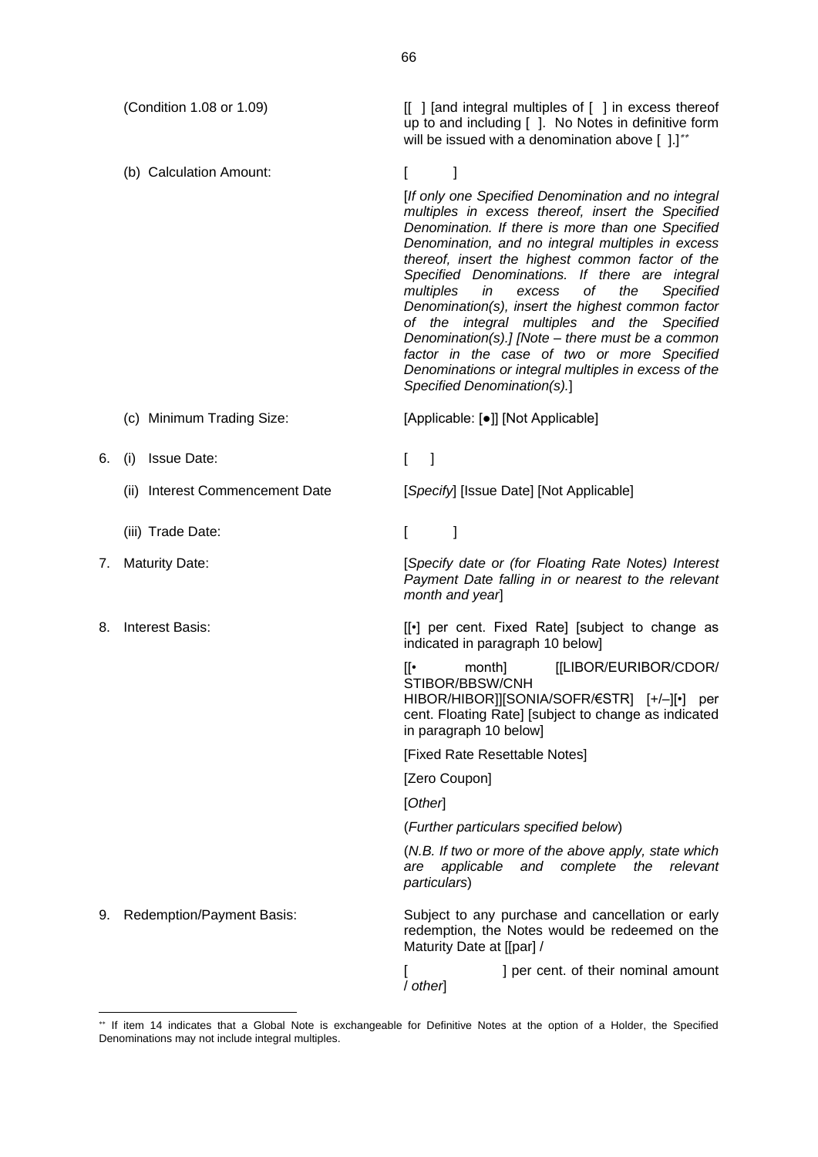(Condition 1.08 or 1.09) [[ ] [and integral multiples of [ ] in excess thereof

(b) Calculation Amount: [ ]

up to and including [ ]. No Notes in definitive form will be issued with a denomination above [ ].]\*\*

[*If only one Specified Denomination and no integral multiples in excess thereof, insert the Specified Denomination. If there is more than one Specified Denomination, and no integral multiples in excess thereof, insert the highest common factor of the Specified Denominations. If there are integral multiples in excess of the Specified Denomination(s), insert the highest common factor of the integral multiples and the Specified Denomination(s).] [Note – there must be a common factor in the case of two or more Specified Denominations or integral multiples in excess of the Specified Denomination(s).*]

- (c) Minimum Trading Size: [Applicable: [●]] [Not Applicable]
- 6. (i) Issue Date: [ ]
	- (ii) Interest Commencement Date [*Specify*] [Issue Date] [Not Applicable]
	- (iii) Trade Date: [ ]
- 
- 

7. Maturity Date: [*Specify date or (for Floating Rate Notes) Interest Payment Date falling in or nearest to the relevant month and year*]

8. Interest Basis:  $[[•]$  per cent. Fixed Rate] [subject to change as indicated in paragraph 10 below]

> [[• month] [[LIBOR/EURIBOR/CDOR/ STIBOR/BBSW/CNH HIBOR/HIBOR]][SONIA/SOFR/€STR] [+/–][•] per

> cent. Floating Rate] [subject to change as indicated in paragraph 10 below]

[Fixed Rate Resettable Notes]

[Zero Coupon]

[*Other*]

(*Further particulars specified below*)

(*N.B. If two or more of the above apply, state which are applicable and complete the relevant particulars*)

9. Redemption/Payment Basis: Subject to any purchase and cancellation or early redemption, the Notes would be redeemed on the Maturity Date at [[par] /

> [ ] per cent. of their nominal amount / *other*]

If item 14 indicates that a Global Note is exchangeable for Definitive Notes at the option of a Holder, the Specified Denominations may not include integral multiples.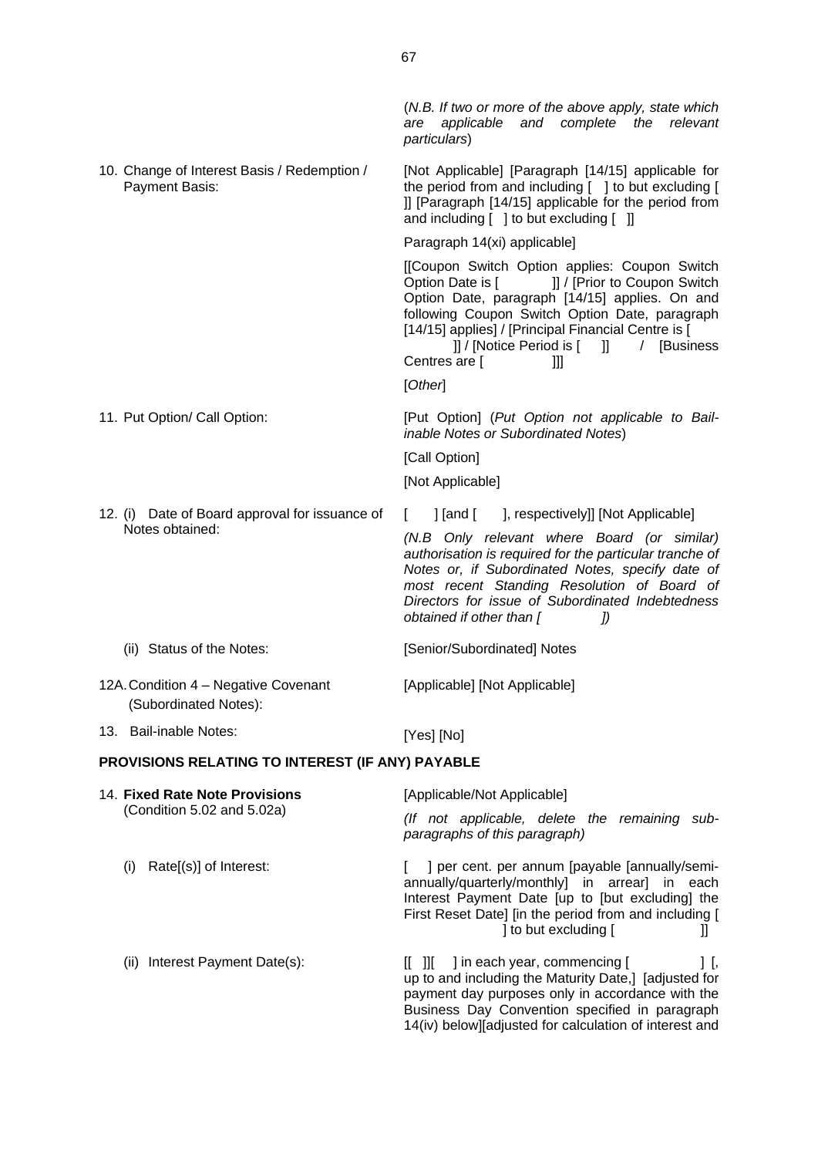|                                                                   | particulars)                                                                                                                                                                                                                                                                                                                                              |  |  |
|-------------------------------------------------------------------|-----------------------------------------------------------------------------------------------------------------------------------------------------------------------------------------------------------------------------------------------------------------------------------------------------------------------------------------------------------|--|--|
| 10. Change of Interest Basis / Redemption /<br>Payment Basis:     | [Not Applicable] [Paragraph [14/15] applicable for<br>the period from and including [ ] to but excluding [<br>]] [Paragraph [14/15] applicable for the period from<br>and including [ ] to but excluding [ ]]                                                                                                                                             |  |  |
|                                                                   | Paragraph 14(xi) applicable]                                                                                                                                                                                                                                                                                                                              |  |  |
|                                                                   | [[Coupon Switch Option applies: Coupon Switch<br>Option Date is [ J] / [Prior to Coupon Switch<br>Option Date, paragraph [14/15] applies. On and<br>following Coupon Switch Option Date, paragraph<br>[14/15] applies] / [Principal Financial Centre is [<br>]] / [Notice Period is [ ]] / [Business<br>Centres are [<br>Ш<br>[Other]                     |  |  |
| 11. Put Option/ Call Option:                                      | [Put Option] (Put Option not applicable to Bail-<br>inable Notes or Subordinated Notes)<br>[Call Option]<br>[Not Applicable]                                                                                                                                                                                                                              |  |  |
| 12. (i) Date of Board approval for issuance of<br>Notes obtained: | ] [and [ ], respectively]] [Not Applicable]<br>L<br>(N.B Only relevant where Board (or similar)<br>authorisation is required for the particular tranche of<br>Notes or, if Subordinated Notes, specify date of<br>most recent Standing Resolution of Board of<br>Directors for issue of Subordinated Indebtedness<br>obtained if other than [<br>$\it{J}$ |  |  |
| (ii) Status of the Notes:                                         | [Senior/Subordinated] Notes                                                                                                                                                                                                                                                                                                                               |  |  |
| 12A. Condition 4 - Negative Covenant<br>(Subordinated Notes):     | [Applicable] [Not Applicable]                                                                                                                                                                                                                                                                                                                             |  |  |
| 13. Bail-inable Notes:                                            | [Yes] [No]                                                                                                                                                                                                                                                                                                                                                |  |  |
| PROVISIONS RELATING TO INTEREST (IF ANY) PAYABLE                  |                                                                                                                                                                                                                                                                                                                                                           |  |  |
| 14. Fixed Rate Note Provisions                                    | [Applicable/Not Applicable]                                                                                                                                                                                                                                                                                                                               |  |  |
| (Condition 5.02 and 5.02a)                                        | (If not applicable, delete the remaining sub-<br>paragraphs of this paragraph)                                                                                                                                                                                                                                                                            |  |  |
| Rate[(s)] of Interest:<br>(i)                                     | ] per cent. per annum [payable [annually/semi-<br>annually/quarterly/monthly] in arrear] in each<br>Interest Payment Date [up to [but excluding] the<br>First Reset Date] [in the period from and including [<br>] to but excluding [<br>Ш                                                                                                                |  |  |
| Interest Payment Date(s):<br>(ii)                                 | ] in each year, commencing [<br>$[[ \quad ]]$<br>1 [,                                                                                                                                                                                                                                                                                                     |  |  |

up to and including the Maturity Date,] [adjusted for payment day purposes only in accordance with the Business Day Convention specified in paragraph 14(iv) below][adjusted for calculation of interest and

(*N.B. If two or more of the above apply, state which are applicable and complete the relevant*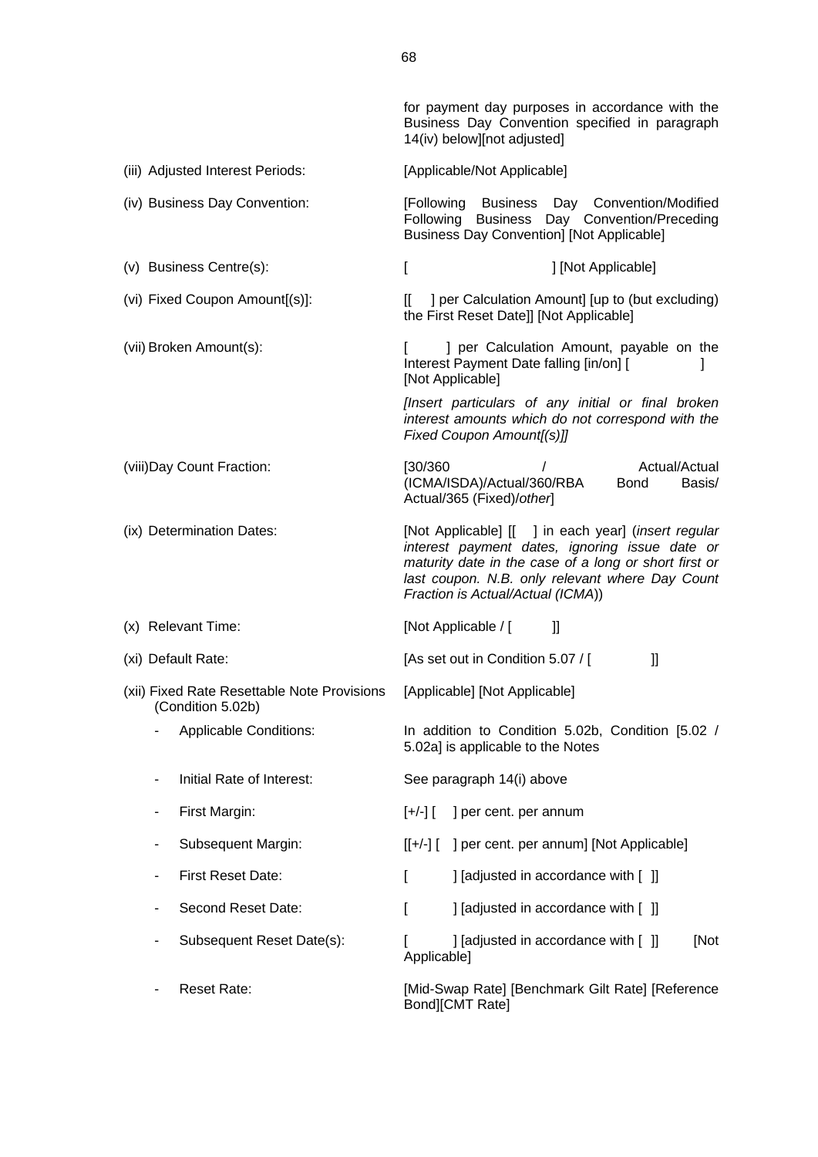for payment day purposes in accordance with the Business Day Convention specified in paragraph 14(iv) below][not adjusted] (iii) Adjusted Interest Periods: [Applicable/Not Applicable] (iv) Business Day Convention: [Following Business Day Convention/Modified Following Business Day Convention/Preceding Business Day Convention] [Not Applicable] (v) Business Centre(s): [ [ ] [Not Applicable] (vi) Fixed Coupon Amount[(s)]: [[ ] per Calculation Amount] [up to (but excluding) the First Reset Date]] [Not Applicable] (vii) Broken Amount(s): [ ] per Calculation Amount, payable on the Interest Payment Date falling [in/on] [ [Not Applicable] *[Insert particulars of any initial or final broken interest amounts which do not correspond with the Fixed Coupon Amount[(s)]]* (viii)Day Count Fraction: [30/360 / Actual/Actual (ICMA/ISDA)/Actual/360/RBA Bond Basis/ Actual/365 (Fixed)/*other*] (ix) Determination Dates: [Not Applicable] [[ ] in each year] (*insert regular interest payment dates, ignoring issue date or maturity date in the case of a long or short first or last coupon. N.B. only relevant where Day Count Fraction is Actual/Actual (ICMA*)) (x) Relevant Time: [Not Applicable / [ ]] (xi) Default Rate:  $[As set out in Condition 5.07 / [ ]]$ (xii) Fixed Rate Resettable Note Provisions (Condition 5.02b) [Applicable] [Not Applicable] - Applicable Conditions: In addition to Condition 5.02b, Condition [5.02 / 5.02a] is applicable to the Notes Initial Rate of Interest: See paragraph 14(i) above - First Margin:  $[+/]-]$  | per cent. per annum Subsequent Margin: [[+/-] [ ] per cent. per annum] [Not Applicable] First Reset Date: [ ] [adjusted in accordance with [ ]] Second Reset Date: [ ] [adjusted in accordance with [ ]] Subsequent Reset Date(s): [ ] [adjusted in accordance with [ ]] [Not Applicable] Reset Rate: The Reset Rate: [Mid-Swap Rate] [Benchmark Gilt Rate] [Reference Bond][CMT Rate]

68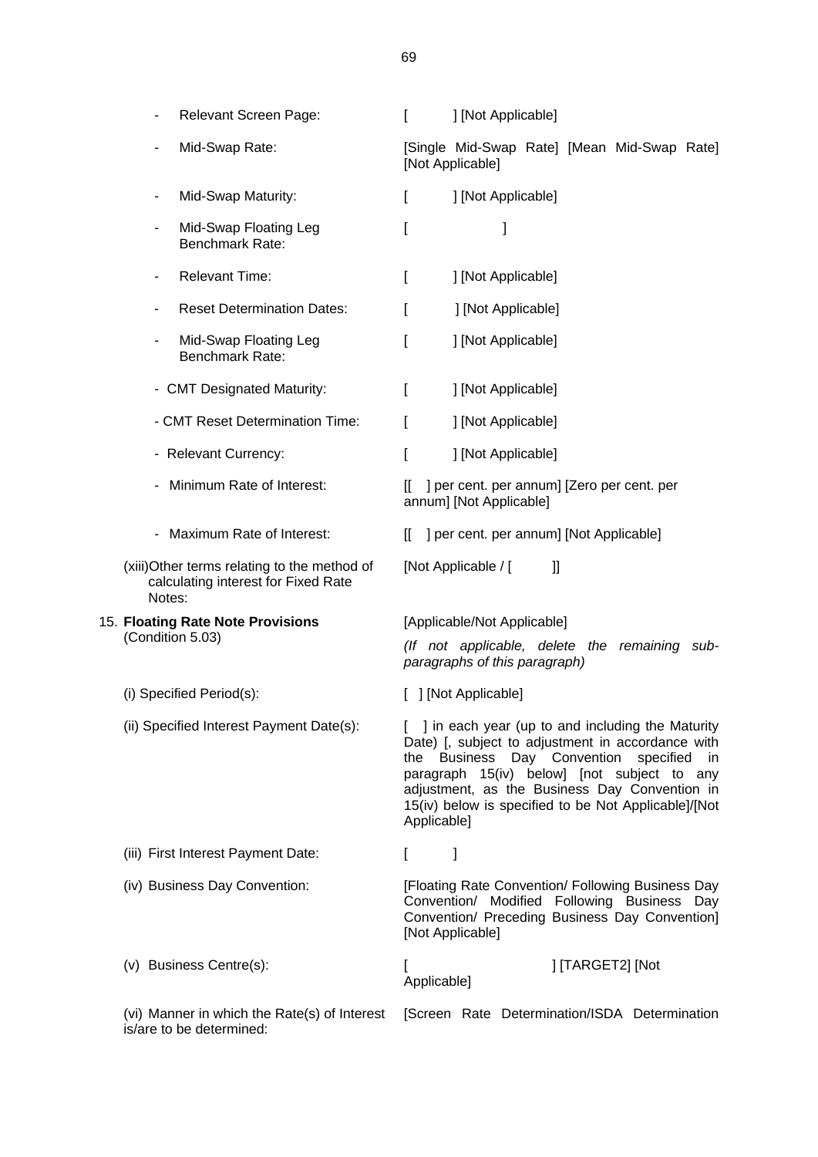| Relevant Screen Page:                                                                         | ſ<br>] [Not Applicable]                                                                                                                                                                                                                                                                                                     |
|-----------------------------------------------------------------------------------------------|-----------------------------------------------------------------------------------------------------------------------------------------------------------------------------------------------------------------------------------------------------------------------------------------------------------------------------|
| Mid-Swap Rate:                                                                                | [Single Mid-Swap Rate] [Mean Mid-Swap Rate]<br>[Not Applicable]                                                                                                                                                                                                                                                             |
| Mid-Swap Maturity:<br>۰                                                                       | ] [Not Applicable]<br>I                                                                                                                                                                                                                                                                                                     |
| Mid-Swap Floating Leg<br>٠<br><b>Benchmark Rate:</b>                                          | J<br>I                                                                                                                                                                                                                                                                                                                      |
| <b>Relevant Time:</b><br>۰                                                                    | ] [Not Applicable]<br>t                                                                                                                                                                                                                                                                                                     |
| <b>Reset Determination Dates:</b><br>٠                                                        | ] [Not Applicable]<br>I                                                                                                                                                                                                                                                                                                     |
| Mid-Swap Floating Leg<br>$\overline{\phantom{a}}$<br>Benchmark Rate:                          | ] [Not Applicable]                                                                                                                                                                                                                                                                                                          |
| - CMT Designated Maturity:                                                                    | ] [Not Applicable]<br>I                                                                                                                                                                                                                                                                                                     |
| - CMT Reset Determination Time:                                                               | ] [Not Applicable]<br>L                                                                                                                                                                                                                                                                                                     |
| - Relevant Currency:                                                                          | ] [Not Applicable]<br>I                                                                                                                                                                                                                                                                                                     |
| - Minimum Rate of Interest:                                                                   | ] per cent. per annum] [Zero per cent. per<br>II<br>annum] [Not Applicable]                                                                                                                                                                                                                                                 |
| - Maximum Rate of Interest:                                                                   | ] per cent. per annum] [Not Applicable]<br>I                                                                                                                                                                                                                                                                                |
| (xiii) Other terms relating to the method of<br>calculating interest for Fixed Rate<br>Notes: | [Not Applicable / [<br>$\mathbf{I}$                                                                                                                                                                                                                                                                                         |
| 15. Floating Rate Note Provisions                                                             | [Applicable/Not Applicable]                                                                                                                                                                                                                                                                                                 |
| (Condition 5.03)                                                                              | (If not applicable, delete the remaining sub-<br>paragraphs of this paragraph)                                                                                                                                                                                                                                              |
| (i) Specified Period(s):                                                                      | [ ] [Not Applicable]                                                                                                                                                                                                                                                                                                        |
| (ii) Specified Interest Payment Date(s):                                                      | ] in each year (up to and including the Maturity<br>Date) [, subject to adjustment in accordance with<br>the Business Day Convention specified<br>in<br>paragraph 15(iv) below] [not subject to any<br>adjustment, as the Business Day Convention in<br>15(iv) below is specified to be Not Applicable]/[Not<br>Applicable] |
| (iii) First Interest Payment Date:                                                            | 1<br>L                                                                                                                                                                                                                                                                                                                      |
| (iv) Business Day Convention:                                                                 | [Floating Rate Convention/ Following Business Day<br>Convention/ Modified Following Business Day<br>Convention/ Preceding Business Day Convention]<br>[Not Applicable]                                                                                                                                                      |
| (v) Business Centre(s):                                                                       | ] [TARGET2] [Not<br>Applicable]                                                                                                                                                                                                                                                                                             |
| (vi) Manner in which the Rate(s) of Interest<br>is/are to be determined:                      | [Screen Rate Determination/ISDA Determination                                                                                                                                                                                                                                                                               |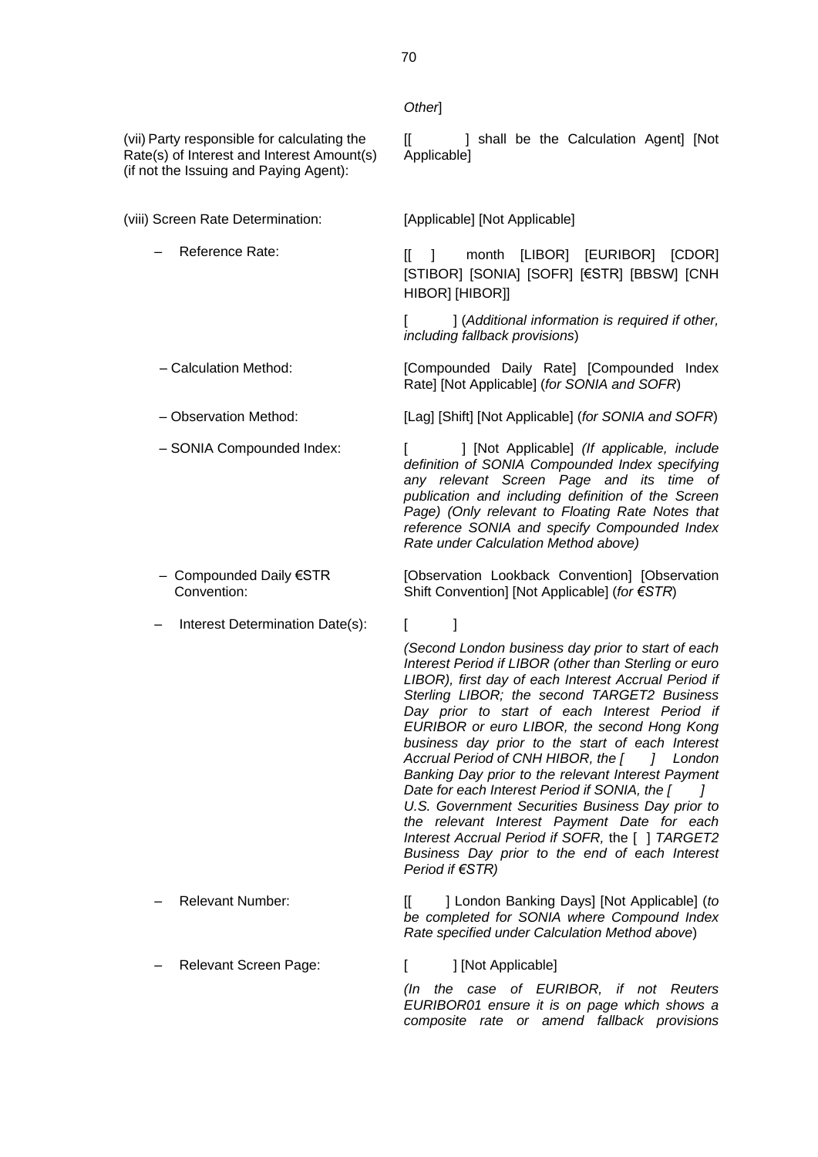#### *Other*]

(vii) Party responsible for calculating the Rate(s) of Interest and Interest Amount(s) (if not the Issuing and Paying Agent):

(viii) Screen Rate Determination: [Applicable] [Not Applicable]

- 
- 
- 
- 
- Compounded Daily €STR Convention:
- Interest Determination Date(s): [

*(Second London business day prior to start of each Interest Period if LIBOR (other than Sterling or euro LIBOR), first day of each Interest Accrual Period if Sterling LIBOR; the second TARGET2 Business Day prior to start of each Interest Period if EURIBOR or euro LIBOR, the second Hong Kong business day prior to the start of each Interest Accrual Period of CNH HIBOR, the [ ] London Banking Day prior to the relevant Interest Payment Date for each Interest Period if SONIA, the [ ] U.S. Government Securities Business Day prior to the relevant Interest Payment Date for each Interest Accrual Period if SOFR,* the [ ] *TARGET2 Business Day prior to the end of each Interest Period if €STR)*

- 
- Relevant Screen Page: [ ] [Not Applicable]

– Relevant Number: [[ ] London Banking Days] [Not Applicable] (*to be completed for SONIA where Compound Index Rate specified under Calculation Method above*)

*(In the case of EURIBOR, if not Reuters EURIBOR01 ensure it is on page which shows a composite rate or amend fallback provisions* 

[[ ] shall be the Calculation Agent] [Not Applicable]

Reference Rate: [[ ] month [LIBOR] [EURIBOR] [CDOR] [STIBOR] [SONIA] [SOFR] [€STR] [BBSW] [CNH HIBOR] [HIBOR]]

> [ ] (*Additional information is required if other, including fallback provisions*)

– Calculation Method: [Compounded Daily Rate] [Compounded Index Rate] [Not Applicable] (*for SONIA and SOFR*)

– Observation Method: [Lag] [Shift] [Not Applicable] (*for SONIA and SOFR*)

– SONIA Compounded Index: [ ] [Not Applicable] *(If applicable, include definition of SONIA Compounded Index specifying any relevant Screen Page and its time of publication and including definition of the Screen Page) (Only relevant to Floating Rate Notes that reference SONIA and specify Compounded Index Rate under Calculation Method above)*

> [Observation Lookback Convention] [Observation Shift Convention] [Not Applicable] (*for €STR*)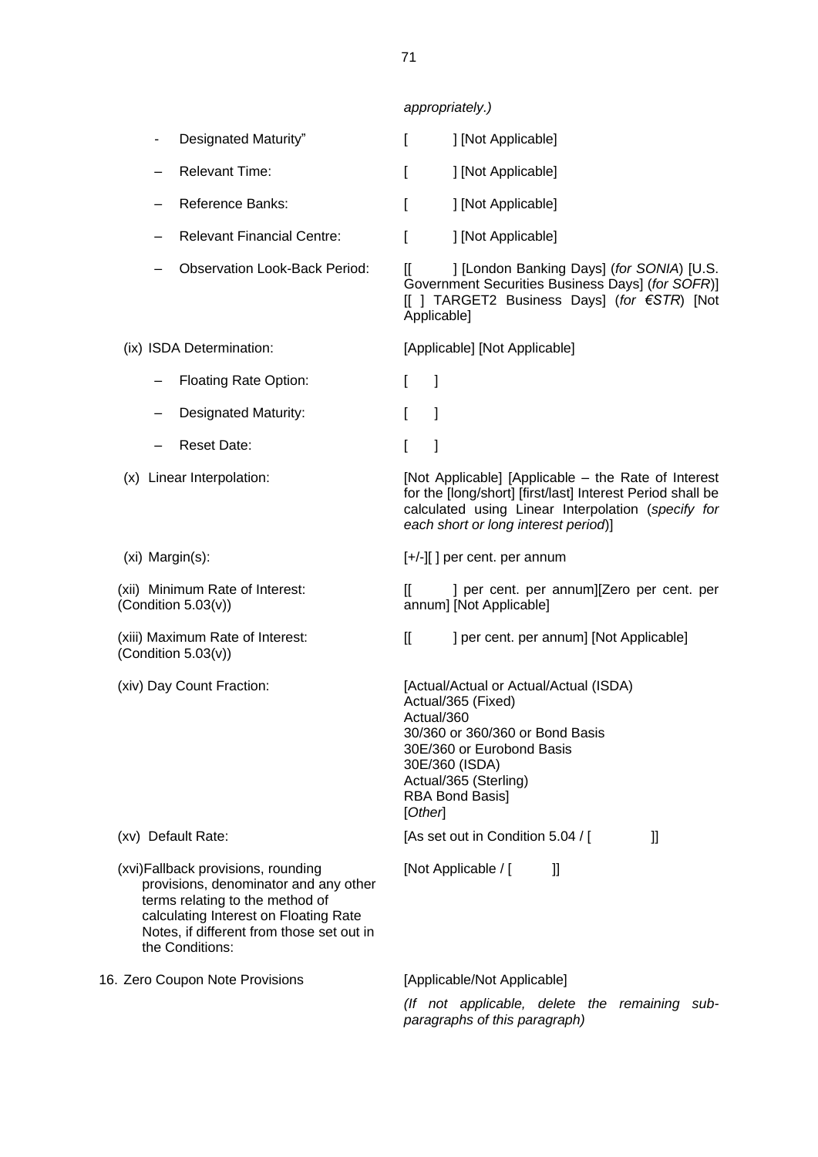|                                                                                                                                                                                                                          | appropriately.)                                                                                                                                                                                                            |
|--------------------------------------------------------------------------------------------------------------------------------------------------------------------------------------------------------------------------|----------------------------------------------------------------------------------------------------------------------------------------------------------------------------------------------------------------------------|
| Designated Maturity"                                                                                                                                                                                                     | ] [Not Applicable]<br>I                                                                                                                                                                                                    |
| <b>Relevant Time:</b>                                                                                                                                                                                                    | ] [Not Applicable]<br>I                                                                                                                                                                                                    |
| <b>Reference Banks:</b>                                                                                                                                                                                                  | ] [Not Applicable]<br>ſ                                                                                                                                                                                                    |
| <b>Relevant Financial Centre:</b>                                                                                                                                                                                        | ſ<br>] [Not Applicable]                                                                                                                                                                                                    |
| <b>Observation Look-Back Period:</b>                                                                                                                                                                                     | ] [London Banking Days] (for SONIA) [U.S.<br>II.<br>Government Securities Business Days] (for SOFR)]<br>[[ ] TARGET2 Business Days] (for €STR) [Not<br>Applicable]                                                         |
| (ix) ISDA Determination:                                                                                                                                                                                                 | [Applicable] [Not Applicable]                                                                                                                                                                                              |
| <b>Floating Rate Option:</b>                                                                                                                                                                                             | $\mathbf{r}$<br>1                                                                                                                                                                                                          |
| <b>Designated Maturity:</b>                                                                                                                                                                                              | I<br>1                                                                                                                                                                                                                     |
| <b>Reset Date:</b>                                                                                                                                                                                                       | 1<br>I                                                                                                                                                                                                                     |
| (x) Linear Interpolation:                                                                                                                                                                                                | [Not Applicable] [Applicable – the Rate of Interest<br>for the [long/short] [first/last] Interest Period shall be<br>calculated using Linear Interpolation (specify for<br>each short or long interest period)]            |
| (xi) Margin(s):                                                                                                                                                                                                          | $[+/$ - $]$ ] per cent. per annum                                                                                                                                                                                          |
| (xii) Minimum Rate of Interest:<br>(Condition $5.03(v)$ )                                                                                                                                                                | ] per cent. per annum][Zero per cent. per<br>II.<br>annum] [Not Applicable]                                                                                                                                                |
| (xiii) Maximum Rate of Interest:<br>(Condition $5.03(v)$ )                                                                                                                                                               | $\mathbb{I}$<br>] per cent. per annum] [Not Applicable]                                                                                                                                                                    |
| (xiv) Day Count Fraction:                                                                                                                                                                                                | [Actual/Actual or Actual/Actual (ISDA)<br>Actual/365 (Fixed)<br>Actual/360<br>30/360 or 360/360 or Bond Basis<br>30E/360 or Eurobond Basis<br>30E/360 (ISDA)<br>Actual/365 (Sterling)<br><b>RBA Bond Basis]</b><br>[Other] |
| (xv) Default Rate:                                                                                                                                                                                                       | [As set out in Condition 5.04 / [<br>II                                                                                                                                                                                    |
| (xvi) Fallback provisions, rounding<br>provisions, denominator and any other<br>terms relating to the method of<br>calculating Interest on Floating Rate<br>Notes, if different from those set out in<br>the Conditions: | [Not Applicable / [<br>I                                                                                                                                                                                                   |
| 16. Zero Coupon Note Provisions                                                                                                                                                                                          | [Applicable/Not Applicable]                                                                                                                                                                                                |
|                                                                                                                                                                                                                          | (If not applicable, delete the remaining sub-<br>paragraphs of this paragraph)                                                                                                                                             |

71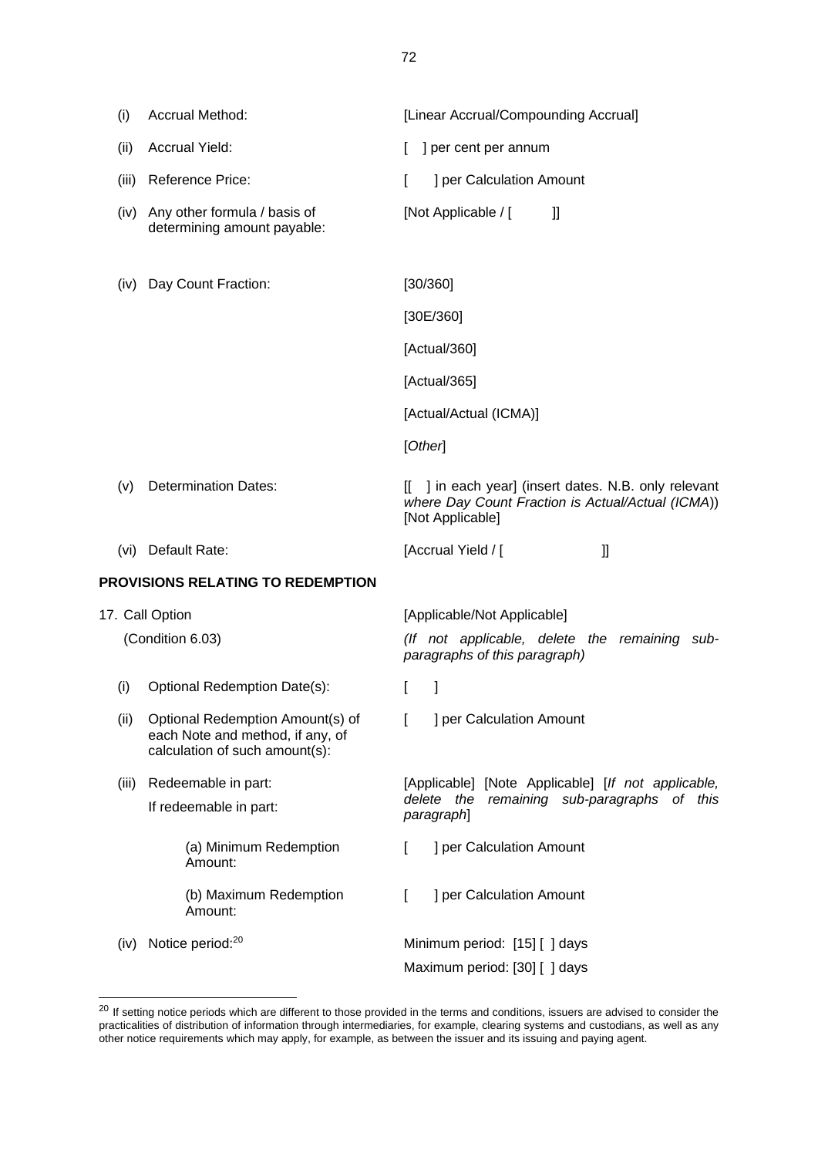(i) Accrual Method: [Linear Accrual/Compounding Accrual] (ii) Accrual Yield:  $\begin{bmatrix} \end{bmatrix}$  per cent per annum (iii) Reference Price:  $\begin{bmatrix} \cdot & \cdot & \cdot \\ \cdot & \cdot & \cdot \\ \cdot & \cdot & \cdot \end{bmatrix}$  per Calculation Amount (iv) Any other formula / basis of determining amount payable: [Not Applicable / [ ]] (iv) Day Count Fraction: [30/360] [30E/360] [Actual/360] [Actual/365] [Actual/Actual (ICMA)] [*Other*] (v) Determination Dates: [[ ] in each year] (insert dates. N.B. only relevant *where Day Count Fraction is Actual/Actual (ICMA*)) [Not Applicable] (vi) Default Rate: [Accrual Yield / [ ]] **PROVISIONS RELATING TO REDEMPTION** 17. Call Option (Condition 6.03) [Applicable/Not Applicable] *(If not applicable, delete the remaining subparagraphs of this paragraph)* (i) Optional Redemption Date(s): [ ] (ii) Optional Redemption Amount(s) of each Note and method, if any, of calculation of such amount(s): [ ] per Calculation Amount (iii) Redeemable in part: If redeemable in part: [Applicable] [Note Applicable] [*If not applicable, delete the remaining sub-paragraphs of this paragraph*] (a) Minimum Redemption Amount: [ ] per Calculation Amount (b) Maximum Redemption Amount: [ ] per Calculation Amount (iv) Notice period:<sup>20</sup> Minimum period: [15] [ ] days

Maximum period: [30] [ ] days

<sup>&</sup>lt;sup>20</sup> If setting notice periods which are different to those provided in the terms and conditions, issuers are advised to consider the practicalities of distribution of information through intermediaries, for example, clearing systems and custodians, as well as any other notice requirements which may apply, for example, as between the issuer and its issuing and paying agent.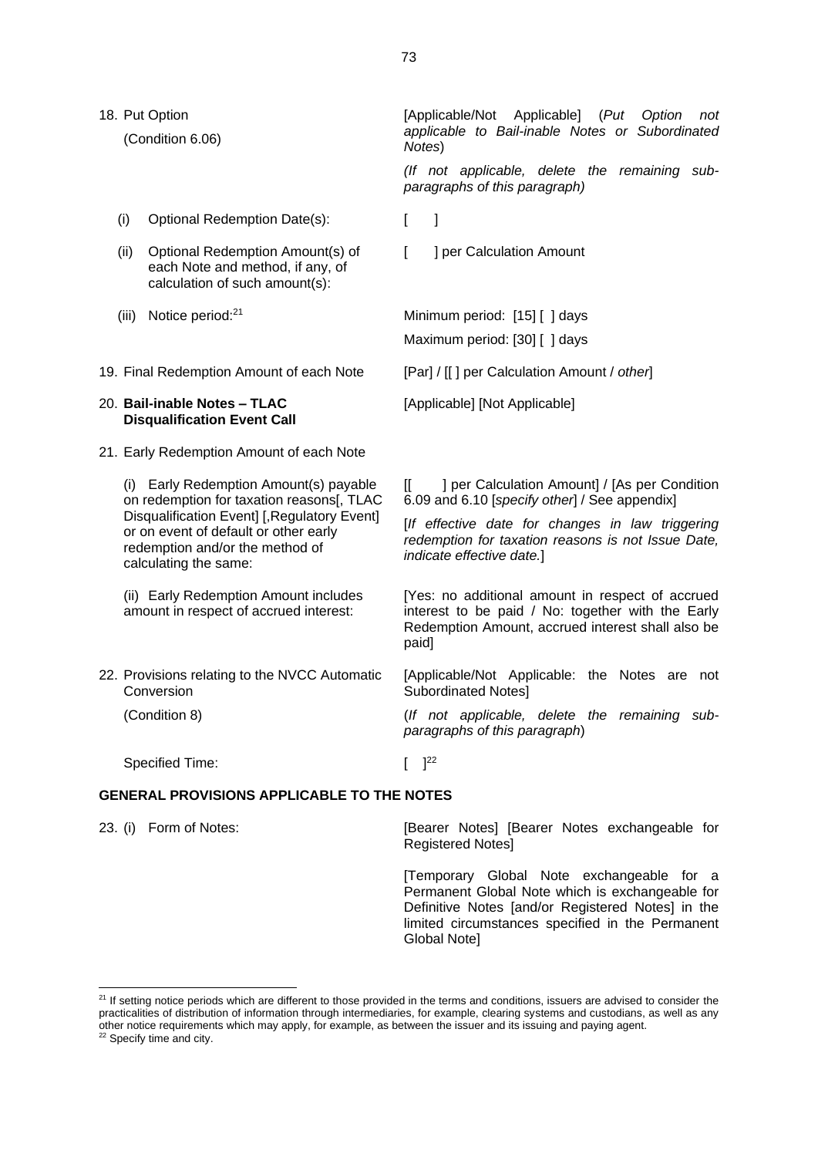18. Put Option

(Condition 6.06)

- (i) Optional Redemption Date(s): [ ]
- (ii) Optional Redemption Amount(s) of each Note and method, if any, of calculation of such amount(s):
- 
- 19. Final Redemption Amount of each Note [Par] / [[ ] per Calculation Amount / *other*]

#### 20. **Bail-inable Notes – TLAC Disqualification Event Call**

21. Early Redemption Amount of each Note

(i) Early Redemption Amount(s) payable on redemption for taxation reasons[, TLAC Disqualification Event] [,Regulatory Event] or on event of default or other early redemption and/or the method of calculating the same:

(ii) Early Redemption Amount includes amount in respect of accrued interest:

22. Provisions relating to the NVCC Automatic Conversion

(Condition 8)

Specified Time:  $[$   $]^{22}$ 

#### **GENERAL PROVISIONS APPLICABLE TO THE NOTES**

[Temporary Global Note exchangeable for a Permanent Global Note which is exchangeable for Definitive Notes [and/or Registered Notes] in the limited circumstances specified in the Permanent Global Note]

[Applicable/Not Applicable] (*Put Option not applicable to Bail-inable Notes or Subordinated Notes*)

*(If not applicable, delete the remaining subparagraphs of this paragraph)*

[ ] per Calculation Amount

(iii) Notice period:<sup>21</sup> Minimum period: [15] [ ] days Maximum period: [30] [ ] days

[Applicable] [Not Applicable]

[[ ] per Calculation Amount] / [As per Condition 6.09 and 6.10 [*specify other*] / See appendix]

[*If effective date for changes in law triggering redemption for taxation reasons is not Issue Date, indicate effective date.*]

[Yes: no additional amount in respect of accrued interest to be paid / No: together with the Early Redemption Amount, accrued interest shall also be paid]

[Applicable/Not Applicable: the Notes are not Subordinated Notes]

(*If not applicable, delete the remaining subparagraphs of this paragraph*)

23. (i) Form of Notes: [Bearer Notes] [Bearer Notes exchangeable for Registered Notes]

<sup>&</sup>lt;sup>21</sup> If setting notice periods which are different to those provided in the terms and conditions, issuers are advised to consider the practicalities of distribution of information through intermediaries, for example, clearing systems and custodians, as well as any other notice requirements which may apply, for example, as between the issuer and its issuing and paying agent. <sup>22</sup> Specify time and city.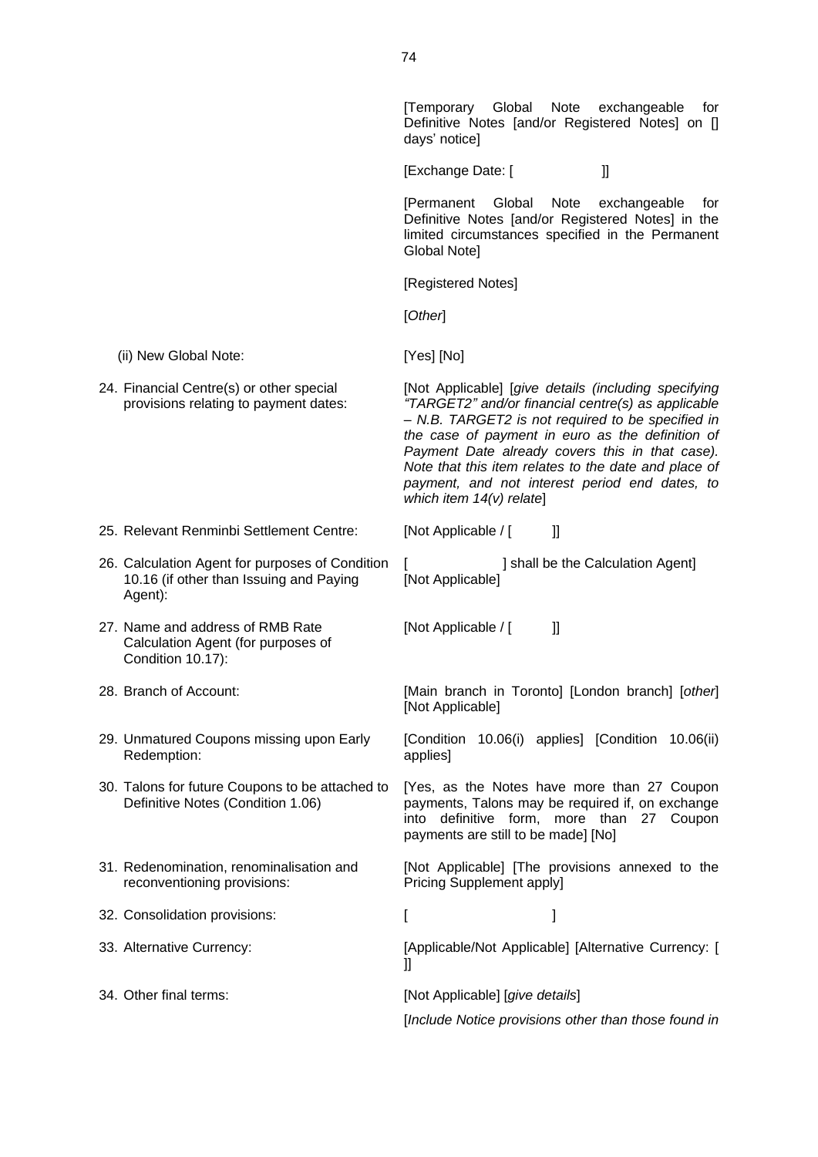|                                                                                                       | [Temporary Global Note<br>exchangeable<br>tor<br>Definitive Notes [and/or Registered Notes] on []<br>days' notice]                                                                                                                                                                                                                                                                                             |
|-------------------------------------------------------------------------------------------------------|----------------------------------------------------------------------------------------------------------------------------------------------------------------------------------------------------------------------------------------------------------------------------------------------------------------------------------------------------------------------------------------------------------------|
|                                                                                                       | [Exchange Date: [<br>II                                                                                                                                                                                                                                                                                                                                                                                        |
|                                                                                                       | Global<br>[Permanent<br>Note<br>exchangeable<br>for<br>Definitive Notes [and/or Registered Notes] in the<br>limited circumstances specified in the Permanent<br><b>Global Notel</b>                                                                                                                                                                                                                            |
|                                                                                                       | [Registered Notes]                                                                                                                                                                                                                                                                                                                                                                                             |
|                                                                                                       | [Other]                                                                                                                                                                                                                                                                                                                                                                                                        |
| (ii) New Global Note:                                                                                 | [Yes] [No]                                                                                                                                                                                                                                                                                                                                                                                                     |
| 24. Financial Centre(s) or other special<br>provisions relating to payment dates:                     | [Not Applicable] [give details (including specifying<br>"TARGET2" and/or financial centre(s) as applicable<br>- N.B. TARGET2 is not required to be specified in<br>the case of payment in euro as the definition of<br>Payment Date already covers this in that case).<br>Note that this item relates to the date and place of<br>payment, and not interest period end dates, to<br>which item $14(v)$ relate] |
| 25. Relevant Renminbi Settlement Centre:                                                              | [Not Applicable / [<br>$_{\rm ll}$                                                                                                                                                                                                                                                                                                                                                                             |
| 26. Calculation Agent for purposes of Condition<br>10.16 (if other than Issuing and Paying<br>Agent): | ] shall be the Calculation Agent]<br>[Not Applicable]                                                                                                                                                                                                                                                                                                                                                          |
| 27. Name and address of RMB Rate<br>Calculation Agent (for purposes of<br>Condition 10.17):           | [Not Applicable / [<br>$\mathbf l$                                                                                                                                                                                                                                                                                                                                                                             |
| 28. Branch of Account:                                                                                | [Main branch in Toronto] [London branch] [other]<br>[Not Applicable]                                                                                                                                                                                                                                                                                                                                           |
| 29. Unmatured Coupons missing upon Early<br>Redemption:                                               | [Condition 10.06(i) applies] [Condition 10.06(ii)<br>applies]                                                                                                                                                                                                                                                                                                                                                  |
| 30. Talons for future Coupons to be attached to<br>Definitive Notes (Condition 1.06)                  | [Yes, as the Notes have more than 27 Coupon<br>payments, Talons may be required if, on exchange<br>into definitive form, more than 27 Coupon<br>payments are still to be made] [No]                                                                                                                                                                                                                            |
| 31. Redenomination, renominalisation and<br>reconventioning provisions:                               | [Not Applicable] [The provisions annexed to the<br><b>Pricing Supplement apply]</b>                                                                                                                                                                                                                                                                                                                            |
| 32. Consolidation provisions:                                                                         | I<br>1                                                                                                                                                                                                                                                                                                                                                                                                         |
| 33. Alternative Currency:                                                                             | [Applicable/Not Applicable] [Alternative Currency: [<br>$\mathbf{H}$                                                                                                                                                                                                                                                                                                                                           |
| 34. Other final terms:                                                                                | [Not Applicable] [give details]<br>[Include Notice provisions other than those found in                                                                                                                                                                                                                                                                                                                        |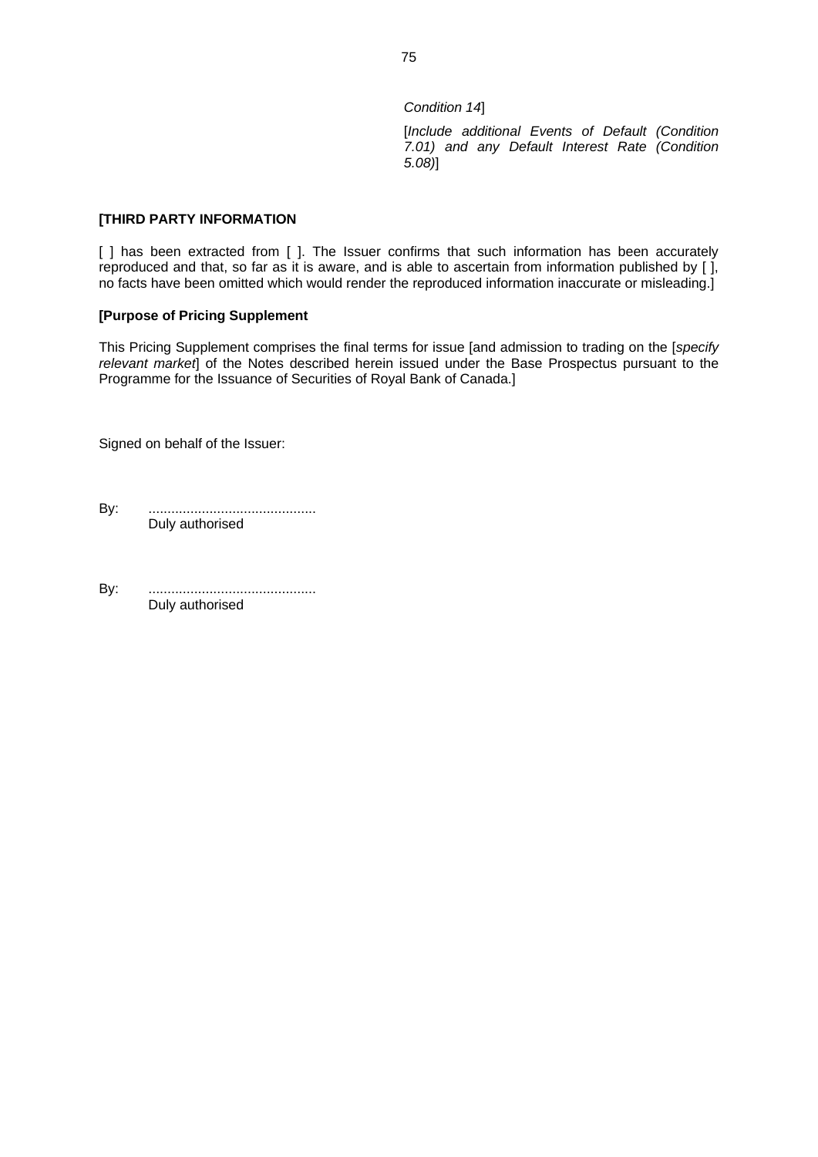*Condition 14*]

[*Include additional Events of Default (Condition 7.01) and any Default Interest Rate (Condition 5.08)*]

### **[THIRD PARTY INFORMATION**

[ ] has been extracted from [ ]. The Issuer confirms that such information has been accurately reproduced and that, so far as it is aware, and is able to ascertain from information published by [ ], no facts have been omitted which would render the reproduced information inaccurate or misleading.]

### **[Purpose of Pricing Supplement**

This Pricing Supplement comprises the final terms for issue [and admission to trading on the [*specify relevant market*] of the Notes described herein issued under the Base Prospectus pursuant to the Programme for the Issuance of Securities of Royal Bank of Canada.]

Signed on behalf of the Issuer:

By: ............................................ Duly authorised

By: ............................................ Duly authorised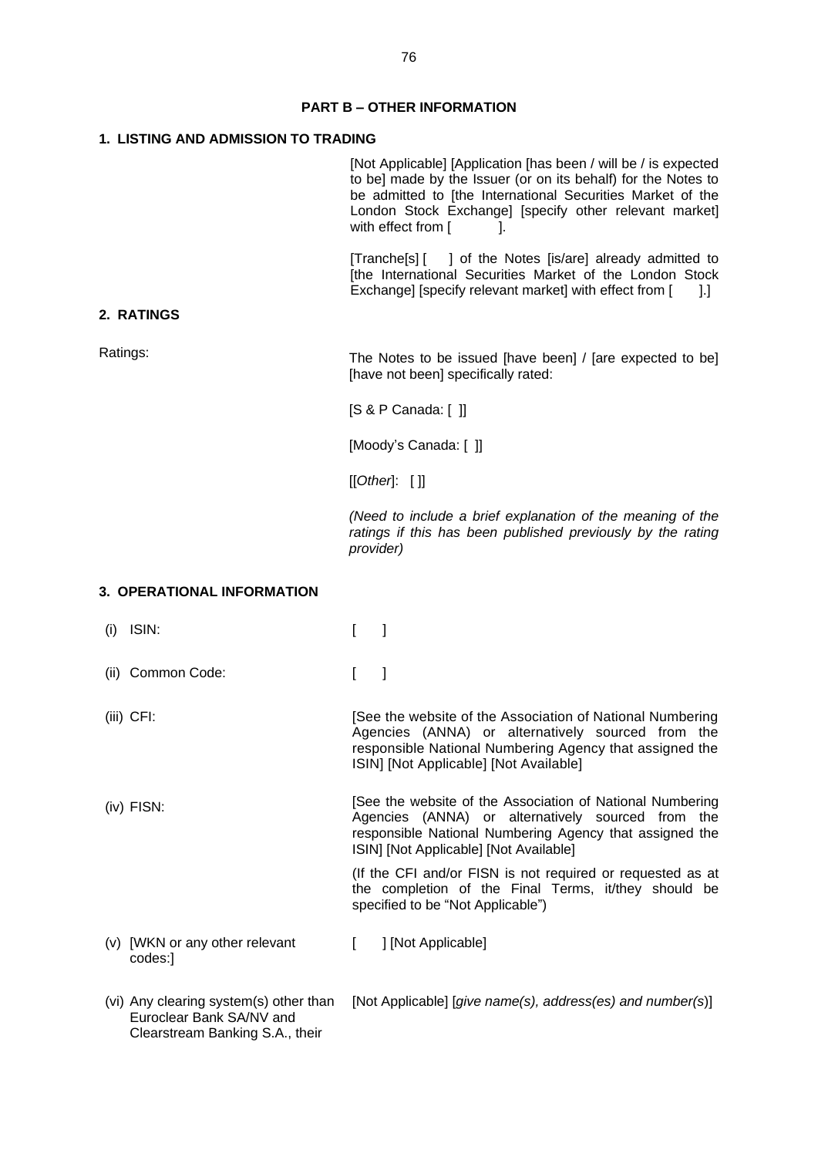# **PART B – OTHER INFORMATION**

# **1. LISTING AND ADMISSION TO TRADING**

|                                                                                                       | [Not Applicable] [Application [has been / will be / is expected<br>to be] made by the Issuer (or on its behalf) for the Notes to<br>be admitted to [the International Securities Market of the<br>London Stock Exchange] [specify other relevant market]<br>with effect from [<br>ı. |
|-------------------------------------------------------------------------------------------------------|--------------------------------------------------------------------------------------------------------------------------------------------------------------------------------------------------------------------------------------------------------------------------------------|
|                                                                                                       | [Tranche[s] [ ] of the Notes [is/are] already admitted to<br>[the International Securities Market of the London Stock<br>Exchange] [specify relevant market] with effect from [<br>14.                                                                                               |
| 2. RATINGS                                                                                            |                                                                                                                                                                                                                                                                                      |
| Ratings:                                                                                              | The Notes to be issued [have been] / [are expected to be]<br>[have not been] specifically rated:                                                                                                                                                                                     |
|                                                                                                       | $[S & P$ Canada: $[ ]$                                                                                                                                                                                                                                                               |
|                                                                                                       | [Moody's Canada: []]                                                                                                                                                                                                                                                                 |
|                                                                                                       | [[Other: []]                                                                                                                                                                                                                                                                         |
|                                                                                                       | (Need to include a brief explanation of the meaning of the<br>ratings if this has been published previously by the rating<br>provider)                                                                                                                                               |
| 3. OPERATIONAL INFORMATION                                                                            |                                                                                                                                                                                                                                                                                      |
| ISIN:<br>(i)                                                                                          | 1<br>$\mathbf{r}$                                                                                                                                                                                                                                                                    |
| (ii) Common Code:                                                                                     | 1<br>L                                                                                                                                                                                                                                                                               |
| $(iii)$ CFI:                                                                                          | [See the website of the Association of National Numbering]<br>Agencies (ANNA) or alternatively sourced from the<br>responsible National Numbering Agency that assigned the<br>ISIN] [Not Applicable] [Not Available]                                                                 |
| (iv) FISN:                                                                                            | [See the website of the Association of National Numbering<br>Agencies (ANNA) or alternatively sourced from the<br>responsible National Numbering Agency that assigned the<br>ISIN] [Not Applicable] [Not Available]                                                                  |
|                                                                                                       | (If the CFI and/or FISN is not required or requested as at<br>the completion of the Final Terms, it/they should be<br>specified to be "Not Applicable")                                                                                                                              |
| (v) [WKN or any other relevant<br>codes:]                                                             | ] [Not Applicable]<br>$\mathbf{L}$                                                                                                                                                                                                                                                   |
| (vi) Any clearing system(s) other than<br>Euroclear Bank SA/NV and<br>Clearstream Banking S.A., their | [Not Applicable] [give name(s), address(es) and number(s)]                                                                                                                                                                                                                           |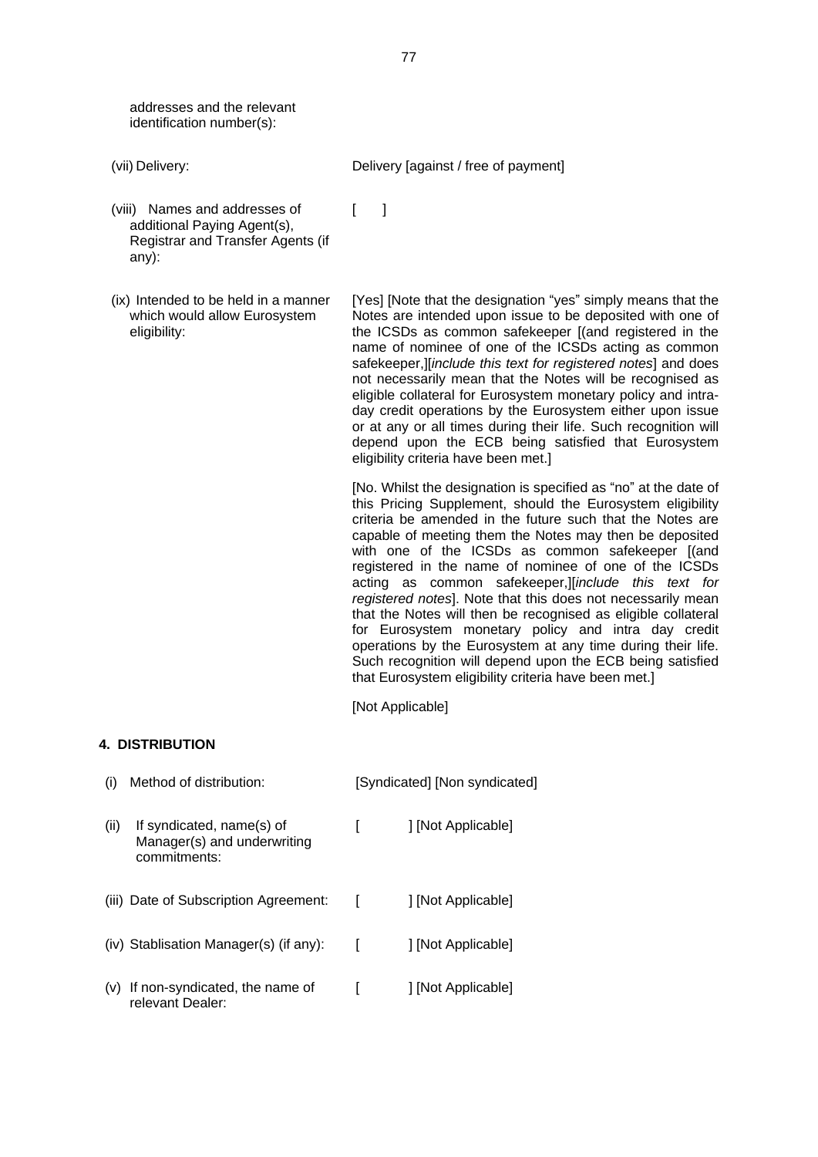addresses and the relevant identification number(s):

- 
- (viii) Names and addresses of additional Paying Agent(s), Registrar and Transfer Agents (if any):
- (ix) Intended to be held in a manner which would allow Eurosystem eligibility:

(vii) Delivery: Delivery [against / free of payment]

[Yes] [Note that the designation "yes" simply means that the Notes are intended upon issue to be deposited with one of the ICSDs as common safekeeper [(and registered in the name of nominee of one of the ICSDs acting as common safekeeper,][*include this text for registered notes*] and does not necessarily mean that the Notes will be recognised as eligible collateral for Eurosystem monetary policy and intraday credit operations by the Eurosystem either upon issue or at any or all times during their life. Such recognition will depend upon the ECB being satisfied that Eurosystem eligibility criteria have been met.]

[No. Whilst the designation is specified as "no" at the date of this Pricing Supplement, should the Eurosystem eligibility criteria be amended in the future such that the Notes are capable of meeting them the Notes may then be deposited with one of the ICSDs as common safekeeper I(and registered in the name of nominee of one of the ICSDs acting as common safekeeper,][*include this text for registered notes*]. Note that this does not necessarily mean that the Notes will then be recognised as eligible collateral for Eurosystem monetary policy and intra day credit operations by the Eurosystem at any time during their life. Such recognition will depend upon the ECB being satisfied that Eurosystem eligibility criteria have been met.]

[Not Applicable]

### **4. DISTRIBUTION**

| (i)  | Method of distribution:                                                  |   | [Syndicated] [Non syndicated] |
|------|--------------------------------------------------------------------------|---|-------------------------------|
| (ii) | If syndicated, name(s) of<br>Manager(s) and underwriting<br>commitments: |   | [Not Applicable]              |
|      | (iii) Date of Subscription Agreement:                                    | L | 1 [Not Applicable]            |
|      | (iv) Stablisation Manager(s) (if any):                                   | L | [Not Applicable]              |
| (V)  | If non-syndicated, the name of<br>relevant Dealer:                       |   | ] [Not Applicable]            |

 $\lceil$   $\lceil$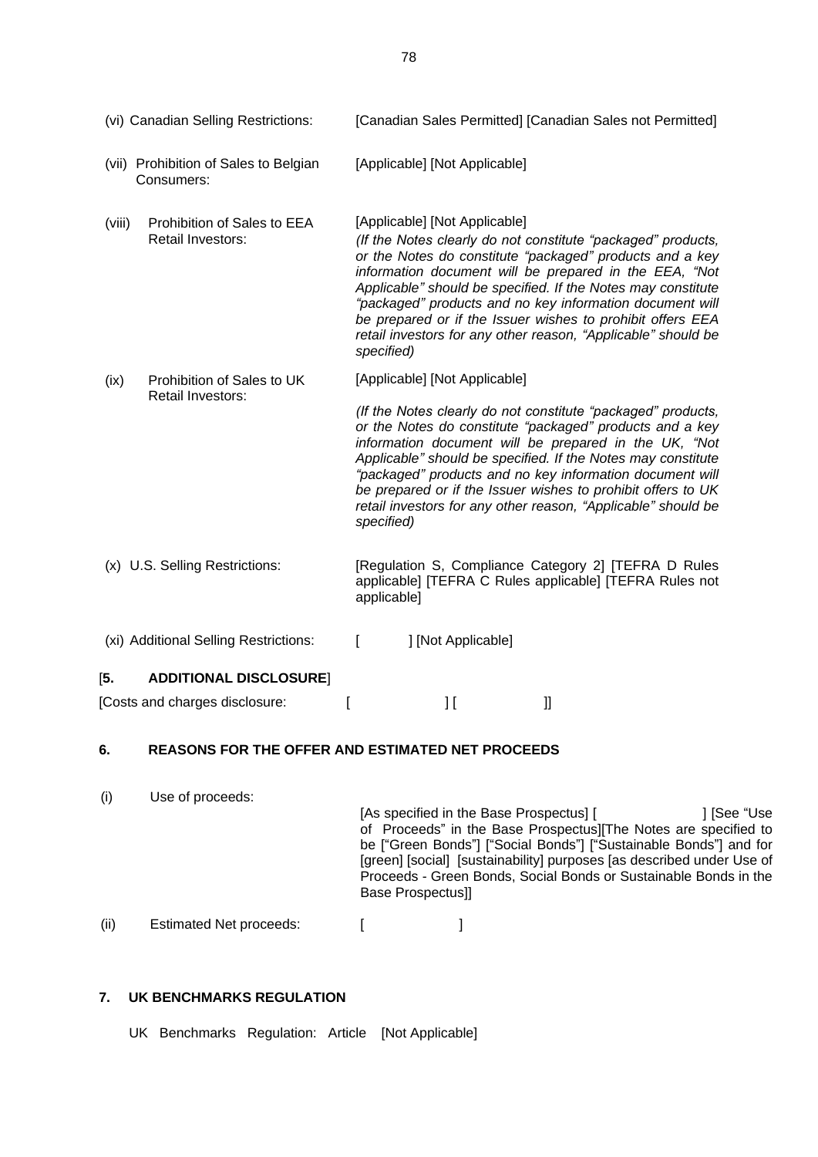| (vi) Canadian Selling Restrictions:                               | [Canadian Sales Permitted] [Canadian Sales not Permitted]                                                                                                                                                                                                                                                                                                                                                                                                                                     |
|-------------------------------------------------------------------|-----------------------------------------------------------------------------------------------------------------------------------------------------------------------------------------------------------------------------------------------------------------------------------------------------------------------------------------------------------------------------------------------------------------------------------------------------------------------------------------------|
| (vii) Prohibition of Sales to Belgian<br>Consumers:               | [Applicable] [Not Applicable]                                                                                                                                                                                                                                                                                                                                                                                                                                                                 |
| Prohibition of Sales to EEA<br>(viii)<br><b>Retail Investors:</b> | [Applicable] [Not Applicable]<br>(If the Notes clearly do not constitute "packaged" products,<br>or the Notes do constitute "packaged" products and a key<br>information document will be prepared in the EEA, "Not<br>Applicable" should be specified. If the Notes may constitute<br>"packaged" products and no key information document will<br>be prepared or if the Issuer wishes to prohibit offers EEA<br>retail investors for any other reason, "Applicable" should be<br>specified)  |
| Prohibition of Sales to UK<br>(ix)<br>Retail Investors:           | [Applicable] [Not Applicable]<br>(If the Notes clearly do not constitute "packaged" products,<br>or the Notes do constitute "packaged" products and a key<br>information document will be prepared in the UK, "Not<br>Applicable" should be specified. If the Notes may constitute<br>"packaged" products and no key information document will<br>be prepared or if the Issuer wishes to prohibit offers to UK<br>retail investors for any other reason, "Applicable" should be<br>specified) |
| (x) U.S. Selling Restrictions:                                    | [Regulation S, Compliance Category 2] [TEFRA D Rules<br>applicable] [TEFRA C Rules applicable] [TEFRA Rules not<br>applicable]                                                                                                                                                                                                                                                                                                                                                                |
| (xi) Additional Selling Restrictions:                             | ] [Not Applicable]<br>ſ                                                                                                                                                                                                                                                                                                                                                                                                                                                                       |
| [5.<br><b>ADDITIONAL DISCLOSURE</b>                               |                                                                                                                                                                                                                                                                                                                                                                                                                                                                                               |
| [Costs and charges disclosure:                                    | IJ<br>11                                                                                                                                                                                                                                                                                                                                                                                                                                                                                      |

# **6. REASONS FOR THE OFFER AND ESTIMATED NET PROCEEDS**

| (i)  | Use of proceeds:               | [As specified in the Base Prospectus] [<br>of Proceeds" in the Base Prospectus][The Notes are specified to<br>be ["Green Bonds"] ["Social Bonds"] ["Sustainable Bonds"] and for<br>[green] [social] [sustainability] purposes [as described under Use of<br>Proceeds - Green Bonds, Social Bonds or Sustainable Bonds in the<br><b>Base Prospectus]]</b> | ] [See "Use |
|------|--------------------------------|----------------------------------------------------------------------------------------------------------------------------------------------------------------------------------------------------------------------------------------------------------------------------------------------------------------------------------------------------------|-------------|
| (ii) | <b>Estimated Net proceeds:</b> |                                                                                                                                                                                                                                                                                                                                                          |             |

# **7. UK BENCHMARKS REGULATION**

UK Benchmarks Regulation: Article [Not Applicable]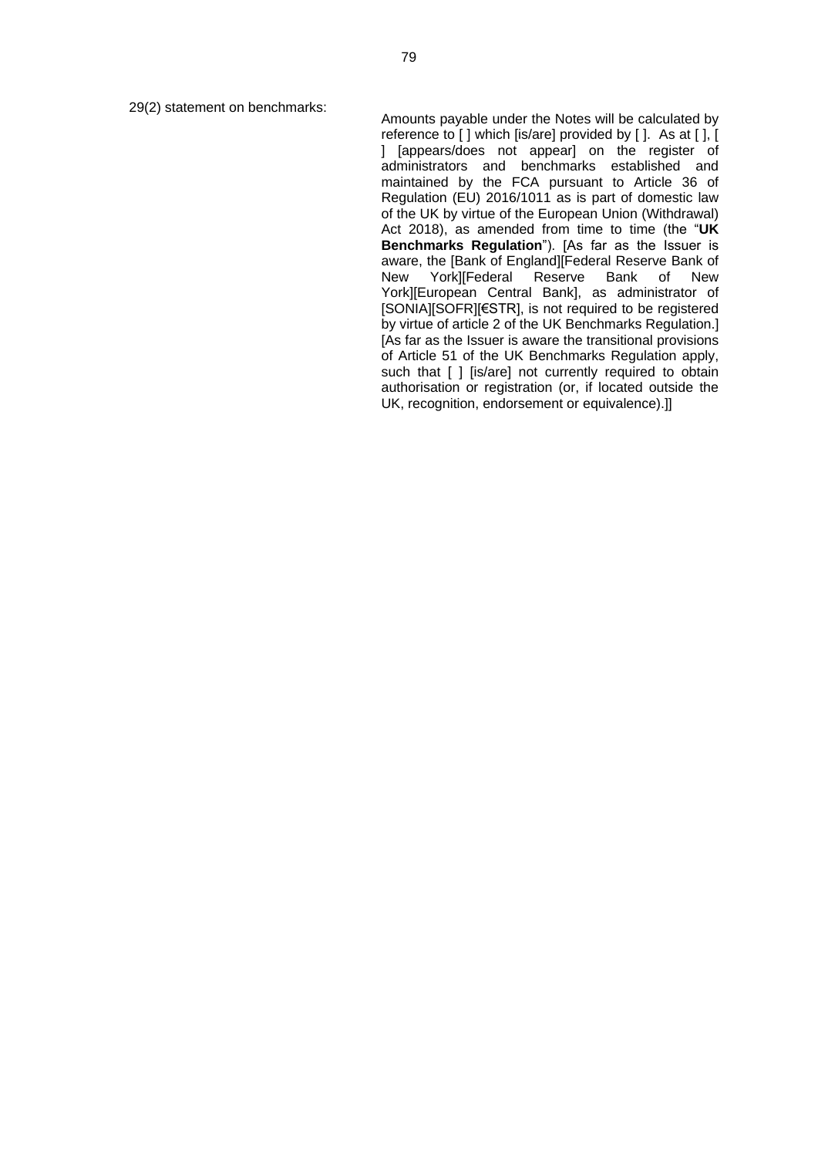29(2) statement on benchmarks:

Amounts payable under the Notes will be calculated by reference to [ ] which [is/are] provided by [ ]. As at [ ], [ ] [appears/does not appear] on the register of administrators and benchmarks established and maintained by the FCA pursuant to Article 36 of Regulation (EU) 2016/1011 as is part of domestic law of the UK by virtue of the European Union (Withdrawal) Act 2018), as amended from time to time (the "**UK Benchmarks Regulation**"). [As far as the Issuer is aware, the [Bank of England][Federal Reserve Bank of New York][Federal Reserve Bank of New York][European Central Bank], as administrator of [SONIA][SOFR][€STR], is not required to be registered by virtue of article 2 of the UK Benchmarks Regulation.] [As far as the Issuer is aware the transitional provisions of Article 51 of the UK Benchmarks Regulation apply, such that [ ] [is/are] not currently required to obtain authorisation or registration (or, if located outside the UK, recognition, endorsement or equivalence).]]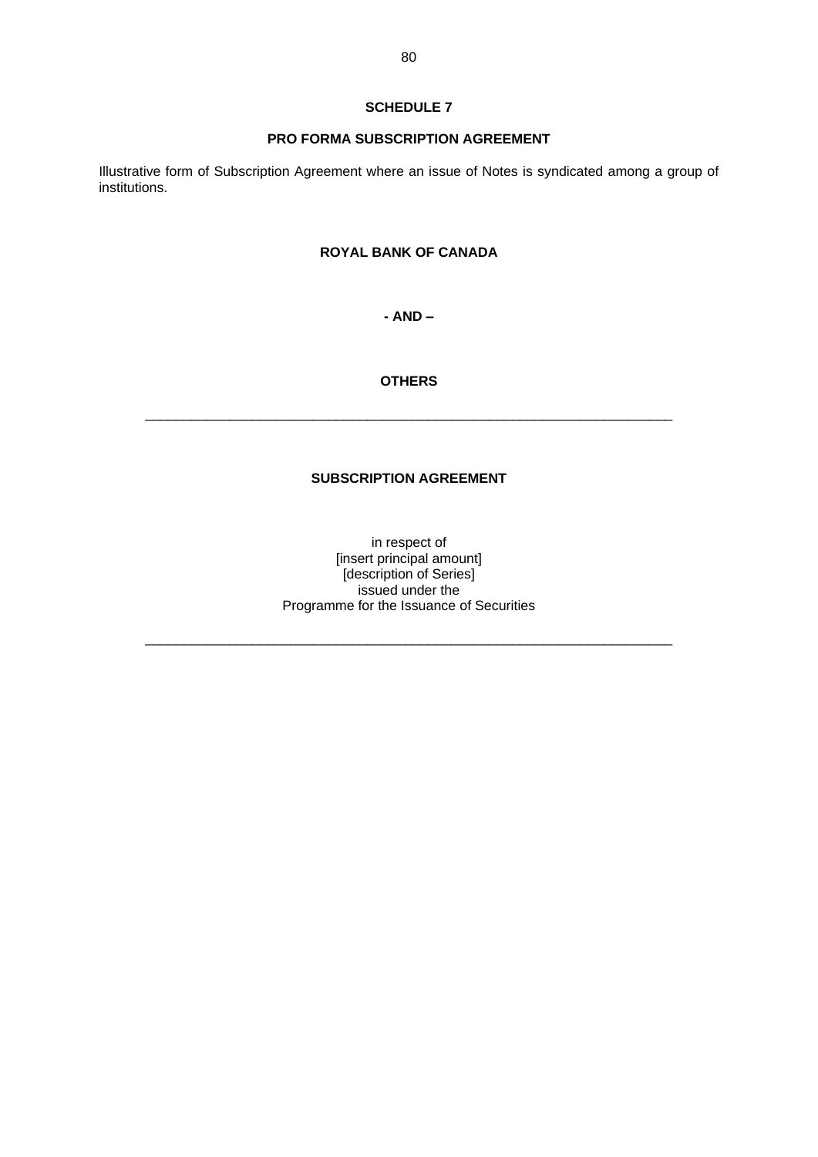# **SCHEDULE 7**

### **PRO FORMA SUBSCRIPTION AGREEMENT**

Illustrative form of Subscription Agreement where an issue of Notes is syndicated among a group of institutions.

# **ROYAL BANK OF CANADA**

**- AND –**

# **OTHERS**

 $\_$  , and the set of the set of the set of the set of the set of the set of the set of the set of the set of the set of the set of the set of the set of the set of the set of the set of the set of the set of the set of th

# **SUBSCRIPTION AGREEMENT**

in respect of [insert principal amount] [description of Series] issued under the Programme for the Issuance of Securities

 $\_$  , and the set of the set of the set of the set of the set of the set of the set of the set of the set of the set of the set of the set of the set of the set of the set of the set of the set of the set of the set of th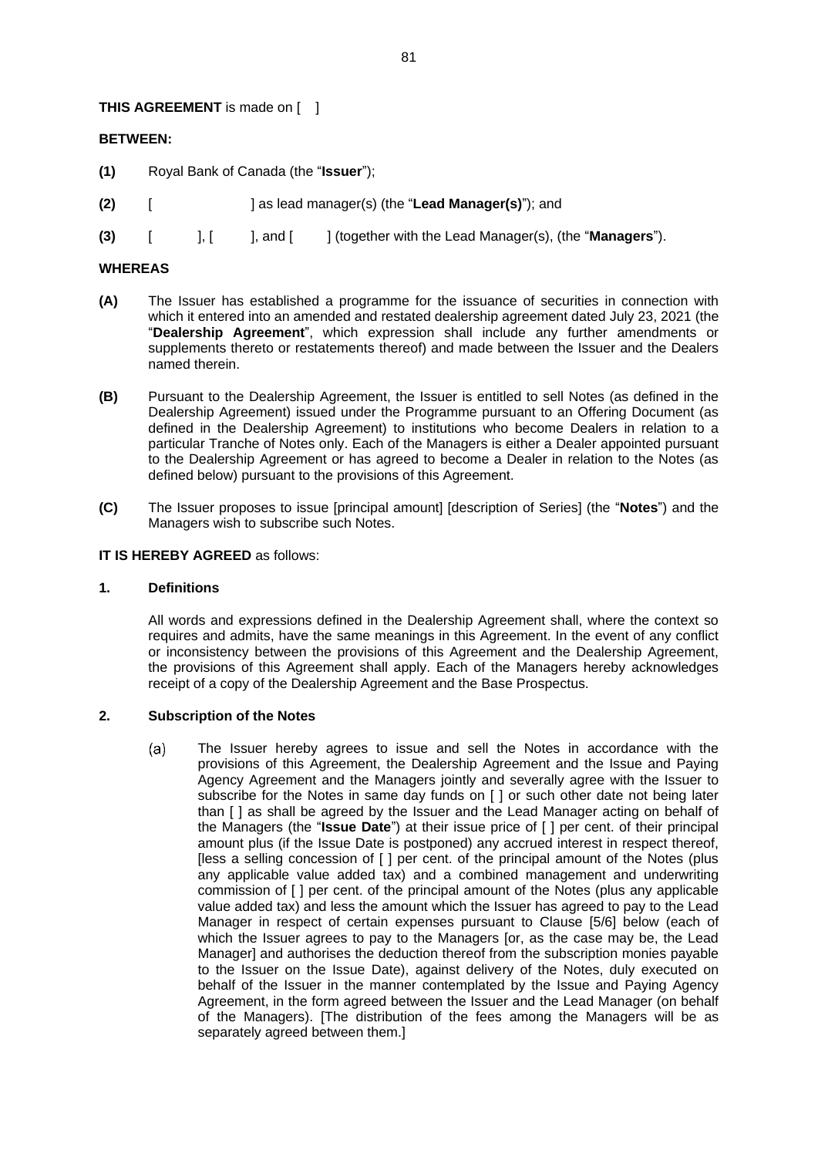### **THIS AGREEMENT** is made on [ ]

### **BETWEEN:**

- **(1)** Royal Bank of Canada (the "**Issuer**");
- **(2)** [ ] as lead manager(s) (the "**Lead Manager(s)**"); and
- **(3)** [ ], [ ], and [ ] (together with the Lead Manager(s), (the "**Managers**").

### **WHEREAS**

- **(A)** The Issuer has established a programme for the issuance of securities in connection with which it entered into an amended and restated dealership agreement dated July 23, 2021 (the "**Dealership Agreement**", which expression shall include any further amendments or supplements thereto or restatements thereof) and made between the Issuer and the Dealers named therein.
- **(B)** Pursuant to the Dealership Agreement, the Issuer is entitled to sell Notes (as defined in the Dealership Agreement) issued under the Programme pursuant to an Offering Document (as defined in the Dealership Agreement) to institutions who become Dealers in relation to a particular Tranche of Notes only. Each of the Managers is either a Dealer appointed pursuant to the Dealership Agreement or has agreed to become a Dealer in relation to the Notes (as defined below) pursuant to the provisions of this Agreement.
- **(C)** The Issuer proposes to issue [principal amount] [description of Series] (the "**Notes**") and the Managers wish to subscribe such Notes.

#### **IT IS HEREBY AGREED** as follows:

#### **1. Definitions**

All words and expressions defined in the Dealership Agreement shall, where the context so requires and admits, have the same meanings in this Agreement. In the event of any conflict or inconsistency between the provisions of this Agreement and the Dealership Agreement, the provisions of this Agreement shall apply. Each of the Managers hereby acknowledges receipt of a copy of the Dealership Agreement and the Base Prospectus.

## **2. Subscription of the Notes**

 $(a)$ The Issuer hereby agrees to issue and sell the Notes in accordance with the provisions of this Agreement, the Dealership Agreement and the Issue and Paying Agency Agreement and the Managers jointly and severally agree with the Issuer to subscribe for the Notes in same day funds on [ ] or such other date not being later than [ ] as shall be agreed by the Issuer and the Lead Manager acting on behalf of the Managers (the "**Issue Date**") at their issue price of [ ] per cent. of their principal amount plus (if the Issue Date is postponed) any accrued interest in respect thereof, [less a selling concession of [ ] per cent. of the principal amount of the Notes (plus any applicable value added tax) and a combined management and underwriting commission of [ ] per cent. of the principal amount of the Notes (plus any applicable value added tax) and less the amount which the Issuer has agreed to pay to the Lead Manager in respect of certain expenses pursuant to Clause [5/6] below (each of which the Issuer agrees to pay to the Managers [or, as the case may be, the Lead Manager] and authorises the deduction thereof from the subscription monies payable to the Issuer on the Issue Date), against delivery of the Notes, duly executed on behalf of the Issuer in the manner contemplated by the Issue and Paying Agency Agreement, in the form agreed between the Issuer and the Lead Manager (on behalf of the Managers). [The distribution of the fees among the Managers will be as separately agreed between them.]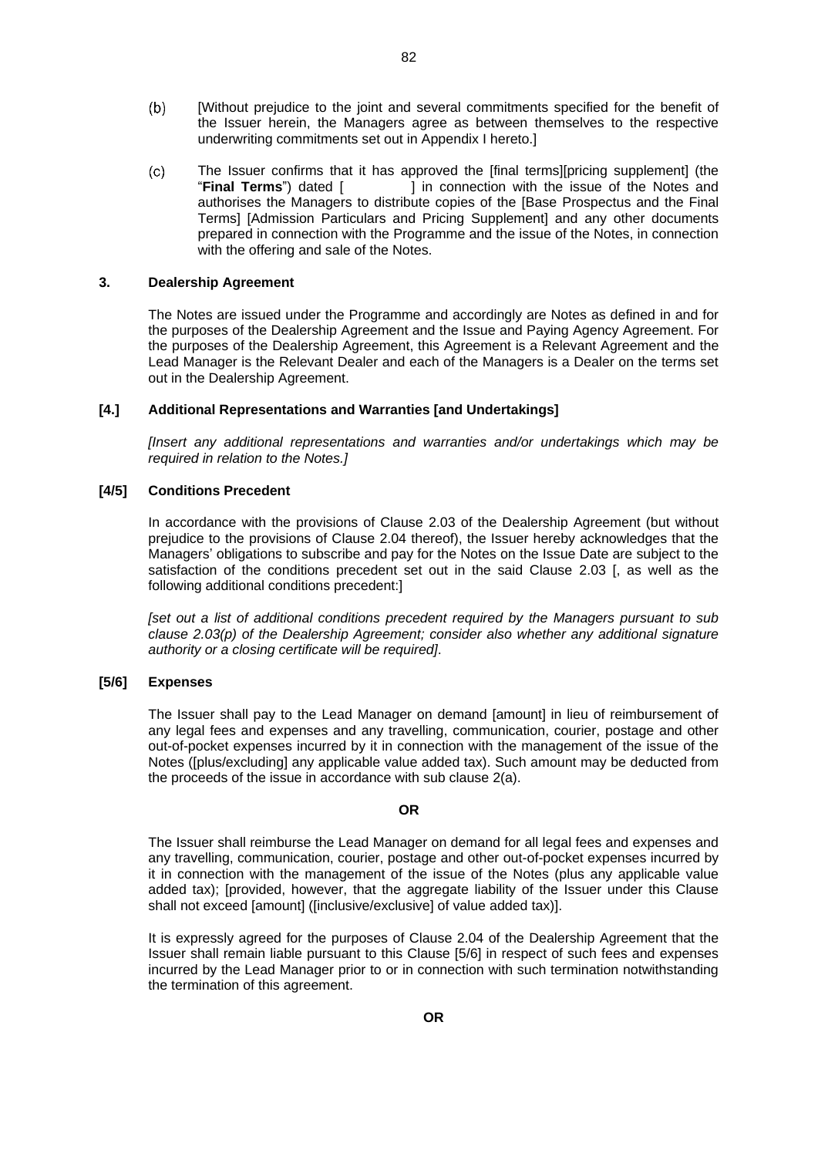- $(b)$ [Without prejudice to the joint and several commitments specified for the benefit of the Issuer herein, the Managers agree as between themselves to the respective underwriting commitments set out in Appendix I hereto.]
- $(c)$ The Issuer confirms that it has approved the [final terms][pricing supplement] (the "**Final Terms**") dated [ ] in connection with the issue of the Notes and authorises the Managers to distribute copies of the [Base Prospectus and the Final Terms] [Admission Particulars and Pricing Supplement] and any other documents prepared in connection with the Programme and the issue of the Notes, in connection with the offering and sale of the Notes.

#### **3. Dealership Agreement**

The Notes are issued under the Programme and accordingly are Notes as defined in and for the purposes of the Dealership Agreement and the Issue and Paying Agency Agreement. For the purposes of the Dealership Agreement, this Agreement is a Relevant Agreement and the Lead Manager is the Relevant Dealer and each of the Managers is a Dealer on the terms set out in the Dealership Agreement.

#### **[4.] Additional Representations and Warranties [and Undertakings]**

*[Insert any additional representations and warranties and/or undertakings which may be required in relation to the Notes.]*

#### **[4/5] Conditions Precedent**

In accordance with the provisions of Clause 2.03 of the Dealership Agreement (but without prejudice to the provisions of Clause 2.04 thereof), the Issuer hereby acknowledges that the Managers' obligations to subscribe and pay for the Notes on the Issue Date are subject to the satisfaction of the conditions precedent set out in the said Clause 2.03 [, as well as the following additional conditions precedent:]

*[set out a list of additional conditions precedent required by the Managers pursuant to sub clause [2.03\(p\)](#page-11-0) of the Dealership Agreement; consider also whether any additional signature authority or a closing certificate will be required]*.

#### **[5/6] Expenses**

The Issuer shall pay to the Lead Manager on demand [amount] in lieu of reimbursement of any legal fees and expenses and any travelling, communication, courier, postage and other out-of-pocket expenses incurred by it in connection with the management of the issue of the Notes ([plus/excluding] any applicable value added tax). Such amount may be deducted from the proceeds of the issue in accordance with sub clause 2(a).

#### **OR**

The Issuer shall reimburse the Lead Manager on demand for all legal fees and expenses and any travelling, communication, courier, postage and other out-of-pocket expenses incurred by it in connection with the management of the issue of the Notes (plus any applicable value added tax); [provided, however, that the aggregate liability of the Issuer under this Clause shall not exceed [amount] ([inclusive/exclusive] of value added tax)].

It is expressly agreed for the purposes of Clause 2.04 of the Dealership Agreement that the Issuer shall remain liable pursuant to this Clause [5/6] in respect of such fees and expenses incurred by the Lead Manager prior to or in connection with such termination notwithstanding the termination of this agreement.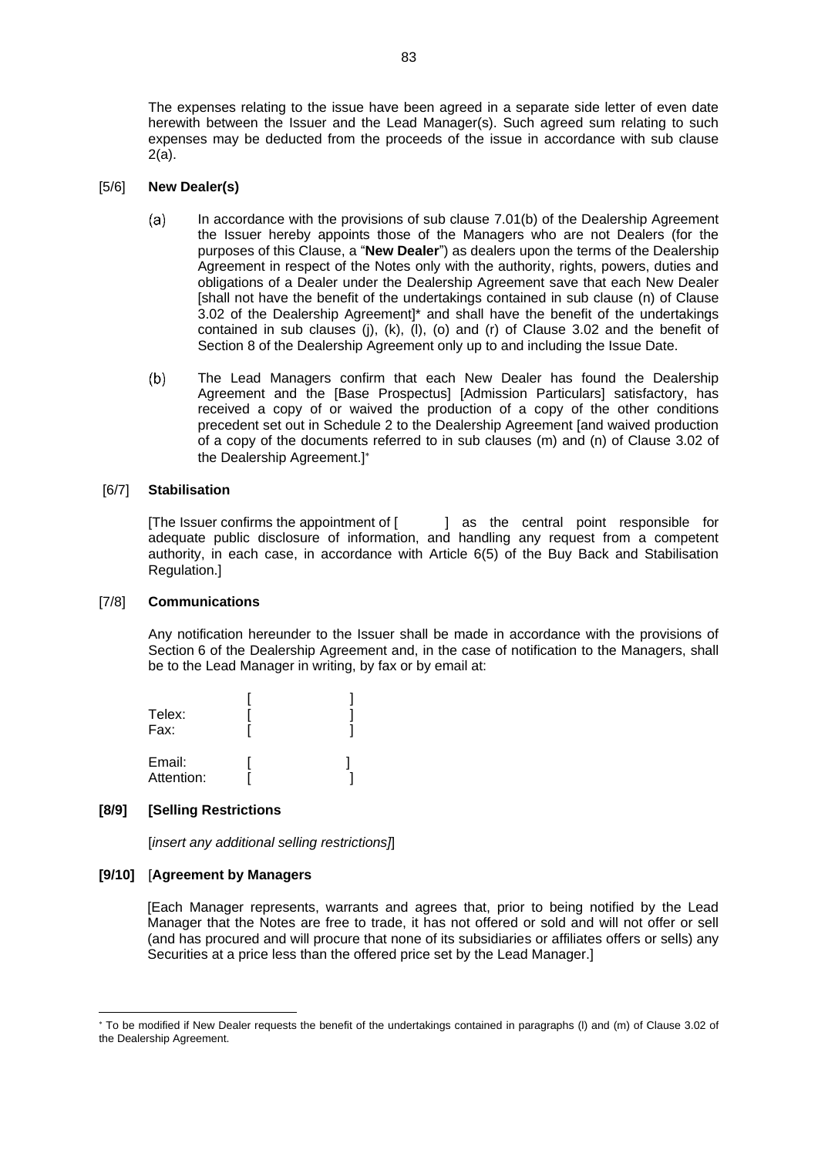The expenses relating to the issue have been agreed in a separate side letter of even date herewith between the Issuer and the Lead Manager(s). Such agreed sum relating to such expenses may be deducted from the proceeds of the issue in accordance with sub clause 2(a).

#### [5/6] **New Dealer(s)**

- In accordance with the provisions of sub clause [7.01\(b\)](#page-25-0) of the Dealership Agreement  $(a)$ the Issuer hereby appoints those of the Managers who are not Dealers (for the purposes of this Clause, a "**New Dealer**") as dealers upon the terms of the Dealership Agreement in respect of the Notes only with the authority, rights, powers, duties and obligations of a Dealer under the Dealership Agreement save that each New Dealer [shall not have the benefit of the undertakings contained in sub clause [\(n\)](#page-18-0) of Clause 3.02 of the Dealership Agreement]\* and shall have the benefit of the undertakings contained in sub clauses [\(j\),](#page-18-1) [\(k\),](#page-18-2) [\(l\),](#page-18-3) [\(o\)](#page-19-0) and [\(r\)](#page-19-1) of Clause 3.02 and the benefit of [Section](#page-25-1) 8 of the Dealership Agreement only up to and including the Issue Date.
- The Lead Managers confirm that each New Dealer has found the Dealership  $(b)$ Agreement and the [Base Prospectus] [Admission Particulars] satisfactory, has received a copy of or waived the production of a copy of the other conditions precedent set out in Schedule 2 to the Dealership Agreement [and waived production of a copy of the documents referred to in sub clauses [\(m\)](#page-18-4) and [\(n\)](#page-18-0) of Clause 3.02 of the Dealership Agreement.]

#### [6/7] **Stabilisation**

[The Issuer confirms the appointment of [ ] as the central point responsible for adequate public disclosure of information, and handling any request from a competent authority, in each case, in accordance with Article 6(5) of the Buy Back and Stabilisation Regulation.]

#### [7/8] **Communications**

Any notification hereunder to the Issuer shall be made in accordance with the provisions of [Section](#page-24-0) 6 of the Dealership Agreement and, in the case of notification to the Managers, shall be to the Lead Manager in writing, by fax or by email at:

| Telex:<br>Fax:       |  |
|----------------------|--|
| Email:<br>Attention: |  |

#### **[8/9] [Selling Restrictions**

[*insert any additional selling restrictions]*]

#### **[9/10]** [**Agreement by Managers**

[Each Manager represents, warrants and agrees that, prior to being notified by the Lead Manager that the Notes are free to trade, it has not offered or sold and will not offer or sell (and has procured and will procure that none of its subsidiaries or affiliates offers or sells) any Securities at a price less than the offered price set by the Lead Manager.]

To be modified if New Dealer requests the benefit of the undertakings contained in paragraphs [\(l\)](#page-18-3) and [\(m\)](#page-18-4) of Clause 3.02 of the Dealership Agreement.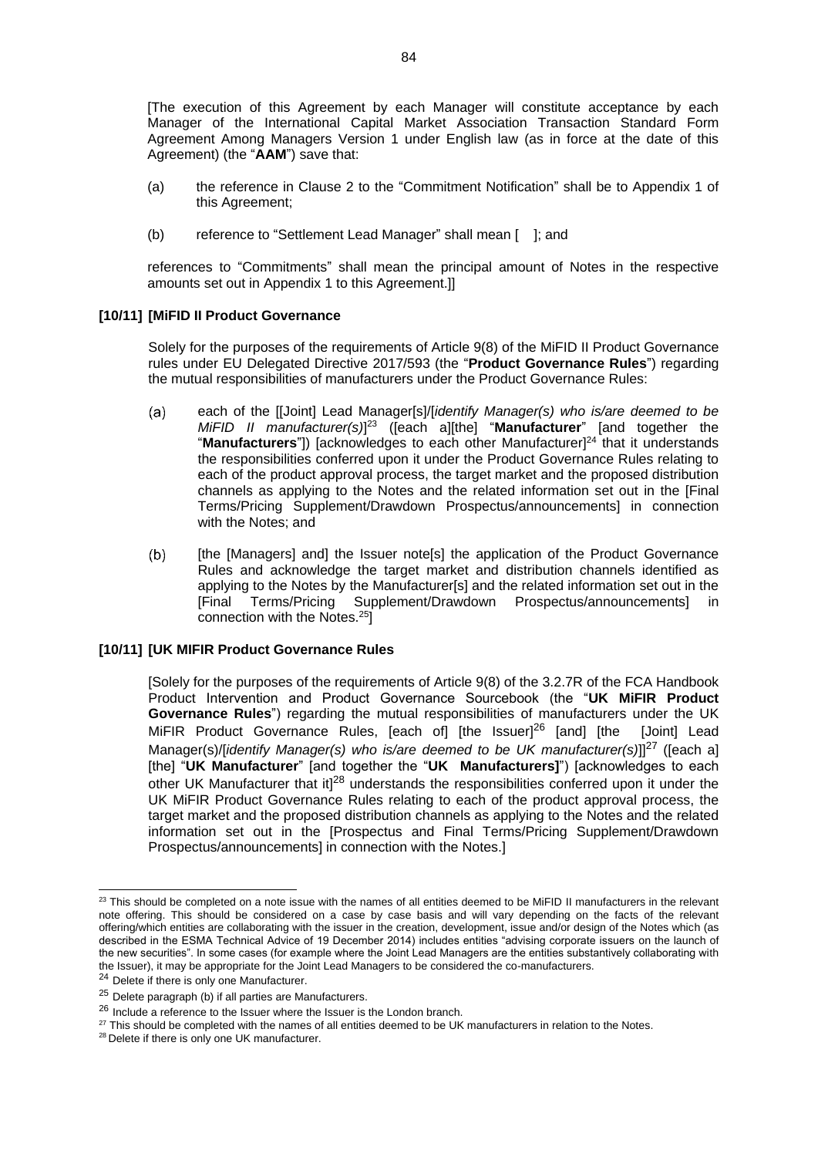[The execution of this Agreement by each Manager will constitute acceptance by each Manager of the International Capital Market Association Transaction Standard Form Agreement Among Managers Version 1 under English law (as in force at the date of this Agreement) (the "**AAM**") save that:

- (a) the reference in Clause 2 to the "Commitment Notification" shall be to Appendix 1 of this Agreement;
- (b) reference to "Settlement Lead Manager" shall mean [ ]; and

references to "Commitments" shall mean the principal amount of Notes in the respective amounts set out in Appendix 1 to this Agreement.]]

## **[10/11] [MiFID II Product Governance**

Solely for the purposes of the requirements of Article 9(8) of the MiFID II Product Governance rules under EU Delegated Directive 2017/593 (the "**Product Governance Rules**") regarding the mutual responsibilities of manufacturers under the Product Governance Rules:

- each of the [[Joint] Lead Manager[s]/[*identify Manager(s) who is/are deemed to be*   $(a)$ *MiFID II manufacturer(s)*] <sup>23</sup> ([each a][the] "**Manufacturer**" [and together the "**Manufacturers**"]) [acknowledges to each other Manufacturer] <sup>24</sup> that it understands the responsibilities conferred upon it under the Product Governance Rules relating to each of the product approval process, the target market and the proposed distribution channels as applying to the Notes and the related information set out in the [Final Terms/Pricing Supplement/Drawdown Prospectus/announcements] in connection with the Notes; and
- $(b)$ [the [Managers] and] the Issuer note[s] the application of the Product Governance Rules and acknowledge the target market and distribution channels identified as applying to the Notes by the Manufacturer[s] and the related information set out in the [Final Terms/Pricing Supplement/Drawdown Prospectus/announcements] connection with the Notes.<sup>25</sup>]

#### **[10/11] [UK MIFIR Product Governance Rules**

[Solely for the purposes of the requirements of Article 9(8) of the 3.2.7R of the FCA Handbook Product Intervention and Product Governance Sourcebook (the "**UK MiFIR Product Governance Rules**") regarding the mutual responsibilities of manufacturers under the UK MiFIR Product Governance Rules, [each of] [the Issuer]<sup>26</sup> [and] [the [Joint] Lead Manager(s)/[*identify Manager(s) who is/are deemed to be UK manufacturer(s)*]]<sup>27</sup> ([each a] [the] "**UK Manufacturer**" [and together the "**UK Manufacturers]**") [acknowledges to each other UK Manufacturer that it<sup>28</sup> understands the responsibilities conferred upon it under the UK MiFIR Product Governance Rules relating to each of the product approval process, the target market and the proposed distribution channels as applying to the Notes and the related information set out in the [Prospectus and Final Terms/Pricing Supplement/Drawdown Prospectus/announcements] in connection with the Notes.]

 $23$  This should be completed on a note issue with the names of all entities deemed to be MiFID II manufacturers in the relevant note offering. This should be considered on a case by case basis and will vary depending on the facts of the relevant offering/which entities are collaborating with the issuer in the creation, development, issue and/or design of the Notes which (as described in the ESMA Technical Advice of 19 December 2014) includes entities "advising corporate issuers on the launch of the new securities". In some cases (for example where the Joint Lead Managers are the entities substantively collaborating with the Issuer), it may be appropriate for the Joint Lead Managers to be considered the co-manufacturers.

<sup>&</sup>lt;sup>24</sup> Delete if there is only one Manufacturer.

 $25$  Delete paragraph (b) if all parties are Manufacturers.

 $26$  Include a reference to the Issuer where the Issuer is the London branch.

<sup>&</sup>lt;sup>27</sup> This should be completed with the names of all entities deemed to be UK manufacturers in relation to the Notes.

<sup>&</sup>lt;sup>28</sup> Delete if there is only one UK manufacturer.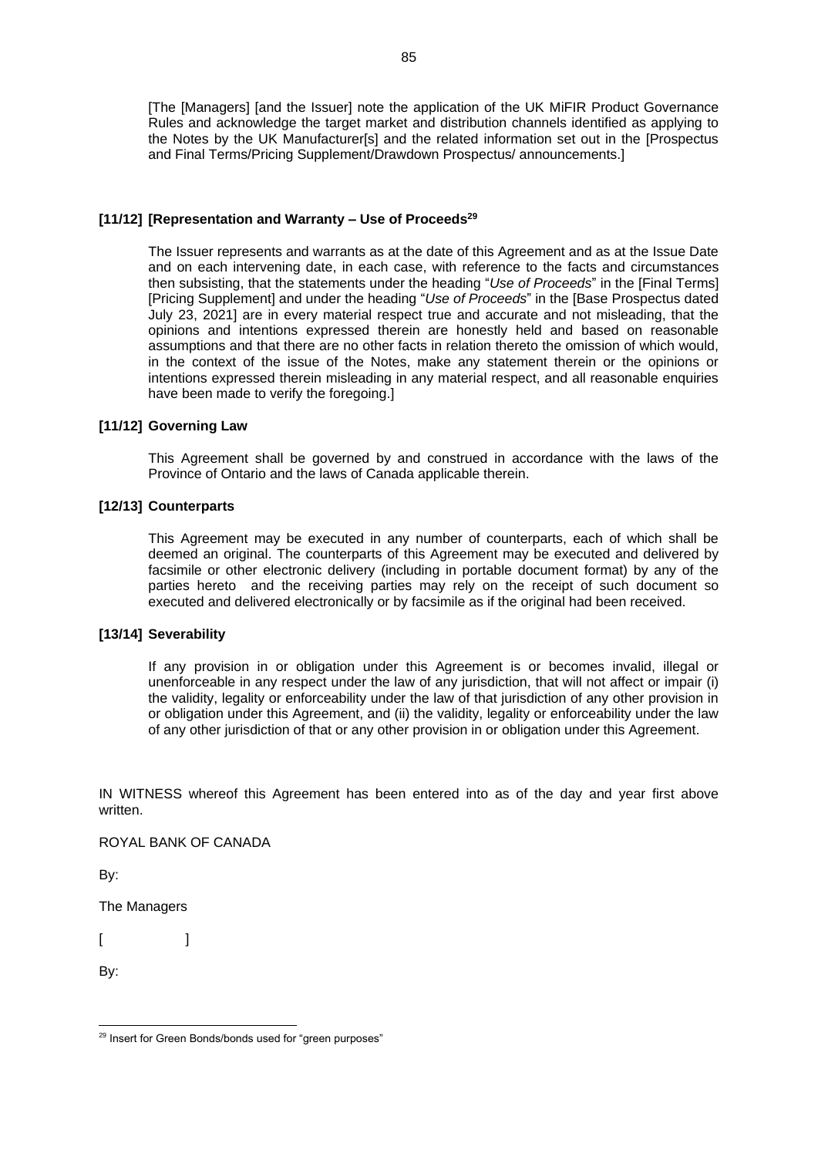[The [Managers] [and the Issuer] note the application of the UK MiFIR Product Governance Rules and acknowledge the target market and distribution channels identified as applying to the Notes by the UK Manufacturer[s] and the related information set out in the [Prospectus] and Final Terms/Pricing Supplement/Drawdown Prospectus/ announcements.]

#### **[11/12] [Representation and Warranty – Use of Proceeds<sup>29</sup>**

The Issuer represents and warrants as at the date of this Agreement and as at the Issue Date and on each intervening date, in each case, with reference to the facts and circumstances then subsisting, that the statements under the heading "*Use of Proceeds*" in the [Final Terms] [Pricing Supplement] and under the heading "*Use of Proceeds*" in the [Base Prospectus dated July 23, 2021] are in every material respect true and accurate and not misleading, that the opinions and intentions expressed therein are honestly held and based on reasonable assumptions and that there are no other facts in relation thereto the omission of which would, in the context of the issue of the Notes, make any statement therein or the opinions or intentions expressed therein misleading in any material respect, and all reasonable enquiries have been made to verify the foregoing.]

### **[11/12] Governing Law**

This Agreement shall be governed by and construed in accordance with the laws of the Province of Ontario and the laws of Canada applicable therein.

### **[12/13] Counterparts**

This Agreement may be executed in any number of counterparts, each of which shall be deemed an original. The counterparts of this Agreement may be executed and delivered by facsimile or other electronic delivery (including in portable document format) by any of the parties hereto and the receiving parties may rely on the receipt of such document so executed and delivered electronically or by facsimile as if the original had been received.

#### **[13/14] Severability**

If any provision in or obligation under this Agreement is or becomes invalid, illegal or unenforceable in any respect under the law of any jurisdiction, that will not affect or impair (i) the validity, legality or enforceability under the law of that jurisdiction of any other provision in or obligation under this Agreement, and (ii) the validity, legality or enforceability under the law of any other jurisdiction of that or any other provision in or obligation under this Agreement.

IN WITNESS whereof this Agreement has been entered into as of the day and year first above written.

ROYAL BANK OF CANADA

By:

The Managers

 $[$   $]$ 

By:

<sup>29</sup> Insert for Green Bonds/bonds used for "green purposes"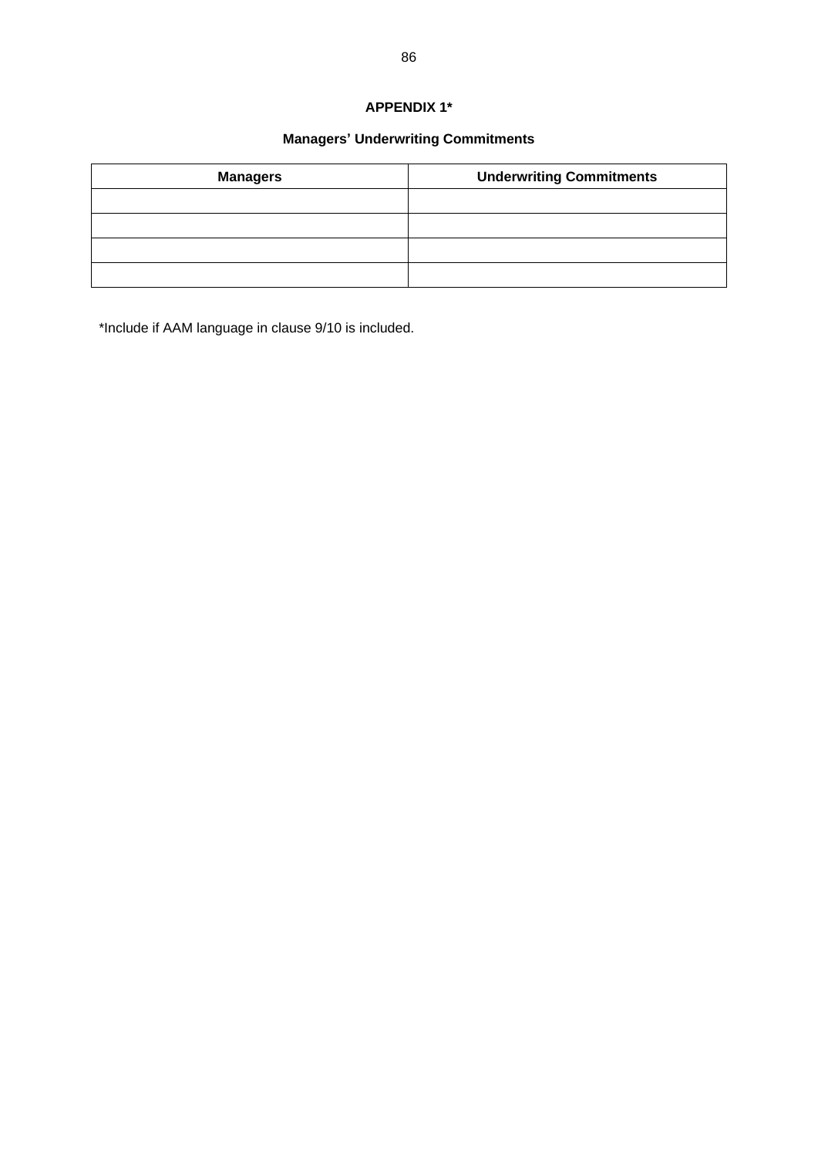# **APPENDIX 1\***

# **Managers' Underwriting Commitments**

| <b>Managers</b> | <b>Underwriting Commitments</b> |
|-----------------|---------------------------------|
|                 |                                 |
|                 |                                 |
|                 |                                 |
|                 |                                 |

\*Include if AAM language in clause 9/10 is included.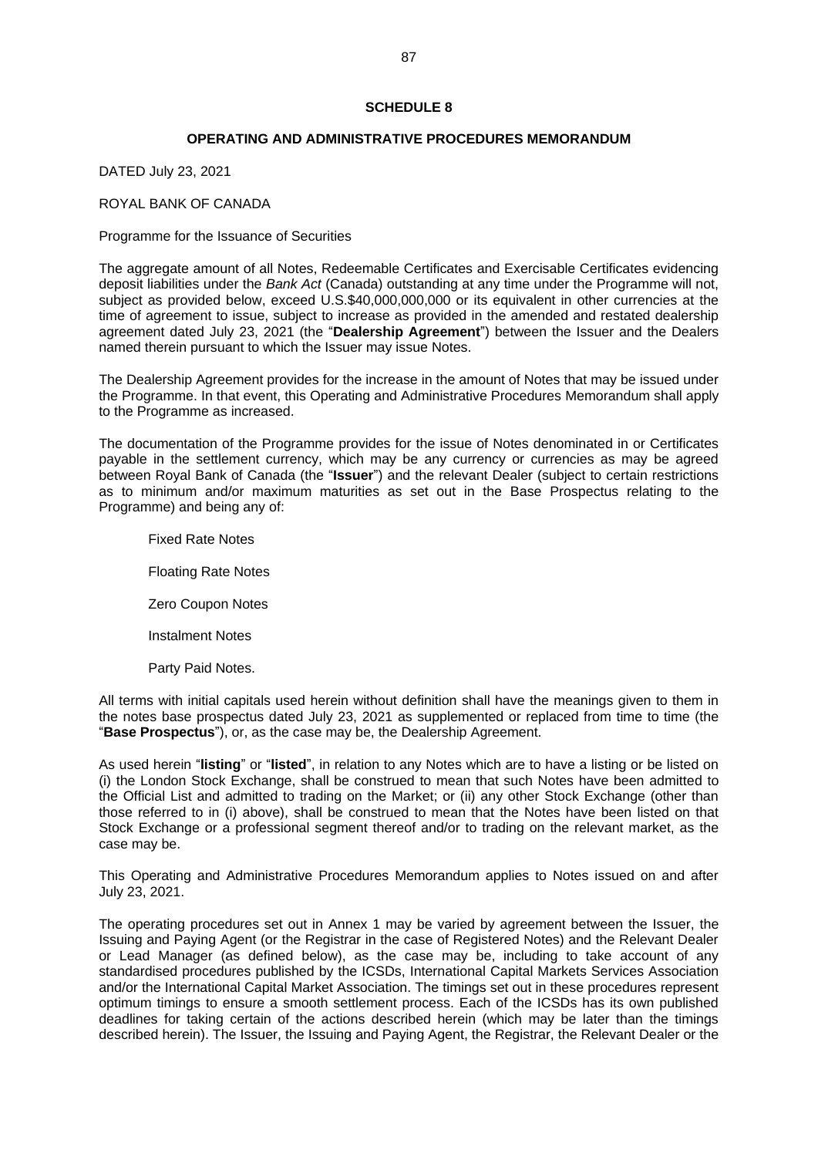#### **SCHEDULE 8**

#### **OPERATING AND ADMINISTRATIVE PROCEDURES MEMORANDUM**

DATED July 23, 2021

ROYAL BANK OF CANADA

Programme for the Issuance of Securities

The aggregate amount of all Notes, Redeemable Certificates and Exercisable Certificates evidencing deposit liabilities under the *Bank Act* (Canada) outstanding at any time under the Programme will not, subject as provided below, exceed U.S.\$40,000,000,000 or its equivalent in other currencies at the time of agreement to issue, subject to increase as provided in the amended and restated dealership agreement dated July 23, 2021 (the "**Dealership Agreement**") between the Issuer and the Dealers named therein pursuant to which the Issuer may issue Notes.

The Dealership Agreement provides for the increase in the amount of Notes that may be issued under the Programme. In that event, this Operating and Administrative Procedures Memorandum shall apply to the Programme as increased.

The documentation of the Programme provides for the issue of Notes denominated in or Certificates payable in the settlement currency, which may be any currency or currencies as may be agreed between Royal Bank of Canada (the "**Issuer**") and the relevant Dealer (subject to certain restrictions as to minimum and/or maximum maturities as set out in the Base Prospectus relating to the Programme) and being any of:

Fixed Rate Notes Floating Rate Notes Zero Coupon Notes Instalment Notes Party Paid Notes.

All terms with initial capitals used herein without definition shall have the meanings given to them in the notes base prospectus dated July 23, 2021 as supplemented or replaced from time to time (the "**Base Prospectus**"), or, as the case may be, the Dealership Agreement.

As used herein "**listing**" or "**listed**", in relation to any Notes which are to have a listing or be listed on (i) the London Stock Exchange, shall be construed to mean that such Notes have been admitted to the Official List and admitted to trading on the Market; or (ii) any other Stock Exchange (other than those referred to in (i) above), shall be construed to mean that the Notes have been listed on that Stock Exchange or a professional segment thereof and/or to trading on the relevant market, as the case may be.

This Operating and Administrative Procedures Memorandum applies to Notes issued on and after July 23, 2021.

The operating procedures set out in Annex 1 may be varied by agreement between the Issuer, the Issuing and Paying Agent (or the Registrar in the case of Registered Notes) and the Relevant Dealer or Lead Manager (as defined below), as the case may be, including to take account of any standardised procedures published by the ICSDs, International Capital Markets Services Association and/or the International Capital Market Association. The timings set out in these procedures represent optimum timings to ensure a smooth settlement process. Each of the ICSDs has its own published deadlines for taking certain of the actions described herein (which may be later than the timings described herein). The Issuer, the Issuing and Paying Agent, the Registrar, the Relevant Dealer or the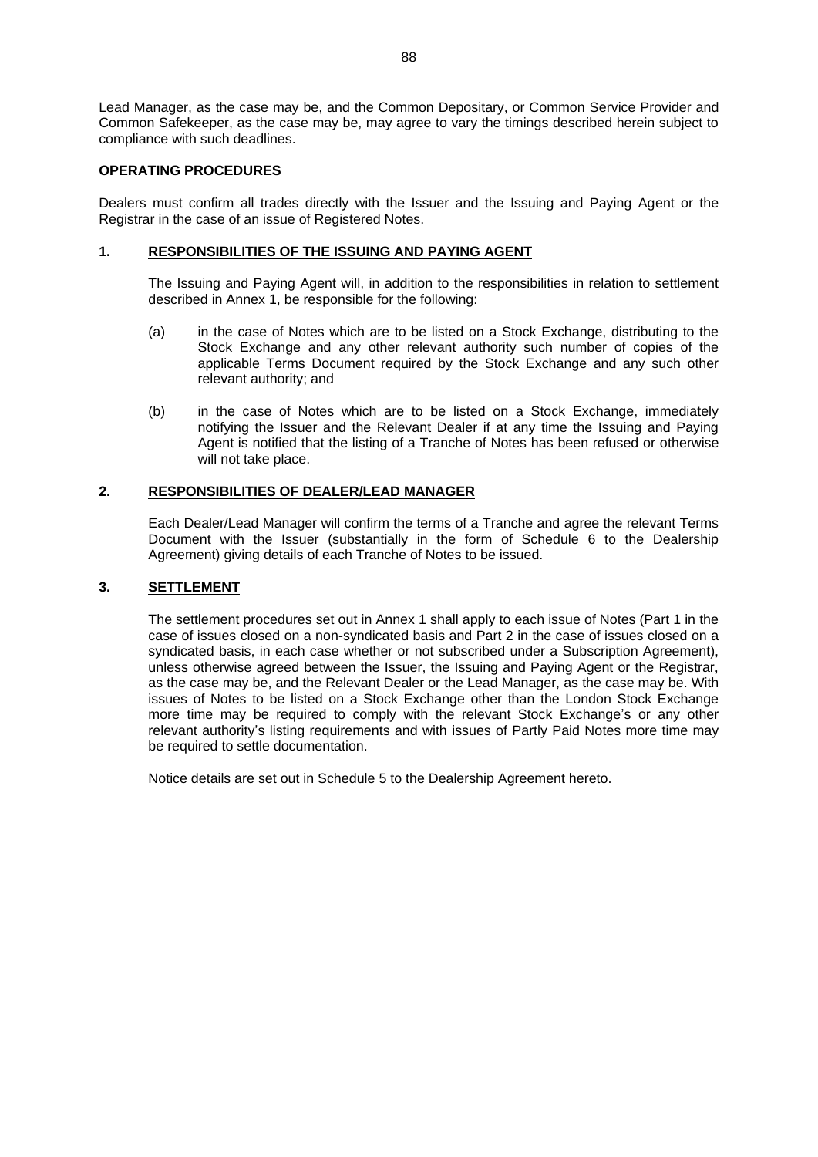Lead Manager, as the case may be, and the Common Depositary, or Common Service Provider and Common Safekeeper, as the case may be, may agree to vary the timings described herein subject to compliance with such deadlines.

### **OPERATING PROCEDURES**

Dealers must confirm all trades directly with the Issuer and the Issuing and Paying Agent or the Registrar in the case of an issue of Registered Notes.

#### **1. RESPONSIBILITIES OF THE ISSUING AND PAYING AGENT**

The Issuing and Paying Agent will, in addition to the responsibilities in relation to settlement described in Annex 1, be responsible for the following:

- (a) in the case of Notes which are to be listed on a Stock Exchange, distributing to the Stock Exchange and any other relevant authority such number of copies of the applicable Terms Document required by the Stock Exchange and any such other relevant authority; and
- (b) in the case of Notes which are to be listed on a Stock Exchange, immediately notifying the Issuer and the Relevant Dealer if at any time the Issuing and Paying Agent is notified that the listing of a Tranche of Notes has been refused or otherwise will not take place.

### **2. RESPONSIBILITIES OF DEALER/LEAD MANAGER**

Each Dealer/Lead Manager will confirm the terms of a Tranche and agree the relevant Terms Document with the Issuer (substantially in the form of Schedule 6 to the Dealership Agreement) giving details of each Tranche of Notes to be issued.

#### **3. SETTLEMENT**

The settlement procedures set out in Annex 1 shall apply to each issue of Notes (Part 1 in the case of issues closed on a non-syndicated basis and Part 2 in the case of issues closed on a syndicated basis, in each case whether or not subscribed under a Subscription Agreement), unless otherwise agreed between the Issuer, the Issuing and Paying Agent or the Registrar, as the case may be, and the Relevant Dealer or the Lead Manager, as the case may be. With issues of Notes to be listed on a Stock Exchange other than the London Stock Exchange more time may be required to comply with the relevant Stock Exchange's or any other relevant authority's listing requirements and with issues of Partly Paid Notes more time may be required to settle documentation.

Notice details are set out in Schedule 5 to the Dealership Agreement hereto.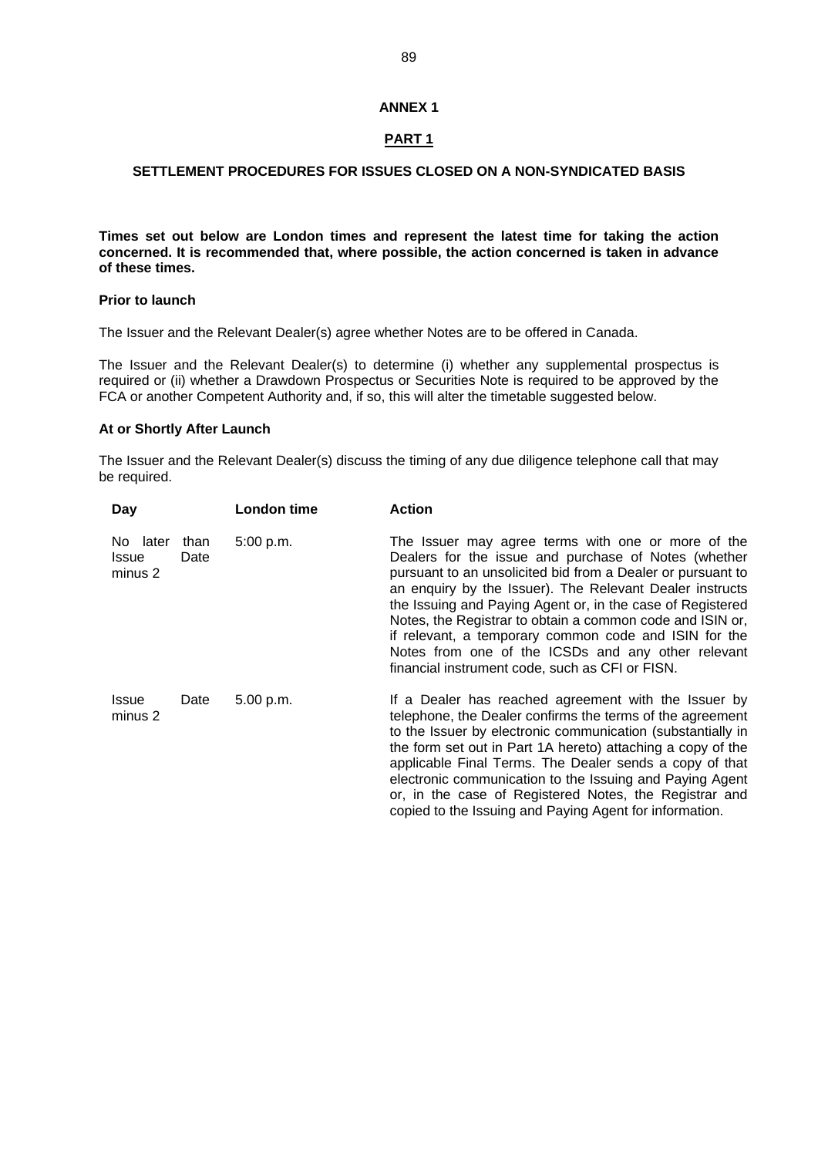#### **ANNEX 1**

# **PART 1**

### **SETTLEMENT PROCEDURES FOR ISSUES CLOSED ON A NON-SYNDICATED BASIS**

**Times set out below are London times and represent the latest time for taking the action concerned. It is recommended that, where possible, the action concerned is taken in advance of these times.**

#### **Prior to launch**

The Issuer and the Relevant Dealer(s) agree whether Notes are to be offered in Canada.

The Issuer and the Relevant Dealer(s) to determine (i) whether any supplemental prospectus is required or (ii) whether a Drawdown Prospectus or Securities Note is required to be approved by the FCA or another Competent Authority and, if so, this will alter the timetable suggested below.

#### **At or Shortly After Launch**

The Issuer and the Relevant Dealer(s) discuss the timing of any due diligence telephone call that may be required.

| Day                                 |              | London time | <b>Action</b>                                                                                                                                                                                                                                                                                                                                                                                                                                                                                                                      |
|-------------------------------------|--------------|-------------|------------------------------------------------------------------------------------------------------------------------------------------------------------------------------------------------------------------------------------------------------------------------------------------------------------------------------------------------------------------------------------------------------------------------------------------------------------------------------------------------------------------------------------|
| No later<br><b>Issue</b><br>minus 2 | than<br>Date | 5:00 p.m.   | The Issuer may agree terms with one or more of the<br>Dealers for the issue and purchase of Notes (whether<br>pursuant to an unsolicited bid from a Dealer or pursuant to<br>an enquiry by the Issuer). The Relevant Dealer instructs<br>the Issuing and Paying Agent or, in the case of Registered<br>Notes, the Registrar to obtain a common code and ISIN or,<br>if relevant, a temporary common code and ISIN for the<br>Notes from one of the ICSDs and any other relevant<br>financial instrument code, such as CFI or FISN. |
| <b>Issue</b><br>minus 2             | Date         | 5.00 p.m.   | If a Dealer has reached agreement with the Issuer by<br>telephone, the Dealer confirms the terms of the agreement<br>to the Issuer by electronic communication (substantially in<br>the form set out in Part 1A hereto) attaching a copy of the<br>applicable Final Terms. The Dealer sends a copy of that<br>electronic communication to the Issuing and Paying Agent<br>or, in the case of Registered Notes, the Registrar and<br>copied to the Issuing and Paying Agent for information.                                        |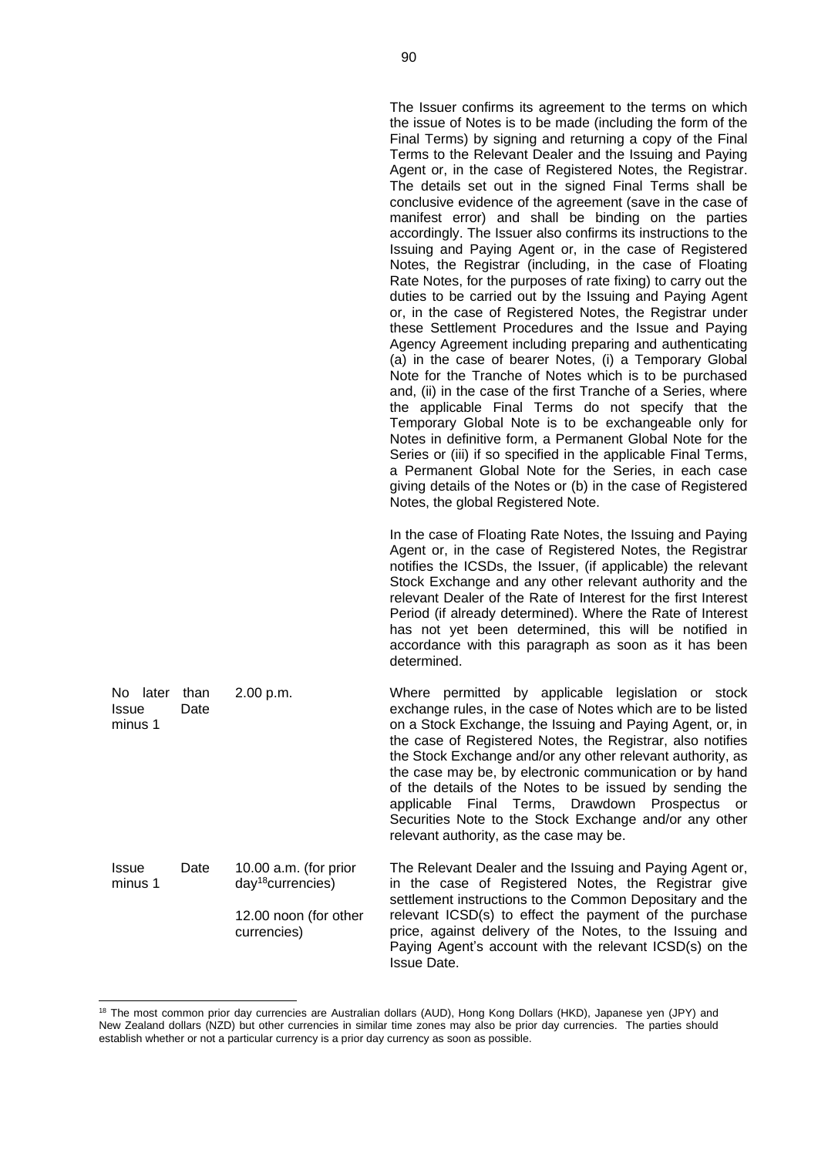The Issuer confirms its agreement to the terms on which the issue of Notes is to be made (including the form of the Final Terms) by signing and returning a copy of the Final Terms to the Relevant Dealer and the Issuing and Paying Agent or, in the case of Registered Notes, the Registrar. The details set out in the signed Final Terms shall be conclusive evidence of the agreement (save in the case of manifest error) and shall be binding on the parties accordingly. The Issuer also confirms its instructions to the Issuing and Paying Agent or, in the case of Registered Notes, the Registrar (including, in the case of Floating Rate Notes, for the purposes of rate fixing) to carry out the duties to be carried out by the Issuing and Paying Agent or, in the case of Registered Notes, the Registrar under these Settlement Procedures and the Issue and Paying Agency Agreement including preparing and authenticating (a) in the case of bearer Notes, (i) a Temporary Global Note for the Tranche of Notes which is to be purchased and, (ii) in the case of the first Tranche of a Series, where the applicable Final Terms do not specify that the Temporary Global Note is to be exchangeable only for Notes in definitive form, a Permanent Global Note for the Series or (iii) if so specified in the applicable Final Terms, a Permanent Global Note for the Series, in each case giving details of the Notes or (b) in the case of Registered Notes, the global Registered Note. In the case of Floating Rate Notes, the Issuing and Paying Agent or, in the case of Registered Notes, the Registrar notifies the ICSDs, the Issuer, (if applicable) the relevant Stock Exchange and any other relevant authority and the relevant Dealer of the Rate of Interest for the first Interest Period (if already determined). Where the Rate of Interest has not yet been determined, this will be notified in accordance with this paragraph as soon as it has been determined. 2.00 p.m. Where permitted by applicable legislation or stock exchange rules, in the case of Notes which are to be listed on a Stock Exchange, the Issuing and Paying Agent, or, in the case of Registered Notes, the Registrar, also notifies the Stock Exchange and/or any other relevant authority, as the case may be, by electronic communication or by hand

| minus 1                 |      |                                                   | on a Stock Exchange, the Issuing and Paying Agent, or, in<br>the case of Registered Notes, the Registrar, also notifies<br>the Stock Exchange and/or any other relevant authority, as<br>the case may be, by electronic communication or by hand<br>of the details of the Notes to be issued by sending the<br>applicable Final Terms, Drawdown Prospectus or<br>Securities Note to the Stock Exchange and/or any other<br>relevant authority, as the case may be. |
|-------------------------|------|---------------------------------------------------|--------------------------------------------------------------------------------------------------------------------------------------------------------------------------------------------------------------------------------------------------------------------------------------------------------------------------------------------------------------------------------------------------------------------------------------------------------------------|
| <b>Issue</b><br>minus 1 | Date | 10.00 $a.m.$ (for prior<br>$day^{18}$ currencies) | The Relevant Dealer and the Issuing and Paying Agent or,<br>in the case of Registered Notes, the Registrar give<br>settlement instructions to the Common Depositary and the                                                                                                                                                                                                                                                                                        |
|                         |      | 12.00 noon (for other<br>currencies)              | relevant ICSD(s) to effect the payment of the purchase<br>price, against delivery of the Notes, to the Issuing and<br>Paying Agent's account with the relevant ICSD(s) on the<br><b>Issue Date.</b>                                                                                                                                                                                                                                                                |

No later than Issue Date

<sup>&</sup>lt;sup>18</sup> The most common prior day currencies are Australian dollars (AUD), Hong Kong Dollars (HKD), Japanese yen (JPY) and New Zealand dollars (NZD) but other currencies in similar time zones may also be prior day currencies. The parties should establish whether or not a particular currency is a prior day currency as soon as possible.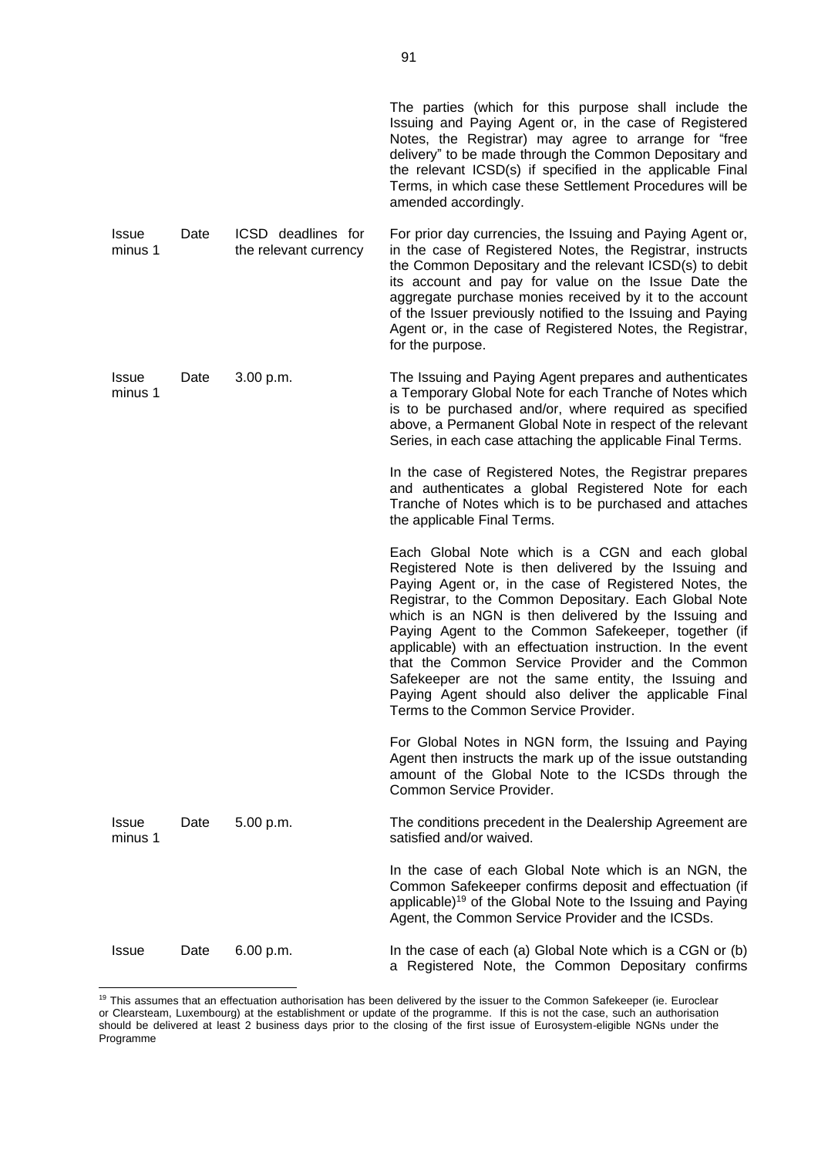|                         |      |                                             | The parties (which for this purpose shall include the<br>Issuing and Paying Agent or, in the case of Registered<br>Notes, the Registrar) may agree to arrange for "free<br>delivery" to be made through the Common Depositary and<br>the relevant ICSD(s) if specified in the applicable Final<br>Terms, in which case these Settlement Procedures will be<br>amended accordingly.                                                                                                                                                                                                                                 |
|-------------------------|------|---------------------------------------------|--------------------------------------------------------------------------------------------------------------------------------------------------------------------------------------------------------------------------------------------------------------------------------------------------------------------------------------------------------------------------------------------------------------------------------------------------------------------------------------------------------------------------------------------------------------------------------------------------------------------|
| <b>Issue</b><br>minus 1 | Date | ICSD deadlines for<br>the relevant currency | For prior day currencies, the Issuing and Paying Agent or,<br>in the case of Registered Notes, the Registrar, instructs<br>the Common Depositary and the relevant ICSD(s) to debit<br>its account and pay for value on the Issue Date the<br>aggregate purchase monies received by it to the account<br>of the Issuer previously notified to the Issuing and Paying<br>Agent or, in the case of Registered Notes, the Registrar,<br>for the purpose.                                                                                                                                                               |
| <b>Issue</b><br>minus 1 | Date | 3.00 p.m.                                   | The Issuing and Paying Agent prepares and authenticates<br>a Temporary Global Note for each Tranche of Notes which<br>is to be purchased and/or, where required as specified<br>above, a Permanent Global Note in respect of the relevant<br>Series, in each case attaching the applicable Final Terms.                                                                                                                                                                                                                                                                                                            |
|                         |      |                                             | In the case of Registered Notes, the Registrar prepares<br>and authenticates a global Registered Note for each<br>Tranche of Notes which is to be purchased and attaches<br>the applicable Final Terms.                                                                                                                                                                                                                                                                                                                                                                                                            |
|                         |      |                                             | Each Global Note which is a CGN and each global<br>Registered Note is then delivered by the Issuing and<br>Paying Agent or, in the case of Registered Notes, the<br>Registrar, to the Common Depositary. Each Global Note<br>which is an NGN is then delivered by the Issuing and<br>Paying Agent to the Common Safekeeper, together (if<br>applicable) with an effectuation instruction. In the event<br>that the Common Service Provider and the Common<br>Safekeeper are not the same entity, the Issuing and<br>Paying Agent should also deliver the applicable Final<br>Terms to the Common Service Provider. |
|                         |      |                                             | For Global Notes in NGN form, the Issuing and Paying<br>Agent then instructs the mark up of the issue outstanding<br>amount of the Global Note to the ICSDs through the<br>Common Service Provider.                                                                                                                                                                                                                                                                                                                                                                                                                |
| Issue<br>minus 1        | Date | 5.00 p.m.                                   | The conditions precedent in the Dealership Agreement are<br>satisfied and/or waived.                                                                                                                                                                                                                                                                                                                                                                                                                                                                                                                               |
|                         |      |                                             | In the case of each Global Note which is an NGN, the<br>Common Safekeeper confirms deposit and effectuation (if<br>applicable) <sup>19</sup> of the Global Note to the Issuing and Paying<br>Agent, the Common Service Provider and the ICSDs.                                                                                                                                                                                                                                                                                                                                                                     |
| <b>Issue</b>            | Date | 6.00 p.m.                                   | In the case of each (a) Global Note which is a CGN or (b)<br>a Registered Note, the Common Depositary confirms                                                                                                                                                                                                                                                                                                                                                                                                                                                                                                     |

<sup>&</sup>lt;sup>19</sup> This assumes that an effectuation authorisation has been delivered by the issuer to the Common Safekeeper (ie. Euroclear or Clearsteam, Luxembourg) at the establishment or update of the programme. If this is not the case, such an authorisation should be delivered at least 2 business days prior to the closing of the first issue of Eurosystem-eligible NGNs under the Programme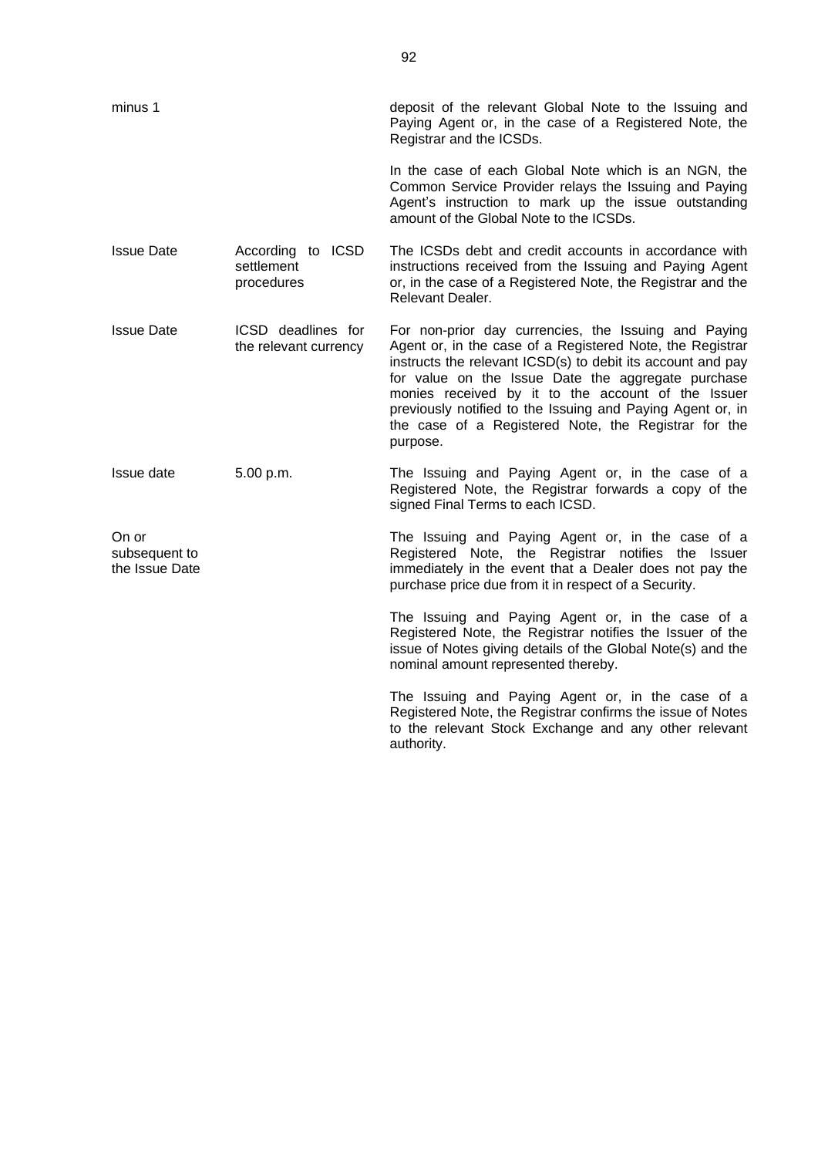| minus 1                                  |                                               | deposit of the relevant Global Note to the Issuing and<br>Paying Agent or, in the case of a Registered Note, the<br>Registrar and the ICSDs.                                                                                                                                                                                                                                                                                   |
|------------------------------------------|-----------------------------------------------|--------------------------------------------------------------------------------------------------------------------------------------------------------------------------------------------------------------------------------------------------------------------------------------------------------------------------------------------------------------------------------------------------------------------------------|
|                                          |                                               | In the case of each Global Note which is an NGN, the<br>Common Service Provider relays the Issuing and Paying<br>Agent's instruction to mark up the issue outstanding<br>amount of the Global Note to the ICSDs.                                                                                                                                                                                                               |
| <b>Issue Date</b>                        | According to ICSD<br>settlement<br>procedures | The ICSDs debt and credit accounts in accordance with<br>instructions received from the Issuing and Paying Agent<br>or, in the case of a Registered Note, the Registrar and the<br>Relevant Dealer.                                                                                                                                                                                                                            |
| <b>Issue Date</b>                        | ICSD deadlines for<br>the relevant currency   | For non-prior day currencies, the Issuing and Paying<br>Agent or, in the case of a Registered Note, the Registrar<br>instructs the relevant ICSD(s) to debit its account and pay<br>for value on the Issue Date the aggregate purchase<br>monies received by it to the account of the Issuer<br>previously notified to the Issuing and Paying Agent or, in<br>the case of a Registered Note, the Registrar for the<br>purpose. |
| Issue date                               | 5.00 p.m.                                     | The Issuing and Paying Agent or, in the case of a<br>Registered Note, the Registrar forwards a copy of the<br>signed Final Terms to each ICSD.                                                                                                                                                                                                                                                                                 |
| On or<br>subsequent to<br>the Issue Date |                                               | The Issuing and Paying Agent or, in the case of a<br>Registered Note, the Registrar notifies the Issuer<br>immediately in the event that a Dealer does not pay the<br>purchase price due from it in respect of a Security.                                                                                                                                                                                                     |
|                                          |                                               | The Issuing and Paying Agent or, in the case of a<br>Registered Note, the Registrar notifies the Issuer of the<br>issue of Notes giving details of the Global Note(s) and the<br>nominal amount represented thereby.                                                                                                                                                                                                           |
|                                          |                                               | The Issuing and Paying Agent or, in the case of a<br>Registered Note, the Registrar confirms the issue of Notes<br>to the relevant Stock Exchange and any other relevant<br>authority.                                                                                                                                                                                                                                         |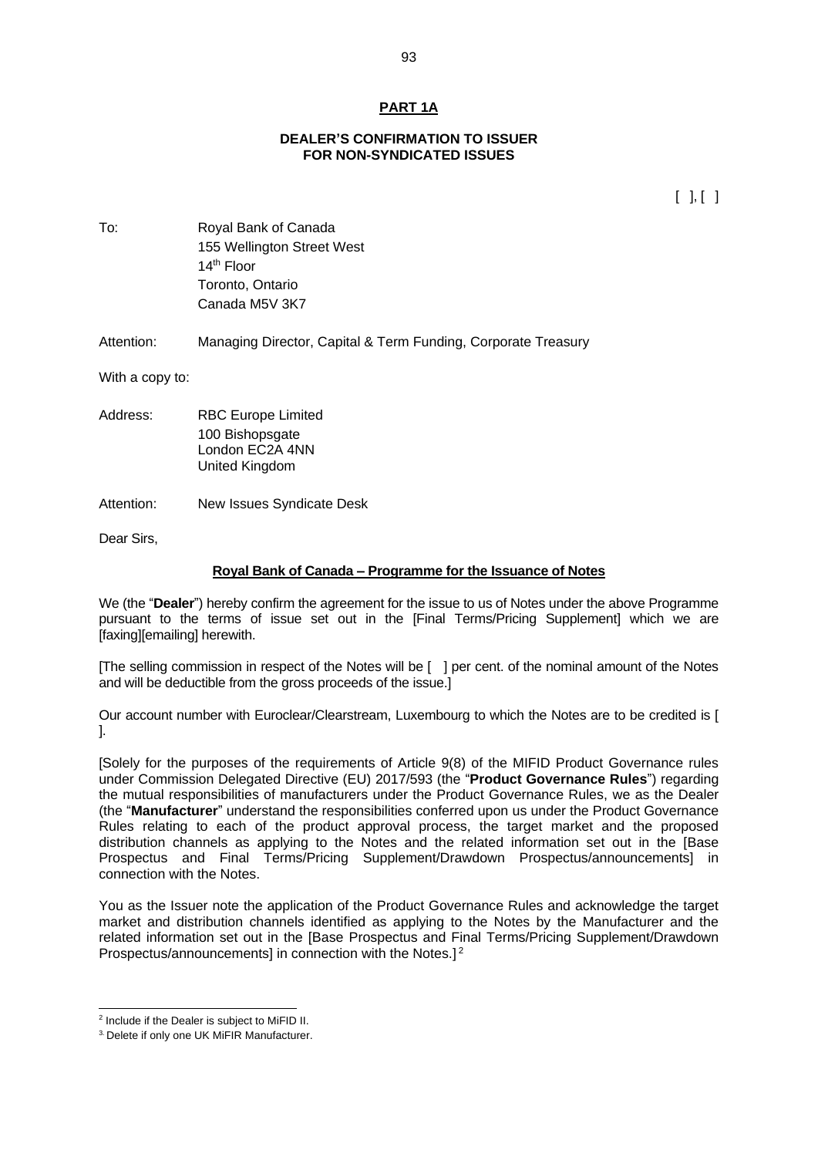## **PART 1A**

#### **DEALER'S CONFIRMATION TO ISSUER FOR NON-SYNDICATED ISSUES**

 $[ ] , [ ]$ 

To: Royal Bank of Canada 155 Wellington Street West 14th Floor Toronto, Ontario Canada M5V 3K7

Attention: Managing Director, Capital & Term Funding, Corporate Treasury

With a copy to:

- Address: RBC Europe Limited 100 Bishopsgate London EC2A 4NN United Kingdom
- Attention: New Issues Syndicate Desk

Dear Sirs,

#### **Royal Bank of Canada – Programme for the Issuance of Notes**

We (the "**Dealer**") hereby confirm the agreement for the issue to us of Notes under the above Programme pursuant to the terms of issue set out in the [Final Terms/Pricing Supplement] which we are [faxing][emailing] herewith.

[The selling commission in respect of the Notes will be [ ] per cent. of the nominal amount of the Notes and will be deductible from the gross proceeds of the issue.]

Our account number with Euroclear/Clearstream, Luxembourg to which the Notes are to be credited is [ ].

[Solely for the purposes of the requirements of Article 9(8) of the MIFID Product Governance rules under Commission Delegated Directive (EU) 2017/593 (the "**Product Governance Rules**") regarding the mutual responsibilities of manufacturers under the Product Governance Rules, we as the Dealer (the "**Manufacturer**" understand the responsibilities conferred upon us under the Product Governance Rules relating to each of the product approval process, the target market and the proposed distribution channels as applying to the Notes and the related information set out in the [Base Prospectus and Final Terms/Pricing Supplement/Drawdown Prospectus/announcements] in connection with the Notes.

You as the Issuer note the application of the Product Governance Rules and acknowledge the target market and distribution channels identified as applying to the Notes by the Manufacturer and the related information set out in the [Base Prospectus and Final Terms/Pricing Supplement/Drawdown Prospectus/announcements] in connection with the Notes.]<sup>2</sup>

<sup>&</sup>lt;sup>2</sup> Include if the Dealer is subject to MiFID II.

<sup>&</sup>lt;sup>3.</sup> Delete if only one UK MiFIR Manufacturer.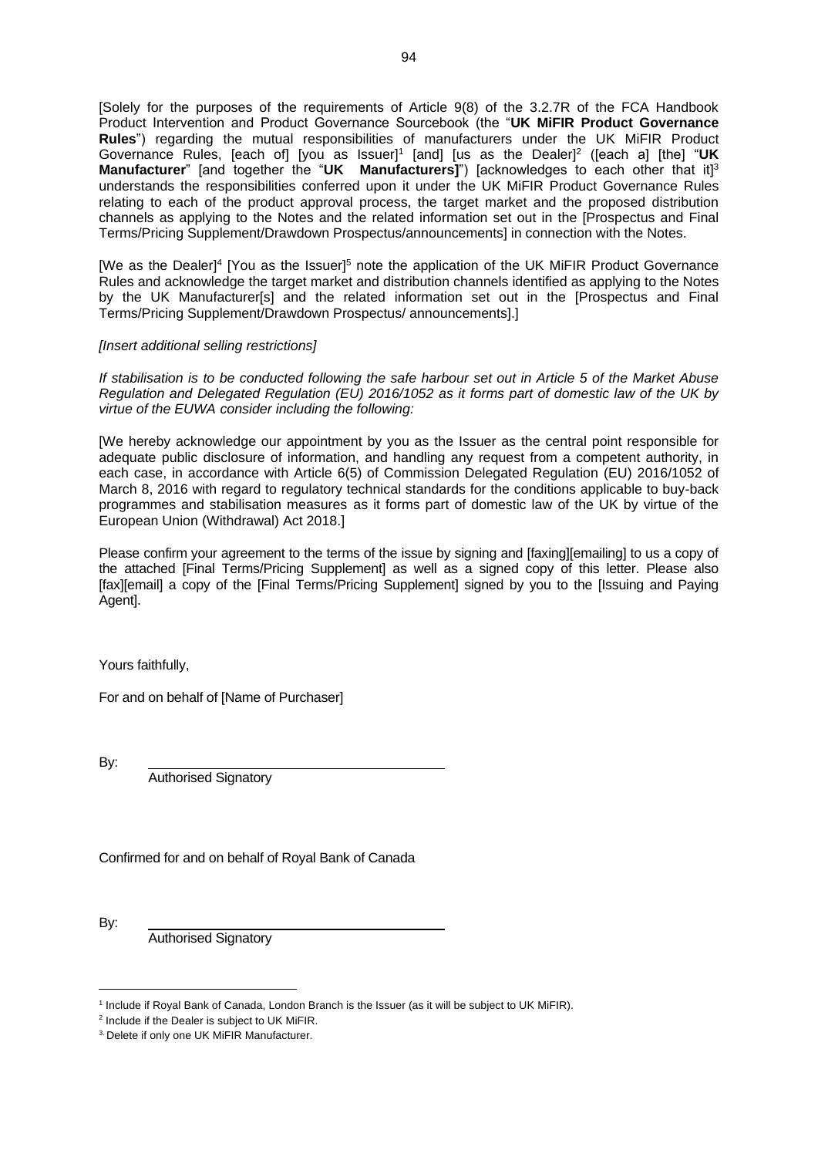[Solely for the purposes of the requirements of Article 9(8) of the 3.2.7R of the FCA Handbook Product Intervention and Product Governance Sourcebook (the "**UK MiFIR Product Governance Rules**") regarding the mutual responsibilities of manufacturers under the UK MiFIR Product Governance Rules, [each of] [you as Issuer]<sup>1</sup> [and] [us as the Dealer]<sup>2</sup> ([each a] [the] "UK **Manufacturer**" [and together the "**UK Manufacturers]**") [acknowledges to each other that it]<sup>3</sup> understands the responsibilities conferred upon it under the UK MiFIR Product Governance Rules relating to each of the product approval process, the target market and the proposed distribution channels as applying to the Notes and the related information set out in the [Prospectus and Final Terms/Pricing Supplement/Drawdown Prospectus/announcements] in connection with the Notes.

[We as the Dealer]<sup>4</sup> [You as the Issuer]<sup>5</sup> note the application of the UK MiFIR Product Governance Rules and acknowledge the target market and distribution channels identified as applying to the Notes by the UK Manufacturer[s] and the related information set out in the [Prospectus and Final Terms/Pricing Supplement/Drawdown Prospectus/ announcements].]

### *[Insert additional selling restrictions]*

*If stabilisation is to be conducted following the safe harbour set out in Article 5 of the Market Abuse Regulation and Delegated Regulation (EU) 2016/1052 as it forms part of domestic law of the UK by virtue of the EUWA consider including the following:*

[We hereby acknowledge our appointment by you as the Issuer as the central point responsible for adequate public disclosure of information, and handling any request from a competent authority, in each case, in accordance with Article 6(5) of Commission Delegated Regulation (EU) 2016/1052 of March 8, 2016 with regard to regulatory technical standards for the conditions applicable to buy-back programmes and stabilisation measures as it forms part of domestic law of the UK by virtue of the European Union (Withdrawal) Act 2018.]

Please confirm your agreement to the terms of the issue by signing and [faxing][emailing] to us a copy of the attached [Final Terms/Pricing Supplement] as well as a signed copy of this letter. Please also [fax][email] a copy of the [Final Terms/Pricing Supplement] signed by you to the [Issuing and Paying Agent].

Yours faithfully,

For and on behalf of [Name of Purchaser]

By:

Authorised Signatory

Confirmed for and on behalf of Royal Bank of Canada

By:

Authorised Signatory

<sup>1</sup> Include if Royal Bank of Canada, London Branch is the Issuer (as it will be subject to UK MiFIR).

<sup>&</sup>lt;sup>2</sup> Include if the Dealer is subject to UK MiFIR.

<sup>&</sup>lt;sup>3.</sup> Delete if only one UK MiFIR Manufacturer.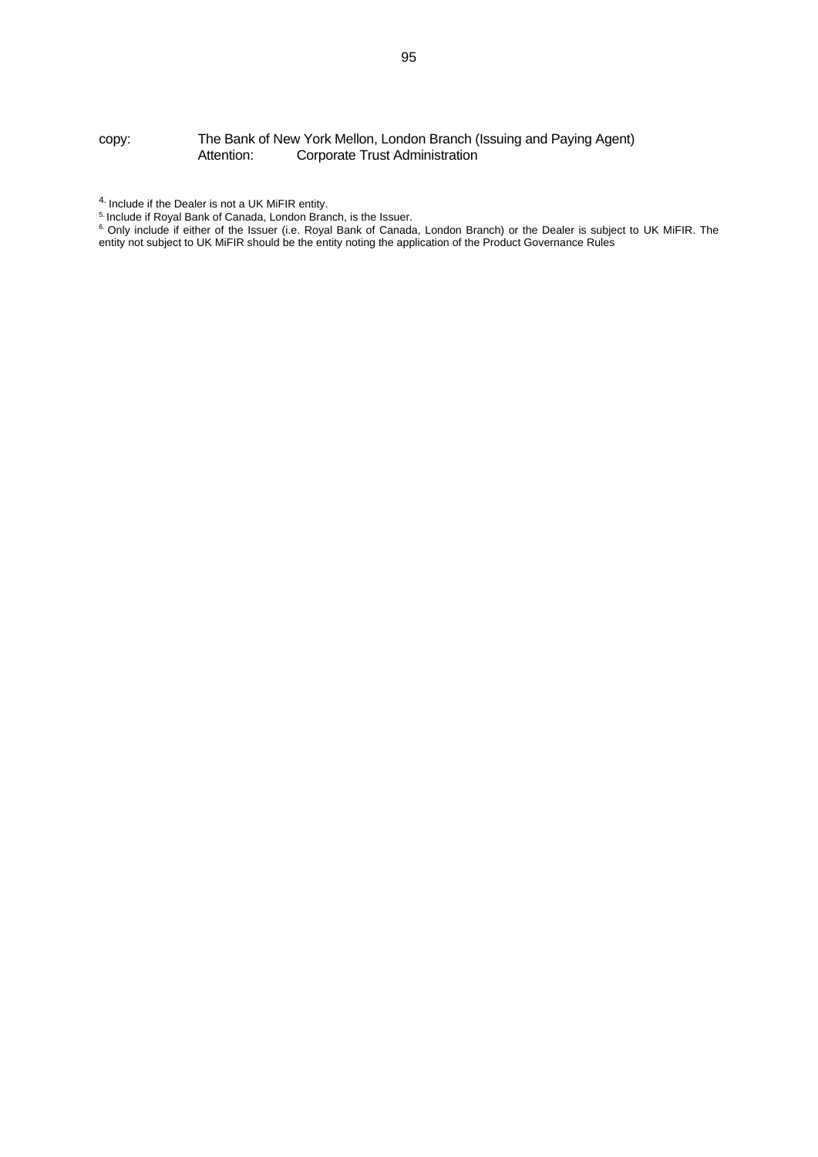#### copy: The Bank of New York Mellon, London Branch (Issuing and Paying Agent) Attention: Corporate Trust Administration

5. Include if Royal Bank of Canada, London Branch, is the Issuer.

 $4.$  Include if the Dealer is not a UK MiFIR entity.

<sup>&</sup>lt;sup>6.</sup> Only include if either of the Issuer (i.e. Royal Bank of Canada, London Branch) or the Dealer is subject to UK MiFIR. The entity not subject to UK MiFIR should be the entity noting the application of the Product Governance Rules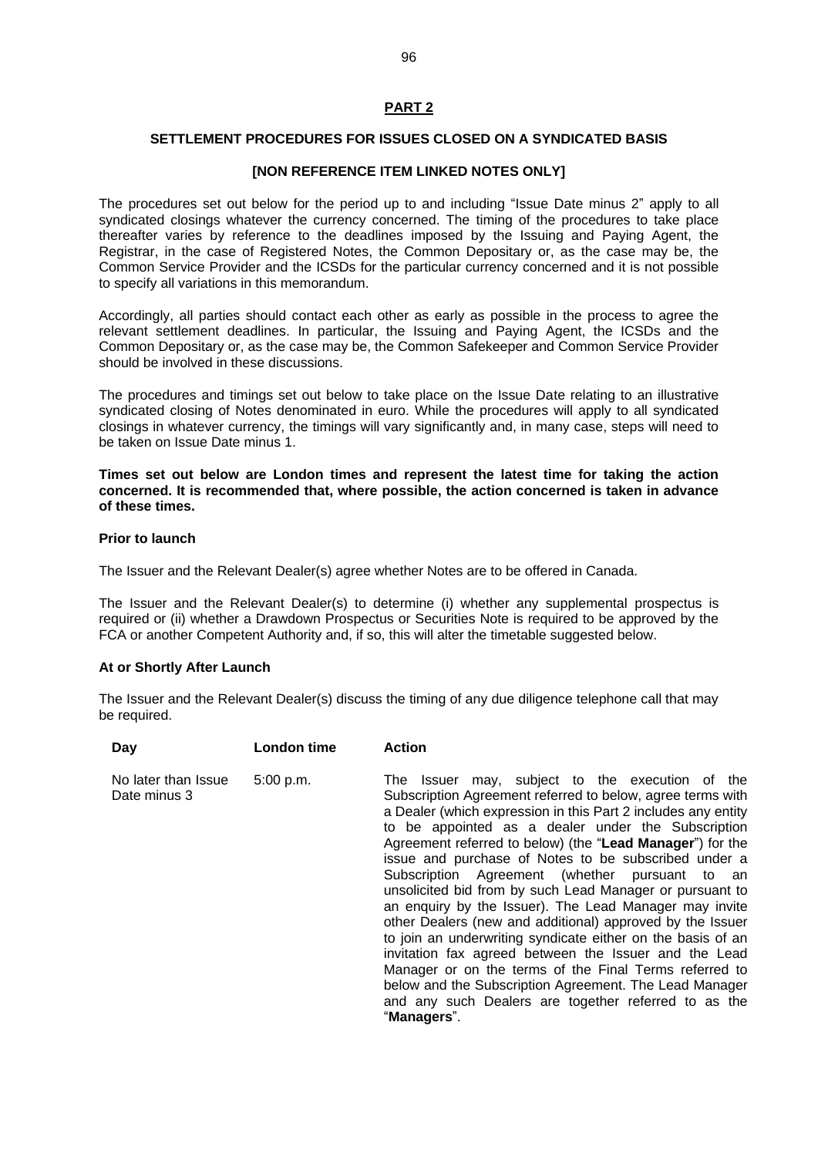# **PART 2**

### **SETTLEMENT PROCEDURES FOR ISSUES CLOSED ON A SYNDICATED BASIS**

#### **[NON REFERENCE ITEM LINKED NOTES ONLY]**

The procedures set out below for the period up to and including "Issue Date minus 2" apply to all syndicated closings whatever the currency concerned. The timing of the procedures to take place thereafter varies by reference to the deadlines imposed by the Issuing and Paying Agent, the Registrar, in the case of Registered Notes, the Common Depositary or, as the case may be, the Common Service Provider and the ICSDs for the particular currency concerned and it is not possible to specify all variations in this memorandum.

Accordingly, all parties should contact each other as early as possible in the process to agree the relevant settlement deadlines. In particular, the Issuing and Paying Agent, the ICSDs and the Common Depositary or, as the case may be, the Common Safekeeper and Common Service Provider should be involved in these discussions.

The procedures and timings set out below to take place on the Issue Date relating to an illustrative syndicated closing of Notes denominated in euro. While the procedures will apply to all syndicated closings in whatever currency, the timings will vary significantly and, in many case, steps will need to be taken on Issue Date minus 1.

**Times set out below are London times and represent the latest time for taking the action concerned. It is recommended that, where possible, the action concerned is taken in advance of these times.**

#### **Prior to launch**

The Issuer and the Relevant Dealer(s) agree whether Notes are to be offered in Canada.

The Issuer and the Relevant Dealer(s) to determine (i) whether any supplemental prospectus is required or (ii) whether a Drawdown Prospectus or Securities Note is required to be approved by the FCA or another Competent Authority and, if so, this will alter the timetable suggested below.

#### **At or Shortly After Launch**

The Issuer and the Relevant Dealer(s) discuss the timing of any due diligence telephone call that may be required.

| Day                                 | London time | <b>Action</b>                                                                                                                                                                                                                                                                                                                                                                                                                                                                                                                                                                                                                                                                                                                                                                                                                                                                                                           |
|-------------------------------------|-------------|-------------------------------------------------------------------------------------------------------------------------------------------------------------------------------------------------------------------------------------------------------------------------------------------------------------------------------------------------------------------------------------------------------------------------------------------------------------------------------------------------------------------------------------------------------------------------------------------------------------------------------------------------------------------------------------------------------------------------------------------------------------------------------------------------------------------------------------------------------------------------------------------------------------------------|
| No later than Issue<br>Date minus 3 | 5:00 p.m.   | may, subject to the execution of the<br>The<br>Issuer<br>Subscription Agreement referred to below, agree terms with<br>a Dealer (which expression in this Part 2 includes any entity<br>to be appointed as a dealer under the Subscription<br>Agreement referred to below) (the "Lead Manager") for the<br>issue and purchase of Notes to be subscribed under a<br>Subscription Agreement (whether pursuant to an<br>unsolicited bid from by such Lead Manager or pursuant to<br>an enquiry by the Issuer). The Lead Manager may invite<br>other Dealers (new and additional) approved by the Issuer<br>to join an underwriting syndicate either on the basis of an<br>invitation fax agreed between the Issuer and the Lead<br>Manager or on the terms of the Final Terms referred to<br>below and the Subscription Agreement. The Lead Manager<br>and any such Dealers are together referred to as the<br>"Managers". |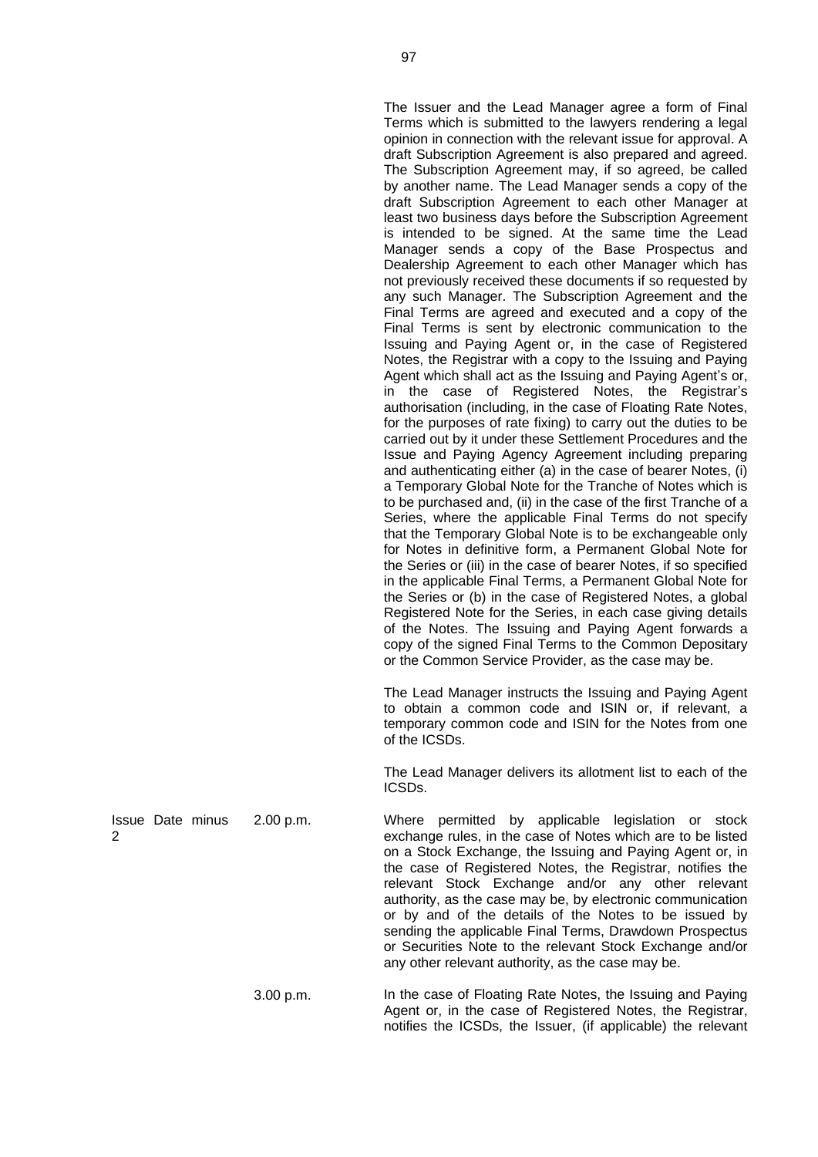The Issuer and the Lead Manager agree a form of Final Terms which is submitted to the lawyers rendering a legal opinion in connection with the relevant issue for approval. A draft Subscription Agreement is also prepared and agreed. The Subscription Agreement may, if so agreed, be called by another name. The Lead Manager sends a copy of the draft Subscription Agreement to each other Manager at least two business days before the Subscription Agreement is intended to be signed. At the same time the Lead Manager sends a copy of the Base Prospectus and Dealership Agreement to each other Manager which has not previously received these documents if so requested by any such Manager. The Subscription Agreement and the Final Terms are agreed and executed and a copy of the Final Terms is sent by electronic communication to the Issuing and Paying Agent or, in the case of Registered Notes, the Registrar with a copy to the Issuing and Paying Agent which shall act as the Issuing and Paying Agent's or, in the case of Registered Notes, the Registrar's authorisation (including, in the case of Floating Rate Notes, for the purposes of rate fixing) to carry out the duties to be carried out by it under these Settlement Procedures and the Issue and Paying Agency Agreement including preparing and authenticating either (a) in the case of bearer Notes, (i) a Temporary Global Note for the Tranche of Notes which is to be purchased and, (ii) in the case of the first Tranche of a Series, where the applicable Final Terms do not specify that the Temporary Global Note is to be exchangeable only for Notes in definitive form, a Permanent Global Note for the Series or (iii) in the case of bearer Notes, if so specified in the applicable Final Terms, a Permanent Global Note for the Series or (b) in the case of Registered Notes, a global Registered Note for the Series, in each case giving details of the Notes. The Issuing and Paying Agent forwards a copy of the signed Final Terms to the Common Depositary or the Common Service Provider, as the case may be.

The Lead Manager instructs the Issuing and Paying Agent to obtain a common code and ISIN or, if relevant, a temporary common code and ISIN for the Notes from one of the ICSDs.

The Lead Manager delivers its allotment list to each of the ICSDs.

2.00 p.m. Where permitted by applicable legislation or stock exchange rules, in the case of Notes which are to be listed on a Stock Exchange, the Issuing and Paying Agent or, in the case of Registered Notes, the Registrar, notifies the relevant Stock Exchange and/or any other relevant authority, as the case may be, by electronic communication or by and of the details of the Notes to be issued by sending the applicable Final Terms, Drawdown Prospectus or Securities Note to the relevant Stock Exchange and/or any other relevant authority, as the case may be.

3.00 p.m. In the case of Floating Rate Notes, the Issuing and Paying Agent or, in the case of Registered Notes, the Registrar, notifies the ICSDs, the Issuer, (if applicable) the relevant

Issue Date minus 2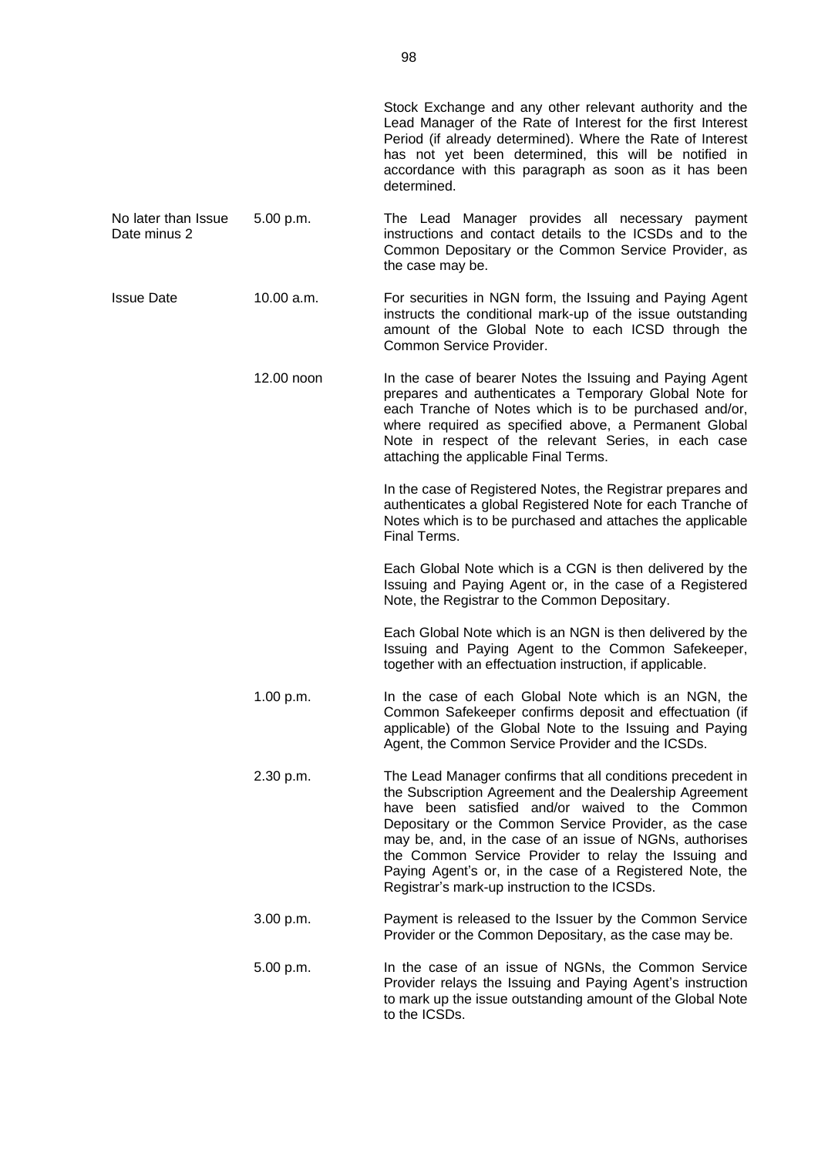|                                     |            | Stock Exchange and any other relevant authority and the<br>Lead Manager of the Rate of Interest for the first Interest<br>Period (if already determined). Where the Rate of Interest<br>has not yet been determined, this will be notified in<br>accordance with this paragraph as soon as it has been<br>determined.                                                                                                                                               |
|-------------------------------------|------------|---------------------------------------------------------------------------------------------------------------------------------------------------------------------------------------------------------------------------------------------------------------------------------------------------------------------------------------------------------------------------------------------------------------------------------------------------------------------|
| No later than Issue<br>Date minus 2 | 5.00 p.m.  | The Lead Manager provides all necessary payment<br>instructions and contact details to the ICSDs and to the<br>Common Depositary or the Common Service Provider, as<br>the case may be.                                                                                                                                                                                                                                                                             |
| <b>Issue Date</b>                   | 10.00 a.m. | For securities in NGN form, the Issuing and Paying Agent<br>instructs the conditional mark-up of the issue outstanding<br>amount of the Global Note to each ICSD through the<br>Common Service Provider.                                                                                                                                                                                                                                                            |
|                                     | 12.00 noon | In the case of bearer Notes the Issuing and Paying Agent<br>prepares and authenticates a Temporary Global Note for<br>each Tranche of Notes which is to be purchased and/or,<br>where required as specified above, a Permanent Global<br>Note in respect of the relevant Series, in each case<br>attaching the applicable Final Terms.                                                                                                                              |
|                                     |            | In the case of Registered Notes, the Registrar prepares and<br>authenticates a global Registered Note for each Tranche of<br>Notes which is to be purchased and attaches the applicable<br>Final Terms.                                                                                                                                                                                                                                                             |
|                                     |            | Each Global Note which is a CGN is then delivered by the<br>Issuing and Paying Agent or, in the case of a Registered<br>Note, the Registrar to the Common Depositary.                                                                                                                                                                                                                                                                                               |
|                                     |            | Each Global Note which is an NGN is then delivered by the<br>Issuing and Paying Agent to the Common Safekeeper,<br>together with an effectuation instruction, if applicable.                                                                                                                                                                                                                                                                                        |
|                                     | 1.00 p.m.  | In the case of each Global Note which is an NGN, the<br>Common Safekeeper confirms deposit and effectuation (if<br>applicable) of the Global Note to the Issuing and Paying<br>Agent, the Common Service Provider and the ICSDs.                                                                                                                                                                                                                                    |
|                                     | 2.30 p.m.  | The Lead Manager confirms that all conditions precedent in<br>the Subscription Agreement and the Dealership Agreement<br>have been satisfied and/or waived to the Common<br>Depositary or the Common Service Provider, as the case<br>may be, and, in the case of an issue of NGNs, authorises<br>the Common Service Provider to relay the Issuing and<br>Paying Agent's or, in the case of a Registered Note, the<br>Registrar's mark-up instruction to the ICSDs. |
|                                     | 3.00 p.m.  | Payment is released to the Issuer by the Common Service<br>Provider or the Common Depositary, as the case may be.                                                                                                                                                                                                                                                                                                                                                   |
|                                     | 5.00 p.m.  | In the case of an issue of NGNs, the Common Service<br>Provider relays the Issuing and Paying Agent's instruction<br>to mark up the issue outstanding amount of the Global Note<br>to the ICSDs.                                                                                                                                                                                                                                                                    |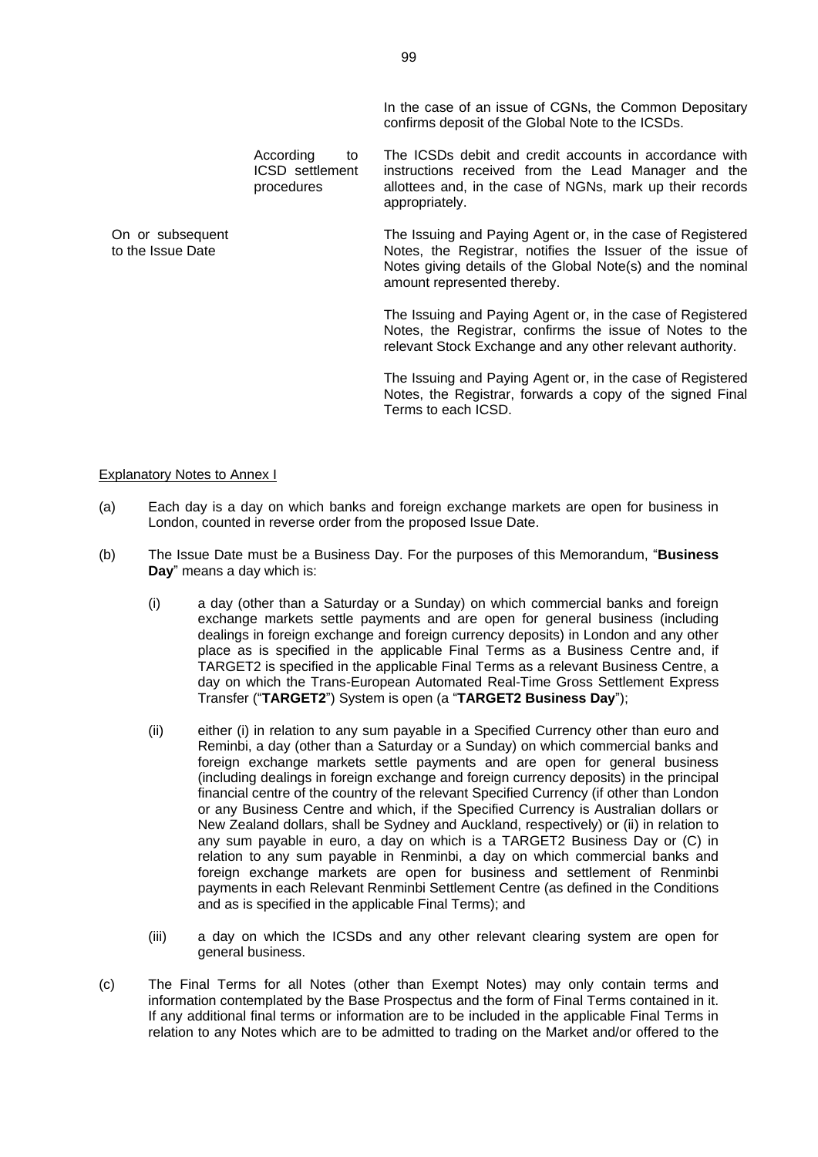In the case of an issue of CGNs, the Common Depositary confirms deposit of the Global Note to the ICSDs.

According to ICSD settlement procedures

On or subsequent to the Issue Date

The ICSDs debit and credit accounts in accordance with instructions received from the Lead Manager and the allottees and, in the case of NGNs, mark up their records appropriately.

The Issuing and Paying Agent or, in the case of Registered Notes, the Registrar, notifies the Issuer of the issue of Notes giving details of the Global Note(s) and the nominal amount represented thereby.

The Issuing and Paying Agent or, in the case of Registered Notes, the Registrar, confirms the issue of Notes to the relevant Stock Exchange and any other relevant authority.

The Issuing and Paying Agent or, in the case of Registered Notes, the Registrar, forwards a copy of the signed Final Terms to each ICSD.

#### Explanatory Notes to Annex I

- (a) Each day is a day on which banks and foreign exchange markets are open for business in London, counted in reverse order from the proposed Issue Date.
- (b) The Issue Date must be a Business Day. For the purposes of this Memorandum, "**Business Day**" means a day which is:
	- (i) a day (other than a Saturday or a Sunday) on which commercial banks and foreign exchange markets settle payments and are open for general business (including dealings in foreign exchange and foreign currency deposits) in London and any other place as is specified in the applicable Final Terms as a Business Centre and, if TARGET2 is specified in the applicable Final Terms as a relevant Business Centre, a day on which the Trans-European Automated Real-Time Gross Settlement Express Transfer ("**TARGET2**") System is open (a "**TARGET2 Business Day**");
	- (ii) either (i) in relation to any sum payable in a Specified Currency other than euro and Reminbi, a day (other than a Saturday or a Sunday) on which commercial banks and foreign exchange markets settle payments and are open for general business (including dealings in foreign exchange and foreign currency deposits) in the principal financial centre of the country of the relevant Specified Currency (if other than London or any Business Centre and which, if the Specified Currency is Australian dollars or New Zealand dollars, shall be Sydney and Auckland, respectively) or (ii) in relation to any sum payable in euro, a day on which is a TARGET2 Business Day or (C) in relation to any sum payable in Renminbi, a day on which commercial banks and foreign exchange markets are open for business and settlement of Renminbi payments in each Relevant Renminbi Settlement Centre (as defined in the Conditions and as is specified in the applicable Final Terms); and
	- (iii) a day on which the ICSDs and any other relevant clearing system are open for general business.
- (c) The Final Terms for all Notes (other than Exempt Notes) may only contain terms and information contemplated by the Base Prospectus and the form of Final Terms contained in it. If any additional final terms or information are to be included in the applicable Final Terms in relation to any Notes which are to be admitted to trading on the Market and/or offered to the